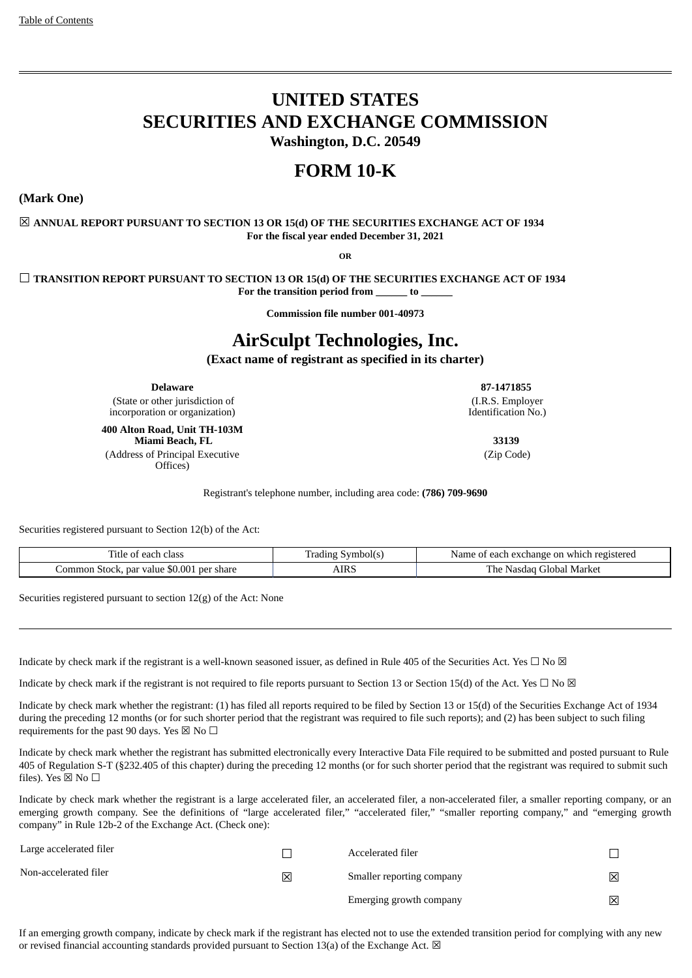# **UNITED STATES SECURITIES AND EXCHANGE COMMISSION Washington, D.C. 20549**

# **FORM 10-K**

**(Mark One)**

☒ **ANNUAL REPORT PURSUANT TO SECTION 13 OR 15(d) OF THE SECURITIES EXCHANGE ACT OF 1934 For the fiscal year ended December 31, 2021**

**OR**

☐ **TRANSITION REPORT PURSUANT TO SECTION 13 OR 15(d) OF THE SECURITIES EXCHANGE ACT OF 1934 For the transition period from \_\_\_\_\_\_ to \_\_\_\_\_\_**

**Commission file number 001-40973**

# **AirSculpt Technologies, Inc.**

**(Exact name of registrant as specified in its charter)**

(State or other jurisdiction of incorporation or organization)

**400 Alton Road, Unit TH-103M Miami Beach, FL 33139** (Address of Principal Executive Offices)

**Delaware 87-1471855** (I.R.S. Employer Identification No.)

(Zip Code)

Registrant's telephone number, including area code: **(786) 709-9690**

Securities registered pursuant to Section 12(b) of the Act:

| litle<br>class<br>each                               | rradıng<br>Symbol(s | registered<br>' each<br>h exchange on<br>Name of<br>, which |
|------------------------------------------------------|---------------------|-------------------------------------------------------------|
| . \$0.001 per share<br>par value<br>Lommon<br>Stock. | AIRS                | Global Market<br>r ne-<br>Nasdad                            |

Securities registered pursuant to section 12(g) of the Act: None

Indicate by check mark if the registrant is a well-known seasoned issuer, as defined in Rule 405 of the Securities Act. Yes  $\Box$  No  $\boxtimes$ 

Indicate by check mark if the registrant is not required to file reports pursuant to Section 13 or Section 15(d) of the Act. Yes  $\Box$  No  $\boxtimes$ 

Indicate by check mark whether the registrant: (1) has filed all reports required to be filed by Section 13 or 15(d) of the Securities Exchange Act of 1934 during the preceding 12 months (or for such shorter period that the registrant was required to file such reports); and (2) has been subject to such filing requirements for the past 90 days. Yes  $\boxtimes$  No  $\Box$ 

Indicate by check mark whether the registrant has submitted electronically every Interactive Data File required to be submitted and posted pursuant to Rule 405 of Regulation S-T (§232.405 of this chapter) during the preceding 12 months (or for such shorter period that the registrant was required to submit such files). Yes  $\boxtimes$  No  $\square$ 

Indicate by check mark whether the registrant is a large accelerated filer, an accelerated filer, a non-accelerated filer, a smaller reporting company, or an emerging growth company. See the definitions of "large accelerated filer," "accelerated filer," "smaller reporting company," and "emerging growth company" in Rule 12b-2 of the Exchange Act. (Check one):

| Large accelerated filer |   | Accelerated filer         |   |
|-------------------------|---|---------------------------|---|
| Non-accelerated filer   | 区 | Smaller reporting company | 区 |
|                         |   | Emerging growth company   | 区 |

If an emerging growth company, indicate by check mark if the registrant has elected not to use the extended transition period for complying with any new or revised financial accounting standards provided pursuant to Section 13(a) of the Exchange Act.  $\boxtimes$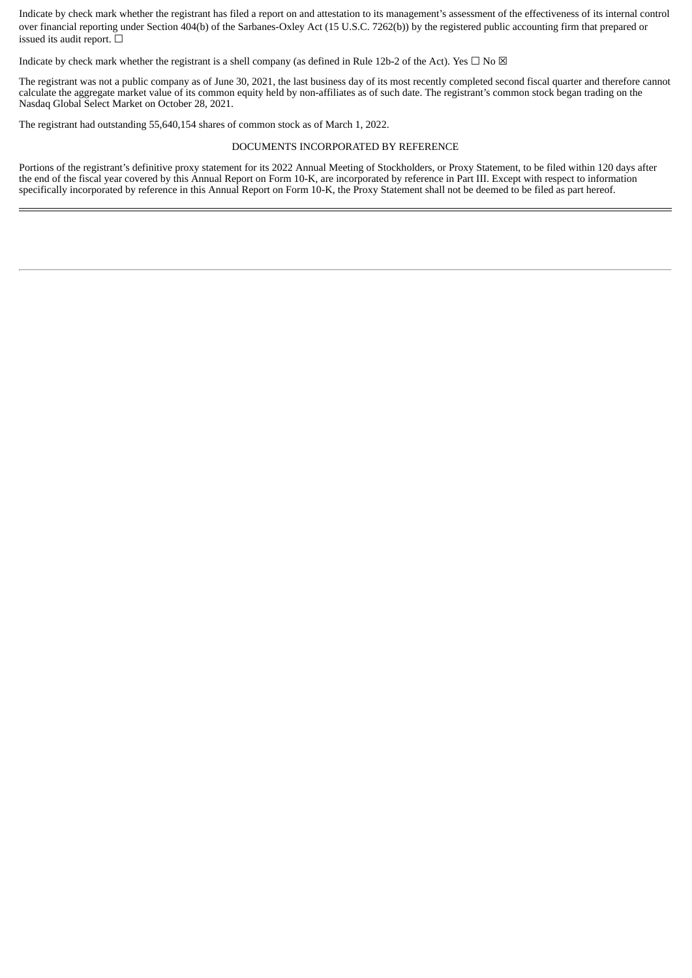Indicate by check mark whether the registrant has filed a report on and attestation to its management's assessment of the effectiveness of its internal control over financial reporting under Section 404(b) of the Sarbanes-Oxley Act (15 U.S.C. 7262(b)) by the registered public accounting firm that prepared or issued its audit report.  $\Box$ 

Indicate by check mark whether the registrant is a shell company (as defined in Rule 12b-2 of the Act). Yes  $\Box$  No  $\boxtimes$ 

The registrant was not a public company as of June 30, 2021, the last business day of its most recently completed second fiscal quarter and therefore cannot calculate the aggregate market value of its common equity held by non-affiliates as of such date. The registrant's common stock began trading on the Nasdaq Global Select Market on October 28, 2021.

The registrant had outstanding 55,640,154 shares of common stock as of March 1, 2022.

#### DOCUMENTS INCORPORATED BY REFERENCE

<span id="page-1-0"></span>Portions of the registrant's definitive proxy statement for its 2022 Annual Meeting of Stockholders, or Proxy Statement, to be filed within 120 days after the end of the fiscal year covered by this Annual Report on Form 10-K, are incorporated by reference in Part III. Except with respect to information specifically incorporated by reference in this Annual Report on Form 10-K, the Proxy Statement shall not be deemed to be filed as part hereof.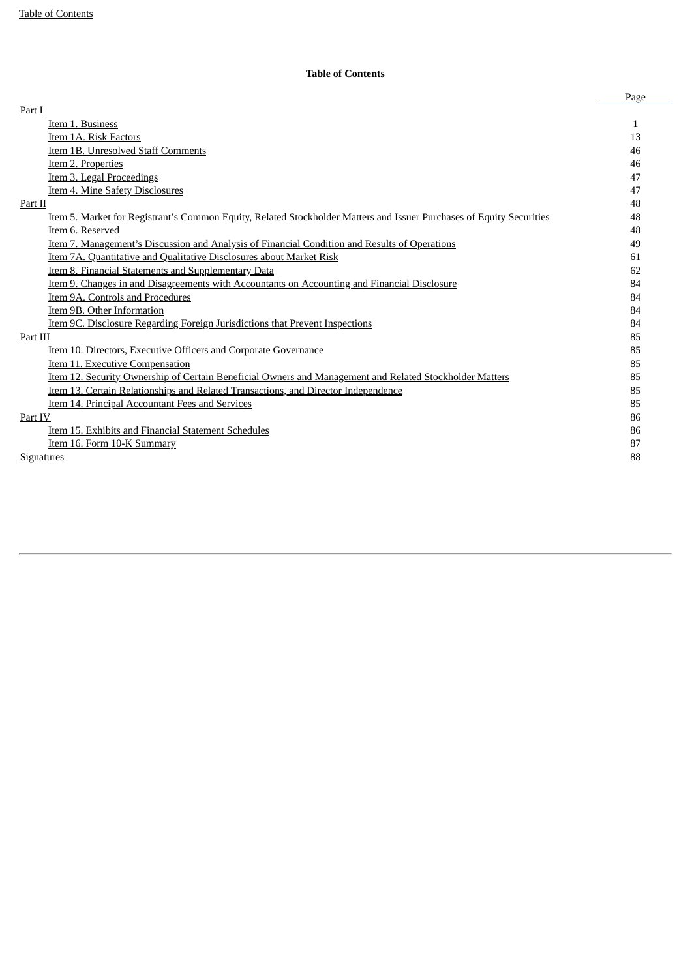# **Table of Contents**

|                                                                                                                      | Page         |
|----------------------------------------------------------------------------------------------------------------------|--------------|
| Part I                                                                                                               |              |
| Item 1. Business                                                                                                     | $\mathbf{1}$ |
| Item 1A. Risk Factors                                                                                                | 13           |
| Item 1B. Unresolved Staff Comments                                                                                   | 46           |
| Item 2. Properties                                                                                                   | 46           |
| Item 3. Legal Proceedings                                                                                            | 47           |
| Item 4. Mine Safety Disclosures                                                                                      | 47           |
| Part II                                                                                                              | 48           |
| Item 5. Market for Registrant's Common Equity, Related Stockholder Matters and Issuer Purchases of Equity Securities | 48           |
| Item 6. Reserved                                                                                                     | 48           |
| Item 7. Management's Discussion and Analysis of Financial Condition and Results of Operations                        | 49           |
| Item 7A. Quantitative and Qualitative Disclosures about Market Risk                                                  | 61           |
| Item 8. Financial Statements and Supplementary Data                                                                  | 62           |
| Item 9. Changes in and Disagreements with Accountants on Accounting and Financial Disclosure                         | 84           |
| Item 9A. Controls and Procedures                                                                                     | 84           |
| Item 9B. Other Information                                                                                           | 84           |
| Item 9C. Disclosure Regarding Foreign Jurisdictions that Prevent Inspections                                         | 84           |
| Part III                                                                                                             | 85           |
| <u>Item 10. Directors, Executive Officers and Corporate Governance</u>                                               | 85           |
| Item 11. Executive Compensation                                                                                      | 85           |
| Item 12. Security Ownership of Certain Beneficial Owners and Management and Related Stockholder Matters              | 85           |
| Item 13. Certain Relationships and Related Transactions, and Director Independence                                   | 85           |
| Item 14. Principal Accountant Fees and Services                                                                      | 85           |
| Part IV                                                                                                              | 86           |
| Item 15. Exhibits and Financial Statement Schedules                                                                  | 86           |
| Item 16. Form 10-K Summary                                                                                           | 87           |
| Signatures                                                                                                           | 88           |
|                                                                                                                      |              |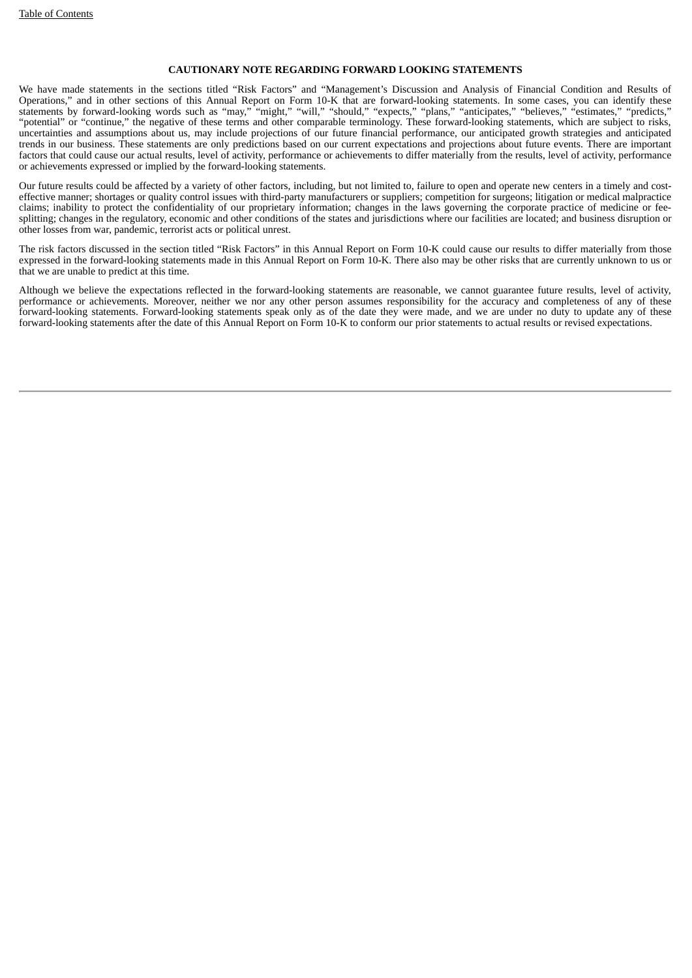## **CAUTIONARY NOTE REGARDING FORWARD LOOKING STATEMENTS**

We have made statements in the sections titled "Risk Factors" and "Management's Discussion and Analysis of Financial Condition and Results of Operations," and in other sections of this Annual Report on Form 10-K that are forward-looking statements. In some cases, you can identify these statements by forward-looking words such as "may," "might," "will," "should," "expects," "plans," "anticipates," "believes," "estimates," "predicts," "potential" or "continue," the negative of these terms and other comparable terminology. These forward-looking statements, which are subject to risks, uncertainties and assumptions about us, may include projections of our future financial performance, our anticipated growth strategies and anticipated trends in our business. These statements are only predictions based on our current expectations and projections about future events. There are important factors that could cause our actual results, level of activity, performance or achievements to differ materially from the results, level of activity, performance or achievements expressed or implied by the forward-looking statements.

Our future results could be affected by a variety of other factors, including, but not limited to, failure to open and operate new centers in a timely and costeffective manner; shortages or quality control issues with third-party manufacturers or suppliers; competition for surgeons; litigation or medical malpractice claims; inability to protect the confidentiality of our proprietary information; changes in the laws governing the corporate practice of medicine or feesplitting; changes in the regulatory, economic and other conditions of the states and jurisdictions where our facilities are located; and business disruption or other losses from war, pandemic, terrorist acts or political unrest.

The risk factors discussed in the section titled "Risk Factors" in this Annual Report on Form 10-K could cause our results to differ materially from those expressed in the forward-looking statements made in this Annual Report on Form 10-K. There also may be other risks that are currently unknown to us or that we are unable to predict at this time.

<span id="page-3-0"></span>Although we believe the expectations reflected in the forward-looking statements are reasonable, we cannot guarantee future results, level of activity, performance or achievements. Moreover, neither we nor any other person assumes responsibility for the accuracy and completeness of any of these forward-looking statements. Forward-looking statements speak only as of the date they were made, and we are under no duty to update any of these forward-looking statements after the date of this Annual Report on Form 10-K to conform our prior statements to actual results or revised expectations.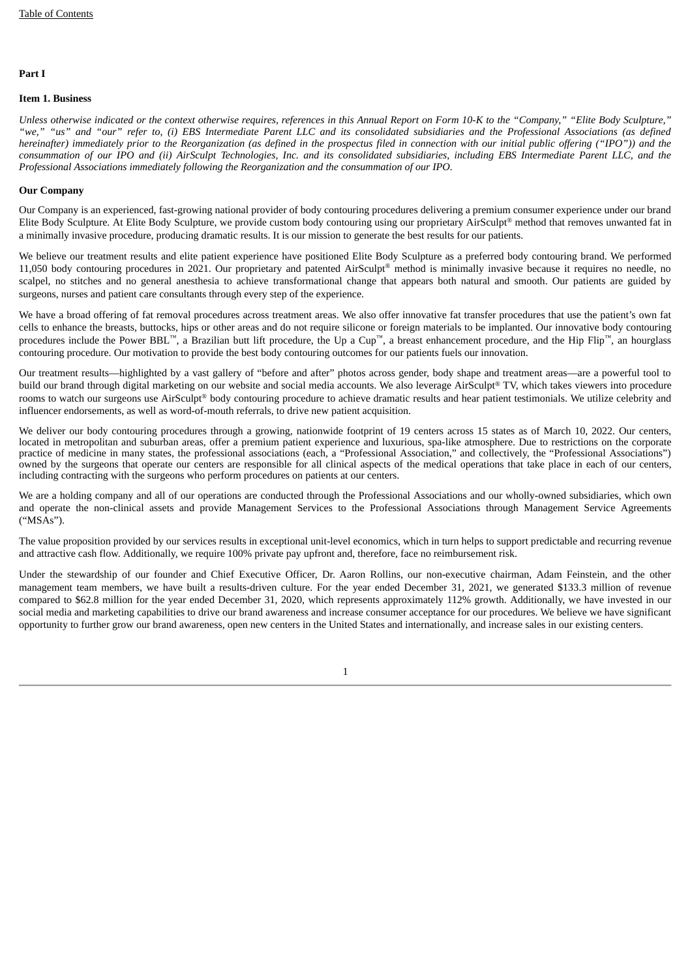#### <span id="page-4-0"></span>**Part I**

#### **Item 1. Business**

Unless otherwise indicated or the context otherwise requires, references in this Annual Report on Form 10-K to the "Company," "Elite Body Sculpture," "we," "us" and "our" refer to, (i) EBS Intermediate Parent LLC and its consolidated subsidiaries and the Professional Associations (as defined hereinafter) immediately prior to the Reorganization (as defined in the prospectus filed in connection with our initial public offering ("IPO")) and the consummation of our IPO and (ii) AirSculpt Technologies, Inc. and its consolidated subsidiaries, including EBS Intermediate Parent LLC, and the *Professional Associations immediately following the Reorganization and the consummation of our IPO.*

### **Our Company**

Our Company is an experienced, fast-growing national provider of body contouring procedures delivering a premium consumer experience under our brand Elite Body Sculpture. At Elite Body Sculpture, we provide custom body contouring using our proprietary AirSculpt® method that removes unwanted fat in a minimally invasive procedure, producing dramatic results. It is our mission to generate the best results for our patients.

We believe our treatment results and elite patient experience have positioned Elite Body Sculpture as a preferred body contouring brand. We performed 11,050 body contouring procedures in 2021. Our proprietary and patented AirSculpt® method is minimally invasive because it requires no needle, no scalpel, no stitches and no general anesthesia to achieve transformational change that appears both natural and smooth. Our patients are guided by surgeons, nurses and patient care consultants through every step of the experience.

We have a broad offering of fat removal procedures across treatment areas. We also offer innovative fat transfer procedures that use the patient's own fat cells to enhance the breasts, buttocks, hips or other areas and do not require silicone or foreign materials to be implanted. Our innovative body contouring procedures include the Power BBL<sup>™</sup>, a Brazilian butt lift procedure, the Up a Cup™, a breast enhancement procedure, and the Hip Flip™, an hourglass contouring procedure. Our motivation to provide the best body contouring outcomes for our patients fuels our innovation.

Our treatment results—highlighted by a vast gallery of "before and after" photos across gender, body shape and treatment areas—are a powerful tool to build our brand through digital marketing on our website and social media accounts. We also leverage AirSculpt® TV, which takes viewers into procedure rooms to watch our surgeons use AirSculpt® body contouring procedure to achieve dramatic results and hear patient testimonials. We utilize celebrity and influencer endorsements, as well as word-of-mouth referrals, to drive new patient acquisition.

We deliver our body contouring procedures through a growing, nationwide footprint of 19 centers across 15 states as of March 10, 2022. Our centers, located in metropolitan and suburban areas, offer a premium patient experience and luxurious, spa-like atmosphere. Due to restrictions on the corporate practice of medicine in many states, the professional associations (each, a "Professional Association," and collectively, the "Professional Associations") owned by the surgeons that operate our centers are responsible for all clinical aspects of the medical operations that take place in each of our centers, including contracting with the surgeons who perform procedures on patients at our centers.

We are a holding company and all of our operations are conducted through the Professional Associations and our wholly-owned subsidiaries, which own and operate the non-clinical assets and provide Management Services to the Professional Associations through Management Service Agreements ("MSAs").

The value proposition provided by our services results in exceptional unit-level economics, which in turn helps to support predictable and recurring revenue and attractive cash flow. Additionally, we require 100% private pay upfront and, therefore, face no reimbursement risk.

Under the stewardship of our founder and Chief Executive Officer, Dr. Aaron Rollins, our non-executive chairman, Adam Feinstein, and the other management team members, we have built a results-driven culture. For the year ended December 31, 2021, we generated \$133.3 million of revenue compared to \$62.8 million for the year ended December 31, 2020, which represents approximately 112% growth. Additionally, we have invested in our social media and marketing capabilities to drive our brand awareness and increase consumer acceptance for our procedures. We believe we have significant opportunity to further grow our brand awareness, open new centers in the United States and internationally, and increase sales in our existing centers.

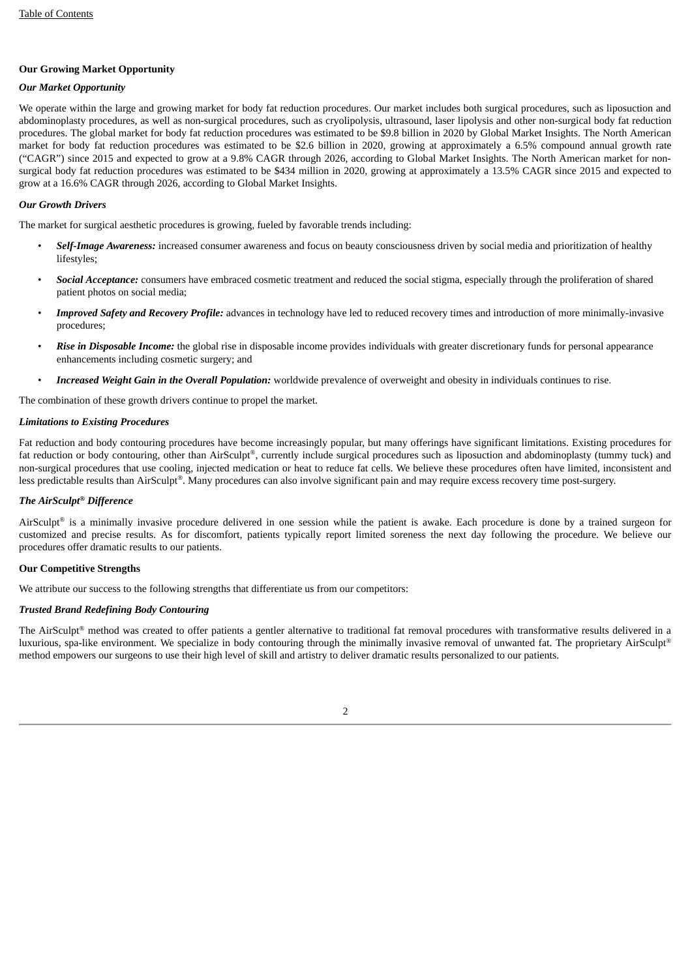## **Our Growing Market Opportunity**

# *Our Market Opportunity*

We operate within the large and growing market for body fat reduction procedures. Our market includes both surgical procedures, such as liposuction and abdominoplasty procedures, as well as non-surgical procedures, such as cryolipolysis, ultrasound, laser lipolysis and other non-surgical body fat reduction procedures. The global market for body fat reduction procedures was estimated to be \$9.8 billion in 2020 by Global Market Insights. The North American market for body fat reduction procedures was estimated to be \$2.6 billion in 2020, growing at approximately a 6.5% compound annual growth rate ("CAGR") since 2015 and expected to grow at a 9.8% CAGR through 2026, according to Global Market Insights. The North American market for nonsurgical body fat reduction procedures was estimated to be \$434 million in 2020, growing at approximately a 13.5% CAGR since 2015 and expected to grow at a 16.6% CAGR through 2026, according to Global Market Insights.

#### *Our Growth Drivers*

The market for surgical aesthetic procedures is growing, fueled by favorable trends including:

- *Self-Image Awareness:* increased consumer awareness and focus on beauty consciousness driven by social media and prioritization of healthy lifestyles;
- *Social Acceptance:* consumers have embraced cosmetic treatment and reduced the social stigma, especially through the proliferation of shared patient photos on social media;
- *Improved Safety and Recovery Profile:* advances in technology have led to reduced recovery times and introduction of more minimally-invasive procedures;
- *Rise in Disposable Income:* the global rise in disposable income provides individuals with greater discretionary funds for personal appearance enhancements including cosmetic surgery; and
- *Increased Weight Gain in the Overall Population:* worldwide prevalence of overweight and obesity in individuals continues to rise.

The combination of these growth drivers continue to propel the market.

#### *Limitations to Existing Procedures*

Fat reduction and body contouring procedures have become increasingly popular, but many offerings have significant limitations. Existing procedures for fat reduction or body contouring, other than AirSculpt®, currently include surgical procedures such as liposuction and abdominoplasty (tummy tuck) and non-surgical procedures that use cooling, injected medication or heat to reduce fat cells. We believe these procedures often have limited, inconsistent and less predictable results than AirSculpt®. Many procedures can also involve significant pain and may require excess recovery time post-surgery.

#### *The AirSculpt® Difference*

AirSculpt® is a minimally invasive procedure delivered in one session while the patient is awake. Each procedure is done by a trained surgeon for customized and precise results. As for discomfort, patients typically report limited soreness the next day following the procedure. We believe our procedures offer dramatic results to our patients.

#### **Our Competitive Strengths**

We attribute our success to the following strengths that differentiate us from our competitors:

#### *Trusted Brand Redefining Body Contouring*

The AirSculpt® method was created to offer patients a gentler alternative to traditional fat removal procedures with transformative results delivered in a luxurious, spa-like environment. We specialize in body contouring through the minimally invasive removal of unwanted fat. The proprietary AirSculpt ® method empowers our surgeons to use their high level of skill and artistry to deliver dramatic results personalized to our patients.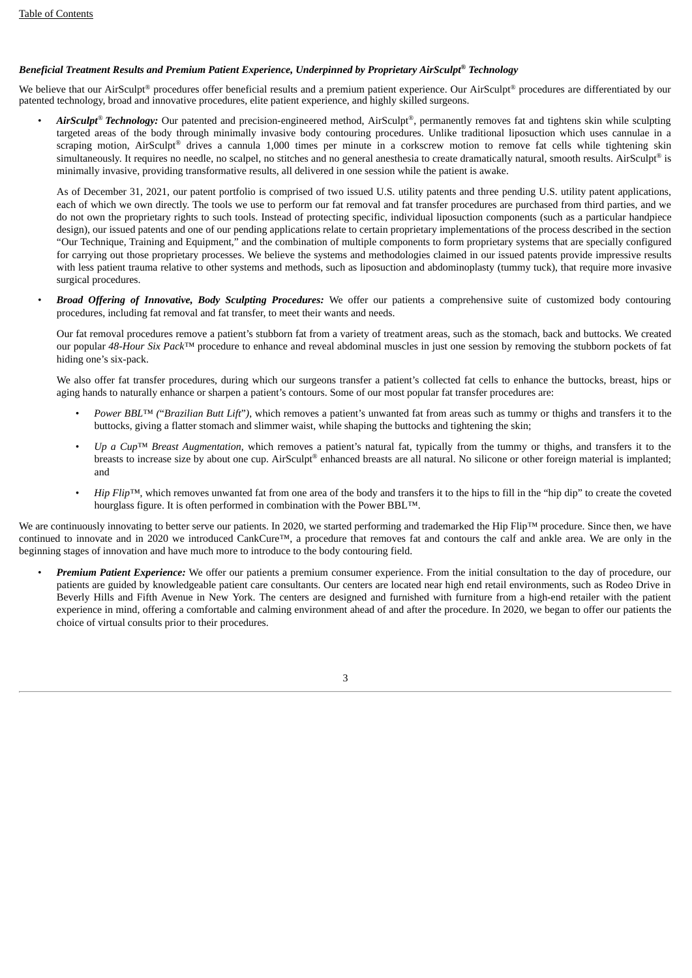### *Beneficial Treatment Results and Premium Patient Experience, Underpinned by Proprietary AirSculpt Technology ®*

We believe that our AirSculpt® procedures offer beneficial results and a premium patient experience. Our AirSculpt® procedures are differentiated by our patented technology, broad and innovative procedures, elite patient experience, and highly skilled surgeons.

• AirSculpt® Technology: Our patented and precision-engineered method, AirSculpt®, permanently removes fat and tightens skin while sculpting targeted areas of the body through minimally invasive body contouring procedures. Unlike traditional liposuction which uses cannulae in a scraping motion, AirSculpt® drives a cannula 1,000 times per minute in a corkscrew motion to remove fat cells while tightening skin simultaneously. It requires no needle, no scalpel, no stitches and no general anesthesia to create dramatically natural, smooth results. AirSculpt $^\circ$  is minimally invasive, providing transformative results, all delivered in one session while the patient is awake.

As of December 31, 2021, our patent portfolio is comprised of two issued U.S. utility patents and three pending U.S. utility patent applications, each of which we own directly. The tools we use to perform our fat removal and fat transfer procedures are purchased from third parties, and we do not own the proprietary rights to such tools. Instead of protecting specific, individual liposuction components (such as a particular handpiece design), our issued patents and one of our pending applications relate to certain proprietary implementations of the process described in the section "Our Technique, Training and Equipment," and the combination of multiple components to form proprietary systems that are specially configured for carrying out those proprietary processes. We believe the systems and methodologies claimed in our issued patents provide impressive results with less patient trauma relative to other systems and methods, such as liposuction and abdominoplasty (tummy tuck), that require more invasive surgical procedures.

• *Broad Offering of Innovative, Body Sculpting Procedures:* We offer our patients a comprehensive suite of customized body contouring procedures, including fat removal and fat transfer, to meet their wants and needs.

Our fat removal procedures remove a patient's stubborn fat from a variety of treatment areas, such as the stomach, back and buttocks. We created our popular *48-Hour Six Pack™* procedure to enhance and reveal abdominal muscles in just one session by removing the stubborn pockets of fat hiding one's six-pack.

We also offer fat transfer procedures, during which our surgeons transfer a patient's collected fat cells to enhance the buttocks, breast, hips or aging hands to naturally enhance or sharpen a patient's contours. Some of our most popular fat transfer procedures are:

- *Power BBL™ (*"*Brazilian Butt Lift*"*)*, which removes a patient's unwanted fat from areas such as tummy or thighs and transfers it to the buttocks, giving a flatter stomach and slimmer waist, while shaping the buttocks and tightening the skin;
- *Up a Cup™ Breast Augmentation*, which removes a patient's natural fat, typically from the tummy or thighs, and transfers it to the breasts to increase size by about one cup. AirSculpt® enhanced breasts are all natural. No silicone or other foreign material is implanted; and
- *Hip Flip™*, which removes unwanted fat from one area of the body and transfers it to the hips to fill in the "hip dip" to create the coveted hourglass figure. It is often performed in combination with the Power BBL™.

We are continuously innovating to better serve our patients. In 2020, we started performing and trademarked the Hip Flip™ procedure. Since then, we have continued to innovate and in 2020 we introduced CankCure™, a procedure that removes fat and contours the calf and ankle area. We are only in the beginning stages of innovation and have much more to introduce to the body contouring field.

• *Premium Patient Experience:* We offer our patients a premium consumer experience. From the initial consultation to the day of procedure, our patients are guided by knowledgeable patient care consultants. Our centers are located near high end retail environments, such as Rodeo Drive in Beverly Hills and Fifth Avenue in New York. The centers are designed and furnished with furniture from a high-end retailer with the patient experience in mind, offering a comfortable and calming environment ahead of and after the procedure. In 2020, we began to offer our patients the choice of virtual consults prior to their procedures.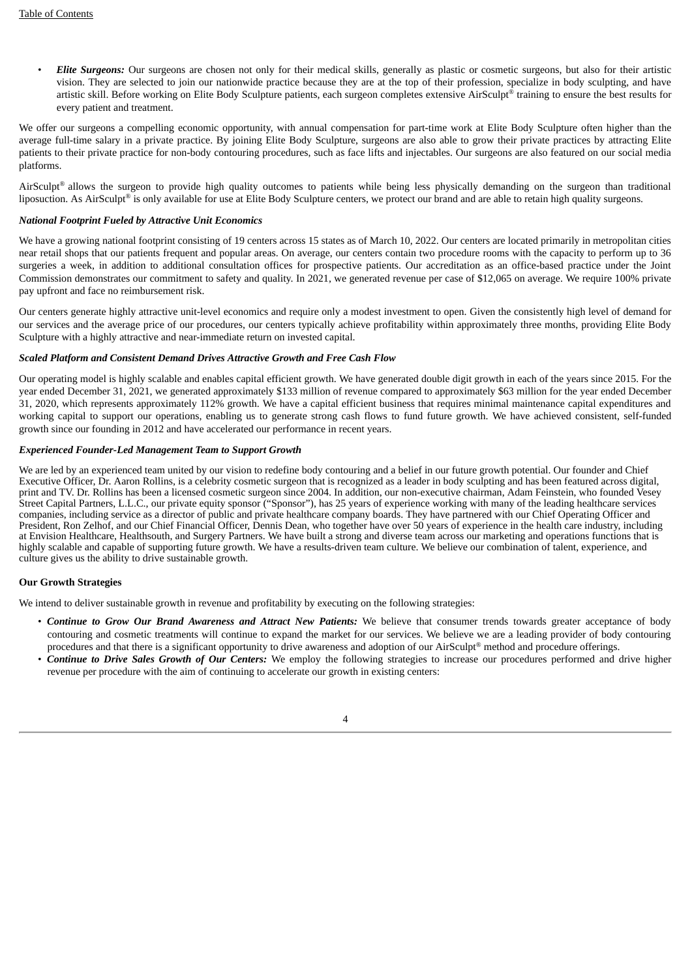• *Elite Surgeons:* Our surgeons are chosen not only for their medical skills, generally as plastic or cosmetic surgeons, but also for their artistic vision. They are selected to join our nationwide practice because they are at the top of their profession, specialize in body sculpting, and have artistic skill. Before working on Elite Body Sculpture patients, each surgeon completes extensive AirSculpt® training to ensure the best results for every patient and treatment.

We offer our surgeons a compelling economic opportunity, with annual compensation for part-time work at Elite Body Sculpture often higher than the average full-time salary in a private practice. By joining Elite Body Sculpture, surgeons are also able to grow their private practices by attracting Elite patients to their private practice for non-body contouring procedures, such as face lifts and injectables. Our surgeons are also featured on our social media platforms.

AirSculpt® allows the surgeon to provide high quality outcomes to patients while being less physically demanding on the surgeon than traditional liposuction. As AirSculpt® is only available for use at Elite Body Sculpture centers, we protect our brand and are able to retain high quality surgeons.

#### *National Footprint Fueled by Attractive Unit Economics*

We have a growing national footprint consisting of 19 centers across 15 states as of March 10, 2022. Our centers are located primarily in metropolitan cities near retail shops that our patients frequent and popular areas. On average, our centers contain two procedure rooms with the capacity to perform up to 36 surgeries a week, in addition to additional consultation offices for prospective patients. Our accreditation as an office-based practice under the Joint Commission demonstrates our commitment to safety and quality. In 2021, we generated revenue per case of \$12,065 on average. We require 100% private pay upfront and face no reimbursement risk.

Our centers generate highly attractive unit-level economics and require only a modest investment to open. Given the consistently high level of demand for our services and the average price of our procedures, our centers typically achieve profitability within approximately three months, providing Elite Body Sculpture with a highly attractive and near-immediate return on invested capital.

#### *Scaled Platform and Consistent Demand Drives Attractive Growth and Free Cash Flow*

Our operating model is highly scalable and enables capital efficient growth. We have generated double digit growth in each of the years since 2015. For the year ended December 31, 2021, we generated approximately \$133 million of revenue compared to approximately \$63 million for the year ended December 31, 2020, which represents approximately 112% growth. We have a capital efficient business that requires minimal maintenance capital expenditures and working capital to support our operations, enabling us to generate strong cash flows to fund future growth. We have achieved consistent, self-funded growth since our founding in 2012 and have accelerated our performance in recent years.

#### *Experienced Founder-Led Management Team to Support Growth*

We are led by an experienced team united by our vision to redefine body contouring and a belief in our future growth potential. Our founder and Chief Executive Officer, Dr. Aaron Rollins, is a celebrity cosmetic surgeon that is recognized as a leader in body sculpting and has been featured across digital, print and TV. Dr. Rollins has been a licensed cosmetic surgeon since 2004. In addition, our non-executive chairman, Adam Feinstein, who founded Vesey Street Capital Partners, L.L.C., our private equity sponsor ("Sponsor"), has 25 years of experience working with many of the leading healthcare services companies, including service as a director of public and private healthcare company boards. They have partnered with our Chief Operating Officer and President, Ron Zelhof, and our Chief Financial Officer, Dennis Dean, who together have over 50 years of experience in the health care industry, including at Envision Healthcare, Healthsouth, and Surgery Partners. We have built a strong and diverse team across our marketing and operations functions that is highly scalable and capable of supporting future growth. We have a results-driven team culture. We believe our combination of talent, experience, and culture gives us the ability to drive sustainable growth.

#### **Our Growth Strategies**

We intend to deliver sustainable growth in revenue and profitability by executing on the following strategies:

- *Continue to Grow Our Brand Awareness and Attract New Patients:* We believe that consumer trends towards greater acceptance of body contouring and cosmetic treatments will continue to expand the market for our services. We believe we are a leading provider of body contouring procedures and that there is a significant opportunity to drive awareness and adoption of our AirSculpt® method and procedure offerings.
- *Continue to Drive Sales Growth of Our Centers:* We employ the following strategies to increase our procedures performed and drive higher revenue per procedure with the aim of continuing to accelerate our growth in existing centers:

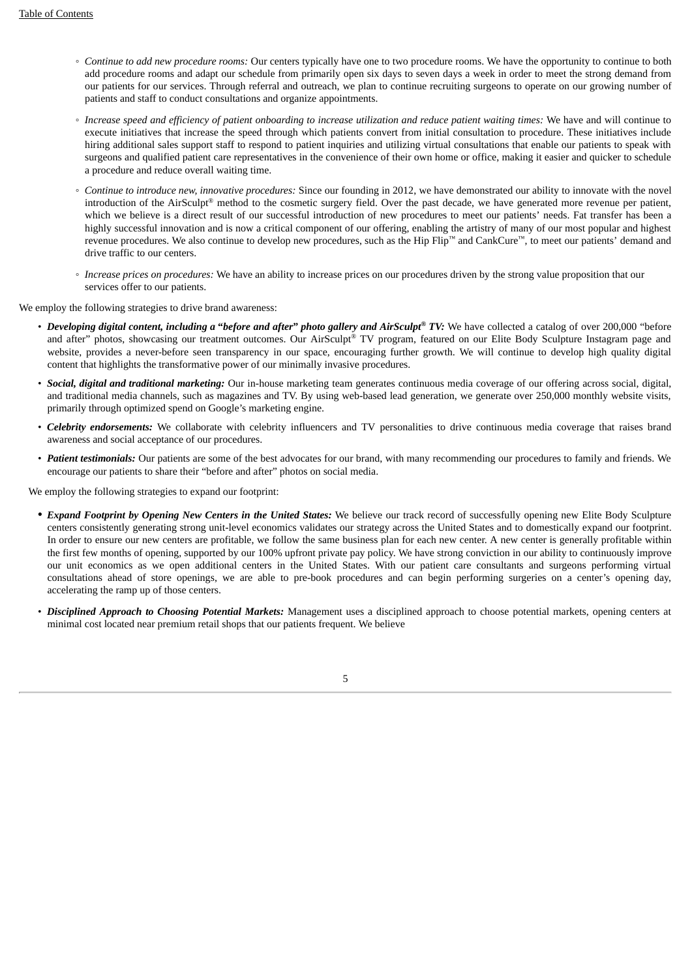- *Continue to add new procedure rooms:* Our centers typically have one to two procedure rooms. We have the opportunity to continue to both add procedure rooms and adapt our schedule from primarily open six days to seven days a week in order to meet the strong demand from our patients for our services. Through referral and outreach, we plan to continue recruiting surgeons to operate on our growing number of patients and staff to conduct consultations and organize appointments.
- <sup>o</sup> Increase speed and efficiency of patient onboarding to increase utilization and reduce patient waiting times: We have and will continue to execute initiatives that increase the speed through which patients convert from initial consultation to procedure. These initiatives include hiring additional sales support staff to respond to patient inquiries and utilizing virtual consultations that enable our patients to speak with surgeons and qualified patient care representatives in the convenience of their own home or office, making it easier and quicker to schedule a procedure and reduce overall waiting time.
- *Continue to introduce new, innovative procedures:* Since our founding in 2012, we have demonstrated our ability to innovate with the novel introduction of the AirSculpt® method to the cosmetic surgery field. Over the past decade, we have generated more revenue per patient, which we believe is a direct result of our successful introduction of new procedures to meet our patients' needs. Fat transfer has been a highly successful innovation and is now a critical component of our offering, enabling the artistry of many of our most popular and highest revenue procedures. We also continue to develop new procedures, such as the Hip Flip™ and CankCure™, to meet our patients' demand and drive traffic to our centers.
- *Increase prices on procedures:* We have an ability to increase prices on our procedures driven by the strong value proposition that our services offer to our patients.

We employ the following strategies to drive brand awareness:

- Developing digital content, including a "before and after" photo gallery and AirSculpt® TV: We have collected a catalog of over 200,000 "before and after" photos, showcasing our treatment outcomes. Our AirSculpt® TV program, featured on our Elite Body Sculpture Instagram page and website, provides a never-before seen transparency in our space, encouraging further growth. We will continue to develop high quality digital content that highlights the transformative power of our minimally invasive procedures.
- *Social, digital and traditional marketing:* Our in-house marketing team generates continuous media coverage of our offering across social, digital, and traditional media channels, such as magazines and TV. By using web-based lead generation, we generate over 250,000 monthly website visits, primarily through optimized spend on Google's marketing engine.
- *Celebrity endorsements:* We collaborate with celebrity influencers and TV personalities to drive continuous media coverage that raises brand awareness and social acceptance of our procedures.
- *Patient testimonials:* Our patients are some of the best advocates for our brand, with many recommending our procedures to family and friends. We encourage our patients to share their "before and after" photos on social media.

We employ the following strategies to expand our footprint:

- *Expand Footprint by Opening New Centers in the United States:* We believe our track record of successfully opening new Elite Body Sculpture centers consistently generating strong unit-level economics validates our strategy across the United States and to domestically expand our footprint. In order to ensure our new centers are profitable, we follow the same business plan for each new center. A new center is generally profitable within the first few months of opening, supported by our 100% upfront private pay policy. We have strong conviction in our ability to continuously improve our unit economics as we open additional centers in the United States. With our patient care consultants and surgeons performing virtual consultations ahead of store openings, we are able to pre-book procedures and can begin performing surgeries on a center's opening day, accelerating the ramp up of those centers.
- *Disciplined Approach to Choosing Potential Markets:* Management uses a disciplined approach to choose potential markets, opening centers at minimal cost located near premium retail shops that our patients frequent. We believe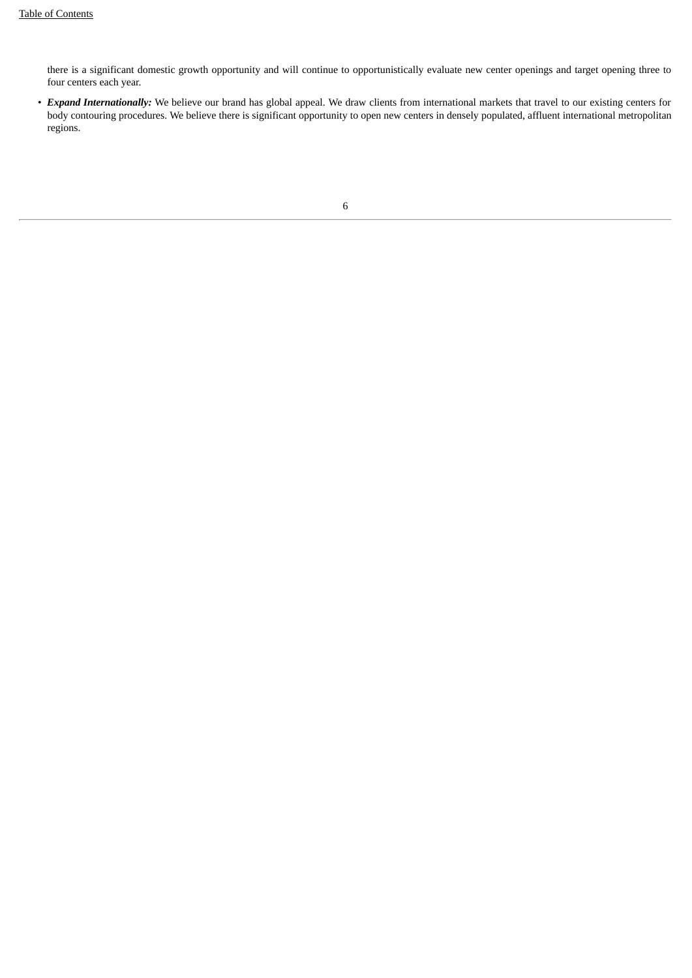there is a significant domestic growth opportunity and will continue to opportunistically evaluate new center openings and target opening three to four centers each year.

• *Expand Internationally:* We believe our brand has global appeal. We draw clients from international markets that travel to our existing centers for body contouring procedures. We believe there is significant opportunity to open new centers in densely populated, affluent international metropolitan regions.

<sup>6</sup>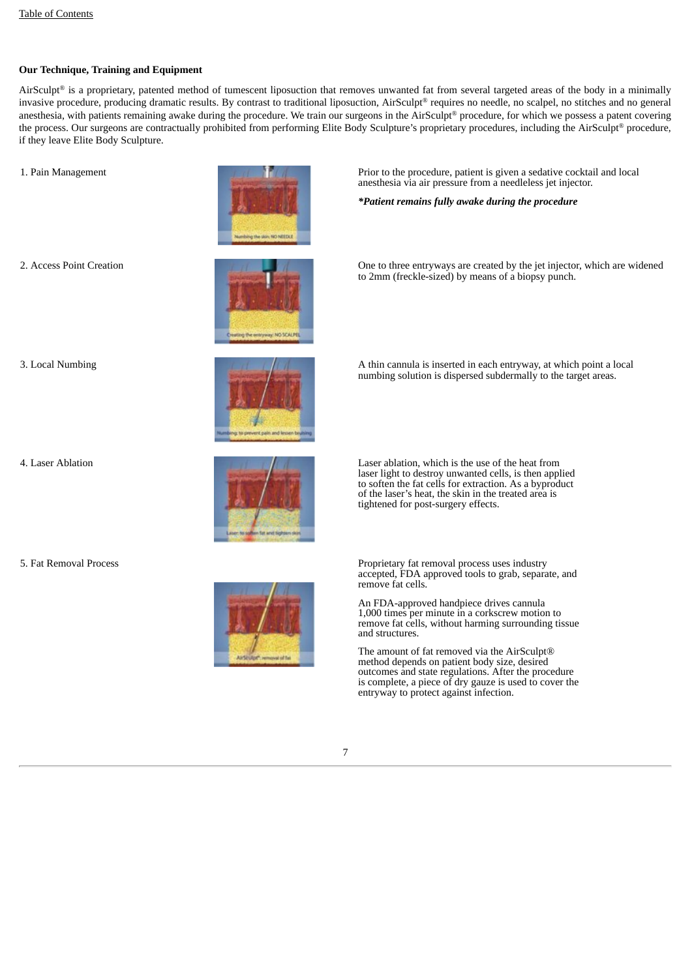# **Our Technique, Training and Equipment**

AirSculpt® is a proprietary, patented method of tumescent liposuction that removes unwanted fat from several targeted areas of the body in a minimally invasive procedure, producing dramatic results. By contrast to traditional liposuction, AirSculpt® requires no needle, no scalpel, no stitches and no general anesthesia, with patients remaining awake during the procedure. We train our surgeons in the AirSculpt® procedure, for which we possess a patent covering the process. Our surgeons are contractually prohibited from performing Elite Body Sculpture's proprietary procedures, including the AirSculpt® procedure, if they leave Elite Body Sculpture.



1. Pain Management Prior to the procedure, patient is given a sedative cocktail and local anesthesia via air pressure from a needleless jet injector.

*\*Patient remains fully awake during the procedure*

2. Access Point Creation One to three entryways are created by the jet injector, which are widened to 2mm (freckle-sized) by means of a biopsy punch.



3. Local Numbing **A** thin cannula is inserted in each entryway, at which point a local numbing solution is dispersed subdermally to the target areas.





4. Laser Ablation Laser ablation, which is the use of the heat from laser light to destroy unwanted cells, is then applied to soften the fat cells for extraction. As a byproduct of the laser's heat, the skin in the treated area is tightened for post-surgery effects.

5. Fat Removal Process Proprietary fat removal process uses industry accepted, FDA approved tools to grab, separate, and remove fat cells.

> An FDA-approved handpiece drives cannula 1,000 times per minute in a corkscrew motion to remove fat cells, without harming surrounding tissue and structures.

> The amount of fat removed via the AirSculpt® method depends on patient body size, desired outcomes and state regulations. After the procedure is complete, a piece of dry gauze is used to cover the entryway to protect against infection.

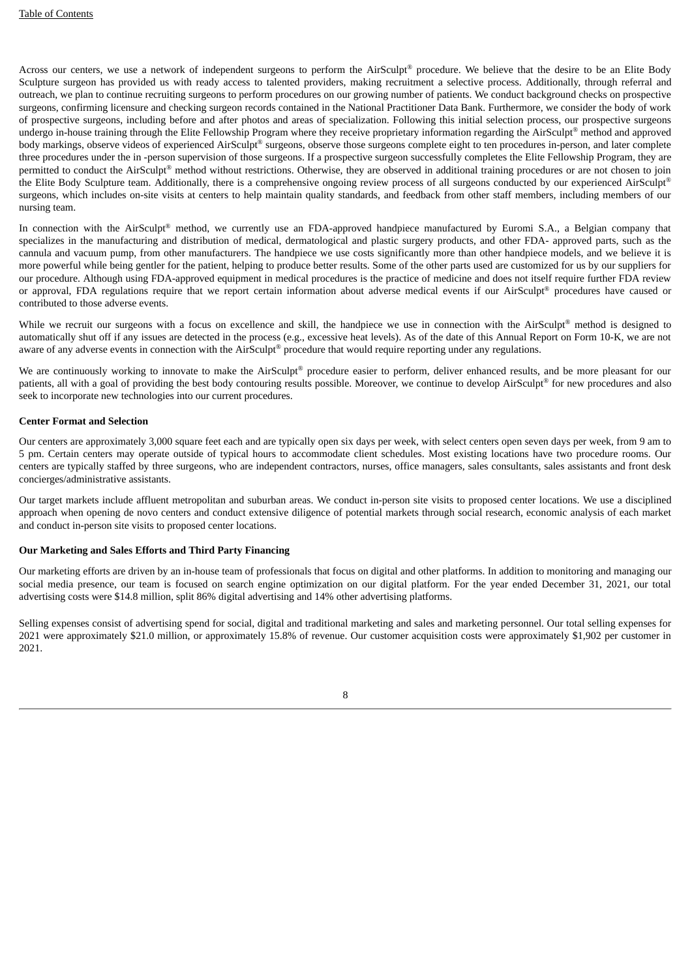Across our centers, we use a network of independent surgeons to perform the AirSculpt® procedure. We believe that the desire to be an Elite Body Sculpture surgeon has provided us with ready access to talented providers, making recruitment a selective process. Additionally, through referral and outreach, we plan to continue recruiting surgeons to perform procedures on our growing number of patients. We conduct background checks on prospective surgeons, confirming licensure and checking surgeon records contained in the National Practitioner Data Bank. Furthermore, we consider the body of work of prospective surgeons, including before and after photos and areas of specialization. Following this initial selection process, our prospective surgeons undergo in-house training through the Elite Fellowship Program where they receive proprietary information regarding the AirSculpt® method and approved body markings, observe videos of experienced AirSculpt® surgeons, observe those surgeons complete eight to ten procedures in-person, and later complete three procedures under the in -person supervision of those surgeons. If a prospective surgeon successfully completes the Elite Fellowship Program, they are permitted to conduct the AirSculpt® method without restrictions. Otherwise, they are observed in additional training procedures or are not chosen to join the Elite Body Sculpture team. Additionally, there is a comprehensive ongoing review process of all surgeons conducted by our experienced AirSculpt® surgeons, which includes on-site visits at centers to help maintain quality standards, and feedback from other staff members, including members of our nursing team.

In connection with the AirSculpt® method, we currently use an FDA-approved handpiece manufactured by Euromi S.A., a Belgian company that specializes in the manufacturing and distribution of medical, dermatological and plastic surgery products, and other FDA- approved parts, such as the cannula and vacuum pump, from other manufacturers. The handpiece we use costs significantly more than other handpiece models, and we believe it is more powerful while being gentler for the patient, helping to produce better results. Some of the other parts used are customized for us by our suppliers for our procedure. Although using FDA-approved equipment in medical procedures is the practice of medicine and does not itself require further FDA review or approval, FDA regulations require that we report certain information about adverse medical events if our AirSculpt® procedures have caused or contributed to those adverse events.

While we recruit our surgeons with a focus on excellence and skill, the handpiece we use in connection with the AirSculpt® method is designed to automatically shut off if any issues are detected in the process (e.g., excessive heat levels). As of the date of this Annual Report on Form 10-K, we are not aware of any adverse events in connection with the AirSculpt® procedure that would require reporting under any regulations.

We are continuously working to innovate to make the AirSculpt® procedure easier to perform, deliver enhanced results, and be more pleasant for our patients, all with a goal of providing the best body contouring results possible. Moreover, we continue to develop AirSculpt® for new procedures and also seek to incorporate new technologies into our current procedures.

#### **Center Format and Selection**

Our centers are approximately 3,000 square feet each and are typically open six days per week, with select centers open seven days per week, from 9 am to 5 pm. Certain centers may operate outside of typical hours to accommodate client schedules. Most existing locations have two procedure rooms. Our centers are typically staffed by three surgeons, who are independent contractors, nurses, office managers, sales consultants, sales assistants and front desk concierges/administrative assistants.

Our target markets include affluent metropolitan and suburban areas. We conduct in-person site visits to proposed center locations. We use a disciplined approach when opening de novo centers and conduct extensive diligence of potential markets through social research, economic analysis of each market and conduct in-person site visits to proposed center locations.

#### **Our Marketing and Sales Efforts and Third Party Financing**

Our marketing efforts are driven by an in-house team of professionals that focus on digital and other platforms. In addition to monitoring and managing our social media presence, our team is focused on search engine optimization on our digital platform. For the year ended December 31, 2021, our total advertising costs were \$14.8 million, split 86% digital advertising and 14% other advertising platforms.

Selling expenses consist of advertising spend for social, digital and traditional marketing and sales and marketing personnel. Our total selling expenses for 2021 were approximately \$21.0 million, or approximately 15.8% of revenue. Our customer acquisition costs were approximately \$1,902 per customer in 2021.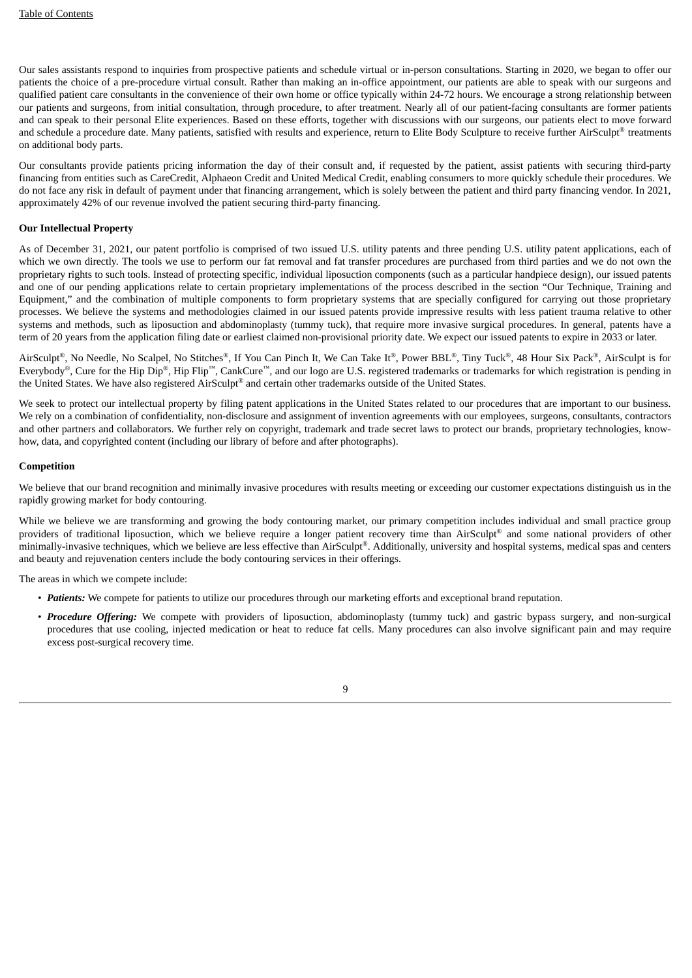Our sales assistants respond to inquiries from prospective patients and schedule virtual or in-person consultations. Starting in 2020, we began to offer our patients the choice of a pre-procedure virtual consult. Rather than making an in-office appointment, our patients are able to speak with our surgeons and qualified patient care consultants in the convenience of their own home or office typically within 24-72 hours. We encourage a strong relationship between our patients and surgeons, from initial consultation, through procedure, to after treatment. Nearly all of our patient-facing consultants are former patients and can speak to their personal Elite experiences. Based on these efforts, together with discussions with our surgeons, our patients elect to move forward and schedule a procedure date. Many patients, satisfied with results and experience, return to Elite Body Sculpture to receive further AirSculpt® treatments on additional body parts.

Our consultants provide patients pricing information the day of their consult and, if requested by the patient, assist patients with securing third-party financing from entities such as CareCredit, Alphaeon Credit and United Medical Credit, enabling consumers to more quickly schedule their procedures. We do not face any risk in default of payment under that financing arrangement, which is solely between the patient and third party financing vendor. In 2021, approximately 42% of our revenue involved the patient securing third-party financing.

#### **Our Intellectual Property**

As of December 31, 2021, our patent portfolio is comprised of two issued U.S. utility patents and three pending U.S. utility patent applications, each of which we own directly. The tools we use to perform our fat removal and fat transfer procedures are purchased from third parties and we do not own the proprietary rights to such tools. Instead of protecting specific, individual liposuction components (such as a particular handpiece design), our issued patents and one of our pending applications relate to certain proprietary implementations of the process described in the section "Our Technique, Training and Equipment," and the combination of multiple components to form proprietary systems that are specially configured for carrying out those proprietary processes. We believe the systems and methodologies claimed in our issued patents provide impressive results with less patient trauma relative to other systems and methods, such as liposuction and abdominoplasty (tummy tuck), that require more invasive surgical procedures. In general, patents have a term of 20 years from the application filing date or earliest claimed non-provisional priority date. We expect our issued patents to expire in 2033 or later.

AirSculpt®, No Needle, No Scalpel, No Stitches®, If You Can Pinch It, We Can Take It®, Power BBL®, Tiny Tuck®, 48 Hour Six Pack®, AirSculpt is for Everybody<sup>®</sup>, Cure for the Hip Dip<sup>®</sup>, Hip Flip<sup>™</sup>, CankCure™, and our logo are U.S. registered trademarks or trademarks for which registration is pending in the United States. We have also registered AirSculpt® and certain other trademarks outside of the United States.

We seek to protect our intellectual property by filing patent applications in the United States related to our procedures that are important to our business. We rely on a combination of confidentiality, non-disclosure and assignment of invention agreements with our employees, surgeons, consultants, contractors and other partners and collaborators. We further rely on copyright, trademark and trade secret laws to protect our brands, proprietary technologies, knowhow, data, and copyrighted content (including our library of before and after photographs).

#### **Competition**

We believe that our brand recognition and minimally invasive procedures with results meeting or exceeding our customer expectations distinguish us in the rapidly growing market for body contouring.

While we believe we are transforming and growing the body contouring market, our primary competition includes individual and small practice group providers of traditional liposuction, which we believe require a longer patient recovery time than AirSculpt® and some national providers of other minimally-invasive techniques, which we believe are less effective than AirSculpt®. Additionally, university and hospital systems, medical spas and centers and beauty and rejuvenation centers include the body contouring services in their offerings.

The areas in which we compete include:

- *Patients:* We compete for patients to utilize our procedures through our marketing efforts and exceptional brand reputation.
- *Procedure Offering:* We compete with providers of liposuction, abdominoplasty (tummy tuck) and gastric bypass surgery, and non-surgical procedures that use cooling, injected medication or heat to reduce fat cells. Many procedures can also involve significant pain and may require excess post-surgical recovery time.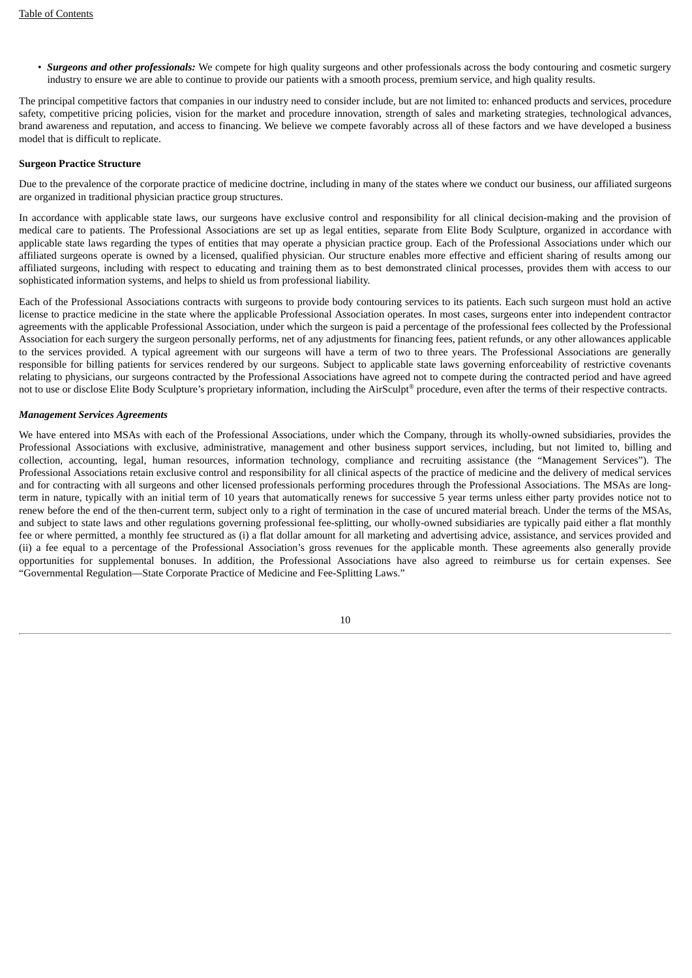• *Surgeons and other professionals:* We compete for high quality surgeons and other professionals across the body contouring and cosmetic surgery industry to ensure we are able to continue to provide our patients with a smooth process, premium service, and high quality results.

The principal competitive factors that companies in our industry need to consider include, but are not limited to: enhanced products and services, procedure safety, competitive pricing policies, vision for the market and procedure innovation, strength of sales and marketing strategies, technological advances, brand awareness and reputation, and access to financing. We believe we compete favorably across all of these factors and we have developed a business model that is difficult to replicate.

#### **Surgeon Practice Structure**

Due to the prevalence of the corporate practice of medicine doctrine, including in many of the states where we conduct our business, our affiliated surgeons are organized in traditional physician practice group structures.

In accordance with applicable state laws, our surgeons have exclusive control and responsibility for all clinical decision-making and the provision of medical care to patients. The Professional Associations are set up as legal entities, separate from Elite Body Sculpture, organized in accordance with applicable state laws regarding the types of entities that may operate a physician practice group. Each of the Professional Associations under which our affiliated surgeons operate is owned by a licensed, qualified physician. Our structure enables more effective and efficient sharing of results among our affiliated surgeons, including with respect to educating and training them as to best demonstrated clinical processes, provides them with access to our sophisticated information systems, and helps to shield us from professional liability.

Each of the Professional Associations contracts with surgeons to provide body contouring services to its patients. Each such surgeon must hold an active license to practice medicine in the state where the applicable Professional Association operates. In most cases, surgeons enter into independent contractor agreements with the applicable Professional Association, under which the surgeon is paid a percentage of the professional fees collected by the Professional Association for each surgery the surgeon personally performs, net of any adjustments for financing fees, patient refunds, or any other allowances applicable to the services provided. A typical agreement with our surgeons will have a term of two to three years. The Professional Associations are generally responsible for billing patients for services rendered by our surgeons. Subject to applicable state laws governing enforceability of restrictive covenants relating to physicians, our surgeons contracted by the Professional Associations have agreed not to compete during the contracted period and have agreed not to use or disclose Elite Body Sculpture's proprietary information, including the AirSculpt® procedure, even after the terms of their respective contracts.

#### *Management Services Agreements*

We have entered into MSAs with each of the Professional Associations, under which the Company, through its wholly-owned subsidiaries, provides the Professional Associations with exclusive, administrative, management and other business support services, including, but not limited to, billing and collection, accounting, legal, human resources, information technology, compliance and recruiting assistance (the "Management Services"). The Professional Associations retain exclusive control and responsibility for all clinical aspects of the practice of medicine and the delivery of medical services and for contracting with all surgeons and other licensed professionals performing procedures through the Professional Associations. The MSAs are longterm in nature, typically with an initial term of 10 years that automatically renews for successive 5 year terms unless either party provides notice not to renew before the end of the then-current term, subject only to a right of termination in the case of uncured material breach. Under the terms of the MSAs, and subject to state laws and other regulations governing professional fee-splitting, our wholly-owned subsidiaries are typically paid either a flat monthly fee or where permitted, a monthly fee structured as (i) a flat dollar amount for all marketing and advertising advice, assistance, and services provided and (ii) a fee equal to a percentage of the Professional Association's gross revenues for the applicable month. These agreements also generally provide opportunities for supplemental bonuses. In addition, the Professional Associations have also agreed to reimburse us for certain expenses. See "Governmental Regulation—State Corporate Practice of Medicine and Fee-Splitting Laws."

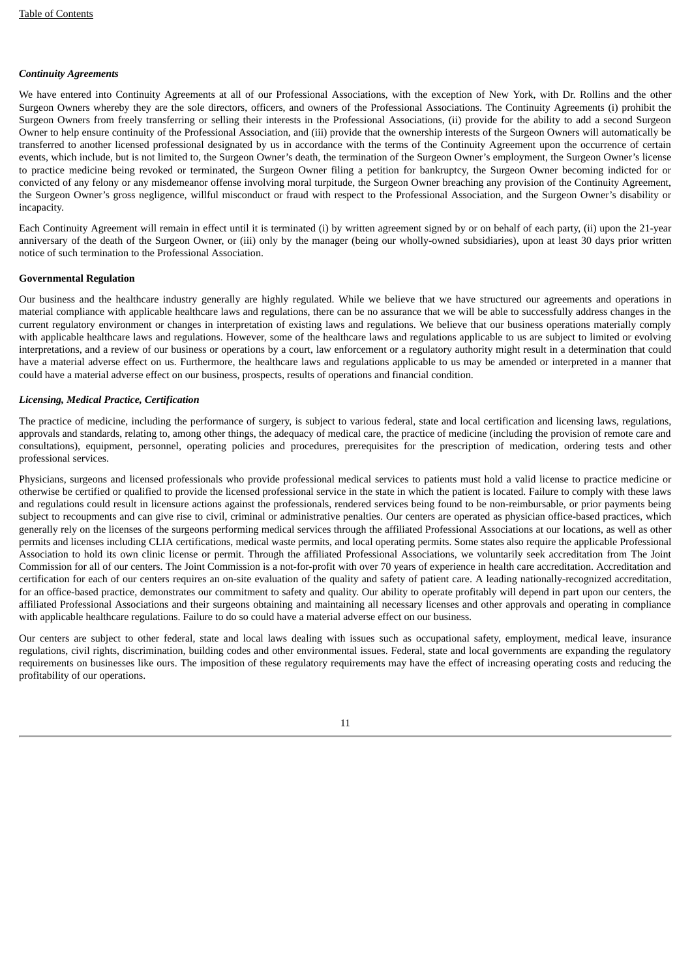#### *Continuity Agreements*

We have entered into Continuity Agreements at all of our Professional Associations, with the exception of New York, with Dr. Rollins and the other Surgeon Owners whereby they are the sole directors, officers, and owners of the Professional Associations. The Continuity Agreements (i) prohibit the Surgeon Owners from freely transferring or selling their interests in the Professional Associations, (ii) provide for the ability to add a second Surgeon Owner to help ensure continuity of the Professional Association, and (iii) provide that the ownership interests of the Surgeon Owners will automatically be transferred to another licensed professional designated by us in accordance with the terms of the Continuity Agreement upon the occurrence of certain events, which include, but is not limited to, the Surgeon Owner's death, the termination of the Surgeon Owner's employment, the Surgeon Owner's license to practice medicine being revoked or terminated, the Surgeon Owner filing a petition for bankruptcy, the Surgeon Owner becoming indicted for or convicted of any felony or any misdemeanor offense involving moral turpitude, the Surgeon Owner breaching any provision of the Continuity Agreement, the Surgeon Owner's gross negligence, willful misconduct or fraud with respect to the Professional Association, and the Surgeon Owner's disability or incapacity.

Each Continuity Agreement will remain in effect until it is terminated (i) by written agreement signed by or on behalf of each party, (ii) upon the 21-year anniversary of the death of the Surgeon Owner, or (iii) only by the manager (being our wholly-owned subsidiaries), upon at least 30 days prior written notice of such termination to the Professional Association.

#### **Governmental Regulation**

Our business and the healthcare industry generally are highly regulated. While we believe that we have structured our agreements and operations in material compliance with applicable healthcare laws and regulations, there can be no assurance that we will be able to successfully address changes in the current regulatory environment or changes in interpretation of existing laws and regulations. We believe that our business operations materially comply with applicable healthcare laws and regulations. However, some of the healthcare laws and regulations applicable to us are subject to limited or evolving interpretations, and a review of our business or operations by a court, law enforcement or a regulatory authority might result in a determination that could have a material adverse effect on us. Furthermore, the healthcare laws and regulations applicable to us may be amended or interpreted in a manner that could have a material adverse effect on our business, prospects, results of operations and financial condition.

#### *Licensing, Medical Practice, Certification*

The practice of medicine, including the performance of surgery, is subject to various federal, state and local certification and licensing laws, regulations, approvals and standards, relating to, among other things, the adequacy of medical care, the practice of medicine (including the provision of remote care and consultations), equipment, personnel, operating policies and procedures, prerequisites for the prescription of medication, ordering tests and other professional services.

Physicians, surgeons and licensed professionals who provide professional medical services to patients must hold a valid license to practice medicine or otherwise be certified or qualified to provide the licensed professional service in the state in which the patient is located. Failure to comply with these laws and regulations could result in licensure actions against the professionals, rendered services being found to be non-reimbursable, or prior payments being subject to recoupments and can give rise to civil, criminal or administrative penalties. Our centers are operated as physician office-based practices, which generally rely on the licenses of the surgeons performing medical services through the affiliated Professional Associations at our locations, as well as other permits and licenses including CLIA certifications, medical waste permits, and local operating permits. Some states also require the applicable Professional Association to hold its own clinic license or permit. Through the affiliated Professional Associations, we voluntarily seek accreditation from The Joint Commission for all of our centers. The Joint Commission is a not-for-profit with over 70 years of experience in health care accreditation. Accreditation and certification for each of our centers requires an on-site evaluation of the quality and safety of patient care. A leading nationally-recognized accreditation, for an office-based practice, demonstrates our commitment to safety and quality. Our ability to operate profitably will depend in part upon our centers, the affiliated Professional Associations and their surgeons obtaining and maintaining all necessary licenses and other approvals and operating in compliance with applicable healthcare regulations. Failure to do so could have a material adverse effect on our business.

Our centers are subject to other federal, state and local laws dealing with issues such as occupational safety, employment, medical leave, insurance regulations, civil rights, discrimination, building codes and other environmental issues. Federal, state and local governments are expanding the regulatory requirements on businesses like ours. The imposition of these regulatory requirements may have the effect of increasing operating costs and reducing the profitability of our operations.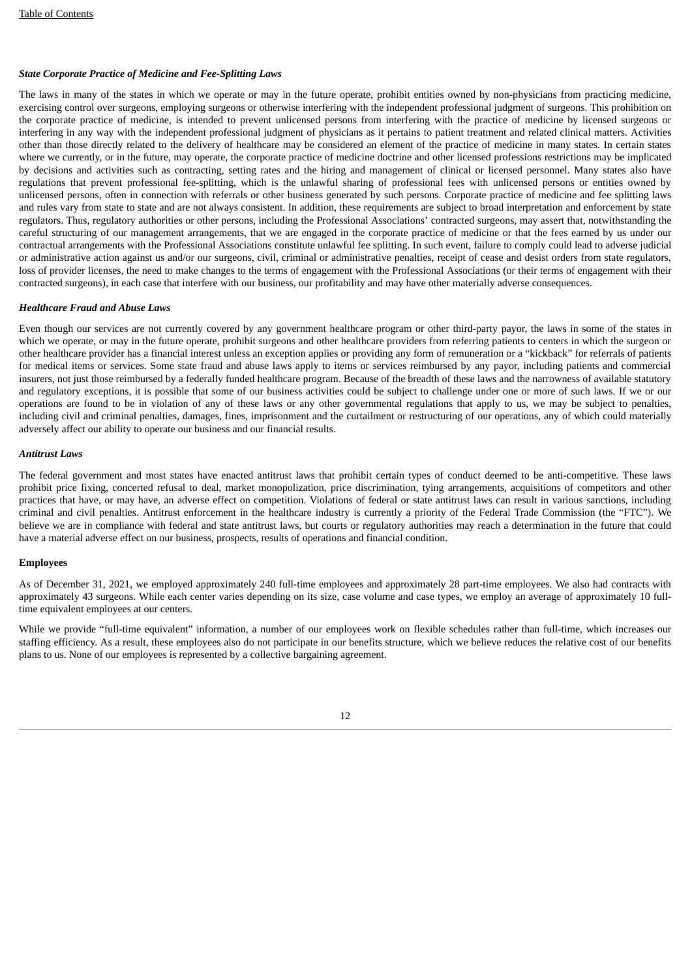#### *State Corporate Practice of Medicine and Fee-Splitting Laws*

The laws in many of the states in which we operate or may in the future operate, prohibit entities owned by non-physicians from practicing medicine, exercising control over surgeons, employing surgeons or otherwise interfering with the independent professional judgment of surgeons. This prohibition on the corporate practice of medicine, is intended to prevent unlicensed persons from interfering with the practice of medicine by licensed surgeons or interfering in any way with the independent professional judgment of physicians as it pertains to patient treatment and related clinical matters. Activities other than those directly related to the delivery of healthcare may be considered an element of the practice of medicine in many states. In certain states where we currently, or in the future, may operate, the corporate practice of medicine doctrine and other licensed professions restrictions may be implicated by decisions and activities such as contracting, setting rates and the hiring and management of clinical or licensed personnel. Many states also have regulations that prevent professional fee-splitting, which is the unlawful sharing of professional fees with unlicensed persons or entities owned by unlicensed persons, often in connection with referrals or other business generated by such persons. Corporate practice of medicine and fee splitting laws and rules vary from state to state and are not always consistent. In addition, these requirements are subject to broad interpretation and enforcement by state regulators. Thus, regulatory authorities or other persons, including the Professional Associations' contracted surgeons, may assert that, notwithstanding the careful structuring of our management arrangements, that we are engaged in the corporate practice of medicine or that the fees earned by us under our contractual arrangements with the Professional Associations constitute unlawful fee splitting. In such event, failure to comply could lead to adverse judicial or administrative action against us and/or our surgeons, civil, criminal or administrative penalties, receipt of cease and desist orders from state regulators, loss of provider licenses, the need to make changes to the terms of engagement with the Professional Associations (or their terms of engagement with their contracted surgeons), in each case that interfere with our business, our profitability and may have other materially adverse consequences.

#### *Healthcare Fraud and Abuse Laws*

Even though our services are not currently covered by any government healthcare program or other third-party payor, the laws in some of the states in which we operate, or may in the future operate, prohibit surgeons and other healthcare providers from referring patients to centers in which the surgeon or other healthcare provider has a financial interest unless an exception applies or providing any form of remuneration or a "kickback" for referrals of patients for medical items or services. Some state fraud and abuse laws apply to items or services reimbursed by any payor, including patients and commercial insurers, not just those reimbursed by a federally funded healthcare program. Because of the breadth of these laws and the narrowness of available statutory and regulatory exceptions, it is possible that some of our business activities could be subject to challenge under one or more of such laws. If we or our operations are found to be in violation of any of these laws or any other governmental regulations that apply to us, we may be subject to penalties, including civil and criminal penalties, damages, fines, imprisonment and the curtailment or restructuring of our operations, any of which could materially adversely affect our ability to operate our business and our financial results.

#### *Antitrust Laws*

The federal government and most states have enacted antitrust laws that prohibit certain types of conduct deemed to be anti-competitive. These laws prohibit price fixing, concerted refusal to deal, market monopolization, price discrimination, tying arrangements, acquisitions of competitors and other practices that have, or may have, an adverse effect on competition. Violations of federal or state antitrust laws can result in various sanctions, including criminal and civil penalties. Antitrust enforcement in the healthcare industry is currently a priority of the Federal Trade Commission (the "FTC"). We believe we are in compliance with federal and state antitrust laws, but courts or regulatory authorities may reach a determination in the future that could have a material adverse effect on our business, prospects, results of operations and financial condition.

#### **Employees**

As of December 31, 2021, we employed approximately 240 full-time employees and approximately 28 part-time employees. We also had contracts with approximately 43 surgeons. While each center varies depending on its size, case volume and case types, we employ an average of approximately 10 fulltime equivalent employees at our centers.

<span id="page-15-0"></span>While we provide "full-time equivalent" information, a number of our employees work on flexible schedules rather than full-time, which increases our staffing efficiency. As a result, these employees also do not participate in our benefits structure, which we believe reduces the relative cost of our benefits plans to us. None of our employees is represented by a collective bargaining agreement.

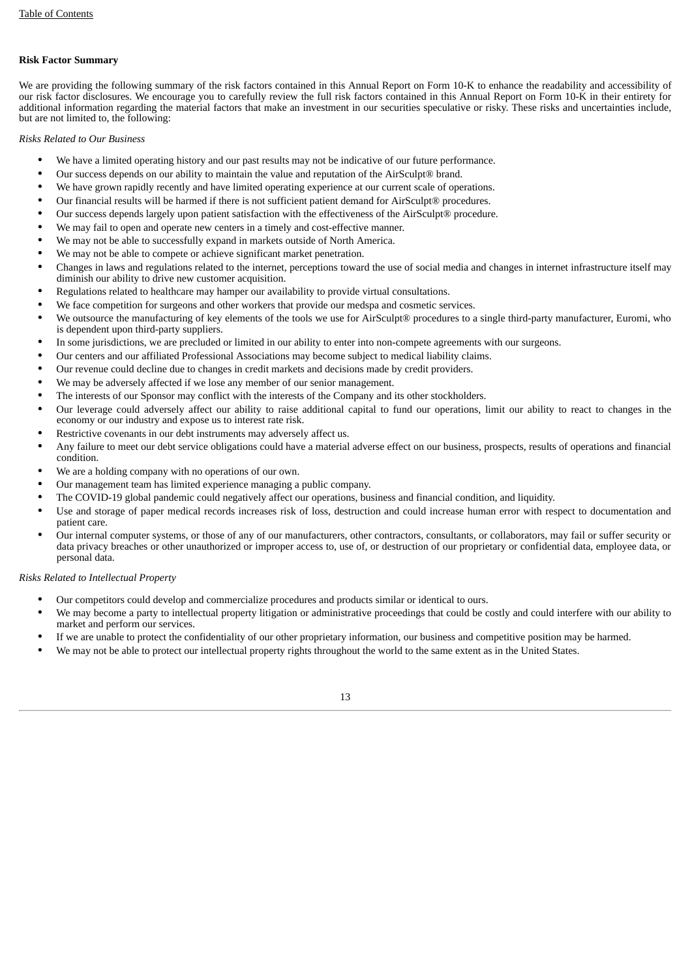#### **Risk Factor Summary**

We are providing the following summary of the risk factors contained in this Annual Report on Form 10-K to enhance the readability and accessibility of our risk factor disclosures. We encourage you to carefully review the full risk factors contained in this Annual Report on Form 10-K in their entirety for additional information regarding the material factors that make an investment in our securities speculative or risky. These risks and uncertainties include, but are not limited to, the following:

#### *Risks Related to Our Business*

- We have a limited operating history and our past results may not be indicative of our future performance.
- Our success depends on our ability to maintain the value and reputation of the AirSculpt® brand.
- We have grown rapidly recently and have limited operating experience at our current scale of operations.
- Our financial results will be harmed if there is not sufficient patient demand for AirSculpt® procedures.
- Our success depends largely upon patient satisfaction with the effectiveness of the AirSculpt® procedure.
- We may fail to open and operate new centers in a timely and cost-effective manner.
- We may not be able to successfully expand in markets outside of North America.
- We may not be able to compete or achieve significant market penetration.
- Changes in laws and regulations related to the internet, perceptions toward the use of social media and changes in internet infrastructure itself may diminish our ability to drive new customer acquisition.
- Regulations related to healthcare may hamper our availability to provide virtual consultations.
- We face competition for surgeons and other workers that provide our medspa and cosmetic services.
- We outsource the manufacturing of key elements of the tools we use for AirSculpt® procedures to a single third-party manufacturer, Euromi, who is dependent upon third-party suppliers.
- In some jurisdictions, we are precluded or limited in our ability to enter into non-compete agreements with our surgeons.
- Our centers and our affiliated Professional Associations may become subject to medical liability claims.
- Our revenue could decline due to changes in credit markets and decisions made by credit providers.
- We may be adversely affected if we lose any member of our senior management.
- The interests of our Sponsor may conflict with the interests of the Company and its other stockholders.
- Our leverage could adversely affect our ability to raise additional capital to fund our operations, limit our ability to react to changes in the economy or our industry and expose us to interest rate risk.
- Restrictive covenants in our debt instruments may adversely affect us.
- Any failure to meet our debt service obligations could have a material adverse effect on our business, prospects, results of operations and financial condition.
- We are a holding company with no operations of our own.
- Our management team has limited experience managing a public company.
- The COVID-19 global pandemic could negatively affect our operations, business and financial condition, and liquidity.
- Use and storage of paper medical records increases risk of loss, destruction and could increase human error with respect to documentation and patient care.
- Our internal computer systems, or those of any of our manufacturers, other contractors, consultants, or collaborators, may fail or suffer security or data privacy breaches or other unauthorized or improper access to, use of, or destruction of our proprietary or confidential data, employee data, or personal data.

#### *Risks Related to Intellectual Property*

- Our competitors could develop and commercialize procedures and products similar or identical to ours.
- We may become a party to intellectual property litigation or administrative proceedings that could be costly and could interfere with our ability to market and perform our services.
- If we are unable to protect the confidentiality of our other proprietary information, our business and competitive position may be harmed.
- We may not be able to protect our intellectual property rights throughout the world to the same extent as in the United States.

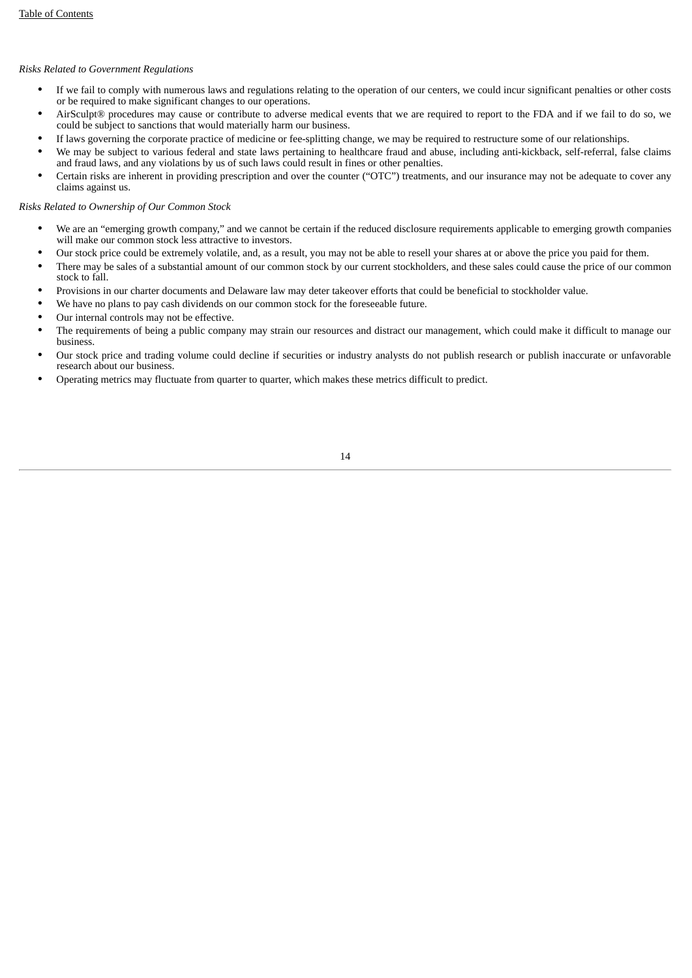### *Risks Related to Government Regulations*

- If we fail to comply with numerous laws and regulations relating to the operation of our centers, we could incur significant penalties or other costs or be required to make significant changes to our operations.
- AirSculpt® procedures may cause or contribute to adverse medical events that we are required to report to the FDA and if we fail to do so, we could be subject to sanctions that would materially harm our business.
- If laws governing the corporate practice of medicine or fee-splitting change, we may be required to restructure some of our relationships.
- We may be subject to various federal and state laws pertaining to healthcare fraud and abuse, including anti-kickback, self-referral, false claims and fraud laws, and any violations by us of such laws could result in fines or other penalties.
- Certain risks are inherent in providing prescription and over the counter ("OTC") treatments, and our insurance may not be adequate to cover any claims against us.

#### *Risks Related to Ownership of Our Common Stock*

- We are an "emerging growth company," and we cannot be certain if the reduced disclosure requirements applicable to emerging growth companies will make our common stock less attractive to investors.
- Our stock price could be extremely volatile, and, as a result, you may not be able to resell your shares at or above the price you paid for them.
- There may be sales of a substantial amount of our common stock by our current stockholders, and these sales could cause the price of our common stock to fall.
- Provisions in our charter documents and Delaware law may deter takeover efforts that could be beneficial to stockholder value.
- We have no plans to pay cash dividends on our common stock for the foreseeable future.
- Our internal controls may not be effective.
- The requirements of being a public company may strain our resources and distract our management, which could make it difficult to manage our business.
- Our stock price and trading volume could decline if securities or industry analysts do not publish research or publish inaccurate or unfavorable research about our business.
- Operating metrics may fluctuate from quarter to quarter, which makes these metrics difficult to predict.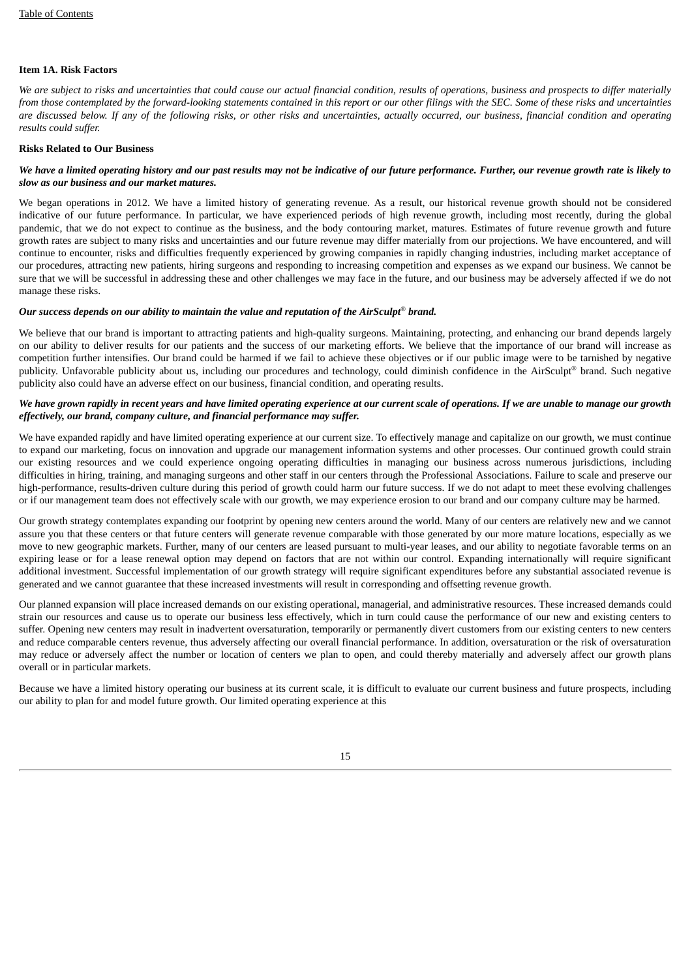# **Item 1A. Risk Factors**

We are subject to risks and uncertainties that could cause our actual financial condition, results of operations, business and prospects to differ materially from those contemplated by the forward-looking statements contained in this report or our other filings with the SEC. Some of these risks and uncertainties are discussed below. If any of the following risks, or other risks and uncertainties, actually occurred, our business, financial condition and operating *results could suffer.*

#### **Risks Related to Our Business**

#### We have a limited operatina history and our past results may not be indicative of our future performance. Further, our revenue arowth rate is likely to *slow as our business and our market matures.*

We began operations in 2012. We have a limited history of generating revenue. As a result, our historical revenue growth should not be considered indicative of our future performance. In particular, we have experienced periods of high revenue growth, including most recently, during the global pandemic, that we do not expect to continue as the business, and the body contouring market, matures. Estimates of future revenue growth and future growth rates are subject to many risks and uncertainties and our future revenue may differ materially from our projections. We have encountered, and will continue to encounter, risks and difficulties frequently experienced by growing companies in rapidly changing industries, including market acceptance of our procedures, attracting new patients, hiring surgeons and responding to increasing competition and expenses as we expand our business. We cannot be sure that we will be successful in addressing these and other challenges we may face in the future, and our business may be adversely affected if we do not manage these risks.

#### *Our success depends on our ability to maintain the value and reputation of the AirSculpt brand.* ®

We believe that our brand is important to attracting patients and high-quality surgeons. Maintaining, protecting, and enhancing our brand depends largely on our ability to deliver results for our patients and the success of our marketing efforts. We believe that the importance of our brand will increase as competition further intensifies. Our brand could be harmed if we fail to achieve these objectives or if our public image were to be tarnished by negative publicity. Unfavorable publicity about us, including our procedures and technology, could diminish confidence in the AirSculpt® brand. Such negative publicity also could have an adverse effect on our business, financial condition, and operating results.

### We have grown rapidly in recent years and have limited operating experience at our current scale of operations. If we are unable to manage our growth *effectively, our brand, company culture, and financial performance may suffer.*

We have expanded rapidly and have limited operating experience at our current size. To effectively manage and capitalize on our growth, we must continue to expand our marketing, focus on innovation and upgrade our management information systems and other processes. Our continued growth could strain our existing resources and we could experience ongoing operating difficulties in managing our business across numerous jurisdictions, including difficulties in hiring, training, and managing surgeons and other staff in our centers through the Professional Associations. Failure to scale and preserve our high-performance, results-driven culture during this period of growth could harm our future success. If we do not adapt to meet these evolving challenges or if our management team does not effectively scale with our growth, we may experience erosion to our brand and our company culture may be harmed.

Our growth strategy contemplates expanding our footprint by opening new centers around the world. Many of our centers are relatively new and we cannot assure you that these centers or that future centers will generate revenue comparable with those generated by our more mature locations, especially as we move to new geographic markets. Further, many of our centers are leased pursuant to multi-year leases, and our ability to negotiate favorable terms on an expiring lease or for a lease renewal option may depend on factors that are not within our control. Expanding internationally will require significant additional investment. Successful implementation of our growth strategy will require significant expenditures before any substantial associated revenue is generated and we cannot guarantee that these increased investments will result in corresponding and offsetting revenue growth.

Our planned expansion will place increased demands on our existing operational, managerial, and administrative resources. These increased demands could strain our resources and cause us to operate our business less effectively, which in turn could cause the performance of our new and existing centers to suffer. Opening new centers may result in inadvertent oversaturation, temporarily or permanently divert customers from our existing centers to new centers and reduce comparable centers revenue, thus adversely affecting our overall financial performance. In addition, oversaturation or the risk of oversaturation may reduce or adversely affect the number or location of centers we plan to open, and could thereby materially and adversely affect our growth plans overall or in particular markets.

Because we have a limited history operating our business at its current scale, it is difficult to evaluate our current business and future prospects, including our ability to plan for and model future growth. Our limited operating experience at this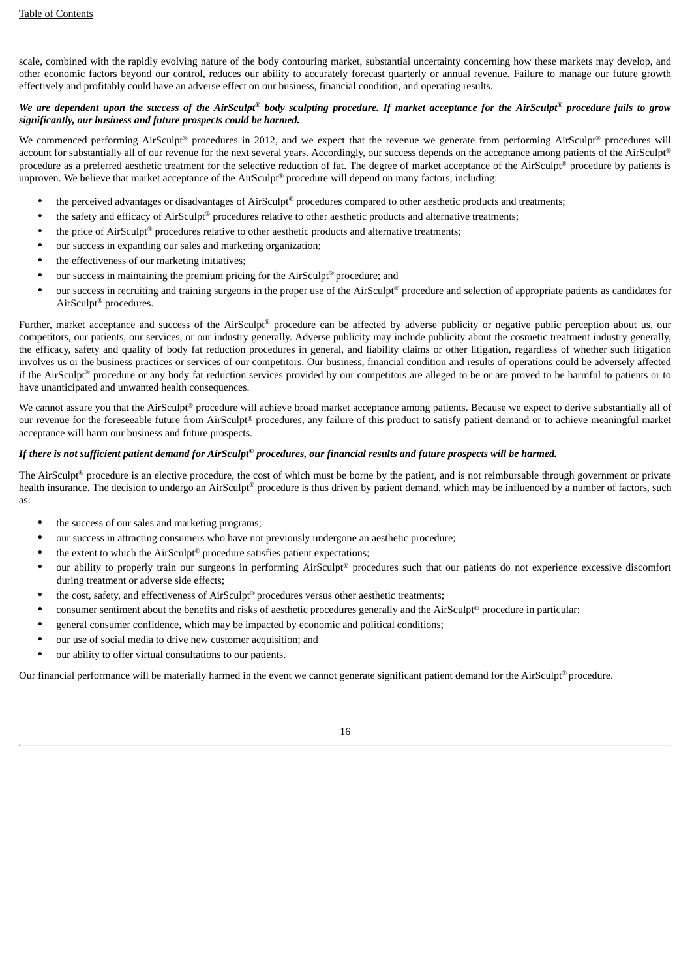scale, combined with the rapidly evolving nature of the body contouring market, substantial uncertainty concerning how these markets may develop, and other economic factors beyond our control, reduces our ability to accurately forecast quarterly or annual revenue. Failure to manage our future growth effectively and profitably could have an adverse effect on our business, financial condition, and operating results.

# We are dependent upon the success of the AirSculpt® body sculpting procedure. If market acceptance for the AirSculpt® procedure fails to grow *significantly, our business and future prospects could be harmed.*

We commenced performing AirSculpt® procedures in 2012, and we expect that the revenue we generate from performing AirSculpt® procedures will account for substantially all of our revenue for the next several years. Accordingly, our success depends on the acceptance among patients of the AirSculpt® procedure as a preferred aesthetic treatment for the selective reduction of fat. The degree of market acceptance of the AirSculpt<sup>®</sup> procedure by patients is unproven. We believe that market acceptance of the AirSculpt® procedure will depend on many factors, including:

- the perceived advantages or disadvantages of AirSculpt® procedures compared to other aesthetic products and treatments;
- the safety and efficacy of AirSculpt® procedures relative to other aesthetic products and alternative treatments;
- the price of AirSculpt® procedures relative to other aesthetic products and alternative treatments;
- our success in expanding our sales and marketing organization;
- the effectiveness of our marketing initiatives;
- our success in maintaining the premium pricing for the AirSculpt® procedure; and
- our success in recruiting and training surgeons in the proper use of the AirSculpt® procedure and selection of appropriate patients as candidates for AirSculpt<sup>®</sup> procedures.

Further, market acceptance and success of the AirSculpt® procedure can be affected by adverse publicity or negative public perception about us, our competitors, our patients, our services, or our industry generally. Adverse publicity may include publicity about the cosmetic treatment industry generally, the efficacy, safety and quality of body fat reduction procedures in general, and liability claims or other litigation, regardless of whether such litigation involves us or the business practices or services of our competitors. Our business, financial condition and results of operations could be adversely affected if the AirSculpt® procedure or any body fat reduction services provided by our competitors are alleged to be or are proved to be harmful to patients or to have unanticipated and unwanted health consequences.

We cannot assure you that the AirSculpt® procedure will achieve broad market acceptance among patients. Because we expect to derive substantially all of our revenue for the foreseeable future from AirSculpt® procedures, any failure of this product to satisfy patient demand or to achieve meaningful market acceptance will harm our business and future prospects.

#### If there is not sufficient patient demand for AirSculpt® procedures, our financial results and future prospects will be harmed.

The AirSculpt<sup>®</sup> procedure is an elective procedure, the cost of which must be borne by the patient, and is not reimbursable through government or private health insurance. The decision to undergo an AirSculpt® procedure is thus driven by patient demand, which may be influenced by a number of factors, such as:

- the success of our sales and marketing programs;
- our success in attracting consumers who have not previously undergone an aesthetic procedure;
- the extent to which the AirSculpt® procedure satisfies patient expectations;
- our ability to properly train our surgeons in performing AirSculpt® procedures such that our patients do not experience excessive discomfort during treatment or adverse side effects;
- the cost, safety, and effectiveness of AirSculpt® procedures versus other aesthetic treatments;
- consumer sentiment about the benefits and risks of aesthetic procedures generally and the AirSculpt® procedure in particular;
- general consumer confidence, which may be impacted by economic and political conditions;
- our use of social media to drive new customer acquisition; and
- our ability to offer virtual consultations to our patients.

Our financial performance will be materially harmed in the event we cannot generate significant patient demand for the AirSculpt® procedure.

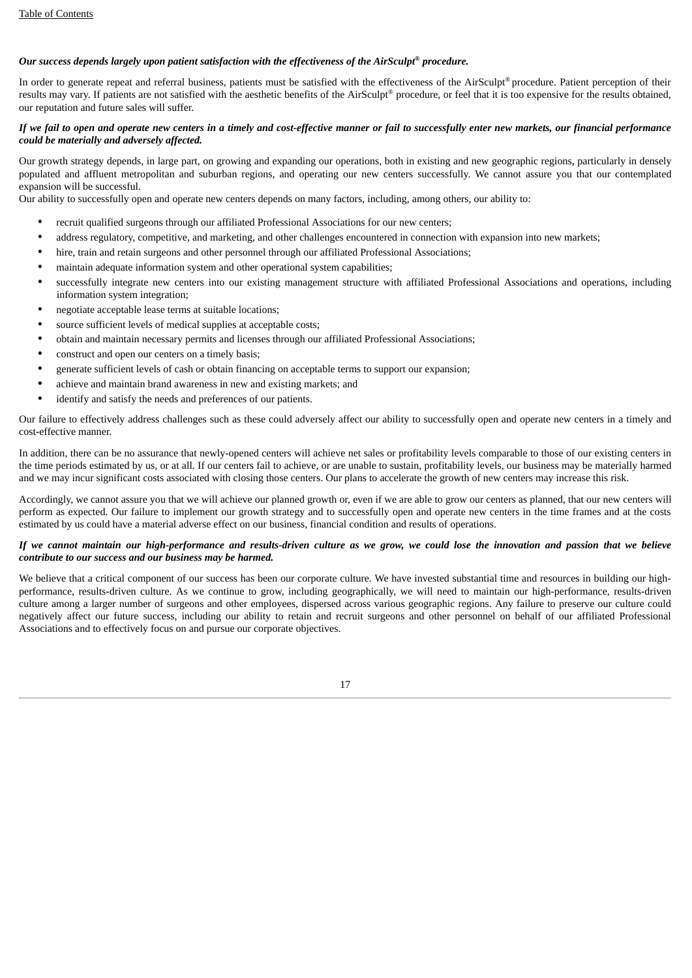#### *Our success depends largely upon patient satisfaction with the effectiveness of the AirSculpt procedure. ®*

In order to generate repeat and referral business, patients must be satisfied with the effectiveness of the AirSculpt® procedure. Patient perception of their results may vary. If patients are not satisfied with the aesthetic benefits of the AirSculpt® procedure, or feel that it is too expensive for the results obtained, our reputation and future sales will suffer.

#### If we fail to open and operate new centers in a timely and cost-effective manner or fail to successfully enter new markets, our financial performance *could be materially and adversely affected.*

Our growth strategy depends, in large part, on growing and expanding our operations, both in existing and new geographic regions, particularly in densely populated and affluent metropolitan and suburban regions, and operating our new centers successfully. We cannot assure you that our contemplated expansion will be successful.

Our ability to successfully open and operate new centers depends on many factors, including, among others, our ability to:

- recruit qualified surgeons through our affiliated Professional Associations for our new centers;
- address regulatory, competitive, and marketing, and other challenges encountered in connection with expansion into new markets;
- hire, train and retain surgeons and other personnel through our affiliated Professional Associations;
- maintain adequate information system and other operational system capabilities;
- successfully integrate new centers into our existing management structure with affiliated Professional Associations and operations, including information system integration;
- negotiate acceptable lease terms at suitable locations;
- source sufficient levels of medical supplies at acceptable costs;
- obtain and maintain necessary permits and licenses through our affiliated Professional Associations;
- construct and open our centers on a timely basis;
- generate sufficient levels of cash or obtain financing on acceptable terms to support our expansion;
- achieve and maintain brand awareness in new and existing markets; and
- identify and satisfy the needs and preferences of our patients.

Our failure to effectively address challenges such as these could adversely affect our ability to successfully open and operate new centers in a timely and cost-effective manner.

In addition, there can be no assurance that newly-opened centers will achieve net sales or profitability levels comparable to those of our existing centers in the time periods estimated by us, or at all. If our centers fail to achieve, or are unable to sustain, profitability levels, our business may be materially harmed and we may incur significant costs associated with closing those centers. Our plans to accelerate the growth of new centers may increase this risk.

Accordingly, we cannot assure you that we will achieve our planned growth or, even if we are able to grow our centers as planned, that our new centers will perform as expected. Our failure to implement our growth strategy and to successfully open and operate new centers in the time frames and at the costs estimated by us could have a material adverse effect on our business, financial condition and results of operations.

#### If we cannot maintain our high-performance and results-driven culture as we grow, we could lose the innovation and passion that we believe *contribute to our success and our business may be harmed.*

We believe that a critical component of our success has been our corporate culture. We have invested substantial time and resources in building our highperformance, results-driven culture. As we continue to grow, including geographically, we will need to maintain our high-performance, results-driven culture among a larger number of surgeons and other employees, dispersed across various geographic regions. Any failure to preserve our culture could negatively affect our future success, including our ability to retain and recruit surgeons and other personnel on behalf of our affiliated Professional Associations and to effectively focus on and pursue our corporate objectives.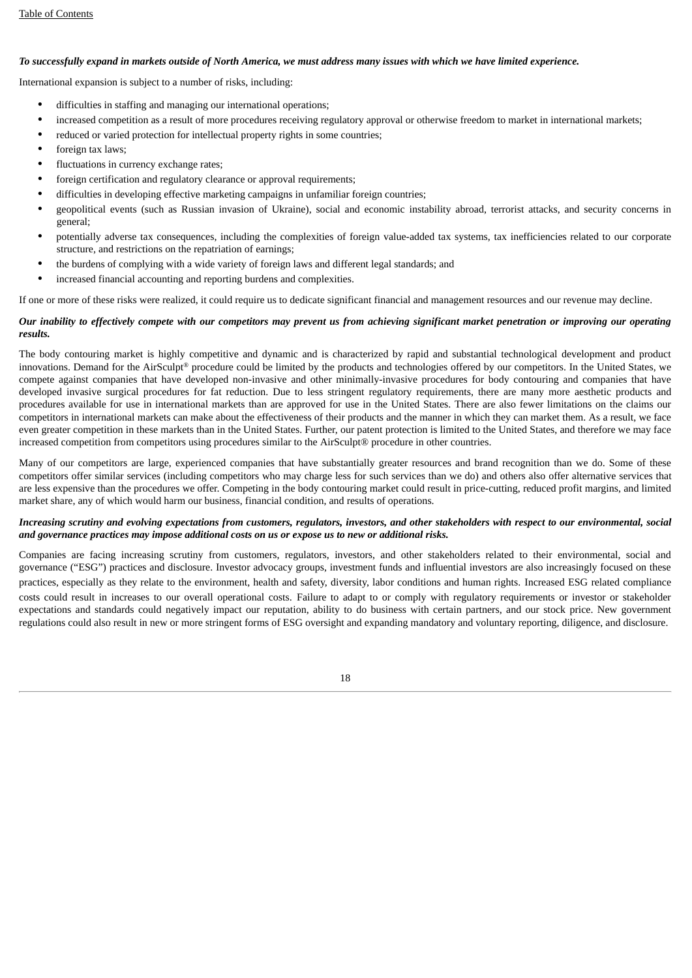#### To successfully expand in markets outside of North America, we must address many issues with which we have limited experience.

International expansion is subject to a number of risks, including:

- difficulties in staffing and managing our international operations;
- increased competition as a result of more procedures receiving regulatory approval or otherwise freedom to market in international markets;
- reduced or varied protection for intellectual property rights in some countries;
- foreign tax laws;
- fluctuations in currency exchange rates;
- foreign certification and regulatory clearance or approval requirements;
- difficulties in developing effective marketing campaigns in unfamiliar foreign countries;
- geopolitical events (such as Russian invasion of Ukraine), social and economic instability abroad, terrorist attacks, and security concerns in general;
- potentially adverse tax consequences, including the complexities of foreign value-added tax systems, tax inefficiencies related to our corporate structure, and restrictions on the repatriation of earnings;
- the burdens of complying with a wide variety of foreign laws and different legal standards; and
- increased financial accounting and reporting burdens and complexities.

If one or more of these risks were realized, it could require us to dedicate significant financial and management resources and our revenue may decline.

#### Our inability to effectively compete with our competitors may prevent us from achieving significant market penetration or improving our operating *results.*

The body contouring market is highly competitive and dynamic and is characterized by rapid and substantial technological development and product innovations. Demand for the AirSculpt® procedure could be limited by the products and technologies offered by our competitors. In the United States, we compete against companies that have developed non-invasive and other minimally-invasive procedures for body contouring and companies that have developed invasive surgical procedures for fat reduction. Due to less stringent regulatory requirements, there are many more aesthetic products and procedures available for use in international markets than are approved for use in the United States. There are also fewer limitations on the claims our competitors in international markets can make about the effectiveness of their products and the manner in which they can market them. As a result, we face even greater competition in these markets than in the United States. Further, our patent protection is limited to the United States, and therefore we may face increased competition from competitors using procedures similar to the AirSculpt® procedure in other countries.

Many of our competitors are large, experienced companies that have substantially greater resources and brand recognition than we do. Some of these competitors offer similar services (including competitors who may charge less for such services than we do) and others also offer alternative services that are less expensive than the procedures we offer. Competing in the body contouring market could result in price-cutting, reduced profit margins, and limited market share, any of which would harm our business, financial condition, and results of operations.

#### Increasing scrutiny and evolving expectations from customers, regulators, investors, and other stakeholders with respect to our environmental, social *and governance practices may impose additional costs on us or expose us to new or additional risks.*

Companies are facing increasing scrutiny from customers, regulators, investors, and other stakeholders related to their environmental, social and governance ("ESG") practices and disclosure. Investor advocacy groups, investment funds and influential investors are also increasingly focused on these practices, especially as they relate to the environment, health and safety, diversity, labor conditions and human rights. Increased ESG related compliance costs could result in increases to our overall operational costs. Failure to adapt to or comply with regulatory requirements or investor or stakeholder expectations and standards could negatively impact our reputation, ability to do business with certain partners, and our stock price. New government regulations could also result in new or more stringent forms of ESG oversight and expanding mandatory and voluntary reporting, diligence, and disclosure.

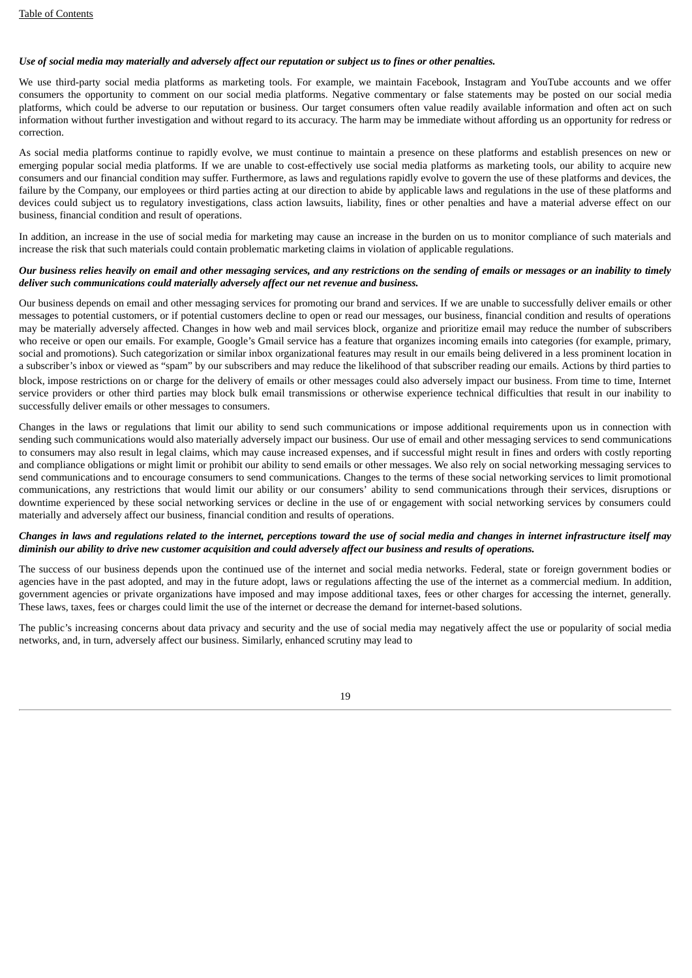#### Use of social media may materially and adversely affect our reputation or subject us to fines or other penalties.

We use third-party social media platforms as marketing tools. For example, we maintain Facebook, Instagram and YouTube accounts and we offer consumers the opportunity to comment on our social media platforms. Negative commentary or false statements may be posted on our social media platforms, which could be adverse to our reputation or business. Our target consumers often value readily available information and often act on such information without further investigation and without regard to its accuracy. The harm may be immediate without affording us an opportunity for redress or correction.

As social media platforms continue to rapidly evolve, we must continue to maintain a presence on these platforms and establish presences on new or emerging popular social media platforms. If we are unable to cost-effectively use social media platforms as marketing tools, our ability to acquire new consumers and our financial condition may suffer. Furthermore, as laws and regulations rapidly evolve to govern the use of these platforms and devices, the failure by the Company, our employees or third parties acting at our direction to abide by applicable laws and regulations in the use of these platforms and devices could subject us to regulatory investigations, class action lawsuits, liability, fines or other penalties and have a material adverse effect on our business, financial condition and result of operations.

In addition, an increase in the use of social media for marketing may cause an increase in the burden on us to monitor compliance of such materials and increase the risk that such materials could contain problematic marketing claims in violation of applicable regulations.

#### Our business relies heavily on email and other messaging services, and any restrictions on the sending of emails or messages or an inability to timely *deliver such communications could materially adversely affect our net revenue and business.*

Our business depends on email and other messaging services for promoting our brand and services. If we are unable to successfully deliver emails or other messages to potential customers, or if potential customers decline to open or read our messages, our business, financial condition and results of operations may be materially adversely affected. Changes in how web and mail services block, organize and prioritize email may reduce the number of subscribers who receive or open our emails. For example, Google's Gmail service has a feature that organizes incoming emails into categories (for example, primary, social and promotions). Such categorization or similar inbox organizational features may result in our emails being delivered in a less prominent location in a subscriber's inbox or viewed as "spam" by our subscribers and may reduce the likelihood of that subscriber reading our emails. Actions by third parties to

block, impose restrictions on or charge for the delivery of emails or other messages could also adversely impact our business. From time to time, Internet service providers or other third parties may block bulk email transmissions or otherwise experience technical difficulties that result in our inability to successfully deliver emails or other messages to consumers.

Changes in the laws or regulations that limit our ability to send such communications or impose additional requirements upon us in connection with sending such communications would also materially adversely impact our business. Our use of email and other messaging services to send communications to consumers may also result in legal claims, which may cause increased expenses, and if successful might result in fines and orders with costly reporting and compliance obligations or might limit or prohibit our ability to send emails or other messages. We also rely on social networking messaging services to send communications and to encourage consumers to send communications. Changes to the terms of these social networking services to limit promotional communications, any restrictions that would limit our ability or our consumers' ability to send communications through their services, disruptions or downtime experienced by these social networking services or decline in the use of or engagement with social networking services by consumers could materially and adversely affect our business, financial condition and results of operations.

#### Changes in laws and regulations related to the internet, perceptions toward the use of social media and changes in internet infrastructure itself may diminish our ability to drive new customer acquisition and could adversely affect our business and results of operations.

The success of our business depends upon the continued use of the internet and social media networks. Federal, state or foreign government bodies or agencies have in the past adopted, and may in the future adopt, laws or regulations affecting the use of the internet as a commercial medium. In addition, government agencies or private organizations have imposed and may impose additional taxes, fees or other charges for accessing the internet, generally. These laws, taxes, fees or charges could limit the use of the internet or decrease the demand for internet-based solutions.

The public's increasing concerns about data privacy and security and the use of social media may negatively affect the use or popularity of social media networks, and, in turn, adversely affect our business. Similarly, enhanced scrutiny may lead to

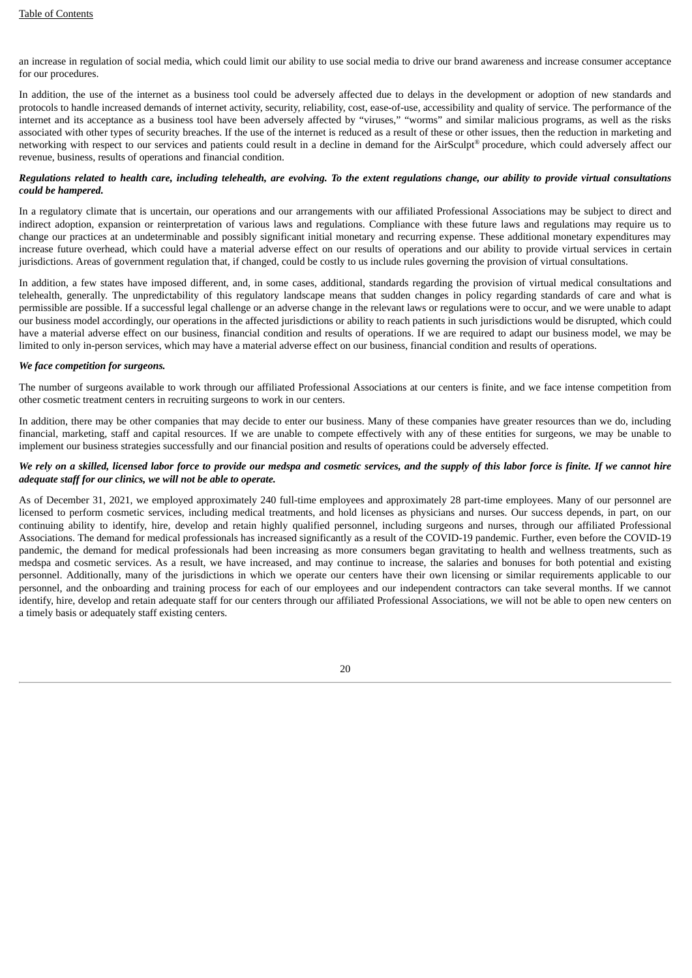an increase in regulation of social media, which could limit our ability to use social media to drive our brand awareness and increase consumer acceptance for our procedures.

In addition, the use of the internet as a business tool could be adversely affected due to delays in the development or adoption of new standards and protocols to handle increased demands of internet activity, security, reliability, cost, ease-of-use, accessibility and quality of service. The performance of the internet and its acceptance as a business tool have been adversely affected by "viruses," "worms" and similar malicious programs, as well as the risks associated with other types of security breaches. If the use of the internet is reduced as a result of these or other issues, then the reduction in marketing and networking with respect to our services and patients could result in a decline in demand for the AirSculpt® procedure, which could adversely affect our revenue, business, results of operations and financial condition.

#### Regulations related to health care, including telehealth, are evolving. To the extent regulations change, our ability to provide virtual consultations *could be hampered.*

In a regulatory climate that is uncertain, our operations and our arrangements with our affiliated Professional Associations may be subject to direct and indirect adoption, expansion or reinterpretation of various laws and regulations. Compliance with these future laws and regulations may require us to change our practices at an undeterminable and possibly significant initial monetary and recurring expense. These additional monetary expenditures may increase future overhead, which could have a material adverse effect on our results of operations and our ability to provide virtual services in certain jurisdictions. Areas of government regulation that, if changed, could be costly to us include rules governing the provision of virtual consultations.

In addition, a few states have imposed different, and, in some cases, additional, standards regarding the provision of virtual medical consultations and telehealth, generally. The unpredictability of this regulatory landscape means that sudden changes in policy regarding standards of care and what is permissible are possible. If a successful legal challenge or an adverse change in the relevant laws or regulations were to occur, and we were unable to adapt our business model accordingly, our operations in the affected jurisdictions or ability to reach patients in such jurisdictions would be disrupted, which could have a material adverse effect on our business, financial condition and results of operations. If we are required to adapt our business model, we may be limited to only in-person services, which may have a material adverse effect on our business, financial condition and results of operations.

#### *We face competition for surgeons.*

The number of surgeons available to work through our affiliated Professional Associations at our centers is finite, and we face intense competition from other cosmetic treatment centers in recruiting surgeons to work in our centers.

In addition, there may be other companies that may decide to enter our business. Many of these companies have greater resources than we do, including financial, marketing, staff and capital resources. If we are unable to compete effectively with any of these entities for surgeons, we may be unable to implement our business strategies successfully and our financial position and results of operations could be adversely effected.

#### We rely on a skilled, licensed labor force to provide our medspa and cosmetic services, and the supply of this labor force is finite. If we cannot hire *adequate staff for our clinics, we will not be able to operate.*

As of December 31, 2021, we employed approximately 240 full-time employees and approximately 28 part-time employees. Many of our personnel are licensed to perform cosmetic services, including medical treatments, and hold licenses as physicians and nurses. Our success depends, in part, on our continuing ability to identify, hire, develop and retain highly qualified personnel, including surgeons and nurses, through our affiliated Professional Associations. The demand for medical professionals has increased significantly as a result of the COVID-19 pandemic. Further, even before the COVID-19 pandemic, the demand for medical professionals had been increasing as more consumers began gravitating to health and wellness treatments, such as medspa and cosmetic services. As a result, we have increased, and may continue to increase, the salaries and bonuses for both potential and existing personnel. Additionally, many of the jurisdictions in which we operate our centers have their own licensing or similar requirements applicable to our personnel, and the onboarding and training process for each of our employees and our independent contractors can take several months. If we cannot identify, hire, develop and retain adequate staff for our centers through our affiliated Professional Associations, we will not be able to open new centers on a timely basis or adequately staff existing centers.

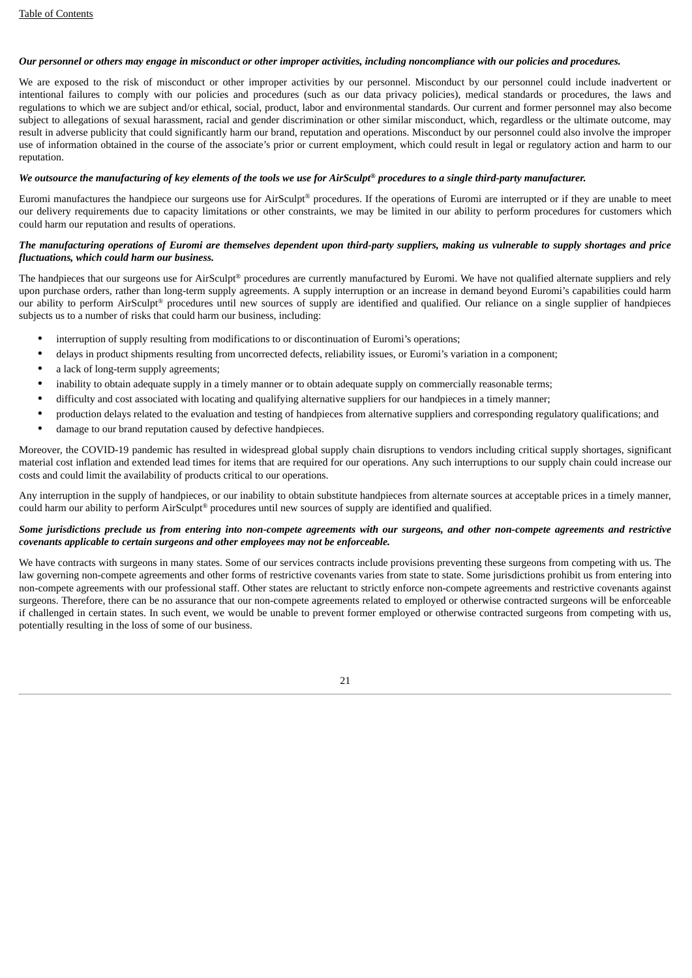#### Our personnel or others may engage in misconduct or other improper activities, including noncompliance with our policies and procedures.

We are exposed to the risk of misconduct or other improper activities by our personnel. Misconduct by our personnel could include inadvertent or intentional failures to comply with our policies and procedures (such as our data privacy policies), medical standards or procedures, the laws and regulations to which we are subject and/or ethical, social, product, labor and environmental standards. Our current and former personnel may also become subject to allegations of sexual harassment, racial and gender discrimination or other similar misconduct, which, regardless or the ultimate outcome, may result in adverse publicity that could significantly harm our brand, reputation and operations. Misconduct by our personnel could also involve the improper use of information obtained in the course of the associate's prior or current employment, which could result in legal or regulatory action and harm to our reputation.

#### We outsource the manufacturing of key elements of the tools we use for AirSculpt® procedures to a single third-party manufacturer.

Euromi manufactures the handpiece our surgeons use for AirSculpt® procedures. If the operations of Euromi are interrupted or if they are unable to meet our delivery requirements due to capacity limitations or other constraints, we may be limited in our ability to perform procedures for customers which could harm our reputation and results of operations.

#### The manufacturing operations of Euromi are themselves dependent upon third-party suppliers, making us vulnerable to supply shortages and price *fluctuations, which could harm our business.*

The handpieces that our surgeons use for AirSculpt® procedures are currently manufactured by Euromi. We have not qualified alternate suppliers and rely upon purchase orders, rather than long-term supply agreements. A supply interruption or an increase in demand beyond Euromi's capabilities could harm our ability to perform AirSculpt® procedures until new sources of supply are identified and qualified. Our reliance on a single supplier of handpieces subjects us to a number of risks that could harm our business, including:

- interruption of supply resulting from modifications to or discontinuation of Euromi's operations;
- delays in product shipments resulting from uncorrected defects, reliability issues, or Euromi's variation in a component;
- a lack of long-term supply agreements;
- inability to obtain adequate supply in a timely manner or to obtain adequate supply on commercially reasonable terms;
- difficulty and cost associated with locating and qualifying alternative suppliers for our handpieces in a timely manner;
- production delays related to the evaluation and testing of handpieces from alternative suppliers and corresponding regulatory qualifications; and
- damage to our brand reputation caused by defective handpieces.

Moreover, the COVID-19 pandemic has resulted in widespread global supply chain disruptions to vendors including critical supply shortages, significant material cost inflation and extended lead times for items that are required for our operations. Any such interruptions to our supply chain could increase our costs and could limit the availability of products critical to our operations.

Any interruption in the supply of handpieces, or our inability to obtain substitute handpieces from alternate sources at acceptable prices in a timely manner, could harm our ability to perform  $AirSculpt^{\circ}$  procedures until new sources of supply are identified and qualified.

#### Some jurisdictions preclude us from entering into non-compete agreements with our surgeons, and other non-compete agreements and restrictive *covenants applicable to certain surgeons and other employees may not be enforceable.*

We have contracts with surgeons in many states. Some of our services contracts include provisions preventing these surgeons from competing with us. The law governing non-compete agreements and other forms of restrictive covenants varies from state to state. Some jurisdictions prohibit us from entering into non-compete agreements with our professional staff. Other states are reluctant to strictly enforce non-compete agreements and restrictive covenants against surgeons. Therefore, there can be no assurance that our non-compete agreements related to employed or otherwise contracted surgeons will be enforceable if challenged in certain states. In such event, we would be unable to prevent former employed or otherwise contracted surgeons from competing with us, potentially resulting in the loss of some of our business.

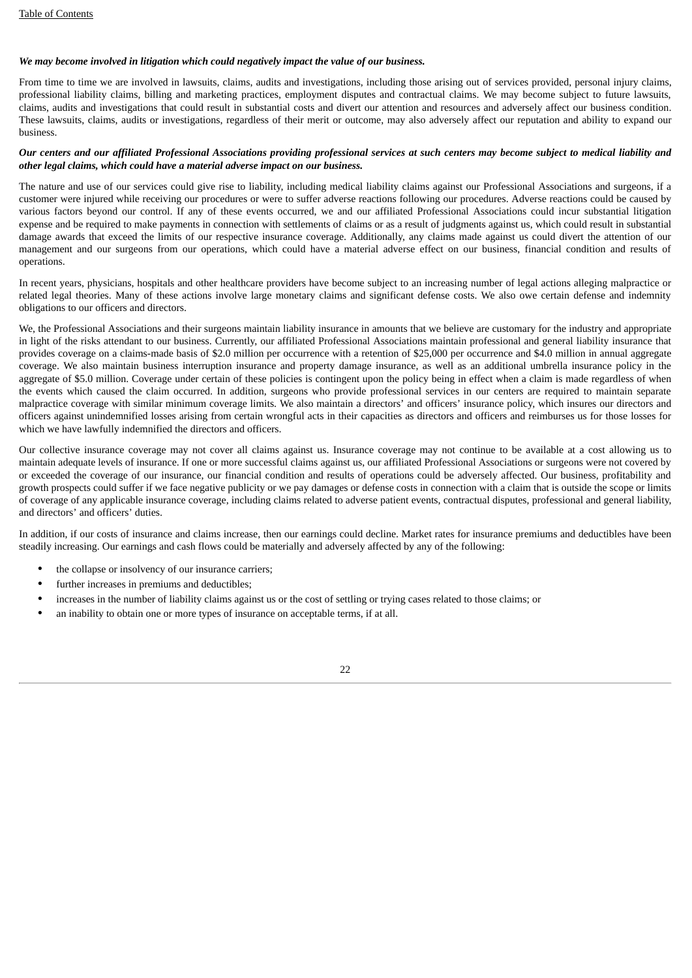# *We may become involved in litigation which could negatively impact the value of our business.*

From time to time we are involved in lawsuits, claims, audits and investigations, including those arising out of services provided, personal injury claims, professional liability claims, billing and marketing practices, employment disputes and contractual claims. We may become subject to future lawsuits, claims, audits and investigations that could result in substantial costs and divert our attention and resources and adversely affect our business condition. These lawsuits, claims, audits or investigations, regardless of their merit or outcome, may also adversely affect our reputation and ability to expand our business.

# Our centers and our affiliated Professional Associations providing professional services at such centers may become subject to medical liability and *other legal claims, which could have a material adverse impact on our business.*

The nature and use of our services could give rise to liability, including medical liability claims against our Professional Associations and surgeons, if a customer were injured while receiving our procedures or were to suffer adverse reactions following our procedures. Adverse reactions could be caused by various factors beyond our control. If any of these events occurred, we and our affiliated Professional Associations could incur substantial litigation expense and be required to make payments in connection with settlements of claims or as a result of judgments against us, which could result in substantial damage awards that exceed the limits of our respective insurance coverage. Additionally, any claims made against us could divert the attention of our management and our surgeons from our operations, which could have a material adverse effect on our business, financial condition and results of operations.

In recent years, physicians, hospitals and other healthcare providers have become subject to an increasing number of legal actions alleging malpractice or related legal theories. Many of these actions involve large monetary claims and significant defense costs. We also owe certain defense and indemnity obligations to our officers and directors.

We, the Professional Associations and their surgeons maintain liability insurance in amounts that we believe are customary for the industry and appropriate in light of the risks attendant to our business. Currently, our affiliated Professional Associations maintain professional and general liability insurance that provides coverage on a claims-made basis of \$2.0 million per occurrence with a retention of \$25,000 per occurrence and \$4.0 million in annual aggregate coverage. We also maintain business interruption insurance and property damage insurance, as well as an additional umbrella insurance policy in the aggregate of \$5.0 million. Coverage under certain of these policies is contingent upon the policy being in effect when a claim is made regardless of when the events which caused the claim occurred. In addition, surgeons who provide professional services in our centers are required to maintain separate malpractice coverage with similar minimum coverage limits. We also maintain a directors' and officers' insurance policy, which insures our directors and officers against unindemnified losses arising from certain wrongful acts in their capacities as directors and officers and reimburses us for those losses for which we have lawfully indemnified the directors and officers.

Our collective insurance coverage may not cover all claims against us. Insurance coverage may not continue to be available at a cost allowing us to maintain adequate levels of insurance. If one or more successful claims against us, our affiliated Professional Associations or surgeons were not covered by or exceeded the coverage of our insurance, our financial condition and results of operations could be adversely affected. Our business, profitability and growth prospects could suffer if we face negative publicity or we pay damages or defense costs in connection with a claim that is outside the scope or limits of coverage of any applicable insurance coverage, including claims related to adverse patient events, contractual disputes, professional and general liability, and directors' and officers' duties.

In addition, if our costs of insurance and claims increase, then our earnings could decline. Market rates for insurance premiums and deductibles have been steadily increasing. Our earnings and cash flows could be materially and adversely affected by any of the following:

- the collapse or insolvency of our insurance carriers;
- further increases in premiums and deductibles;
- increases in the number of liability claims against us or the cost of settling or trying cases related to those claims; or
- an inability to obtain one or more types of insurance on acceptable terms, if at all.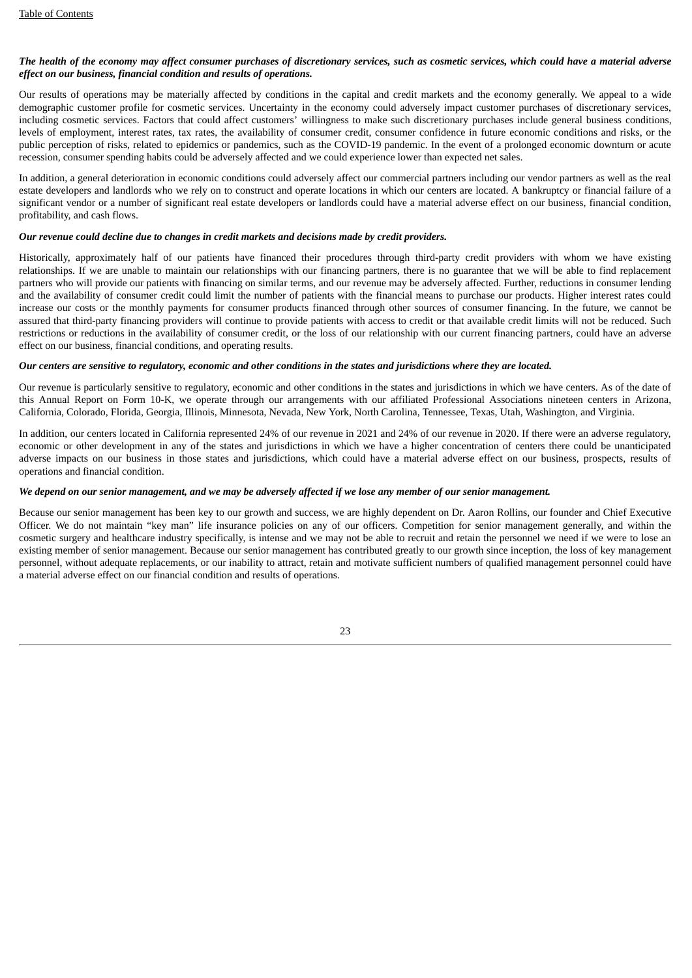## The health of the economy may affect consumer purchases of discretionary services, such as cosmetic services, which could have a material adverse *effect on our business, financial condition and results of operations.*

Our results of operations may be materially affected by conditions in the capital and credit markets and the economy generally. We appeal to a wide demographic customer profile for cosmetic services. Uncertainty in the economy could adversely impact customer purchases of discretionary services, including cosmetic services. Factors that could affect customers' willingness to make such discretionary purchases include general business conditions, levels of employment, interest rates, tax rates, the availability of consumer credit, consumer confidence in future economic conditions and risks, or the public perception of risks, related to epidemics or pandemics, such as the COVID-19 pandemic. In the event of a prolonged economic downturn or acute recession, consumer spending habits could be adversely affected and we could experience lower than expected net sales.

In addition, a general deterioration in economic conditions could adversely affect our commercial partners including our vendor partners as well as the real estate developers and landlords who we rely on to construct and operate locations in which our centers are located. A bankruptcy or financial failure of a significant vendor or a number of significant real estate developers or landlords could have a material adverse effect on our business, financial condition, profitability, and cash flows.

### *Our revenue could decline due to changes in credit markets and decisions made by credit providers.*

Historically, approximately half of our patients have financed their procedures through third-party credit providers with whom we have existing relationships. If we are unable to maintain our relationships with our financing partners, there is no guarantee that we will be able to find replacement partners who will provide our patients with financing on similar terms, and our revenue may be adversely affected. Further, reductions in consumer lending and the availability of consumer credit could limit the number of patients with the financial means to purchase our products. Higher interest rates could increase our costs or the monthly payments for consumer products financed through other sources of consumer financing. In the future, we cannot be assured that third-party financing providers will continue to provide patients with access to credit or that available credit limits will not be reduced. Such restrictions or reductions in the availability of consumer credit, or the loss of our relationship with our current financing partners, could have an adverse effect on our business, financial conditions, and operating results.

#### Our centers are sensitive to reaulatory, economic and other conditions in the states and iurisdictions where they are located.

Our revenue is particularly sensitive to regulatory, economic and other conditions in the states and jurisdictions in which we have centers. As of the date of this Annual Report on Form 10-K, we operate through our arrangements with our affiliated Professional Associations nineteen centers in Arizona, California, Colorado, Florida, Georgia, Illinois, Minnesota, Nevada, New York, North Carolina, Tennessee, Texas, Utah, Washington, and Virginia.

In addition, our centers located in California represented 24% of our revenue in 2021 and 24% of our revenue in 2020. If there were an adverse regulatory, economic or other development in any of the states and jurisdictions in which we have a higher concentration of centers there could be unanticipated adverse impacts on our business in those states and jurisdictions, which could have a material adverse effect on our business, prospects, results of operations and financial condition.

### We depend on our senior management, and we may be adversely affected if we lose any member of our senior management.

Because our senior management has been key to our growth and success, we are highly dependent on Dr. Aaron Rollins, our founder and Chief Executive Officer. We do not maintain "key man" life insurance policies on any of our officers. Competition for senior management generally, and within the cosmetic surgery and healthcare industry specifically, is intense and we may not be able to recruit and retain the personnel we need if we were to lose an existing member of senior management. Because our senior management has contributed greatly to our growth since inception, the loss of key management personnel, without adequate replacements, or our inability to attract, retain and motivate sufficient numbers of qualified management personnel could have a material adverse effect on our financial condition and results of operations.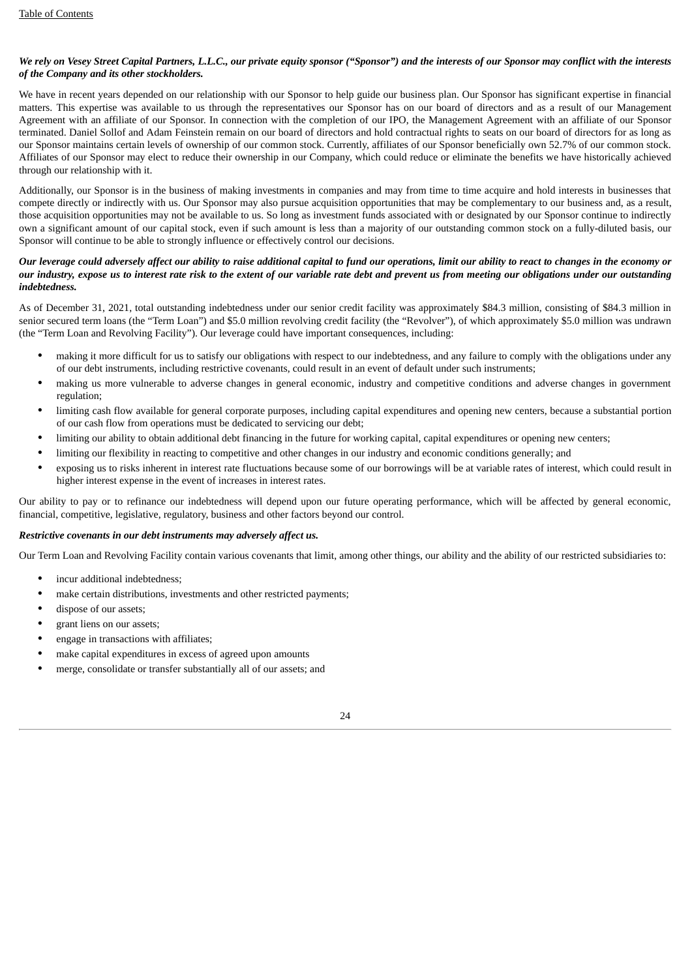# We rely on Vesey Street Capital Partners, L.L.C., our private equity sponsor ("Sponsor") and the interests of our Sponsor may conflict with the interests *of the Company and its other stockholders.*

We have in recent years depended on our relationship with our Sponsor to help guide our business plan. Our Sponsor has significant expertise in financial matters. This expertise was available to us through the representatives our Sponsor has on our board of directors and as a result of our Management Agreement with an affiliate of our Sponsor. In connection with the completion of our IPO, the Management Agreement with an affiliate of our Sponsor terminated. Daniel Sollof and Adam Feinstein remain on our board of directors and hold contractual rights to seats on our board of directors for as long as our Sponsor maintains certain levels of ownership of our common stock. Currently, affiliates of our Sponsor beneficially own 52.7% of our common stock. Affiliates of our Sponsor may elect to reduce their ownership in our Company, which could reduce or eliminate the benefits we have historically achieved through our relationship with it.

Additionally, our Sponsor is in the business of making investments in companies and may from time to time acquire and hold interests in businesses that compete directly or indirectly with us. Our Sponsor may also pursue acquisition opportunities that may be complementary to our business and, as a result, those acquisition opportunities may not be available to us. So long as investment funds associated with or designated by our Sponsor continue to indirectly own a significant amount of our capital stock, even if such amount is less than a majority of our outstanding common stock on a fully-diluted basis, our Sponsor will continue to be able to strongly influence or effectively control our decisions.

#### Our leverage could adversely affect our ability to raise additional capital to fund our operations, limit our ability to react to changes in the economy or our industry, expose us to interest rate risk to the extent of our variable rate debt and prevent us from meeting our obligations under our outstanding *indebtedness.*

As of December 31, 2021, total outstanding indebtedness under our senior credit facility was approximately \$84.3 million, consisting of \$84.3 million in senior secured term loans (the "Term Loan") and \$5.0 million revolving credit facility (the "Revolver"), of which approximately \$5.0 million was undrawn (the "Term Loan and Revolving Facility"). Our leverage could have important consequences, including:

- making it more difficult for us to satisfy our obligations with respect to our indebtedness, and any failure to comply with the obligations under any of our debt instruments, including restrictive covenants, could result in an event of default under such instruments;
- making us more vulnerable to adverse changes in general economic, industry and competitive conditions and adverse changes in government regulation;
- limiting cash flow available for general corporate purposes, including capital expenditures and opening new centers, because a substantial portion of our cash flow from operations must be dedicated to servicing our debt;
- limiting our ability to obtain additional debt financing in the future for working capital, capital expenditures or opening new centers;
- limiting our flexibility in reacting to competitive and other changes in our industry and economic conditions generally; and
- exposing us to risks inherent in interest rate fluctuations because some of our borrowings will be at variable rates of interest, which could result in higher interest expense in the event of increases in interest rates.

Our ability to pay or to refinance our indebtedness will depend upon our future operating performance, which will be affected by general economic, financial, competitive, legislative, regulatory, business and other factors beyond our control.

# *Restrictive covenants in our debt instruments may adversely affect us.*

Our Term Loan and Revolving Facility contain various covenants that limit, among other things, our ability and the ability of our restricted subsidiaries to:

- incur additional indebtedness:
- make certain distributions, investments and other restricted payments;
- dispose of our assets;
- grant liens on our assets;
- engage in transactions with affiliates;
- make capital expenditures in excess of agreed upon amounts
- merge, consolidate or transfer substantially all of our assets; and

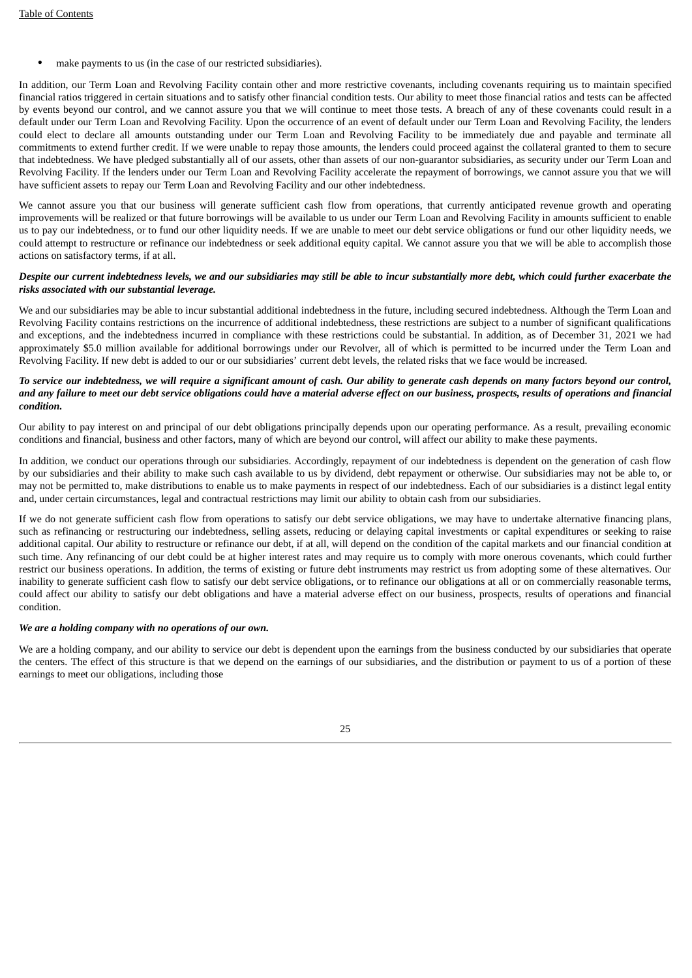make payments to us (in the case of our restricted subsidiaries).

In addition, our Term Loan and Revolving Facility contain other and more restrictive covenants, including covenants requiring us to maintain specified financial ratios triggered in certain situations and to satisfy other financial condition tests. Our ability to meet those financial ratios and tests can be affected by events beyond our control, and we cannot assure you that we will continue to meet those tests. A breach of any of these covenants could result in a default under our Term Loan and Revolving Facility. Upon the occurrence of an event of default under our Term Loan and Revolving Facility, the lenders could elect to declare all amounts outstanding under our Term Loan and Revolving Facility to be immediately due and payable and terminate all commitments to extend further credit. If we were unable to repay those amounts, the lenders could proceed against the collateral granted to them to secure that indebtedness. We have pledged substantially all of our assets, other than assets of our non-guarantor subsidiaries, as security under our Term Loan and Revolving Facility. If the lenders under our Term Loan and Revolving Facility accelerate the repayment of borrowings, we cannot assure you that we will have sufficient assets to repay our Term Loan and Revolving Facility and our other indebtedness.

We cannot assure you that our business will generate sufficient cash flow from operations, that currently anticipated revenue growth and operating improvements will be realized or that future borrowings will be available to us under our Term Loan and Revolving Facility in amounts sufficient to enable us to pay our indebtedness, or to fund our other liquidity needs. If we are unable to meet our debt service obligations or fund our other liquidity needs, we could attempt to restructure or refinance our indebtedness or seek additional equity capital. We cannot assure you that we will be able to accomplish those actions on satisfactory terms, if at all.

#### Despite our current indebtedness levels, we and our subsidiaries may still be able to incur substantially more debt, which could further exacerbate the *risks associated with our substantial leverage.*

We and our subsidiaries may be able to incur substantial additional indebtedness in the future, including secured indebtedness. Although the Term Loan and Revolving Facility contains restrictions on the incurrence of additional indebtedness, these restrictions are subject to a number of significant qualifications and exceptions, and the indebtedness incurred in compliance with these restrictions could be substantial. In addition, as of December 31, 2021 we had approximately \$5.0 million available for additional borrowings under our Revolver, all of which is permitted to be incurred under the Term Loan and Revolving Facility. If new debt is added to our or our subsidiaries' current debt levels, the related risks that we face would be increased.

#### To service our indebtedness, we will require a significant amount of cash. Our ability to generate cash depends on many factors beyond our control, and any failure to meet our debt service obligations could have a material adverse effect on our business, prospects, results of operations and financial *condition.*

Our ability to pay interest on and principal of our debt obligations principally depends upon our operating performance. As a result, prevailing economic conditions and financial, business and other factors, many of which are beyond our control, will affect our ability to make these payments.

In addition, we conduct our operations through our subsidiaries. Accordingly, repayment of our indebtedness is dependent on the generation of cash flow by our subsidiaries and their ability to make such cash available to us by dividend, debt repayment or otherwise. Our subsidiaries may not be able to, or may not be permitted to, make distributions to enable us to make payments in respect of our indebtedness. Each of our subsidiaries is a distinct legal entity and, under certain circumstances, legal and contractual restrictions may limit our ability to obtain cash from our subsidiaries.

If we do not generate sufficient cash flow from operations to satisfy our debt service obligations, we may have to undertake alternative financing plans, such as refinancing or restructuring our indebtedness, selling assets, reducing or delaying capital investments or capital expenditures or seeking to raise additional capital. Our ability to restructure or refinance our debt, if at all, will depend on the condition of the capital markets and our financial condition at such time. Any refinancing of our debt could be at higher interest rates and may require us to comply with more onerous covenants, which could further restrict our business operations. In addition, the terms of existing or future debt instruments may restrict us from adopting some of these alternatives. Our inability to generate sufficient cash flow to satisfy our debt service obligations, or to refinance our obligations at all or on commercially reasonable terms, could affect our ability to satisfy our debt obligations and have a material adverse effect on our business, prospects, results of operations and financial condition.

# *We are a holding company with no operations of our own.*

We are a holding company, and our ability to service our debt is dependent upon the earnings from the business conducted by our subsidiaries that operate the centers. The effect of this structure is that we depend on the earnings of our subsidiaries, and the distribution or payment to us of a portion of these earnings to meet our obligations, including those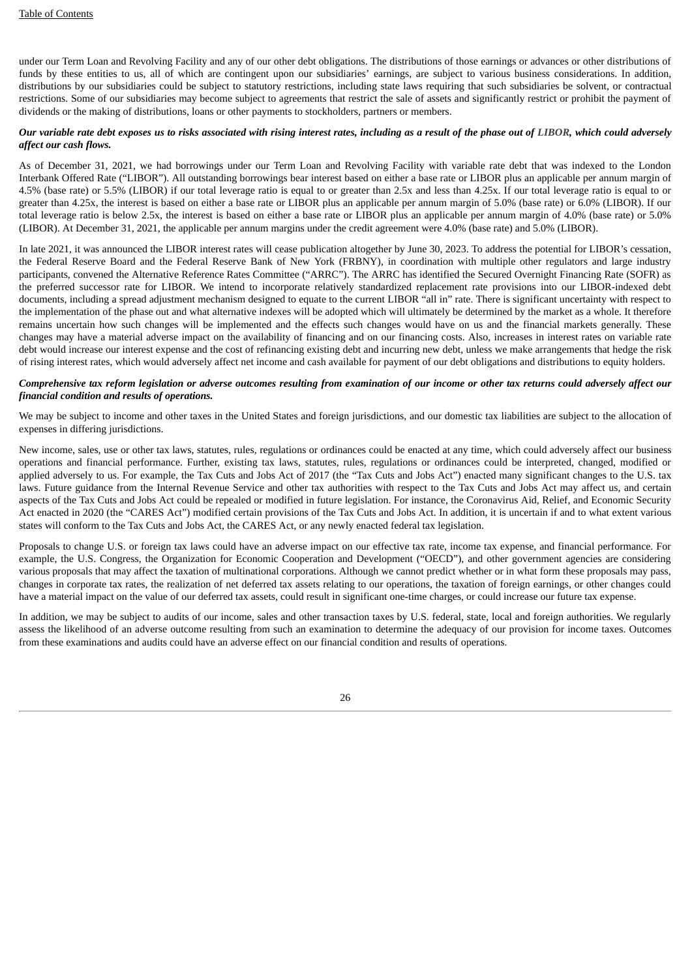under our Term Loan and Revolving Facility and any of our other debt obligations. The distributions of those earnings or advances or other distributions of funds by these entities to us, all of which are contingent upon our subsidiaries' earnings, are subject to various business considerations. In addition, distributions by our subsidiaries could be subject to statutory restrictions, including state laws requiring that such subsidiaries be solvent, or contractual restrictions. Some of our subsidiaries may become subject to agreements that restrict the sale of assets and significantly restrict or prohibit the payment of dividends or the making of distributions, loans or other payments to stockholders, partners or members.

#### Our variable rate debt exposes us to risks associated with rising interest rates, including as a result of the phase out of LIBOR, which could adversely *affect our cash flows.*

As of December 31, 2021, we had borrowings under our Term Loan and Revolving Facility with variable rate debt that was indexed to the London Interbank Offered Rate ("LIBOR"). All outstanding borrowings bear interest based on either a base rate or LIBOR plus an applicable per annum margin of 4.5% (base rate) or 5.5% (LIBOR) if our total leverage ratio is equal to or greater than 2.5x and less than 4.25x. If our total leverage ratio is equal to or greater than 4.25x, the interest is based on either a base rate or LIBOR plus an applicable per annum margin of 5.0% (base rate) or 6.0% (LIBOR). If our total leverage ratio is below 2.5x, the interest is based on either a base rate or LIBOR plus an applicable per annum margin of 4.0% (base rate) or 5.0% (LIBOR). At December 31, 2021, the applicable per annum margins under the credit agreement were 4.0% (base rate) and 5.0% (LIBOR).

In late 2021, it was announced the LIBOR interest rates will cease publication altogether by June 30, 2023. To address the potential for LIBOR's cessation, the Federal Reserve Board and the Federal Reserve Bank of New York (FRBNY), in coordination with multiple other regulators and large industry participants, convened the Alternative Reference Rates Committee ("ARRC"). The ARRC has identified the Secured Overnight Financing Rate (SOFR) as the preferred successor rate for LIBOR. We intend to incorporate relatively standardized replacement rate provisions into our LIBOR-indexed debt documents, including a spread adjustment mechanism designed to equate to the current LIBOR "all in" rate. There is significant uncertainty with respect to the implementation of the phase out and what alternative indexes will be adopted which will ultimately be determined by the market as a whole. It therefore remains uncertain how such changes will be implemented and the effects such changes would have on us and the financial markets generally. These changes may have a material adverse impact on the availability of financing and on our financing costs. Also, increases in interest rates on variable rate debt would increase our interest expense and the cost of refinancing existing debt and incurring new debt, unless we make arrangements that hedge the risk of rising interest rates, which would adversely affect net income and cash available for payment of our debt obligations and distributions to equity holders.

#### Comprehensive tax reform legislation or adverse outcomes resulting from examination of our income or other tax returns could adversely affect our *financial condition and results of operations.*

We may be subject to income and other taxes in the United States and foreign jurisdictions, and our domestic tax liabilities are subject to the allocation of expenses in differing jurisdictions.

New income, sales, use or other tax laws, statutes, rules, regulations or ordinances could be enacted at any time, which could adversely affect our business operations and financial performance. Further, existing tax laws, statutes, rules, regulations or ordinances could be interpreted, changed, modified or applied adversely to us. For example, the Tax Cuts and Jobs Act of 2017 (the "Tax Cuts and Jobs Act") enacted many significant changes to the U.S. tax laws. Future guidance from the Internal Revenue Service and other tax authorities with respect to the Tax Cuts and Jobs Act may affect us, and certain aspects of the Tax Cuts and Jobs Act could be repealed or modified in future legislation. For instance, the Coronavirus Aid, Relief, and Economic Security Act enacted in 2020 (the "CARES Act") modified certain provisions of the Tax Cuts and Jobs Act. In addition, it is uncertain if and to what extent various states will conform to the Tax Cuts and Jobs Act, the CARES Act, or any newly enacted federal tax legislation.

Proposals to change U.S. or foreign tax laws could have an adverse impact on our effective tax rate, income tax expense, and financial performance. For example, the U.S. Congress, the Organization for Economic Cooperation and Development ("OECD"), and other government agencies are considering various proposals that may affect the taxation of multinational corporations. Although we cannot predict whether or in what form these proposals may pass, changes in corporate tax rates, the realization of net deferred tax assets relating to our operations, the taxation of foreign earnings, or other changes could have a material impact on the value of our deferred tax assets, could result in significant one-time charges, or could increase our future tax expense.

In addition, we may be subject to audits of our income, sales and other transaction taxes by U.S. federal, state, local and foreign authorities. We regularly assess the likelihood of an adverse outcome resulting from such an examination to determine the adequacy of our provision for income taxes. Outcomes from these examinations and audits could have an adverse effect on our financial condition and results of operations.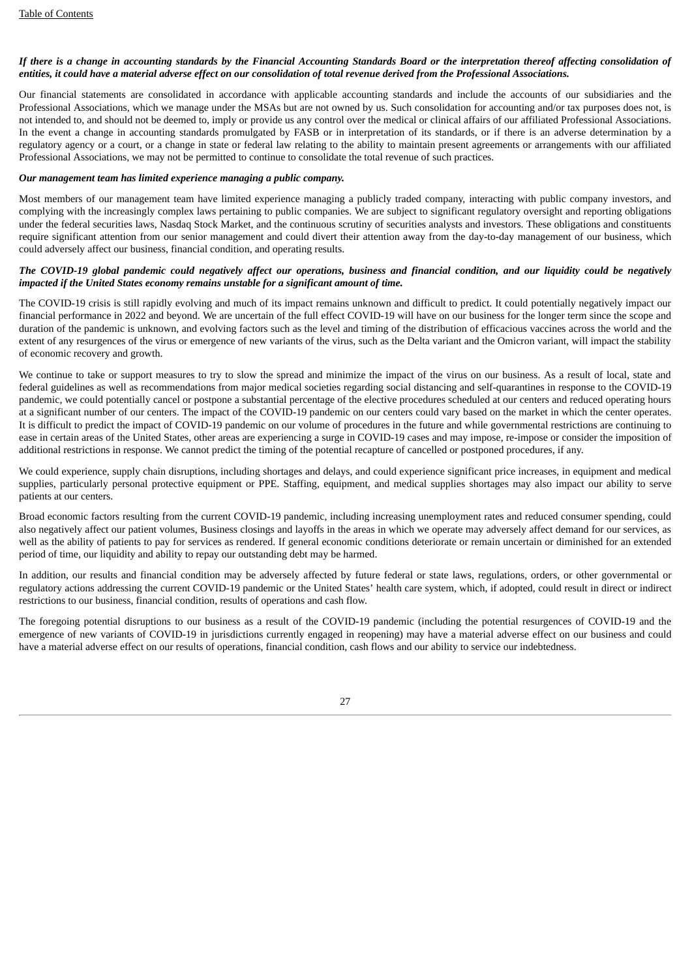# If there is a change in accounting standards by the Financial Accounting Standards Board or the interpretation thereof affecting consolidation of entities, it could have a material adverse effect on our consolidation of total revenue derived from the Professional Associations.

Our financial statements are consolidated in accordance with applicable accounting standards and include the accounts of our subsidiaries and the Professional Associations, which we manage under the MSAs but are not owned by us. Such consolidation for accounting and/or tax purposes does not, is not intended to, and should not be deemed to, imply or provide us any control over the medical or clinical affairs of our affiliated Professional Associations. In the event a change in accounting standards promulgated by FASB or in interpretation of its standards, or if there is an adverse determination by a regulatory agency or a court, or a change in state or federal law relating to the ability to maintain present agreements or arrangements with our affiliated Professional Associations, we may not be permitted to continue to consolidate the total revenue of such practices.

#### *Our management team has limited experience managing a public company.*

Most members of our management team have limited experience managing a publicly traded company, interacting with public company investors, and complying with the increasingly complex laws pertaining to public companies. We are subject to significant regulatory oversight and reporting obligations under the federal securities laws, Nasdaq Stock Market, and the continuous scrutiny of securities analysts and investors. These obligations and constituents require significant attention from our senior management and could divert their attention away from the day-to-day management of our business, which could adversely affect our business, financial condition, and operating results.

#### The COVID-19 global pandemic could negatively affect our operations, business and financial condition, and our liquidity could be negatively *impacted if the United States economy remains unstable for a significant amount of time.*

The COVID-19 crisis is still rapidly evolving and much of its impact remains unknown and difficult to predict. It could potentially negatively impact our financial performance in 2022 and beyond. We are uncertain of the full effect COVID-19 will have on our business for the longer term since the scope and duration of the pandemic is unknown, and evolving factors such as the level and timing of the distribution of efficacious vaccines across the world and the extent of any resurgences of the virus or emergence of new variants of the virus, such as the Delta variant and the Omicron variant, will impact the stability of economic recovery and growth.

We continue to take or support measures to try to slow the spread and minimize the impact of the virus on our business. As a result of local, state and federal guidelines as well as recommendations from major medical societies regarding social distancing and self-quarantines in response to the COVID-19 pandemic, we could potentially cancel or postpone a substantial percentage of the elective procedures scheduled at our centers and reduced operating hours at a significant number of our centers. The impact of the COVID-19 pandemic on our centers could vary based on the market in which the center operates. It is difficult to predict the impact of COVID-19 pandemic on our volume of procedures in the future and while governmental restrictions are continuing to ease in certain areas of the United States, other areas are experiencing a surge in COVID-19 cases and may impose, re-impose or consider the imposition of additional restrictions in response. We cannot predict the timing of the potential recapture of cancelled or postponed procedures, if any.

We could experience, supply chain disruptions, including shortages and delays, and could experience significant price increases, in equipment and medical supplies, particularly personal protective equipment or PPE. Staffing, equipment, and medical supplies shortages may also impact our ability to serve patients at our centers.

Broad economic factors resulting from the current COVID-19 pandemic, including increasing unemployment rates and reduced consumer spending, could also negatively affect our patient volumes, Business closings and layoffs in the areas in which we operate may adversely affect demand for our services, as well as the ability of patients to pay for services as rendered. If general economic conditions deteriorate or remain uncertain or diminished for an extended period of time, our liquidity and ability to repay our outstanding debt may be harmed.

In addition, our results and financial condition may be adversely affected by future federal or state laws, regulations, orders, or other governmental or regulatory actions addressing the current COVID-19 pandemic or the United States' health care system, which, if adopted, could result in direct or indirect restrictions to our business, financial condition, results of operations and cash flow.

The foregoing potential disruptions to our business as a result of the COVID-19 pandemic (including the potential resurgences of COVID-19 and the emergence of new variants of COVID-19 in jurisdictions currently engaged in reopening) may have a material adverse effect on our business and could have a material adverse effect on our results of operations, financial condition, cash flows and our ability to service our indebtedness.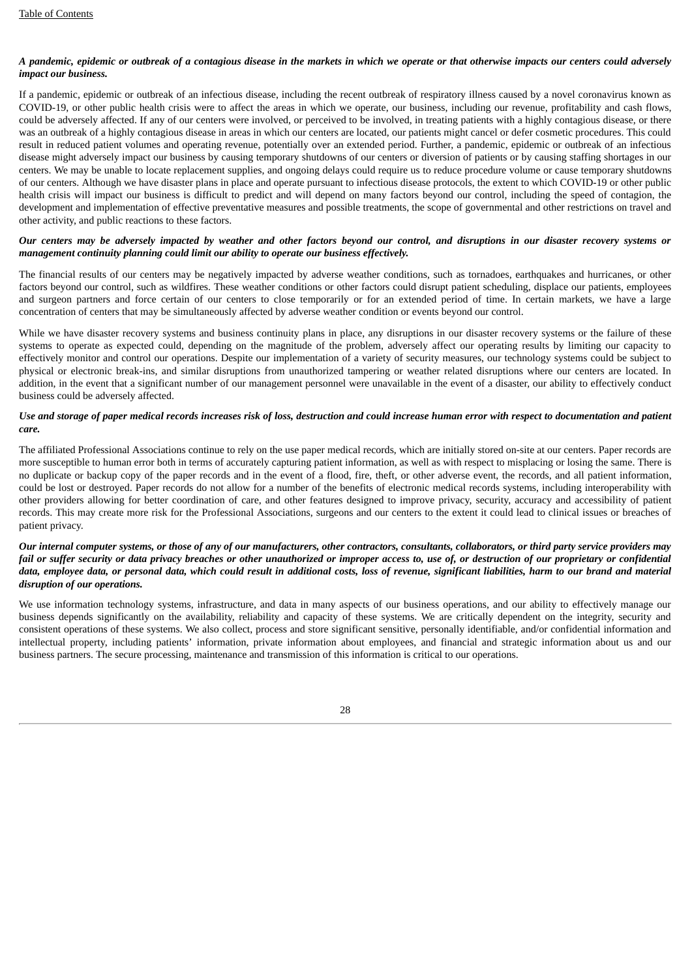# A pandemic, epidemic or outbreak of a contagious disease in the markets in which we operate or that otherwise impacts our centers could adversely *impact our business.*

If a pandemic, epidemic or outbreak of an infectious disease, including the recent outbreak of respiratory illness caused by a novel coronavirus known as COVID-19, or other public health crisis were to affect the areas in which we operate, our business, including our revenue, profitability and cash flows, could be adversely affected. If any of our centers were involved, or perceived to be involved, in treating patients with a highly contagious disease, or there was an outbreak of a highly contagious disease in areas in which our centers are located, our patients might cancel or defer cosmetic procedures. This could result in reduced patient volumes and operating revenue, potentially over an extended period. Further, a pandemic, epidemic or outbreak of an infectious disease might adversely impact our business by causing temporary shutdowns of our centers or diversion of patients or by causing staffing shortages in our centers. We may be unable to locate replacement supplies, and ongoing delays could require us to reduce procedure volume or cause temporary shutdowns of our centers. Although we have disaster plans in place and operate pursuant to infectious disease protocols, the extent to which COVID-19 or other public health crisis will impact our business is difficult to predict and will depend on many factors beyond our control, including the speed of contagion, the development and implementation of effective preventative measures and possible treatments, the scope of governmental and other restrictions on travel and other activity, and public reactions to these factors.

#### Our centers may be adversely impacted by weather and other factors beyond our control, and disruptions in our disaster recovery systems or *management continuity planning could limit our ability to operate our business effectively.*

The financial results of our centers may be negatively impacted by adverse weather conditions, such as tornadoes, earthquakes and hurricanes, or other factors beyond our control, such as wildfires. These weather conditions or other factors could disrupt patient scheduling, displace our patients, employees and surgeon partners and force certain of our centers to close temporarily or for an extended period of time. In certain markets, we have a large concentration of centers that may be simultaneously affected by adverse weather condition or events beyond our control.

While we have disaster recovery systems and business continuity plans in place, any disruptions in our disaster recovery systems or the failure of these systems to operate as expected could, depending on the magnitude of the problem, adversely affect our operating results by limiting our capacity to effectively monitor and control our operations. Despite our implementation of a variety of security measures, our technology systems could be subject to physical or electronic break-ins, and similar disruptions from unauthorized tampering or weather related disruptions where our centers are located. In addition, in the event that a significant number of our management personnel were unavailable in the event of a disaster, our ability to effectively conduct business could be adversely affected.

#### Use and storage of paper medical records increases risk of loss, destruction and could increase human error with respect to documentation and patient *care.*

The affiliated Professional Associations continue to rely on the use paper medical records, which are initially stored on-site at our centers. Paper records are more susceptible to human error both in terms of accurately capturing patient information, as well as with respect to misplacing or losing the same. There is no duplicate or backup copy of the paper records and in the event of a flood, fire, theft, or other adverse event, the records, and all patient information, could be lost or destroyed. Paper records do not allow for a number of the benefits of electronic medical records systems, including interoperability with other providers allowing for better coordination of care, and other features designed to improve privacy, security, accuracy and accessibility of patient records. This may create more risk for the Professional Associations, surgeons and our centers to the extent it could lead to clinical issues or breaches of patient privacy.

#### Our internal computer systems, or those of any of our manufacturers, other contractors, consultants, collaborators, or third party service providers may fail or suffer security or data privacy breaches or other unauthorized or improper access to, use of, or destruction of our proprietary or confidential data, emplovee data, or personal data, which could result in additional costs, loss of revenue, significant liabilities, harm to our brand and material *disruption of our operations.*

We use information technology systems, infrastructure, and data in many aspects of our business operations, and our ability to effectively manage our business depends significantly on the availability, reliability and capacity of these systems. We are critically dependent on the integrity, security and consistent operations of these systems. We also collect, process and store significant sensitive, personally identifiable, and/or confidential information and intellectual property, including patients' information, private information about employees, and financial and strategic information about us and our business partners. The secure processing, maintenance and transmission of this information is critical to our operations.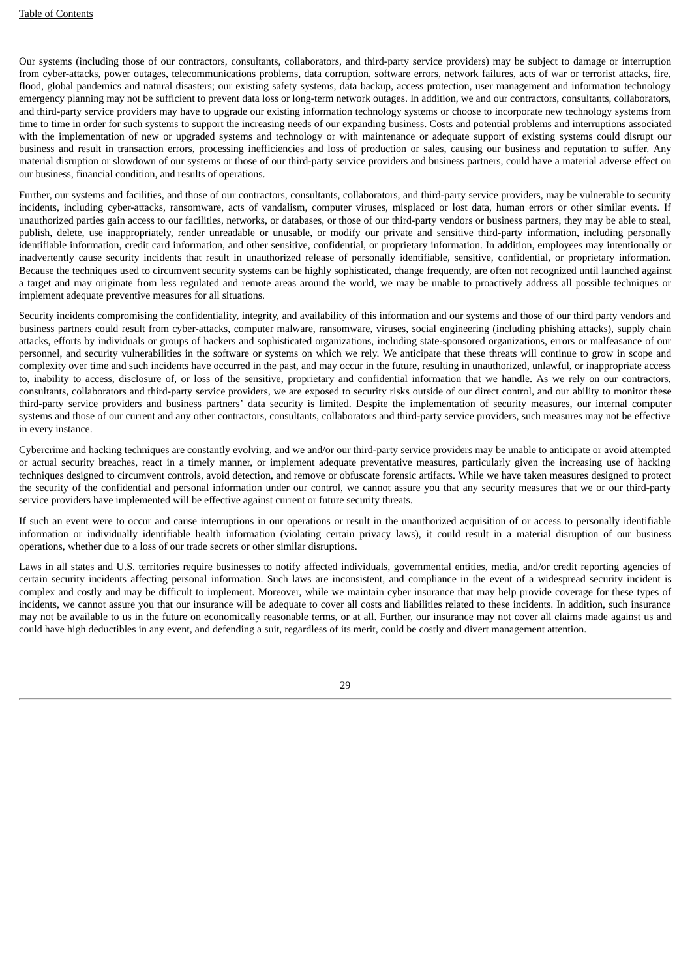Our systems (including those of our contractors, consultants, collaborators, and third-party service providers) may be subject to damage or interruption from cyber-attacks, power outages, telecommunications problems, data corruption, software errors, network failures, acts of war or terrorist attacks, fire, flood, global pandemics and natural disasters; our existing safety systems, data backup, access protection, user management and information technology emergency planning may not be sufficient to prevent data loss or long-term network outages. In addition, we and our contractors, consultants, collaborators, and third-party service providers may have to upgrade our existing information technology systems or choose to incorporate new technology systems from time to time in order for such systems to support the increasing needs of our expanding business. Costs and potential problems and interruptions associated with the implementation of new or upgraded systems and technology or with maintenance or adequate support of existing systems could disrupt our business and result in transaction errors, processing inefficiencies and loss of production or sales, causing our business and reputation to suffer. Any material disruption or slowdown of our systems or those of our third-party service providers and business partners, could have a material adverse effect on our business, financial condition, and results of operations.

Further, our systems and facilities, and those of our contractors, consultants, collaborators, and third-party service providers, may be vulnerable to security incidents, including cyber-attacks, ransomware, acts of vandalism, computer viruses, misplaced or lost data, human errors or other similar events. If unauthorized parties gain access to our facilities, networks, or databases, or those of our third-party vendors or business partners, they may be able to steal, publish, delete, use inappropriately, render unreadable or unusable, or modify our private and sensitive third-party information, including personally identifiable information, credit card information, and other sensitive, confidential, or proprietary information. In addition, employees may intentionally or inadvertently cause security incidents that result in unauthorized release of personally identifiable, sensitive, confidential, or proprietary information. Because the techniques used to circumvent security systems can be highly sophisticated, change frequently, are often not recognized until launched against a target and may originate from less regulated and remote areas around the world, we may be unable to proactively address all possible techniques or implement adequate preventive measures for all situations.

Security incidents compromising the confidentiality, integrity, and availability of this information and our systems and those of our third party vendors and business partners could result from cyber-attacks, computer malware, ransomware, viruses, social engineering (including phishing attacks), supply chain attacks, efforts by individuals or groups of hackers and sophisticated organizations, including state-sponsored organizations, errors or malfeasance of our personnel, and security vulnerabilities in the software or systems on which we rely. We anticipate that these threats will continue to grow in scope and complexity over time and such incidents have occurred in the past, and may occur in the future, resulting in unauthorized, unlawful, or inappropriate access to, inability to access, disclosure of, or loss of the sensitive, proprietary and confidential information that we handle. As we rely on our contractors, consultants, collaborators and third-party service providers, we are exposed to security risks outside of our direct control, and our ability to monitor these third-party service providers and business partners' data security is limited. Despite the implementation of security measures, our internal computer systems and those of our current and any other contractors, consultants, collaborators and third-party service providers, such measures may not be effective in every instance.

Cybercrime and hacking techniques are constantly evolving, and we and/or our third-party service providers may be unable to anticipate or avoid attempted or actual security breaches, react in a timely manner, or implement adequate preventative measures, particularly given the increasing use of hacking techniques designed to circumvent controls, avoid detection, and remove or obfuscate forensic artifacts. While we have taken measures designed to protect the security of the confidential and personal information under our control, we cannot assure you that any security measures that we or our third-party service providers have implemented will be effective against current or future security threats.

If such an event were to occur and cause interruptions in our operations or result in the unauthorized acquisition of or access to personally identifiable information or individually identifiable health information (violating certain privacy laws), it could result in a material disruption of our business operations, whether due to a loss of our trade secrets or other similar disruptions.

Laws in all states and U.S. territories require businesses to notify affected individuals, governmental entities, media, and/or credit reporting agencies of certain security incidents affecting personal information. Such laws are inconsistent, and compliance in the event of a widespread security incident is complex and costly and may be difficult to implement. Moreover, while we maintain cyber insurance that may help provide coverage for these types of incidents, we cannot assure you that our insurance will be adequate to cover all costs and liabilities related to these incidents. In addition, such insurance may not be available to us in the future on economically reasonable terms, or at all. Further, our insurance may not cover all claims made against us and could have high deductibles in any event, and defending a suit, regardless of its merit, could be costly and divert management attention.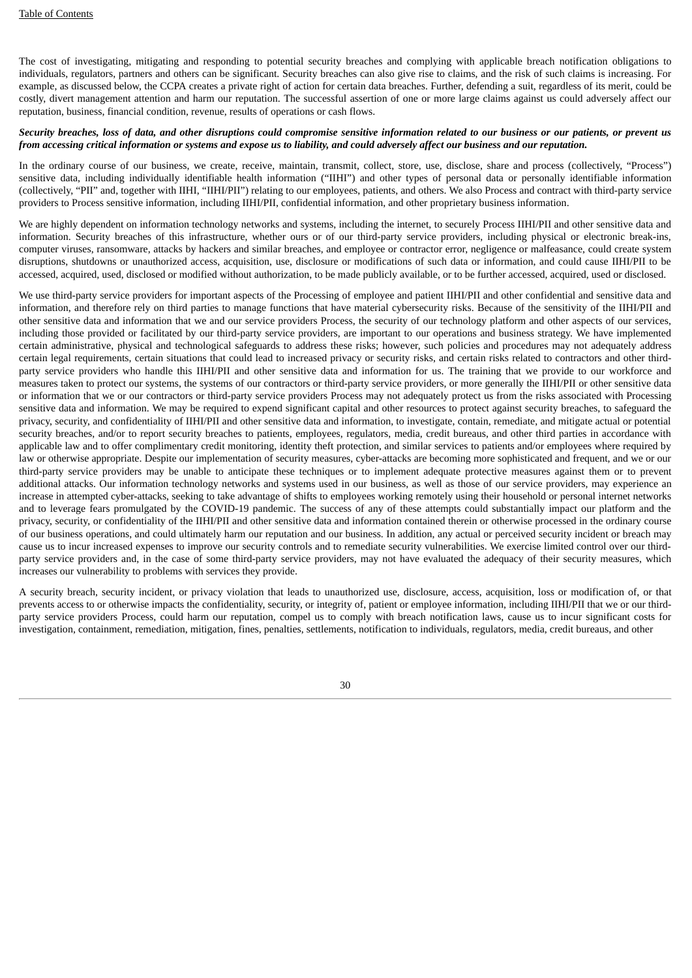The cost of investigating, mitigating and responding to potential security breaches and complying with applicable breach notification obligations to individuals, regulators, partners and others can be significant. Security breaches can also give rise to claims, and the risk of such claims is increasing. For example, as discussed below, the CCPA creates a private right of action for certain data breaches. Further, defending a suit, regardless of its merit, could be costly, divert management attention and harm our reputation. The successful assertion of one or more large claims against us could adversely affect our reputation, business, financial condition, revenue, results of operations or cash flows.

#### Security breaches, loss of data, and other disruptions could compromise sensitive information related to our business or our patients, or prevent us from accessing critical information or systems and expose us to liability, and could adversely affect our business and our reputation.

In the ordinary course of our business, we create, receive, maintain, transmit, collect, store, use, disclose, share and process (collectively, "Process") sensitive data, including individually identifiable health information ("IIHI") and other types of personal data or personally identifiable information (collectively, "PII" and, together with IIHI, "IIHI/PII") relating to our employees, patients, and others. We also Process and contract with third-party service providers to Process sensitive information, including IIHI/PII, confidential information, and other proprietary business information.

We are highly dependent on information technology networks and systems, including the internet, to securely Process IIHI/PII and other sensitive data and information. Security breaches of this infrastructure, whether ours or of our third-party service providers, including physical or electronic break-ins, computer viruses, ransomware, attacks by hackers and similar breaches, and employee or contractor error, negligence or malfeasance, could create system disruptions, shutdowns or unauthorized access, acquisition, use, disclosure or modifications of such data or information, and could cause IIHI/PII to be accessed, acquired, used, disclosed or modified without authorization, to be made publicly available, or to be further accessed, acquired, used or disclosed.

We use third-party service providers for important aspects of the Processing of employee and patient IIHI/PII and other confidential and sensitive data and information, and therefore rely on third parties to manage functions that have material cybersecurity risks. Because of the sensitivity of the IIHI/PII and other sensitive data and information that we and our service providers Process, the security of our technology platform and other aspects of our services, including those provided or facilitated by our third-party service providers, are important to our operations and business strategy. We have implemented certain administrative, physical and technological safeguards to address these risks; however, such policies and procedures may not adequately address certain legal requirements, certain situations that could lead to increased privacy or security risks, and certain risks related to contractors and other thirdparty service providers who handle this IIHI/PII and other sensitive data and information for us. The training that we provide to our workforce and measures taken to protect our systems, the systems of our contractors or third-party service providers, or more generally the IIHI/PII or other sensitive data or information that we or our contractors or third-party service providers Process may not adequately protect us from the risks associated with Processing sensitive data and information. We may be required to expend significant capital and other resources to protect against security breaches, to safeguard the privacy, security, and confidentiality of IIHI/PII and other sensitive data and information, to investigate, contain, remediate, and mitigate actual or potential security breaches, and/or to report security breaches to patients, employees, regulators, media, credit bureaus, and other third parties in accordance with applicable law and to offer complimentary credit monitoring, identity theft protection, and similar services to patients and/or employees where required by law or otherwise appropriate. Despite our implementation of security measures, cyber-attacks are becoming more sophisticated and frequent, and we or our third-party service providers may be unable to anticipate these techniques or to implement adequate protective measures against them or to prevent additional attacks. Our information technology networks and systems used in our business, as well as those of our service providers, may experience an increase in attempted cyber-attacks, seeking to take advantage of shifts to employees working remotely using their household or personal internet networks and to leverage fears promulgated by the COVID-19 pandemic. The success of any of these attempts could substantially impact our platform and the privacy, security, or confidentiality of the IIHI/PII and other sensitive data and information contained therein or otherwise processed in the ordinary course of our business operations, and could ultimately harm our reputation and our business. In addition, any actual or perceived security incident or breach may cause us to incur increased expenses to improve our security controls and to remediate security vulnerabilities. We exercise limited control over our thirdparty service providers and, in the case of some third-party service providers, may not have evaluated the adequacy of their security measures, which increases our vulnerability to problems with services they provide.

A security breach, security incident, or privacy violation that leads to unauthorized use, disclosure, access, acquisition, loss or modification of, or that prevents access to or otherwise impacts the confidentiality, security, or integrity of, patient or employee information, including IIHI/PII that we or our thirdparty service providers Process, could harm our reputation, compel us to comply with breach notification laws, cause us to incur significant costs for investigation, containment, remediation, mitigation, fines, penalties, settlements, notification to individuals, regulators, media, credit bureaus, and other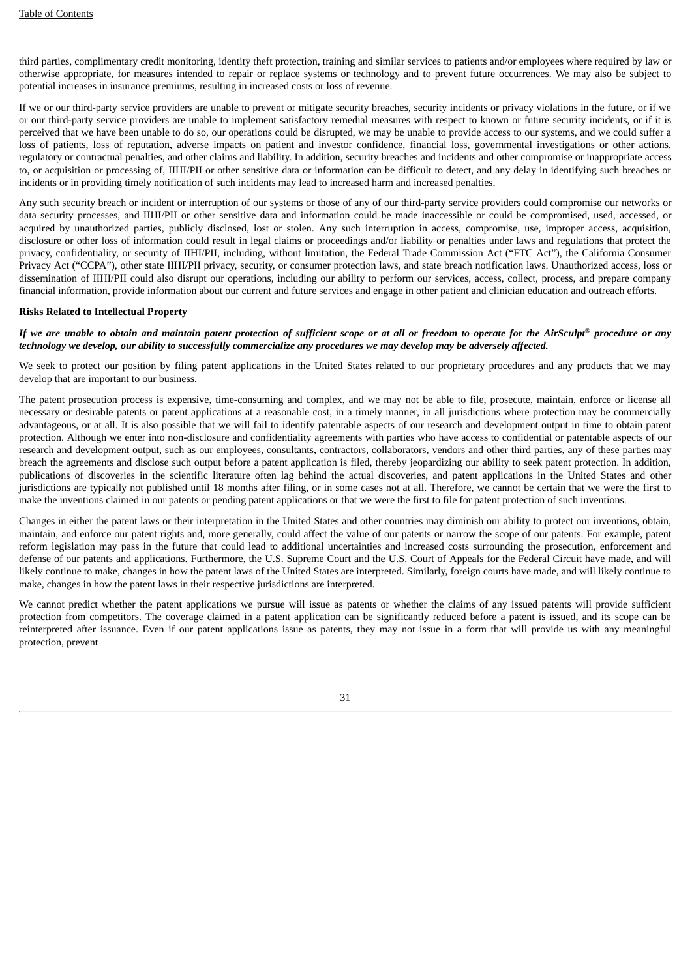third parties, complimentary credit monitoring, identity theft protection, training and similar services to patients and/or employees where required by law or otherwise appropriate, for measures intended to repair or replace systems or technology and to prevent future occurrences. We may also be subject to potential increases in insurance premiums, resulting in increased costs or loss of revenue.

If we or our third-party service providers are unable to prevent or mitigate security breaches, security incidents or privacy violations in the future, or if we or our third-party service providers are unable to implement satisfactory remedial measures with respect to known or future security incidents, or if it is perceived that we have been unable to do so, our operations could be disrupted, we may be unable to provide access to our systems, and we could suffer a loss of patients, loss of reputation, adverse impacts on patient and investor confidence, financial loss, governmental investigations or other actions, regulatory or contractual penalties, and other claims and liability. In addition, security breaches and incidents and other compromise or inappropriate access to, or acquisition or processing of, IIHI/PII or other sensitive data or information can be difficult to detect, and any delay in identifying such breaches or incidents or in providing timely notification of such incidents may lead to increased harm and increased penalties.

Any such security breach or incident or interruption of our systems or those of any of our third-party service providers could compromise our networks or data security processes, and IIHI/PII or other sensitive data and information could be made inaccessible or could be compromised, used, accessed, or acquired by unauthorized parties, publicly disclosed, lost or stolen. Any such interruption in access, compromise, use, improper access, acquisition, disclosure or other loss of information could result in legal claims or proceedings and/or liability or penalties under laws and regulations that protect the privacy, confidentiality, or security of IIHI/PII, including, without limitation, the Federal Trade Commission Act ("FTC Act"), the California Consumer Privacy Act ("CCPA"), other state IIHI/PII privacy, security, or consumer protection laws, and state breach notification laws. Unauthorized access, loss or dissemination of IIHI/PII could also disrupt our operations, including our ability to perform our services, access, collect, process, and prepare company financial information, provide information about our current and future services and engage in other patient and clinician education and outreach efforts.

#### **Risks Related to Intellectual Property**

#### If we are unable to obtain and maintain patent protection of sufficient scope or at all or freedom to operate for the AirSculpt® procedure or any technology we develop, our ability to successfully commercialize any procedures we may develop may be adversely affected.

We seek to protect our position by filing patent applications in the United States related to our proprietary procedures and any products that we may develop that are important to our business.

The patent prosecution process is expensive, time-consuming and complex, and we may not be able to file, prosecute, maintain, enforce or license all necessary or desirable patents or patent applications at a reasonable cost, in a timely manner, in all jurisdictions where protection may be commercially advantageous, or at all. It is also possible that we will fail to identify patentable aspects of our research and development output in time to obtain patent protection. Although we enter into non-disclosure and confidentiality agreements with parties who have access to confidential or patentable aspects of our research and development output, such as our employees, consultants, contractors, collaborators, vendors and other third parties, any of these parties may breach the agreements and disclose such output before a patent application is filed, thereby jeopardizing our ability to seek patent protection. In addition, publications of discoveries in the scientific literature often lag behind the actual discoveries, and patent applications in the United States and other jurisdictions are typically not published until 18 months after filing, or in some cases not at all. Therefore, we cannot be certain that we were the first to make the inventions claimed in our patents or pending patent applications or that we were the first to file for patent protection of such inventions.

Changes in either the patent laws or their interpretation in the United States and other countries may diminish our ability to protect our inventions, obtain, maintain, and enforce our patent rights and, more generally, could affect the value of our patents or narrow the scope of our patents. For example, patent reform legislation may pass in the future that could lead to additional uncertainties and increased costs surrounding the prosecution, enforcement and defense of our patents and applications. Furthermore, the U.S. Supreme Court and the U.S. Court of Appeals for the Federal Circuit have made, and will likely continue to make, changes in how the patent laws of the United States are interpreted. Similarly, foreign courts have made, and will likely continue to make, changes in how the patent laws in their respective jurisdictions are interpreted.

We cannot predict whether the patent applications we pursue will issue as patents or whether the claims of any issued patents will provide sufficient protection from competitors. The coverage claimed in a patent application can be significantly reduced before a patent is issued, and its scope can be reinterpreted after issuance. Even if our patent applications issue as patents, they may not issue in a form that will provide us with any meaningful protection, prevent

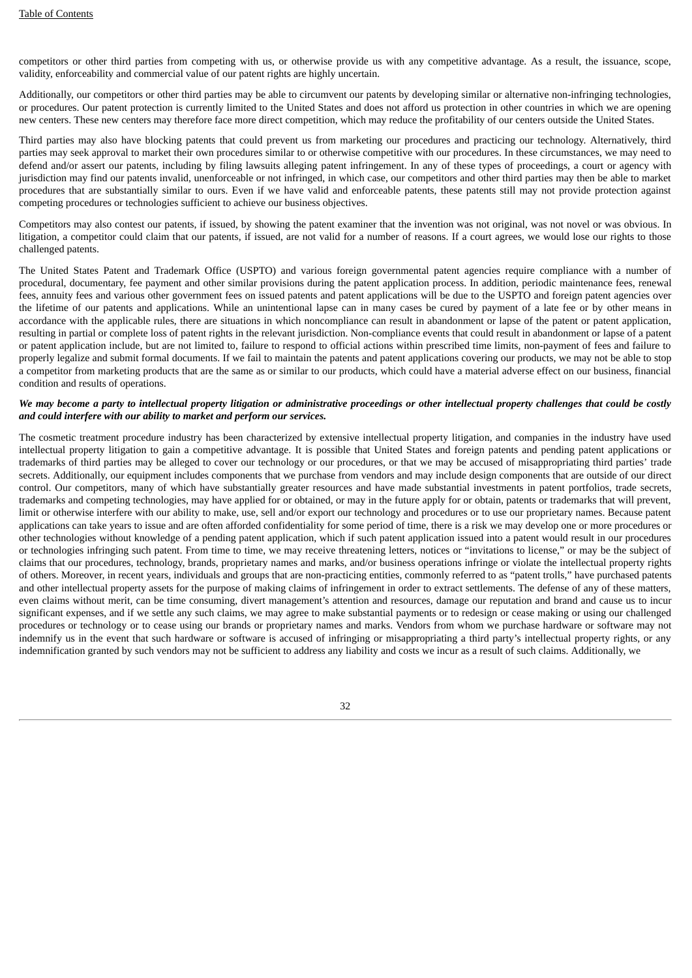competitors or other third parties from competing with us, or otherwise provide us with any competitive advantage. As a result, the issuance, scope, validity, enforceability and commercial value of our patent rights are highly uncertain.

Additionally, our competitors or other third parties may be able to circumvent our patents by developing similar or alternative non-infringing technologies, or procedures. Our patent protection is currently limited to the United States and does not afford us protection in other countries in which we are opening new centers. These new centers may therefore face more direct competition, which may reduce the profitability of our centers outside the United States.

Third parties may also have blocking patents that could prevent us from marketing our procedures and practicing our technology. Alternatively, third parties may seek approval to market their own procedures similar to or otherwise competitive with our procedures. In these circumstances, we may need to defend and/or assert our patents, including by filing lawsuits alleging patent infringement. In any of these types of proceedings, a court or agency with jurisdiction may find our patents invalid, unenforceable or not infringed, in which case, our competitors and other third parties may then be able to market procedures that are substantially similar to ours. Even if we have valid and enforceable patents, these patents still may not provide protection against competing procedures or technologies sufficient to achieve our business objectives.

Competitors may also contest our patents, if issued, by showing the patent examiner that the invention was not original, was not novel or was obvious. In litigation, a competitor could claim that our patents, if issued, are not valid for a number of reasons. If a court agrees, we would lose our rights to those challenged patents.

The United States Patent and Trademark Office (USPTO) and various foreign governmental patent agencies require compliance with a number of procedural, documentary, fee payment and other similar provisions during the patent application process. In addition, periodic maintenance fees, renewal fees, annuity fees and various other government fees on issued patents and patent applications will be due to the USPTO and foreign patent agencies over the lifetime of our patents and applications. While an unintentional lapse can in many cases be cured by payment of a late fee or by other means in accordance with the applicable rules, there are situations in which noncompliance can result in abandonment or lapse of the patent or patent application, resulting in partial or complete loss of patent rights in the relevant jurisdiction. Non-compliance events that could result in abandonment or lapse of a patent or patent application include, but are not limited to, failure to respond to official actions within prescribed time limits, non-payment of fees and failure to properly legalize and submit formal documents. If we fail to maintain the patents and patent applications covering our products, we may not be able to stop a competitor from marketing products that are the same as or similar to our products, which could have a material adverse effect on our business, financial condition and results of operations.

#### We may become a party to intellectual property litigation or administrative proceedings or other intellectual property challenges that could be costly *and could interfere with our ability to market and perform our services.*

The cosmetic treatment procedure industry has been characterized by extensive intellectual property litigation, and companies in the industry have used intellectual property litigation to gain a competitive advantage. It is possible that United States and foreign patents and pending patent applications or trademarks of third parties may be alleged to cover our technology or our procedures, or that we may be accused of misappropriating third parties' trade secrets. Additionally, our equipment includes components that we purchase from vendors and may include design components that are outside of our direct control. Our competitors, many of which have substantially greater resources and have made substantial investments in patent portfolios, trade secrets, trademarks and competing technologies, may have applied for or obtained, or may in the future apply for or obtain, patents or trademarks that will prevent, limit or otherwise interfere with our ability to make, use, sell and/or export our technology and procedures or to use our proprietary names. Because patent applications can take years to issue and are often afforded confidentiality for some period of time, there is a risk we may develop one or more procedures or other technologies without knowledge of a pending patent application, which if such patent application issued into a patent would result in our procedures or technologies infringing such patent. From time to time, we may receive threatening letters, notices or "invitations to license," or may be the subject of claims that our procedures, technology, brands, proprietary names and marks, and/or business operations infringe or violate the intellectual property rights of others. Moreover, in recent years, individuals and groups that are non-practicing entities, commonly referred to as "patent trolls," have purchased patents and other intellectual property assets for the purpose of making claims of infringement in order to extract settlements. The defense of any of these matters, even claims without merit, can be time consuming, divert management's attention and resources, damage our reputation and brand and cause us to incur significant expenses, and if we settle any such claims, we may agree to make substantial payments or to redesign or cease making or using our challenged procedures or technology or to cease using our brands or proprietary names and marks. Vendors from whom we purchase hardware or software may not indemnify us in the event that such hardware or software is accused of infringing or misappropriating a third party's intellectual property rights, or any indemnification granted by such vendors may not be sufficient to address any liability and costs we incur as a result of such claims. Additionally, we

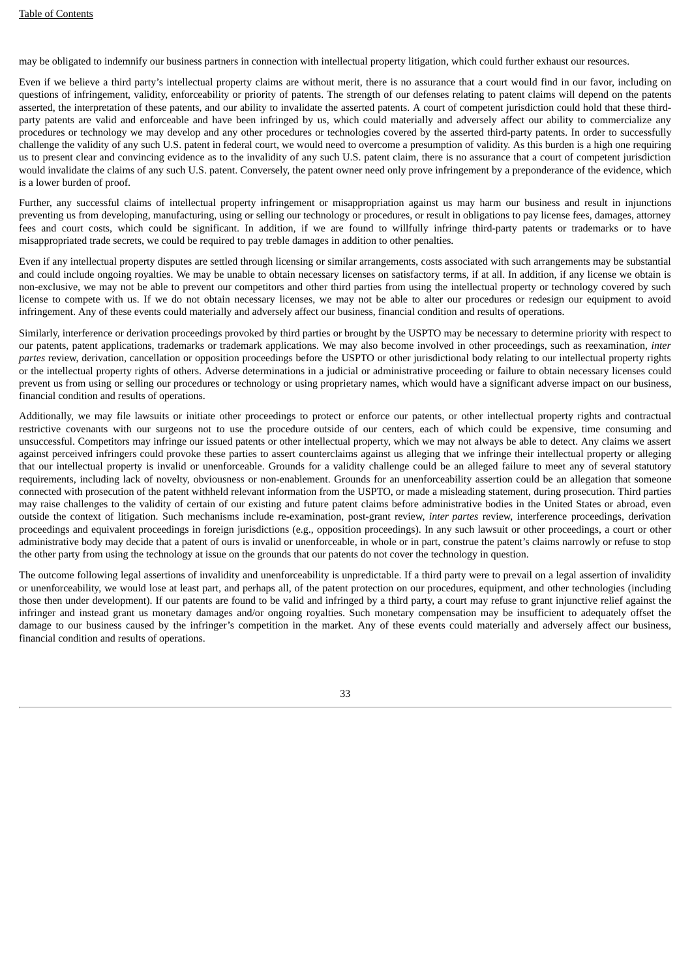may be obligated to indemnify our business partners in connection with intellectual property litigation, which could further exhaust our resources.

Even if we believe a third party's intellectual property claims are without merit, there is no assurance that a court would find in our favor, including on questions of infringement, validity, enforceability or priority of patents. The strength of our defenses relating to patent claims will depend on the patents asserted, the interpretation of these patents, and our ability to invalidate the asserted patents. A court of competent jurisdiction could hold that these thirdparty patents are valid and enforceable and have been infringed by us, which could materially and adversely affect our ability to commercialize any procedures or technology we may develop and any other procedures or technologies covered by the asserted third-party patents. In order to successfully challenge the validity of any such U.S. patent in federal court, we would need to overcome a presumption of validity. As this burden is a high one requiring us to present clear and convincing evidence as to the invalidity of any such U.S. patent claim, there is no assurance that a court of competent jurisdiction would invalidate the claims of any such U.S. patent. Conversely, the patent owner need only prove infringement by a preponderance of the evidence, which is a lower burden of proof.

Further, any successful claims of intellectual property infringement or misappropriation against us may harm our business and result in injunctions preventing us from developing, manufacturing, using or selling our technology or procedures, or result in obligations to pay license fees, damages, attorney fees and court costs, which could be significant. In addition, if we are found to willfully infringe third-party patents or trademarks or to have misappropriated trade secrets, we could be required to pay treble damages in addition to other penalties.

Even if any intellectual property disputes are settled through licensing or similar arrangements, costs associated with such arrangements may be substantial and could include ongoing royalties. We may be unable to obtain necessary licenses on satisfactory terms, if at all. In addition, if any license we obtain is non-exclusive, we may not be able to prevent our competitors and other third parties from using the intellectual property or technology covered by such license to compete with us. If we do not obtain necessary licenses, we may not be able to alter our procedures or redesign our equipment to avoid infringement. Any of these events could materially and adversely affect our business, financial condition and results of operations.

Similarly, interference or derivation proceedings provoked by third parties or brought by the USPTO may be necessary to determine priority with respect to our patents, patent applications, trademarks or trademark applications. We may also become involved in other proceedings, such as reexamination, *inter partes* review, derivation, cancellation or opposition proceedings before the USPTO or other jurisdictional body relating to our intellectual property rights or the intellectual property rights of others. Adverse determinations in a judicial or administrative proceeding or failure to obtain necessary licenses could prevent us from using or selling our procedures or technology or using proprietary names, which would have a significant adverse impact on our business, financial condition and results of operations.

Additionally, we may file lawsuits or initiate other proceedings to protect or enforce our patents, or other intellectual property rights and contractual restrictive covenants with our surgeons not to use the procedure outside of our centers, each of which could be expensive, time consuming and unsuccessful. Competitors may infringe our issued patents or other intellectual property, which we may not always be able to detect. Any claims we assert against perceived infringers could provoke these parties to assert counterclaims against us alleging that we infringe their intellectual property or alleging that our intellectual property is invalid or unenforceable. Grounds for a validity challenge could be an alleged failure to meet any of several statutory requirements, including lack of novelty, obviousness or non-enablement. Grounds for an unenforceability assertion could be an allegation that someone connected with prosecution of the patent withheld relevant information from the USPTO, or made a misleading statement, during prosecution. Third parties may raise challenges to the validity of certain of our existing and future patent claims before administrative bodies in the United States or abroad, even outside the context of litigation. Such mechanisms include re-examination, post-grant review, *inter partes* review, interference proceedings, derivation proceedings and equivalent proceedings in foreign jurisdictions (e.g., opposition proceedings). In any such lawsuit or other proceedings, a court or other administrative body may decide that a patent of ours is invalid or unenforceable, in whole or in part, construe the patent's claims narrowly or refuse to stop the other party from using the technology at issue on the grounds that our patents do not cover the technology in question.

The outcome following legal assertions of invalidity and unenforceability is unpredictable. If a third party were to prevail on a legal assertion of invalidity or unenforceability, we would lose at least part, and perhaps all, of the patent protection on our procedures, equipment, and other technologies (including those then under development). If our patents are found to be valid and infringed by a third party, a court may refuse to grant injunctive relief against the infringer and instead grant us monetary damages and/or ongoing royalties. Such monetary compensation may be insufficient to adequately offset the damage to our business caused by the infringer's competition in the market. Any of these events could materially and adversely affect our business, financial condition and results of operations.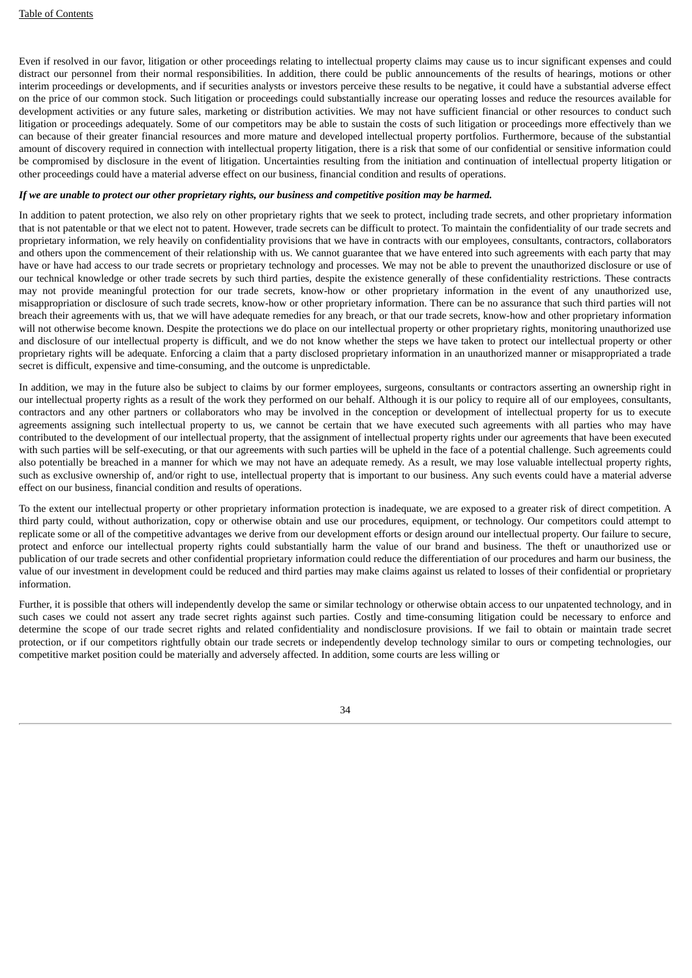Even if resolved in our favor, litigation or other proceedings relating to intellectual property claims may cause us to incur significant expenses and could distract our personnel from their normal responsibilities. In addition, there could be public announcements of the results of hearings, motions or other interim proceedings or developments, and if securities analysts or investors perceive these results to be negative, it could have a substantial adverse effect on the price of our common stock. Such litigation or proceedings could substantially increase our operating losses and reduce the resources available for development activities or any future sales, marketing or distribution activities. We may not have sufficient financial or other resources to conduct such litigation or proceedings adequately. Some of our competitors may be able to sustain the costs of such litigation or proceedings more effectively than we can because of their greater financial resources and more mature and developed intellectual property portfolios. Furthermore, because of the substantial amount of discovery required in connection with intellectual property litigation, there is a risk that some of our confidential or sensitive information could be compromised by disclosure in the event of litigation. Uncertainties resulting from the initiation and continuation of intellectual property litigation or other proceedings could have a material adverse effect on our business, financial condition and results of operations.

#### If we are unable to protect our other proprietary rights, our business and competitive position may be harmed.

In addition to patent protection, we also rely on other proprietary rights that we seek to protect, including trade secrets, and other proprietary information that is not patentable or that we elect not to patent. However, trade secrets can be difficult to protect. To maintain the confidentiality of our trade secrets and proprietary information, we rely heavily on confidentiality provisions that we have in contracts with our employees, consultants, contractors, collaborators and others upon the commencement of their relationship with us. We cannot guarantee that we have entered into such agreements with each party that may have or have had access to our trade secrets or proprietary technology and processes. We may not be able to prevent the unauthorized disclosure or use of our technical knowledge or other trade secrets by such third parties, despite the existence generally of these confidentiality restrictions. These contracts may not provide meaningful protection for our trade secrets, know-how or other proprietary information in the event of any unauthorized use, misappropriation or disclosure of such trade secrets, know-how or other proprietary information. There can be no assurance that such third parties will not breach their agreements with us, that we will have adequate remedies for any breach, or that our trade secrets, know-how and other proprietary information will not otherwise become known. Despite the protections we do place on our intellectual property or other proprietary rights, monitoring unauthorized use and disclosure of our intellectual property is difficult, and we do not know whether the steps we have taken to protect our intellectual property or other proprietary rights will be adequate. Enforcing a claim that a party disclosed proprietary information in an unauthorized manner or misappropriated a trade secret is difficult, expensive and time-consuming, and the outcome is unpredictable.

In addition, we may in the future also be subject to claims by our former employees, surgeons, consultants or contractors asserting an ownership right in our intellectual property rights as a result of the work they performed on our behalf. Although it is our policy to require all of our employees, consultants, contractors and any other partners or collaborators who may be involved in the conception or development of intellectual property for us to execute agreements assigning such intellectual property to us, we cannot be certain that we have executed such agreements with all parties who may have contributed to the development of our intellectual property, that the assignment of intellectual property rights under our agreements that have been executed with such parties will be self-executing, or that our agreements with such parties will be upheld in the face of a potential challenge. Such agreements could also potentially be breached in a manner for which we may not have an adequate remedy. As a result, we may lose valuable intellectual property rights, such as exclusive ownership of, and/or right to use, intellectual property that is important to our business. Any such events could have a material adverse effect on our business, financial condition and results of operations.

To the extent our intellectual property or other proprietary information protection is inadequate, we are exposed to a greater risk of direct competition. A third party could, without authorization, copy or otherwise obtain and use our procedures, equipment, or technology. Our competitors could attempt to replicate some or all of the competitive advantages we derive from our development efforts or design around our intellectual property. Our failure to secure, protect and enforce our intellectual property rights could substantially harm the value of our brand and business. The theft or unauthorized use or publication of our trade secrets and other confidential proprietary information could reduce the differentiation of our procedures and harm our business, the value of our investment in development could be reduced and third parties may make claims against us related to losses of their confidential or proprietary information.

Further, it is possible that others will independently develop the same or similar technology or otherwise obtain access to our unpatented technology, and in such cases we could not assert any trade secret rights against such parties. Costly and time-consuming litigation could be necessary to enforce and determine the scope of our trade secret rights and related confidentiality and nondisclosure provisions. If we fail to obtain or maintain trade secret protection, or if our competitors rightfully obtain our trade secrets or independently develop technology similar to ours or competing technologies, our competitive market position could be materially and adversely affected. In addition, some courts are less willing or

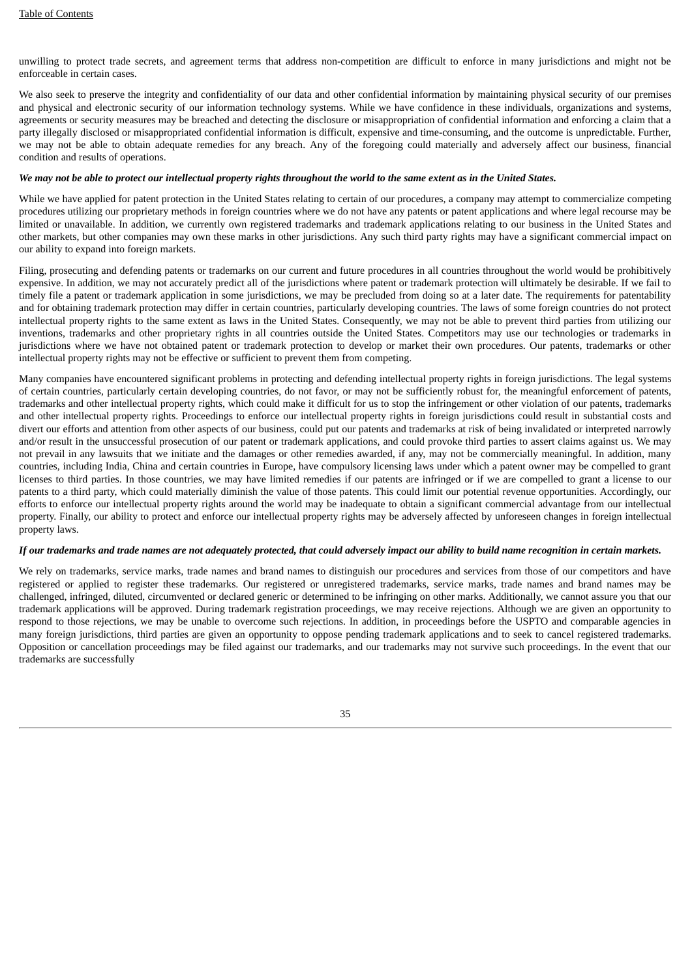unwilling to protect trade secrets, and agreement terms that address non-competition are difficult to enforce in many jurisdictions and might not be enforceable in certain cases.

We also seek to preserve the integrity and confidentiality of our data and other confidential information by maintaining physical security of our premises and physical and electronic security of our information technology systems. While we have confidence in these individuals, organizations and systems, agreements or security measures may be breached and detecting the disclosure or misappropriation of confidential information and enforcing a claim that a party illegally disclosed or misappropriated confidential information is difficult, expensive and time-consuming, and the outcome is unpredictable. Further, we may not be able to obtain adequate remedies for any breach. Any of the foregoing could materially and adversely affect our business, financial condition and results of operations.

#### We may not be able to protect our intellectual property rights throughout the world to the same extent as in the United States.

While we have applied for patent protection in the United States relating to certain of our procedures, a company may attempt to commercialize competing procedures utilizing our proprietary methods in foreign countries where we do not have any patents or patent applications and where legal recourse may be limited or unavailable. In addition, we currently own registered trademarks and trademark applications relating to our business in the United States and other markets, but other companies may own these marks in other jurisdictions. Any such third party rights may have a significant commercial impact on our ability to expand into foreign markets.

Filing, prosecuting and defending patents or trademarks on our current and future procedures in all countries throughout the world would be prohibitively expensive. In addition, we may not accurately predict all of the jurisdictions where patent or trademark protection will ultimately be desirable. If we fail to timely file a patent or trademark application in some jurisdictions, we may be precluded from doing so at a later date. The requirements for patentability and for obtaining trademark protection may differ in certain countries, particularly developing countries. The laws of some foreign countries do not protect intellectual property rights to the same extent as laws in the United States. Consequently, we may not be able to prevent third parties from utilizing our inventions, trademarks and other proprietary rights in all countries outside the United States. Competitors may use our technologies or trademarks in jurisdictions where we have not obtained patent or trademark protection to develop or market their own procedures. Our patents, trademarks or other intellectual property rights may not be effective or sufficient to prevent them from competing.

Many companies have encountered significant problems in protecting and defending intellectual property rights in foreign jurisdictions. The legal systems of certain countries, particularly certain developing countries, do not favor, or may not be sufficiently robust for, the meaningful enforcement of patents, trademarks and other intellectual property rights, which could make it difficult for us to stop the infringement or other violation of our patents, trademarks and other intellectual property rights. Proceedings to enforce our intellectual property rights in foreign jurisdictions could result in substantial costs and divert our efforts and attention from other aspects of our business, could put our patents and trademarks at risk of being invalidated or interpreted narrowly and/or result in the unsuccessful prosecution of our patent or trademark applications, and could provoke third parties to assert claims against us. We may not prevail in any lawsuits that we initiate and the damages or other remedies awarded, if any, may not be commercially meaningful. In addition, many countries, including India, China and certain countries in Europe, have compulsory licensing laws under which a patent owner may be compelled to grant licenses to third parties. In those countries, we may have limited remedies if our patents are infringed or if we are compelled to grant a license to our patents to a third party, which could materially diminish the value of those patents. This could limit our potential revenue opportunities. Accordingly, our efforts to enforce our intellectual property rights around the world may be inadequate to obtain a significant commercial advantage from our intellectual property. Finally, our ability to protect and enforce our intellectual property rights may be adversely affected by unforeseen changes in foreign intellectual property laws.

#### If our trademarks and trade names are not adequately protected, that could adversely impact our ability to build name recognition in certain markets.

We rely on trademarks, service marks, trade names and brand names to distinguish our procedures and services from those of our competitors and have registered or applied to register these trademarks. Our registered or unregistered trademarks, service marks, trade names and brand names may be challenged, infringed, diluted, circumvented or declared generic or determined to be infringing on other marks. Additionally, we cannot assure you that our trademark applications will be approved. During trademark registration proceedings, we may receive rejections. Although we are given an opportunity to respond to those rejections, we may be unable to overcome such rejections. In addition, in proceedings before the USPTO and comparable agencies in many foreign jurisdictions, third parties are given an opportunity to oppose pending trademark applications and to seek to cancel registered trademarks. Opposition or cancellation proceedings may be filed against our trademarks, and our trademarks may not survive such proceedings. In the event that our trademarks are successfully

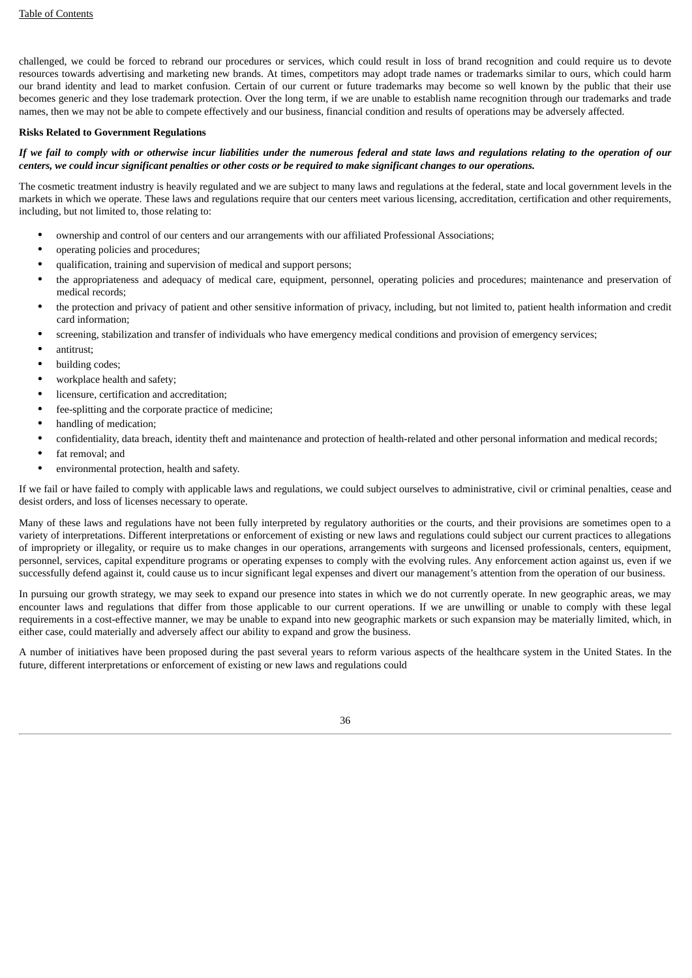challenged, we could be forced to rebrand our procedures or services, which could result in loss of brand recognition and could require us to devote resources towards advertising and marketing new brands. At times, competitors may adopt trade names or trademarks similar to ours, which could harm our brand identity and lead to market confusion. Certain of our current or future trademarks may become so well known by the public that their use becomes generic and they lose trademark protection. Over the long term, if we are unable to establish name recognition through our trademarks and trade names, then we may not be able to compete effectively and our business, financial condition and results of operations may be adversely affected.

#### **Risks Related to Government Regulations**

## If we fail to comply with or otherwise incur liabilities under the numerous federal and state laws and regulations relating to the operation of our centers, we could incur significant penalties or other costs or be required to make significant changes to our operations.

The cosmetic treatment industry is heavily regulated and we are subject to many laws and regulations at the federal, state and local government levels in the markets in which we operate. These laws and regulations require that our centers meet various licensing, accreditation, certification and other requirements, including, but not limited to, those relating to:

- ownership and control of our centers and our arrangements with our affiliated Professional Associations;
- operating policies and procedures;
- qualification, training and supervision of medical and support persons;
- the appropriateness and adequacy of medical care, equipment, personnel, operating policies and procedures; maintenance and preservation of medical records;
- the protection and privacy of patient and other sensitive information of privacy, including, but not limited to, patient health information and credit card information;
- screening, stabilization and transfer of individuals who have emergency medical conditions and provision of emergency services;
- antitrust;
- building codes;
- workplace health and safety;
- licensure, certification and accreditation;
- fee-splitting and the corporate practice of medicine;
- handling of medication;
- confidentiality, data breach, identity theft and maintenance and protection of health-related and other personal information and medical records;
- fat removal: and
- environmental protection, health and safety.

If we fail or have failed to comply with applicable laws and regulations, we could subject ourselves to administrative, civil or criminal penalties, cease and desist orders, and loss of licenses necessary to operate.

Many of these laws and regulations have not been fully interpreted by regulatory authorities or the courts, and their provisions are sometimes open to a variety of interpretations. Different interpretations or enforcement of existing or new laws and regulations could subject our current practices to allegations of impropriety or illegality, or require us to make changes in our operations, arrangements with surgeons and licensed professionals, centers, equipment, personnel, services, capital expenditure programs or operating expenses to comply with the evolving rules. Any enforcement action against us, even if we successfully defend against it, could cause us to incur significant legal expenses and divert our management's attention from the operation of our business.

In pursuing our growth strategy, we may seek to expand our presence into states in which we do not currently operate. In new geographic areas, we may encounter laws and regulations that differ from those applicable to our current operations. If we are unwilling or unable to comply with these legal requirements in a cost-effective manner, we may be unable to expand into new geographic markets or such expansion may be materially limited, which, in either case, could materially and adversely affect our ability to expand and grow the business.

A number of initiatives have been proposed during the past several years to reform various aspects of the healthcare system in the United States. In the future, different interpretations or enforcement of existing or new laws and regulations could

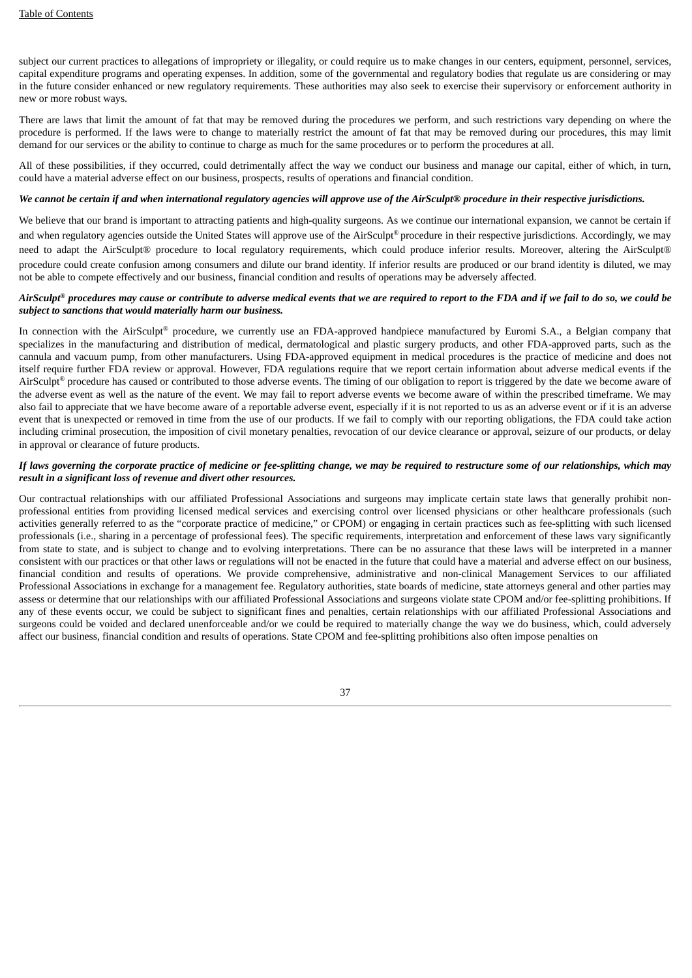subject our current practices to allegations of impropriety or illegality, or could require us to make changes in our centers, equipment, personnel, services, capital expenditure programs and operating expenses. In addition, some of the governmental and regulatory bodies that regulate us are considering or may in the future consider enhanced or new regulatory requirements. These authorities may also seek to exercise their supervisory or enforcement authority in new or more robust ways.

There are laws that limit the amount of fat that may be removed during the procedures we perform, and such restrictions vary depending on where the procedure is performed. If the laws were to change to materially restrict the amount of fat that may be removed during our procedures, this may limit demand for our services or the ability to continue to charge as much for the same procedures or to perform the procedures at all.

All of these possibilities, if they occurred, could detrimentally affect the way we conduct our business and manage our capital, either of which, in turn, could have a material adverse effect on our business, prospects, results of operations and financial condition.

#### We cannot be certain if and when international regulatory agencies will approve use of the AirSculpt® procedure in their respective jurisdictions.

We believe that our brand is important to attracting patients and high-quality surgeons. As we continue our international expansion, we cannot be certain if and when regulatory agencies outside the United States will approve use of the AirSculpt® procedure in their respective jurisdictions. Accordingly, we may need to adapt the AirSculpt® procedure to local regulatory requirements, which could produce inferior results. Moreover, altering the AirSculpt® procedure could create confusion among consumers and dilute our brand identity. If inferior results are produced or our brand identity is diluted, we may not be able to compete effectively and our business, financial condition and results of operations may be adversely affected.

#### AirSculpt® procedures may cause or contribute to adverse medical events that we are required to report to the FDA and if we fail to do so, we could be *subject to sanctions that would materially harm our business.*

In connection with the AirSculpt® procedure, we currently use an FDA-approved handpiece manufactured by Euromi S.A., a Belgian company that specializes in the manufacturing and distribution of medical, dermatological and plastic surgery products, and other FDA-approved parts, such as the cannula and vacuum pump, from other manufacturers. Using FDA-approved equipment in medical procedures is the practice of medicine and does not itself require further FDA review or approval. However, FDA regulations require that we report certain information about adverse medical events if the AirSculpt® procedure has caused or contributed to those adverse events. The timing of our obligation to report is triggered by the date we become aware of the adverse event as well as the nature of the event. We may fail to report adverse events we become aware of within the prescribed timeframe. We may also fail to appreciate that we have become aware of a reportable adverse event, especially if it is not reported to us as an adverse event or if it is an adverse event that is unexpected or removed in time from the use of our products. If we fail to comply with our reporting obligations, the FDA could take action including criminal prosecution, the imposition of civil monetary penalties, revocation of our device clearance or approval, seizure of our products, or delay in approval or clearance of future products.

## If laws governing the corporate practice of medicine or fee-splitting change, we may be required to restructure some of our relationships, which may *result in a significant loss of revenue and divert other resources.*

Our contractual relationships with our affiliated Professional Associations and surgeons may implicate certain state laws that generally prohibit nonprofessional entities from providing licensed medical services and exercising control over licensed physicians or other healthcare professionals (such activities generally referred to as the "corporate practice of medicine," or CPOM) or engaging in certain practices such as fee-splitting with such licensed professionals (i.e., sharing in a percentage of professional fees). The specific requirements, interpretation and enforcement of these laws vary significantly from state to state, and is subject to change and to evolving interpretations. There can be no assurance that these laws will be interpreted in a manner consistent with our practices or that other laws or regulations will not be enacted in the future that could have a material and adverse effect on our business, financial condition and results of operations. We provide comprehensive, administrative and non-clinical Management Services to our affiliated Professional Associations in exchange for a management fee. Regulatory authorities, state boards of medicine, state attorneys general and other parties may assess or determine that our relationships with our affiliated Professional Associations and surgeons violate state CPOM and/or fee-splitting prohibitions. If any of these events occur, we could be subject to significant fines and penalties, certain relationships with our affiliated Professional Associations and surgeons could be voided and declared unenforceable and/or we could be required to materially change the way we do business, which, could adversely affect our business, financial condition and results of operations. State CPOM and fee-splitting prohibitions also often impose penalties on

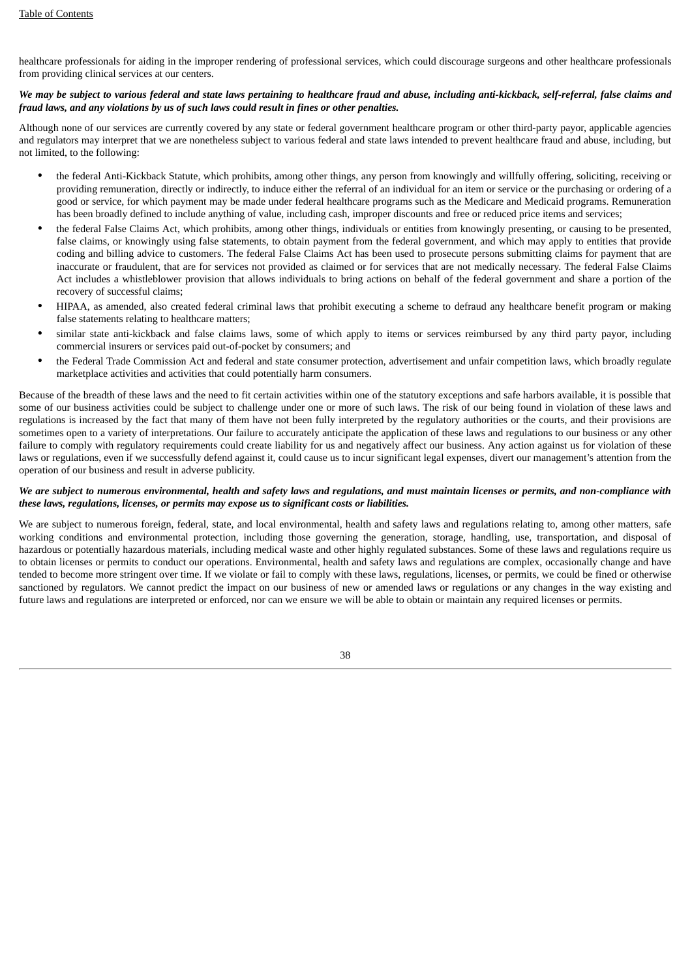## Table of [Contents](#page-1-0)

healthcare professionals for aiding in the improper rendering of professional services, which could discourage surgeons and other healthcare professionals from providing clinical services at our centers.

## We may be subject to various federal and state laws pertaining to healthcare fraud and abuse, including anti-kickback, self-referral, false claims and *fraud laws, and any violations by us of such laws could result in fines or other penalties.*

Although none of our services are currently covered by any state or federal government healthcare program or other third-party payor, applicable agencies and regulators may interpret that we are nonetheless subject to various federal and state laws intended to prevent healthcare fraud and abuse, including, but not limited, to the following:

- the federal Anti-Kickback Statute, which prohibits, among other things, any person from knowingly and willfully offering, soliciting, receiving or providing remuneration, directly or indirectly, to induce either the referral of an individual for an item or service or the purchasing or ordering of a good or service, for which payment may be made under federal healthcare programs such as the Medicare and Medicaid programs. Remuneration has been broadly defined to include anything of value, including cash, improper discounts and free or reduced price items and services;
- the federal False Claims Act, which prohibits, among other things, individuals or entities from knowingly presenting, or causing to be presented, false claims, or knowingly using false statements, to obtain payment from the federal government, and which may apply to entities that provide coding and billing advice to customers. The federal False Claims Act has been used to prosecute persons submitting claims for payment that are inaccurate or fraudulent, that are for services not provided as claimed or for services that are not medically necessary. The federal False Claims Act includes a whistleblower provision that allows individuals to bring actions on behalf of the federal government and share a portion of the recovery of successful claims;
- HIPAA, as amended, also created federal criminal laws that prohibit executing a scheme to defraud any healthcare benefit program or making false statements relating to healthcare matters;
- similar state anti-kickback and false claims laws, some of which apply to items or services reimbursed by any third party payor, including commercial insurers or services paid out-of-pocket by consumers; and
- the Federal Trade Commission Act and federal and state consumer protection, advertisement and unfair competition laws, which broadly regulate marketplace activities and activities that could potentially harm consumers.

Because of the breadth of these laws and the need to fit certain activities within one of the statutory exceptions and safe harbors available, it is possible that some of our business activities could be subject to challenge under one or more of such laws. The risk of our being found in violation of these laws and regulations is increased by the fact that many of them have not been fully interpreted by the regulatory authorities or the courts, and their provisions are sometimes open to a variety of interpretations. Our failure to accurately anticipate the application of these laws and regulations to our business or any other failure to comply with regulatory requirements could create liability for us and negatively affect our business. Any action against us for violation of these laws or regulations, even if we successfully defend against it, could cause us to incur significant legal expenses, divert our management's attention from the operation of our business and result in adverse publicity.

## We are subject to numerous environmental, health and safety laws and regulations, and must maintain licenses or permits, and non-compliance with *these laws, regulations, licenses, or permits may expose us to significant costs or liabilities.*

We are subject to numerous foreign, federal, state, and local environmental, health and safety laws and regulations relating to, among other matters, safe working conditions and environmental protection, including those governing the generation, storage, handling, use, transportation, and disposal of hazardous or potentially hazardous materials, including medical waste and other highly regulated substances. Some of these laws and regulations require us to obtain licenses or permits to conduct our operations. Environmental, health and safety laws and regulations are complex, occasionally change and have tended to become more stringent over time. If we violate or fail to comply with these laws, regulations, licenses, or permits, we could be fined or otherwise sanctioned by regulators. We cannot predict the impact on our business of new or amended laws or regulations or any changes in the way existing and future laws and regulations are interpreted or enforced, nor can we ensure we will be able to obtain or maintain any required licenses or permits.

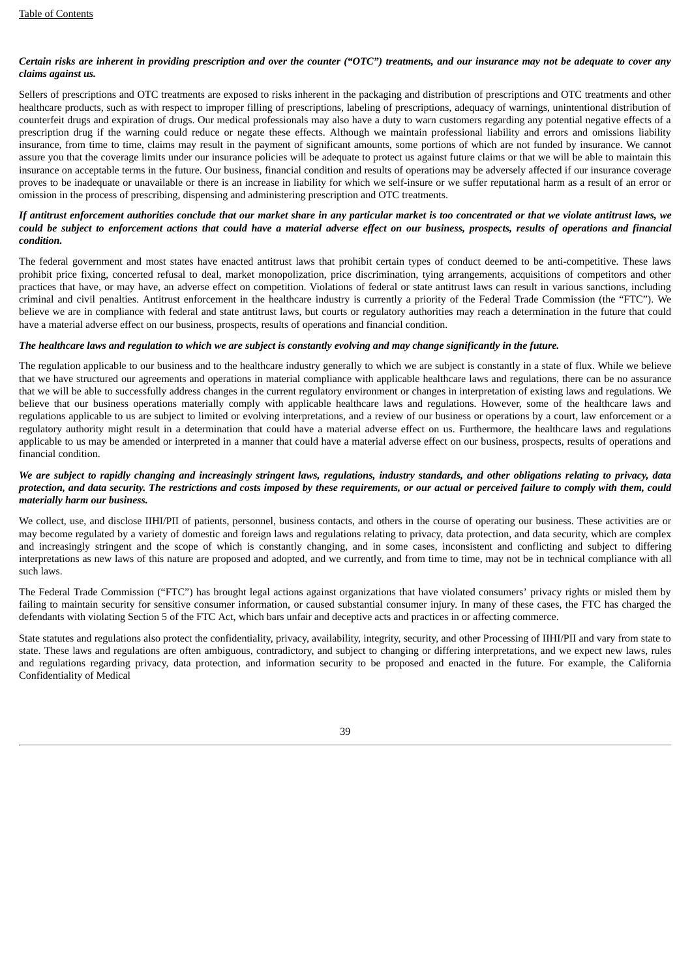## Certain risks are inherent in providing prescription and over the counter ("OTC") treatments, and our insurance may not be adequate to cover any *claims against us.*

Sellers of prescriptions and OTC treatments are exposed to risks inherent in the packaging and distribution of prescriptions and OTC treatments and other healthcare products, such as with respect to improper filling of prescriptions, labeling of prescriptions, adequacy of warnings, unintentional distribution of counterfeit drugs and expiration of drugs. Our medical professionals may also have a duty to warn customers regarding any potential negative effects of a prescription drug if the warning could reduce or negate these effects. Although we maintain professional liability and errors and omissions liability insurance, from time to time, claims may result in the payment of significant amounts, some portions of which are not funded by insurance. We cannot assure you that the coverage limits under our insurance policies will be adequate to protect us against future claims or that we will be able to maintain this insurance on acceptable terms in the future. Our business, financial condition and results of operations may be adversely affected if our insurance coverage proves to be inadequate or unavailable or there is an increase in liability for which we self-insure or we suffer reputational harm as a result of an error or omission in the process of prescribing, dispensing and administering prescription and OTC treatments.

## If antitrust enforcement authorities conclude that our market share in any particular market is too concentrated or that we violate antitrust laws, we could be subject to enforcement actions that could have a material adverse effect on our business, prospects, results of operations and financial *condition.*

The federal government and most states have enacted antitrust laws that prohibit certain types of conduct deemed to be anti-competitive. These laws prohibit price fixing, concerted refusal to deal, market monopolization, price discrimination, tying arrangements, acquisitions of competitors and other practices that have, or may have, an adverse effect on competition. Violations of federal or state antitrust laws can result in various sanctions, including criminal and civil penalties. Antitrust enforcement in the healthcare industry is currently a priority of the Federal Trade Commission (the "FTC"). We believe we are in compliance with federal and state antitrust laws, but courts or regulatory authorities may reach a determination in the future that could have a material adverse effect on our business, prospects, results of operations and financial condition.

## The healthcare laws and regulation to which we are subject is constantly evolving and may change significantly in the future.

The regulation applicable to our business and to the healthcare industry generally to which we are subject is constantly in a state of flux. While we believe that we have structured our agreements and operations in material compliance with applicable healthcare laws and regulations, there can be no assurance that we will be able to successfully address changes in the current regulatory environment or changes in interpretation of existing laws and regulations. We believe that our business operations materially comply with applicable healthcare laws and regulations. However, some of the healthcare laws and regulations applicable to us are subject to limited or evolving interpretations, and a review of our business or operations by a court, law enforcement or a regulatory authority might result in a determination that could have a material adverse effect on us. Furthermore, the healthcare laws and regulations applicable to us may be amended or interpreted in a manner that could have a material adverse effect on our business, prospects, results of operations and financial condition.

## We are subject to rapidly changing and increasingly stringent laws, regulations, industry standards, and other obligations relating to privacy, data protection, and data security. The restrictions and costs imposed by these requirements, or our actual or perceived failure to comply with them, could *materially harm our business.*

We collect, use, and disclose IIHI/PII of patients, personnel, business contacts, and others in the course of operating our business. These activities are or may become regulated by a variety of domestic and foreign laws and regulations relating to privacy, data protection, and data security, which are complex and increasingly stringent and the scope of which is constantly changing, and in some cases, inconsistent and conflicting and subject to differing interpretations as new laws of this nature are proposed and adopted, and we currently, and from time to time, may not be in technical compliance with all such laws.

The Federal Trade Commission ("FTC") has brought legal actions against organizations that have violated consumers' privacy rights or misled them by failing to maintain security for sensitive consumer information, or caused substantial consumer injury. In many of these cases, the FTC has charged the defendants with violating Section 5 of the FTC Act, which bars unfair and deceptive acts and practices in or affecting commerce.

State statutes and regulations also protect the confidentiality, privacy, availability, integrity, security, and other Processing of IIHI/PII and vary from state to state. These laws and regulations are often ambiguous, contradictory, and subject to changing or differing interpretations, and we expect new laws, rules and regulations regarding privacy, data protection, and information security to be proposed and enacted in the future. For example, the California Confidentiality of Medical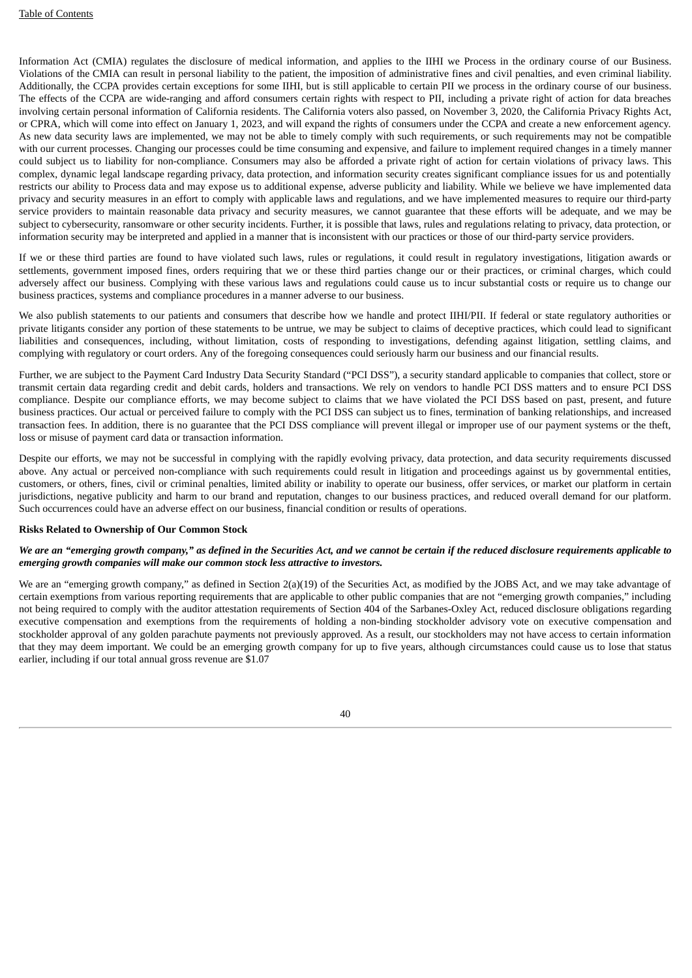Information Act (CMIA) regulates the disclosure of medical information, and applies to the IIHI we Process in the ordinary course of our Business. Violations of the CMIA can result in personal liability to the patient, the imposition of administrative fines and civil penalties, and even criminal liability. Additionally, the CCPA provides certain exceptions for some IIHI, but is still applicable to certain PII we process in the ordinary course of our business. The effects of the CCPA are wide-ranging and afford consumers certain rights with respect to PII, including a private right of action for data breaches involving certain personal information of California residents. The California voters also passed, on November 3, 2020, the California Privacy Rights Act, or CPRA, which will come into effect on January 1, 2023, and will expand the rights of consumers under the CCPA and create a new enforcement agency. As new data security laws are implemented, we may not be able to timely comply with such requirements, or such requirements may not be compatible with our current processes. Changing our processes could be time consuming and expensive, and failure to implement required changes in a timely manner could subject us to liability for non-compliance. Consumers may also be afforded a private right of action for certain violations of privacy laws. This complex, dynamic legal landscape regarding privacy, data protection, and information security creates significant compliance issues for us and potentially restricts our ability to Process data and may expose us to additional expense, adverse publicity and liability. While we believe we have implemented data privacy and security measures in an effort to comply with applicable laws and regulations, and we have implemented measures to require our third-party service providers to maintain reasonable data privacy and security measures, we cannot guarantee that these efforts will be adequate, and we may be subject to cybersecurity, ransomware or other security incidents. Further, it is possible that laws, rules and regulations relating to privacy, data protection, or information security may be interpreted and applied in a manner that is inconsistent with our practices or those of our third-party service providers.

If we or these third parties are found to have violated such laws, rules or regulations, it could result in regulatory investigations, litigation awards or settlements, government imposed fines, orders requiring that we or these third parties change our or their practices, or criminal charges, which could adversely affect our business. Complying with these various laws and regulations could cause us to incur substantial costs or require us to change our business practices, systems and compliance procedures in a manner adverse to our business.

We also publish statements to our patients and consumers that describe how we handle and protect IIHI/PII. If federal or state regulatory authorities or private litigants consider any portion of these statements to be untrue, we may be subject to claims of deceptive practices, which could lead to significant liabilities and consequences, including, without limitation, costs of responding to investigations, defending against litigation, settling claims, and complying with regulatory or court orders. Any of the foregoing consequences could seriously harm our business and our financial results.

Further, we are subject to the Payment Card Industry Data Security Standard ("PCI DSS"), a security standard applicable to companies that collect, store or transmit certain data regarding credit and debit cards, holders and transactions. We rely on vendors to handle PCI DSS matters and to ensure PCI DSS compliance. Despite our compliance efforts, we may become subject to claims that we have violated the PCI DSS based on past, present, and future business practices. Our actual or perceived failure to comply with the PCI DSS can subject us to fines, termination of banking relationships, and increased transaction fees. In addition, there is no guarantee that the PCI DSS compliance will prevent illegal or improper use of our payment systems or the theft, loss or misuse of payment card data or transaction information.

Despite our efforts, we may not be successful in complying with the rapidly evolving privacy, data protection, and data security requirements discussed above. Any actual or perceived non-compliance with such requirements could result in litigation and proceedings against us by governmental entities, customers, or others, fines, civil or criminal penalties, limited ability or inability to operate our business, offer services, or market our platform in certain jurisdictions, negative publicity and harm to our brand and reputation, changes to our business practices, and reduced overall demand for our platform. Such occurrences could have an adverse effect on our business, financial condition or results of operations.

#### **Risks Related to Ownership of Our Common Stock**

#### We are an "emerging growth company," as defined in the Securities Act, and we cannot be certain if the reduced disclosure requirements applicable to *emerging growth companies will make our common stock less attractive to investors.*

We are an "emerging growth company," as defined in Section 2(a)(19) of the Securities Act, as modified by the JOBS Act, and we may take advantage of certain exemptions from various reporting requirements that are applicable to other public companies that are not "emerging growth companies," including not being required to comply with the auditor attestation requirements of Section 404 of the Sarbanes-Oxley Act, reduced disclosure obligations regarding executive compensation and exemptions from the requirements of holding a non-binding stockholder advisory vote on executive compensation and stockholder approval of any golden parachute payments not previously approved. As a result, our stockholders may not have access to certain information that they may deem important. We could be an emerging growth company for up to five years, although circumstances could cause us to lose that status earlier, including if our total annual gross revenue are \$1.07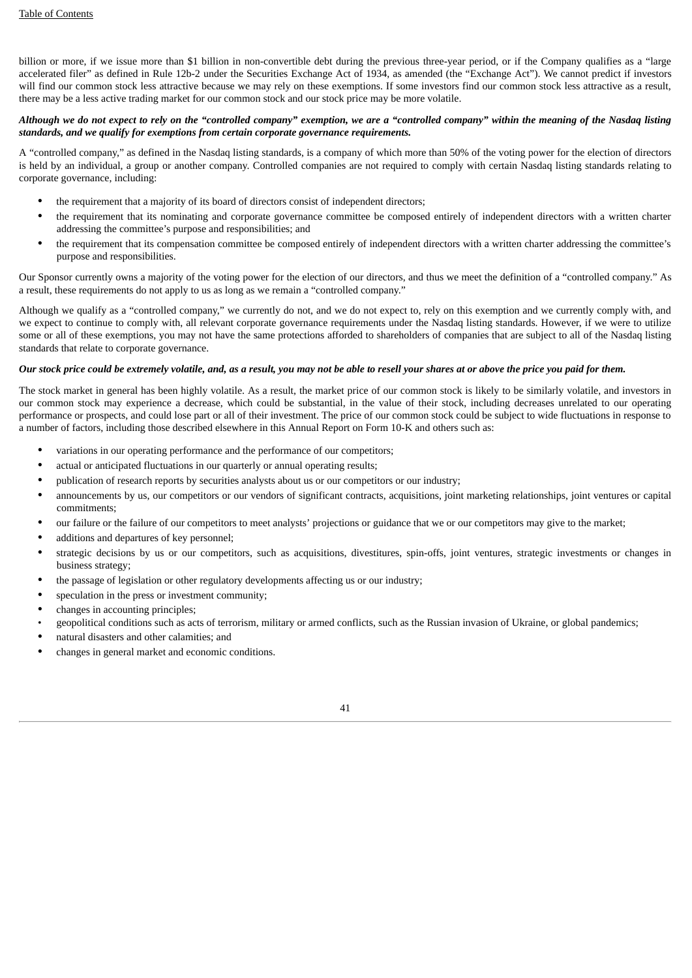billion or more, if we issue more than \$1 billion in non-convertible debt during the previous three-year period, or if the Company qualifies as a "large accelerated filer" as defined in Rule 12b-2 under the Securities Exchange Act of 1934, as amended (the "Exchange Act"). We cannot predict if investors will find our common stock less attractive because we may rely on these exemptions. If some investors find our common stock less attractive as a result, there may be a less active trading market for our common stock and our stock price may be more volatile.

## Although we do not expect to rely on the "controlled company" exemption, we are a "controlled company" within the meaning of the Nasdaq listing *standards, and we qualify for exemptions from certain corporate governance requirements.*

A "controlled company," as defined in the Nasdaq listing standards, is a company of which more than 50% of the voting power for the election of directors is held by an individual, a group or another company. Controlled companies are not required to comply with certain Nasdaq listing standards relating to corporate governance, including:

- the requirement that a majority of its board of directors consist of independent directors;
- the requirement that its nominating and corporate governance committee be composed entirely of independent directors with a written charter addressing the committee's purpose and responsibilities; and
- the requirement that its compensation committee be composed entirely of independent directors with a written charter addressing the committee's purpose and responsibilities.

Our Sponsor currently owns a majority of the voting power for the election of our directors, and thus we meet the definition of a "controlled company." As a result, these requirements do not apply to us as long as we remain a "controlled company."

Although we qualify as a "controlled company," we currently do not, and we do not expect to, rely on this exemption and we currently comply with, and we expect to continue to comply with, all relevant corporate governance requirements under the Nasdaq listing standards. However, if we were to utilize some or all of these exemptions, you may not have the same protections afforded to shareholders of companies that are subject to all of the Nasdaq listing standards that relate to corporate governance.

## Our stock price could be extremely volatile, and, as a result, you may not be able to resell your shares at or above the price you paid for them.

The stock market in general has been highly volatile. As a result, the market price of our common stock is likely to be similarly volatile, and investors in our common stock may experience a decrease, which could be substantial, in the value of their stock, including decreases unrelated to our operating performance or prospects, and could lose part or all of their investment. The price of our common stock could be subject to wide fluctuations in response to a number of factors, including those described elsewhere in this Annual Report on Form 10-K and others such as:

- variations in our operating performance and the performance of our competitors;
- actual or anticipated fluctuations in our quarterly or annual operating results;
- publication of research reports by securities analysts about us or our competitors or our industry;
- announcements by us, our competitors or our vendors of significant contracts, acquisitions, joint marketing relationships, joint ventures or capital commitments;
- our failure or the failure of our competitors to meet analysts' projections or guidance that we or our competitors may give to the market;
- additions and departures of key personnel;
- strategic decisions by us or our competitors, such as acquisitions, divestitures, spin-offs, joint ventures, strategic investments or changes in business strategy;
- the passage of legislation or other regulatory developments affecting us or our industry;
- speculation in the press or investment community;
- changes in accounting principles;
- geopolitical conditions such as acts of terrorism, military or armed conflicts, such as the Russian invasion of Ukraine, or global pandemics;
- natural disasters and other calamities; and
- changes in general market and economic conditions.

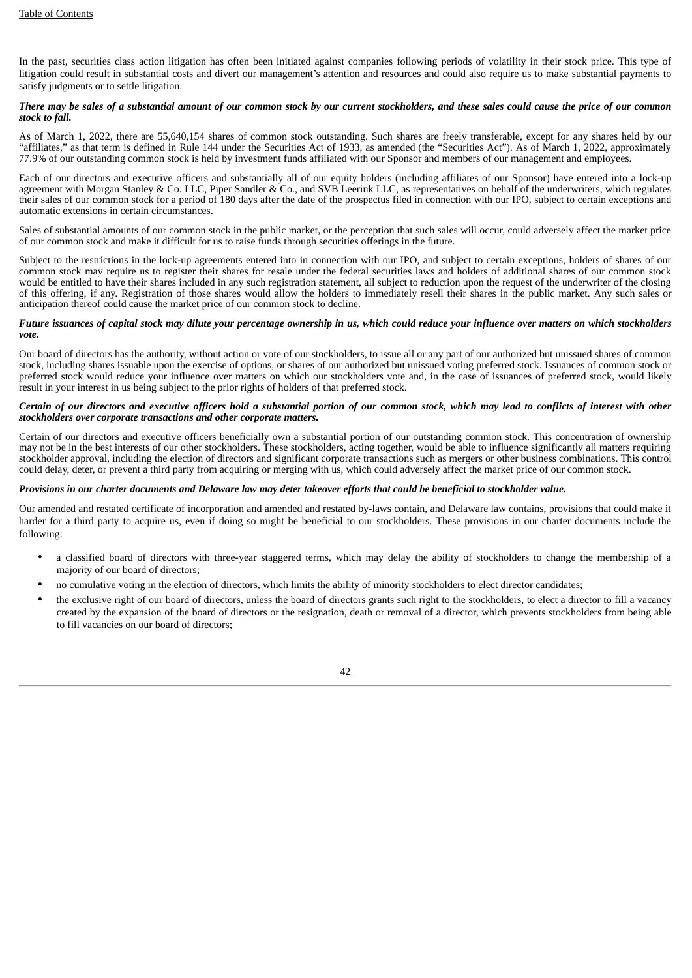In the past, securities class action litigation has often been initiated against companies following periods of volatility in their stock price. This type of litigation could result in substantial costs and divert our management's attention and resources and could also require us to make substantial payments to satisfy judgments or to settle litigation.

#### There may be sales of a substantial amount of our common stock by our current stockholders, and these sales could cause the price of our common *stock to fall.*

As of March 1, 2022, there are 55,640,154 shares of common stock outstanding. Such shares are freely transferable, except for any shares held by our "affiliates," as that term is defined in Rule 144 under the Securities Act of 1933, as amended (the "Securities Act"). As of March 1, 2022, approximately 77.9% of our outstanding common stock is held by investment funds affiliated with our Sponsor and members of our management and employees.

Each of our directors and executive officers and substantially all of our equity holders (including affiliates of our Sponsor) have entered into a lock-up agreement with Morgan Stanley & Co. LLC, Piper Sandler & Co., and SVB Leerink LLC, as representatives on behalf of the underwriters, which regulates their sales of our common stock for a period of 180 days after the date of the prospectus filed in connection with our IPO, subject to certain exceptions and automatic extensions in certain circumstances.

Sales of substantial amounts of our common stock in the public market, or the perception that such sales will occur, could adversely affect the market price of our common stock and make it difficult for us to raise funds through securities offerings in the future.

Subject to the restrictions in the lock-up agreements entered into in connection with our IPO, and subject to certain exceptions, holders of shares of our common stock may require us to register their shares for resale under the federal securities laws and holders of additional shares of our common stock would be entitled to have their shares included in any such registration statement, all subject to reduction upon the request of the underwriter of the closing of this offering, if any. Registration of those shares would allow the holders to immediately resell their shares in the public market. Any such sales or anticipation thereof could cause the market price of our common stock to decline.

#### Future issuances of capital stock may dilute your percentage ownership in us, which could reduce your influence over matters on which stockholders *vote.*

Our board of directors has the authority, without action or vote of our stockholders, to issue all or any part of our authorized but unissued shares of common stock, including shares issuable upon the exercise of options, or shares of our authorized but unissued voting preferred stock. Issuances of common stock or preferred stock would reduce your influence over matters on which our stockholders vote and, in the case of issuances of preferred stock, would likely result in your interest in us being subject to the prior rights of holders of that preferred stock.

## Certain of our directors and executive officers hold a substantial portion of our common stock, which may lead to conflicts of interest with other *stockholders over corporate transactions and other corporate matters.*

Certain of our directors and executive officers beneficially own a substantial portion of our outstanding common stock. This concentration of ownership may not be in the best interests of our other stockholders. These stockholders, acting together, would be able to influence significantly all matters requiring stockholder approval, including the election of directors and significant corporate transactions such as mergers or other business combinations. This control could delay, deter, or prevent a third party from acquiring or merging with us, which could adversely affect the market price of our common stock.

## Provisions in our charter documents and Delaware law may deter takeover efforts that could be beneficial to stockholder value.

Our amended and restated certificate of incorporation and amended and restated by-laws contain, and Delaware law contains, provisions that could make it harder for a third party to acquire us, even if doing so might be beneficial to our stockholders. These provisions in our charter documents include the following:

- a classified board of directors with three-year staggered terms, which may delay the ability of stockholders to change the membership of a majority of our board of directors;
- no cumulative voting in the election of directors, which limits the ability of minority stockholders to elect director candidates;
- the exclusive right of our board of directors, unless the board of directors grants such right to the stockholders, to elect a director to fill a vacancy created by the expansion of the board of directors or the resignation, death or removal of a director, which prevents stockholders from being able to fill vacancies on our board of directors;

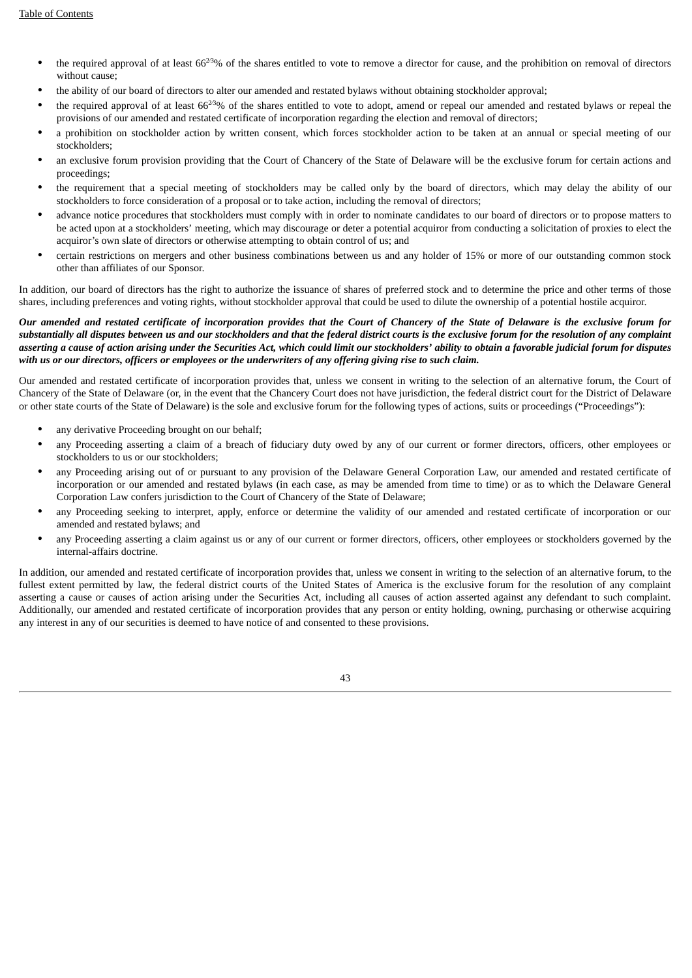- the required approval of at least 66<sup>23</sup>% of the shares entitled to vote to remove a director for cause, and the prohibition on removal of directors without cause;
- the ability of our board of directors to alter our amended and restated bylaws without obtaining stockholder approval;
- the required approval of at least 66<sup>23</sup>% of the shares entitled to vote to adopt, amend or repeal our amended and restated bylaws or repeal the provisions of our amended and restated certificate of incorporation regarding the election and removal of directors;
- a prohibition on stockholder action by written consent, which forces stockholder action to be taken at an annual or special meeting of our stockholders;
- an exclusive forum provision providing that the Court of Chancery of the State of Delaware will be the exclusive forum for certain actions and proceedings;
- the requirement that a special meeting of stockholders may be called only by the board of directors, which may delay the ability of our stockholders to force consideration of a proposal or to take action, including the removal of directors;
- advance notice procedures that stockholders must comply with in order to nominate candidates to our board of directors or to propose matters to be acted upon at a stockholders' meeting, which may discourage or deter a potential acquiror from conducting a solicitation of proxies to elect the acquiror's own slate of directors or otherwise attempting to obtain control of us; and
- certain restrictions on mergers and other business combinations between us and any holder of 15% or more of our outstanding common stock other than affiliates of our Sponsor.

In addition, our board of directors has the right to authorize the issuance of shares of preferred stock and to determine the price and other terms of those shares, including preferences and voting rights, without stockholder approval that could be used to dilute the ownership of a potential hostile acquiror.

## Our amended and restated certificate of incorporation provides that the Court of Chancery of the State of Delaware is the exclusive forum for substantially all disputes between us and our stockholders and that the federal district courts is the exclusive forum for the resolution of any complaint asserting a cause of action arising under the Securities Act, which could limit our stockholders' ability to obtain a favorable judicial forum for disputes with us or our directors, officers or employees or the underwriters of any offering giving rise to such claim.

Our amended and restated certificate of incorporation provides that, unless we consent in writing to the selection of an alternative forum, the Court of Chancery of the State of Delaware (or, in the event that the Chancery Court does not have jurisdiction, the federal district court for the District of Delaware or other state courts of the State of Delaware) is the sole and exclusive forum for the following types of actions, suits or proceedings ("Proceedings"):

- any derivative Proceeding brought on our behalf;
- any Proceeding asserting a claim of a breach of fiduciary duty owed by any of our current or former directors, officers, other employees or stockholders to us or our stockholders;
- any Proceeding arising out of or pursuant to any provision of the Delaware General Corporation Law, our amended and restated certificate of incorporation or our amended and restated bylaws (in each case, as may be amended from time to time) or as to which the Delaware General Corporation Law confers jurisdiction to the Court of Chancery of the State of Delaware;
- any Proceeding seeking to interpret, apply, enforce or determine the validity of our amended and restated certificate of incorporation or our amended and restated bylaws; and
- any Proceeding asserting a claim against us or any of our current or former directors, officers, other employees or stockholders governed by the internal-affairs doctrine.

In addition, our amended and restated certificate of incorporation provides that, unless we consent in writing to the selection of an alternative forum, to the fullest extent permitted by law, the federal district courts of the United States of America is the exclusive forum for the resolution of any complaint asserting a cause or causes of action arising under the Securities Act, including all causes of action asserted against any defendant to such complaint. Additionally, our amended and restated certificate of incorporation provides that any person or entity holding, owning, purchasing or otherwise acquiring any interest in any of our securities is deemed to have notice of and consented to these provisions.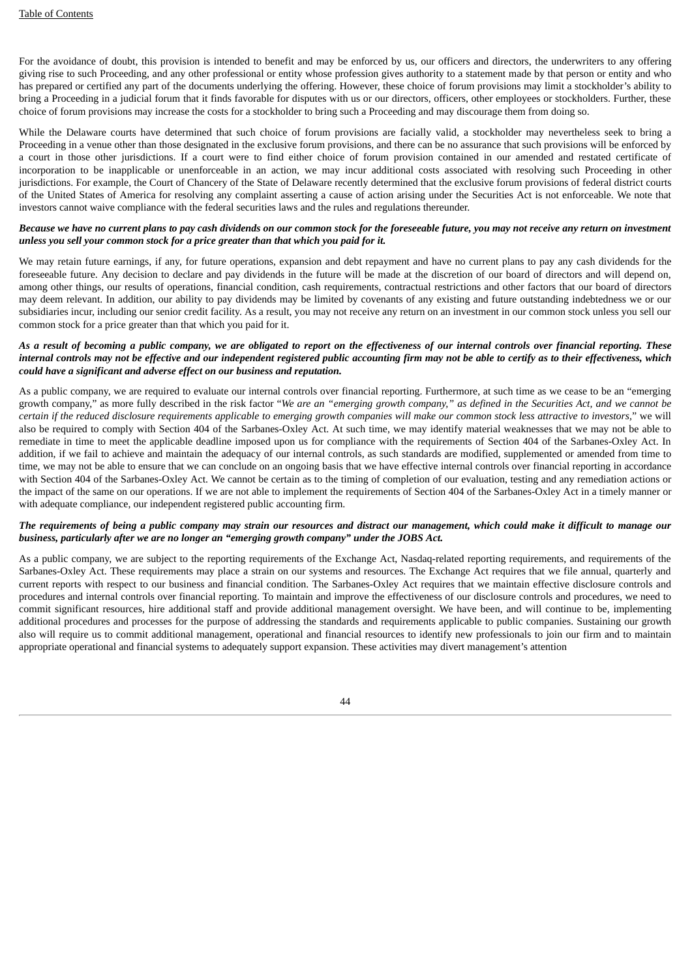For the avoidance of doubt, this provision is intended to benefit and may be enforced by us, our officers and directors, the underwriters to any offering giving rise to such Proceeding, and any other professional or entity whose profession gives authority to a statement made by that person or entity and who has prepared or certified any part of the documents underlying the offering. However, these choice of forum provisions may limit a stockholder's ability to bring a Proceeding in a judicial forum that it finds favorable for disputes with us or our directors, officers, other employees or stockholders. Further, these choice of forum provisions may increase the costs for a stockholder to bring such a Proceeding and may discourage them from doing so.

While the Delaware courts have determined that such choice of forum provisions are facially valid, a stockholder may nevertheless seek to bring a Proceeding in a venue other than those designated in the exclusive forum provisions, and there can be no assurance that such provisions will be enforced by a court in those other jurisdictions. If a court were to find either choice of forum provision contained in our amended and restated certificate of incorporation to be inapplicable or unenforceable in an action, we may incur additional costs associated with resolving such Proceeding in other jurisdictions. For example, the Court of Chancery of the State of Delaware recently determined that the exclusive forum provisions of federal district courts of the United States of America for resolving any complaint asserting a cause of action arising under the Securities Act is not enforceable. We note that investors cannot waive compliance with the federal securities laws and the rules and regulations thereunder.

#### Because we have no current plans to pay cash dividends on our common stock for the foreseeable future, you may not receive any return on investment *unless you sell your common stock for a price greater than that which you paid for it.*

We may retain future earnings, if any, for future operations, expansion and debt repayment and have no current plans to pay any cash dividends for the foreseeable future. Any decision to declare and pay dividends in the future will be made at the discretion of our board of directors and will depend on, among other things, our results of operations, financial condition, cash requirements, contractual restrictions and other factors that our board of directors may deem relevant. In addition, our ability to pay dividends may be limited by covenants of any existing and future outstanding indebtedness we or our subsidiaries incur, including our senior credit facility. As a result, you may not receive any return on an investment in our common stock unless you sell our common stock for a price greater than that which you paid for it.

## As a result of becoming a public company, we are obligated to report on the effectiveness of our internal controls over financial reporting. These internal controls may not be effective and our independent registered public accounting firm may not be able to certify as to their effectiveness, which *could have a significant and adverse effect on our business and reputation.*

As a public company, we are required to evaluate our internal controls over financial reporting. Furthermore, at such time as we cease to be an "emerging growth company," as more fully described in the risk factor "We are an "emerging growth company," as defined in the Securities Act, and we cannot be certain if the reduced disclosure requirements applicable to emerging growth companies will make our common stock less attractive to investors," we will also be required to comply with Section 404 of the Sarbanes-Oxley Act. At such time, we may identify material weaknesses that we may not be able to remediate in time to meet the applicable deadline imposed upon us for compliance with the requirements of Section 404 of the Sarbanes-Oxley Act. In addition, if we fail to achieve and maintain the adequacy of our internal controls, as such standards are modified, supplemented or amended from time to time, we may not be able to ensure that we can conclude on an ongoing basis that we have effective internal controls over financial reporting in accordance with Section 404 of the Sarbanes-Oxley Act. We cannot be certain as to the timing of completion of our evaluation, testing and any remediation actions or the impact of the same on our operations. If we are not able to implement the requirements of Section 404 of the Sarbanes-Oxley Act in a timely manner or with adequate compliance, our independent registered public accounting firm.

## The requirements of being a public company may strain our resources and distract our management, which could make it difficult to manage our *business, particularly after we are no longer an "emerging growth company" under the JOBS Act.*

As a public company, we are subject to the reporting requirements of the Exchange Act, Nasdaq-related reporting requirements, and requirements of the Sarbanes-Oxley Act. These requirements may place a strain on our systems and resources. The Exchange Act requires that we file annual, quarterly and current reports with respect to our business and financial condition. The Sarbanes-Oxley Act requires that we maintain effective disclosure controls and procedures and internal controls over financial reporting. To maintain and improve the effectiveness of our disclosure controls and procedures, we need to commit significant resources, hire additional staff and provide additional management oversight. We have been, and will continue to be, implementing additional procedures and processes for the purpose of addressing the standards and requirements applicable to public companies. Sustaining our growth also will require us to commit additional management, operational and financial resources to identify new professionals to join our firm and to maintain appropriate operational and financial systems to adequately support expansion. These activities may divert management's attention

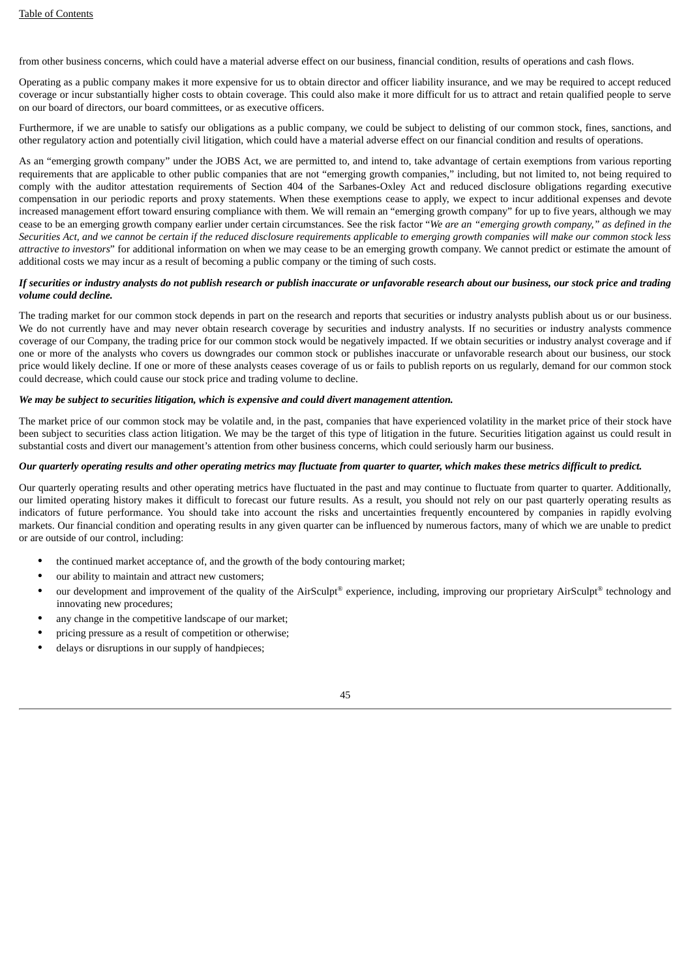from other business concerns, which could have a material adverse effect on our business, financial condition, results of operations and cash flows.

Operating as a public company makes it more expensive for us to obtain director and officer liability insurance, and we may be required to accept reduced coverage or incur substantially higher costs to obtain coverage. This could also make it more difficult for us to attract and retain qualified people to serve on our board of directors, our board committees, or as executive officers.

Furthermore, if we are unable to satisfy our obligations as a public company, we could be subject to delisting of our common stock, fines, sanctions, and other regulatory action and potentially civil litigation, which could have a material adverse effect on our financial condition and results of operations.

As an "emerging growth company" under the JOBS Act, we are permitted to, and intend to, take advantage of certain exemptions from various reporting requirements that are applicable to other public companies that are not "emerging growth companies," including, but not limited to, not being required to comply with the auditor attestation requirements of Section 404 of the Sarbanes-Oxley Act and reduced disclosure obligations regarding executive compensation in our periodic reports and proxy statements. When these exemptions cease to apply, we expect to incur additional expenses and devote increased management effort toward ensuring compliance with them. We will remain an "emerging growth company" for up to five years, although we may cease to be an emerging growth company earlier under certain circumstances. See the risk factor "*We are an "emerging growth company," as defined in the* Securities Act, and we cannot be certain if the reduced disclosure requirements applicable to emerging growth companies will make our common stock less *attractive to investors*" for additional information on when we may cease to be an emerging growth company. We cannot predict or estimate the amount of additional costs we may incur as a result of becoming a public company or the timing of such costs.

## If securities or industry analysts do not publish research or publish inaccurate or unfavorable research about our business, our stock price and trading *volume could decline.*

The trading market for our common stock depends in part on the research and reports that securities or industry analysts publish about us or our business. We do not currently have and may never obtain research coverage by securities and industry analysts. If no securities or industry analysts commence coverage of our Company, the trading price for our common stock would be negatively impacted. If we obtain securities or industry analyst coverage and if one or more of the analysts who covers us downgrades our common stock or publishes inaccurate or unfavorable research about our business, our stock price would likely decline. If one or more of these analysts ceases coverage of us or fails to publish reports on us regularly, demand for our common stock could decrease, which could cause our stock price and trading volume to decline.

## *We may be subject to securities litigation, which is expensive and could divert management attention.*

The market price of our common stock may be volatile and, in the past, companies that have experienced volatility in the market price of their stock have been subject to securities class action litigation. We may be the target of this type of litigation in the future. Securities litigation against us could result in substantial costs and divert our management's attention from other business concerns, which could seriously harm our business.

## Our quarterly operating results and other operating metrics may fluctuate from quarter to quarter, which makes these metrics difficult to predict.

Our quarterly operating results and other operating metrics have fluctuated in the past and may continue to fluctuate from quarter to quarter. Additionally, our limited operating history makes it difficult to forecast our future results. As a result, you should not rely on our past quarterly operating results as indicators of future performance. You should take into account the risks and uncertainties frequently encountered by companies in rapidly evolving markets. Our financial condition and operating results in any given quarter can be influenced by numerous factors, many of which we are unable to predict or are outside of our control, including:

- the continued market acceptance of, and the growth of the body contouring market;
- our ability to maintain and attract new customers;
- our development and improvement of the quality of the AirSculpt® experience, including, improving our proprietary AirSculpt® technology and innovating new procedures;
- any change in the competitive landscape of our market:
- pricing pressure as a result of competition or otherwise;
- delays or disruptions in our supply of handpieces;

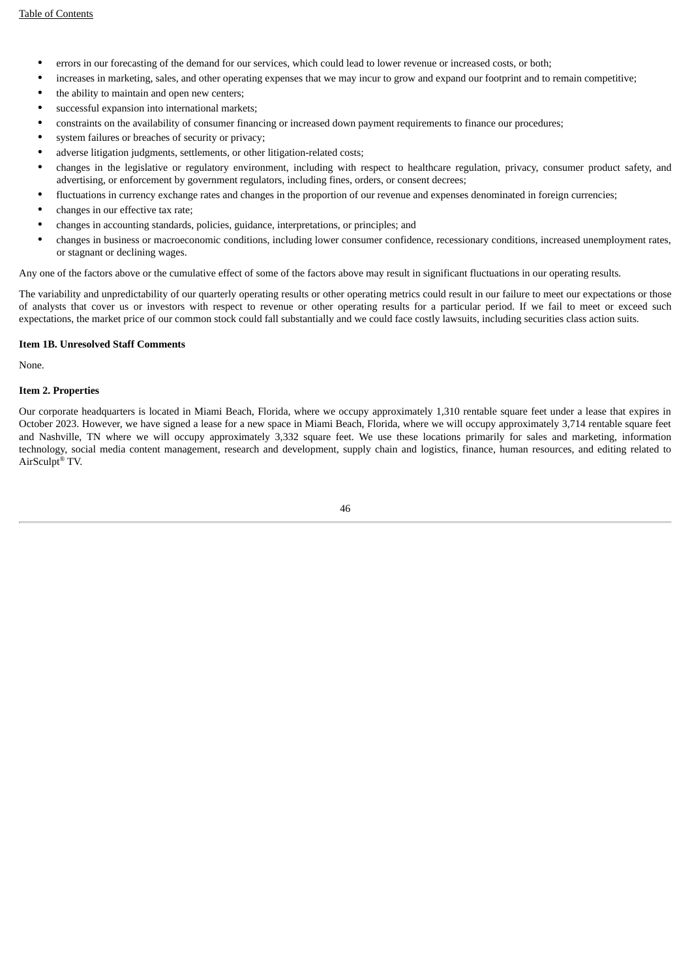- errors in our forecasting of the demand for our services, which could lead to lower revenue or increased costs, or both;
- increases in marketing, sales, and other operating expenses that we may incur to grow and expand our footprint and to remain competitive;
- the ability to maintain and open new centers;
- successful expansion into international markets;
- constraints on the availability of consumer financing or increased down payment requirements to finance our procedures;
- system failures or breaches of security or privacy:
- adverse litigation judgments, settlements, or other litigation-related costs;
- changes in the legislative or regulatory environment, including with respect to healthcare regulation, privacy, consumer product safety, and advertising, or enforcement by government regulators, including fines, orders, or consent decrees;
- fluctuations in currency exchange rates and changes in the proportion of our revenue and expenses denominated in foreign currencies;
- changes in our effective tax rate;
- changes in accounting standards, policies, guidance, interpretations, or principles; and
- changes in business or macroeconomic conditions, including lower consumer confidence, recessionary conditions, increased unemployment rates, or stagnant or declining wages.

Any one of the factors above or the cumulative effect of some of the factors above may result in significant fluctuations in our operating results.

The variability and unpredictability of our quarterly operating results or other operating metrics could result in our failure to meet our expectations or those of analysts that cover us or investors with respect to revenue or other operating results for a particular period. If we fail to meet or exceed such expectations, the market price of our common stock could fall substantially and we could face costly lawsuits, including securities class action suits.

#### **Item 1B. Unresolved Staff Comments**

None.

#### **Item 2. Properties**

Our corporate headquarters is located in Miami Beach, Florida, where we occupy approximately 1,310 rentable square feet under a lease that expires in October 2023. However, we have signed a lease for a new space in Miami Beach, Florida, where we will occupy approximately 3,714 rentable square feet and Nashville, TN where we will occupy approximately 3,332 square feet. We use these locations primarily for sales and marketing, information technology, social media content management, research and development, supply chain and logistics, finance, human resources, and editing related to AirSculpt® TV.

| ٠        |
|----------|
| ۰.<br>۰. |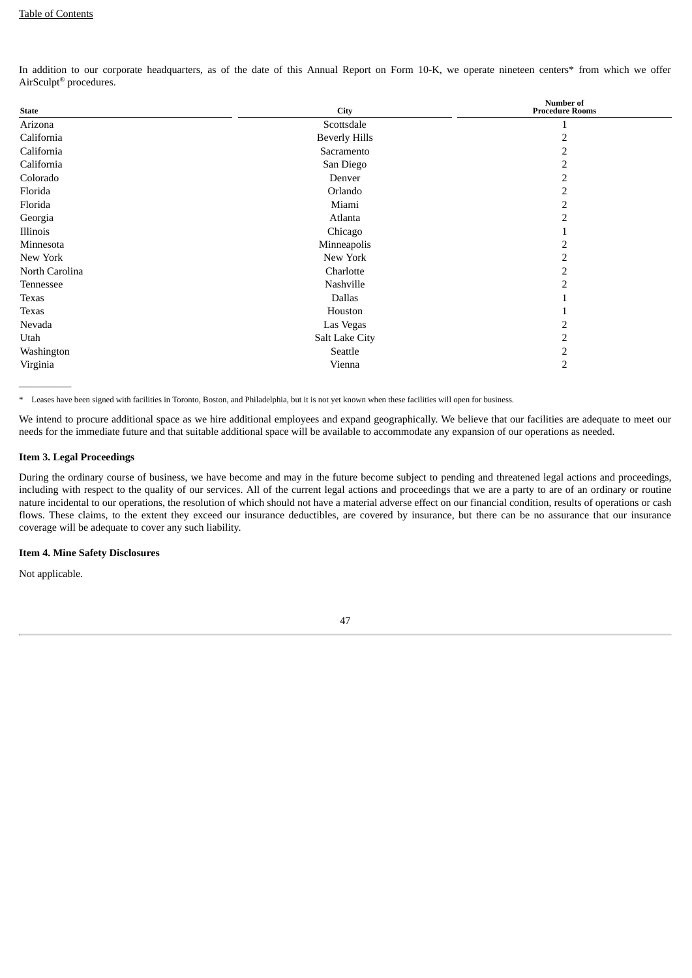In addition to our corporate headquarters, as of the date of this Annual Report on Form 10-K, we operate nineteen centers\* from which we offer AirSculpt® procedures.

| <b>State</b>   | Number of<br><b>Procedure Rooms</b> |                |
|----------------|-------------------------------------|----------------|
| Arizona        | Scottsdale                          |                |
| California     | <b>Beverly Hills</b>                |                |
| California     | Sacramento                          |                |
| California     | San Diego                           |                |
| Colorado       | Denver                              |                |
| Florida        | Orlando                             | 2              |
| Florida        | Miami                               | 2              |
| Georgia        | Atlanta                             | 2              |
| Illinois       | Chicago                             |                |
| Minnesota      | Minneapolis                         |                |
| New York       | New York                            | 2              |
| North Carolina | Charlotte                           | 2              |
| Tennessee      | Nashville                           | 2              |
| Texas          | Dallas                              |                |
| <b>Texas</b>   | Houston                             |                |
| Nevada         | Las Vegas                           |                |
| Utah           | Salt Lake City                      | 2              |
| Washington     | Seattle                             | 2              |
| Virginia       | Vienna                              | $\overline{2}$ |

\* Leases have been signed with facilities in Toronto, Boston, and Philadelphia, but it is not yet known when these facilities will open for business.

We intend to procure additional space as we hire additional employees and expand geographically. We believe that our facilities are adequate to meet our needs for the immediate future and that suitable additional space will be available to accommodate any expansion of our operations as needed.

## **Item 3. Legal Proceedings**

During the ordinary course of business, we have become and may in the future become subject to pending and threatened legal actions and proceedings, including with respect to the quality of our services. All of the current legal actions and proceedings that we are a party to are of an ordinary or routine nature incidental to our operations, the resolution of which should not have a material adverse effect on our financial condition, results of operations or cash flows. These claims, to the extent they exceed our insurance deductibles, are covered by insurance, but there can be no assurance that our insurance coverage will be adequate to cover any such liability.

## **Item 4. Mine Safety Disclosures**

Not applicable.

 $\overline{\phantom{a}}$  . The contract of  $\overline{\phantom{a}}$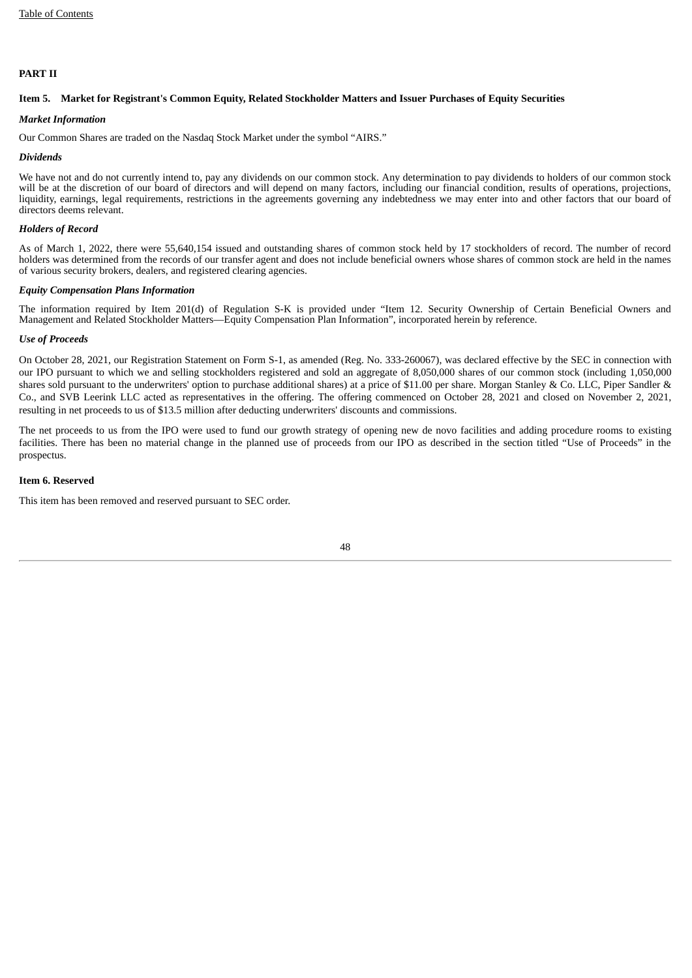## **PART II**

#### Item 5. Market for Registrant's Common Equity, Related Stockholder Matters and Issuer Purchases of Equity Securities

## *Market Information*

Our Common Shares are traded on the Nasdaq Stock Market under the symbol "AIRS."

#### *Dividends*

We have not and do not currently intend to, pay any dividends on our common stock. Any determination to pay dividends to holders of our common stock will be at the discretion of our board of directors and will depend on many factors, including our financial condition, results of operations, projections, liquidity, earnings, legal requirements, restrictions in the agreements governing any indebtedness we may enter into and other factors that our board of directors deems relevant.

#### *Holders of Record*

As of March 1, 2022, there were 55,640,154 issued and outstanding shares of common stock held by 17 stockholders of record. The number of record holders was determined from the records of our transfer agent and does not include beneficial owners whose shares of common stock are held in the names of various security brokers, dealers, and registered clearing agencies.

## *Equity Compensation Plans Information*

The information required by Item 201(d) of Regulation S-K is provided under "Item 12. Security Ownership of Certain Beneficial Owners and Management and Related Stockholder Matters—Equity Compensation Plan Information", incorporated herein by reference.

#### *Use of Proceeds*

On October 28, 2021, our Registration Statement on Form S-1, as amended (Reg. No. 333-260067), was declared effective by the SEC in connection with our IPO pursuant to which we and selling stockholders registered and sold an aggregate of 8,050,000 shares of our common stock (including 1,050,000 shares sold pursuant to the underwriters' option to purchase additional shares) at a price of \$11.00 per share. Morgan Stanley & Co. LLC, Piper Sandler & Co., and SVB Leerink LLC acted as representatives in the offering. The offering commenced on October 28, 2021 and closed on November 2, 2021, resulting in net proceeds to us of \$13.5 million after deducting underwriters' discounts and commissions.

The net proceeds to us from the IPO were used to fund our growth strategy of opening new de novo facilities and adding procedure rooms to existing facilities. There has been no material change in the planned use of proceeds from our IPO as described in the section titled "Use of Proceeds" in the prospectus.

#### **Item 6. Reserved**

This item has been removed and reserved pursuant to SEC order.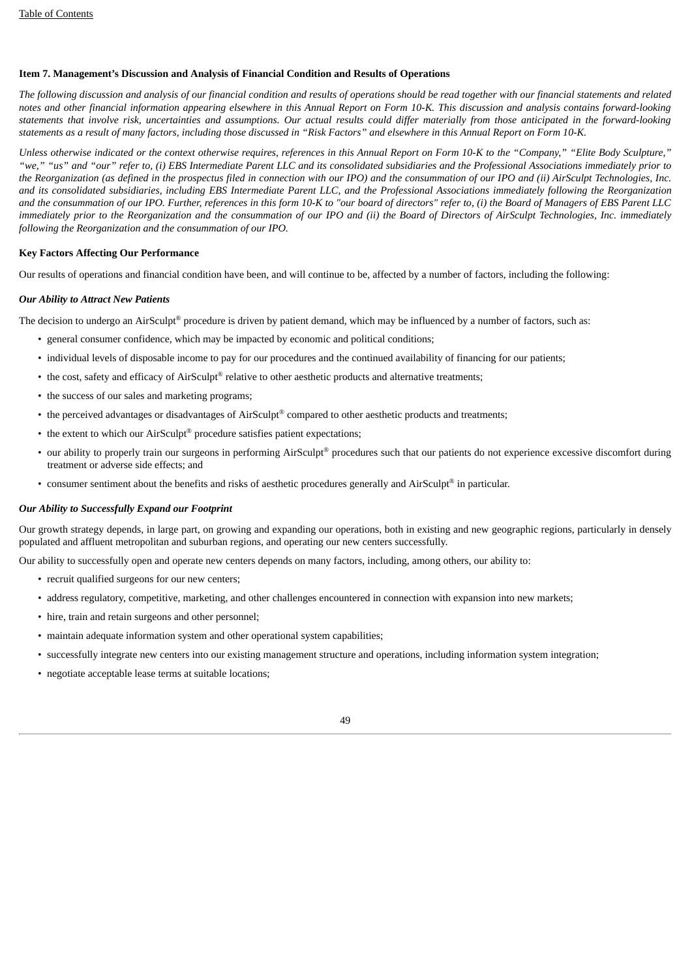## **Item 7. Management's Discussion and Analysis of Financial Condition and Results of Operations**

The following discussion and analysis of our financial condition and results of operations should be read together with our financial statements and related notes and other financial information appearing elsewhere in this Annual Report on Form 10-K. This discussion and analysis contains forward-looking statements that involve risk, uncertainties and assumptions. Our actual results could differ materially from those anticipated in the forward-looking statements as a result of many factors, including those discussed in "Risk Factors" and elsewhere in this Annual Report on Form 10-K.

Unless otherwise indicated or the context otherwise requires, references in this Annual Report on Form 10-K to the "Company," "Elite Body Sculpture," "we," "us" and "our" refer to, (i) EBS Intermediate Parent LLC and its consolidated subsidiaries and the Professional Associations immediately prior to the Reorganization (as defined in the prospectus filed in connection with our IPO) and the consummation of our IPO and (ii) AirSculpt Technologies, Inc. and its consolidated subsidiaries, including EBS Intermediate Parent LLC, and the Professional Associations immediately following the Reorganization and the consummation of our IPO. Further, references in this form 10-K to "our board of directors" refer to, (i) the Board of Managers of EBS Parent LLC immediately prior to the Reorganization and the consummation of our IPO and (ii) the Board of Directors of AirSculpt Technologies, Inc. immediately *following the Reorganization and the consummation of our IPO.*

## **Key Factors Affecting Our Performance**

Our results of operations and financial condition have been, and will continue to be, affected by a number of factors, including the following:

## *Our Ability to Attract New Patients*

The decision to undergo an AirSculpt<sup>®</sup> procedure is driven by patient demand, which may be influenced by a number of factors, such as:

- general consumer confidence, which may be impacted by economic and political conditions;
- individual levels of disposable income to pay for our procedures and the continued availability of financing for our patients;
- the cost, safety and efficacy of AirSculpt® relative to other aesthetic products and alternative treatments;
- the success of our sales and marketing programs;
- the perceived advantages or disadvantages of AirSculpt® compared to other aesthetic products and treatments;
- the extent to which our  $AirSculpt^{\circledast}$  procedure satisfies patient expectations;
- our ability to properly train our surgeons in performing AirSculpt® procedures such that our patients do not experience excessive discomfort during treatment or adverse side effects; and
- consumer sentiment about the benefits and risks of aesthetic procedures generally and AirSculpt® in particular.

## *Our Ability to Successfully Expand our Footprint*

Our growth strategy depends, in large part, on growing and expanding our operations, both in existing and new geographic regions, particularly in densely populated and affluent metropolitan and suburban regions, and operating our new centers successfully.

Our ability to successfully open and operate new centers depends on many factors, including, among others, our ability to:

- recruit qualified surgeons for our new centers;
- address regulatory, competitive, marketing, and other challenges encountered in connection with expansion into new markets;
- hire, train and retain surgeons and other personnel;
- maintain adequate information system and other operational system capabilities;
- successfully integrate new centers into our existing management structure and operations, including information system integration;
- negotiate acceptable lease terms at suitable locations;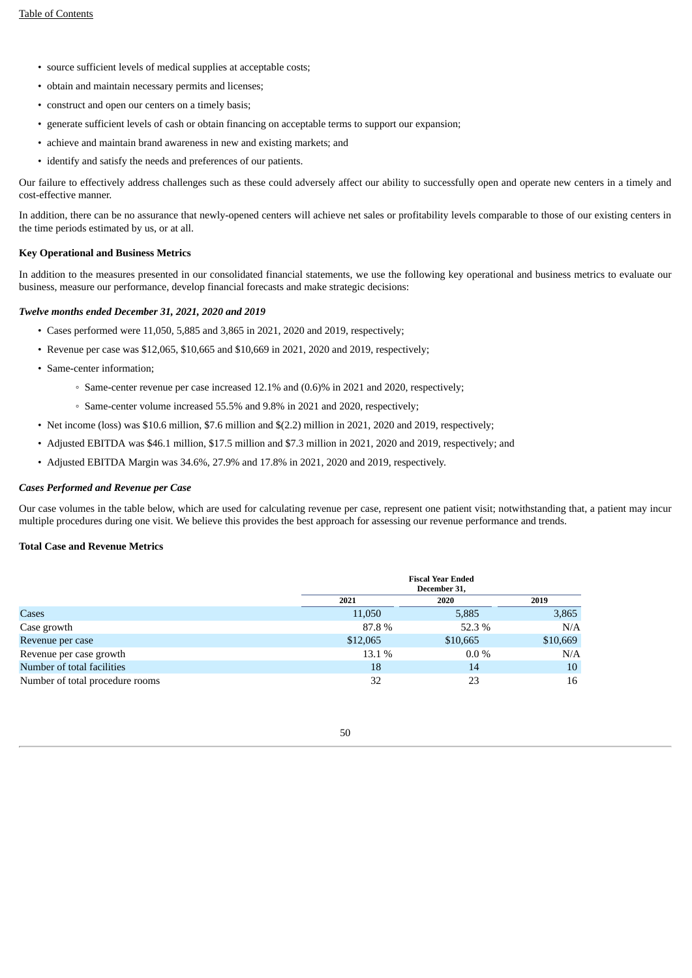- source sufficient levels of medical supplies at acceptable costs;
- obtain and maintain necessary permits and licenses;
- construct and open our centers on a timely basis;
- generate sufficient levels of cash or obtain financing on acceptable terms to support our expansion;
- achieve and maintain brand awareness in new and existing markets; and
- identify and satisfy the needs and preferences of our patients.

Our failure to effectively address challenges such as these could adversely affect our ability to successfully open and operate new centers in a timely and cost-effective manner.

In addition, there can be no assurance that newly-opened centers will achieve net sales or profitability levels comparable to those of our existing centers in the time periods estimated by us, or at all.

#### **Key Operational and Business Metrics**

In addition to the measures presented in our consolidated financial statements, we use the following key operational and business metrics to evaluate our business, measure our performance, develop financial forecasts and make strategic decisions:

## *Twelve months ended December 31, 2021, 2020 and 2019*

- Cases performed were 11,050, 5,885 and 3,865 in 2021, 2020 and 2019, respectively;
- Revenue per case was \$12,065, \$10,665 and \$10,669 in 2021, 2020 and 2019, respectively;
- Same-center information;
	- Same-center revenue per case increased 12.1% and (0.6)% in 2021 and 2020, respectively;
	- Same-center volume increased 55.5% and 9.8% in 2021 and 2020, respectively;
- Net income (loss) was \$10.6 million, \$7.6 million and \$(2.2) million in 2021, 2020 and 2019, respectively;
- Adjusted EBITDA was \$46.1 million, \$17.5 million and \$7.3 million in 2021, 2020 and 2019, respectively; and
- Adjusted EBITDA Margin was 34.6%, 27.9% and 17.8% in 2021, 2020 and 2019, respectively.

#### *Cases Performed and Revenue per Case*

Our case volumes in the table below, which are used for calculating revenue per case, represent one patient visit; notwithstanding that, a patient may incur multiple procedures during one visit. We believe this provides the best approach for assessing our revenue performance and trends.

## **Total Case and Revenue Metrics**

|                                 |          | <b>Fiscal Year Ended</b><br>December 31, |          |  |  |  |
|---------------------------------|----------|------------------------------------------|----------|--|--|--|
|                                 | 2021     | 2020                                     | 2019     |  |  |  |
| Cases                           | 11,050   | 5,885                                    | 3,865    |  |  |  |
| Case growth                     | 87.8%    | 52.3%                                    | N/A      |  |  |  |
| Revenue per case                | \$12,065 | \$10,665                                 | \$10,669 |  |  |  |
| Revenue per case growth         | 13.1 %   | $0.0\%$                                  | N/A      |  |  |  |
| Number of total facilities      | 18       | 14                                       | 10       |  |  |  |
| Number of total procedure rooms | 32       | 23                                       | 16       |  |  |  |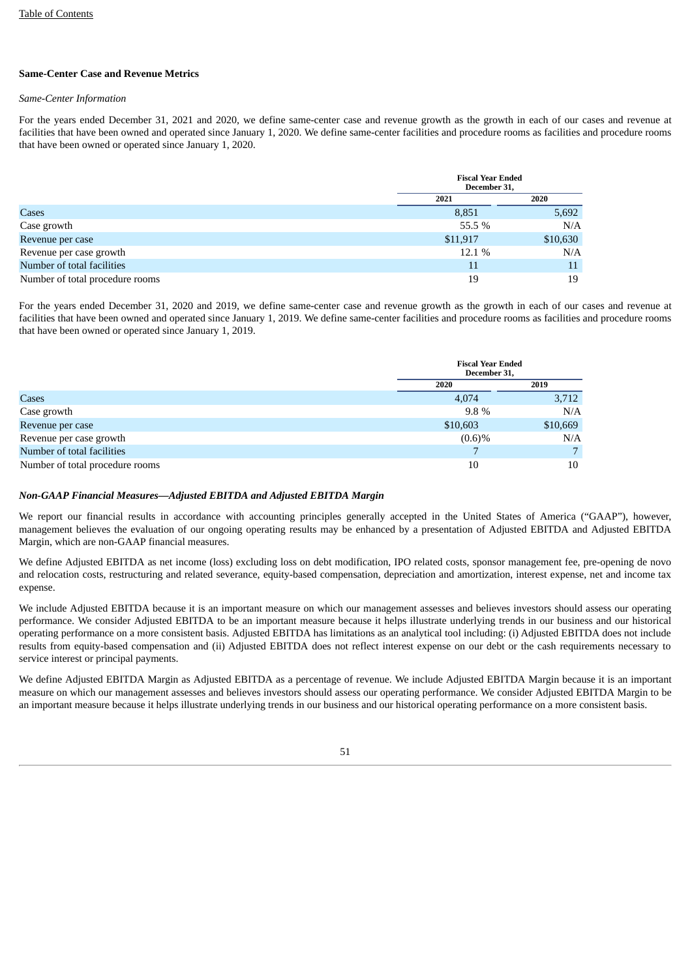# **Same-Center Case and Revenue Metrics**

## *Same-Center Information*

For the years ended December 31, 2021 and 2020, we define same-center case and revenue growth as the growth in each of our cases and revenue at facilities that have been owned and operated since January 1, 2020. We define same-center facilities and procedure rooms as facilities and procedure rooms that have been owned or operated since January 1, 2020.

|                                 | <b>Fiscal Year Ended</b><br>December 31, |          |
|---------------------------------|------------------------------------------|----------|
|                                 | 2021                                     | 2020     |
| Cases                           | 8,851                                    | 5,692    |
| Case growth                     | 55.5 %                                   | N/A      |
| Revenue per case                | \$11,917                                 | \$10,630 |
| Revenue per case growth         | 12.1 %                                   | N/A      |
| Number of total facilities      | 11                                       |          |
| Number of total procedure rooms | 19                                       | 19       |

For the years ended December 31, 2020 and 2019, we define same-center case and revenue growth as the growth in each of our cases and revenue at facilities that have been owned and operated since January 1, 2019. We define same-center facilities and procedure rooms as facilities and procedure rooms that have been owned or operated since January 1, 2019.

|                                 | <b>Fiscal Year Ended</b><br>December 31, |          |
|---------------------------------|------------------------------------------|----------|
|                                 | 2020                                     | 2019     |
| Cases                           | 4,074                                    | 3,712    |
| Case growth                     | $9.8\%$                                  | N/A      |
| Revenue per case                | \$10,603                                 | \$10,669 |
| Revenue per case growth         | (0.6)%                                   | N/A      |
| Number of total facilities      |                                          | 7        |
| Number of total procedure rooms | 10                                       | 10       |

## *Non-GAAP Financial Measures—Adjusted EBITDA and Adjusted EBITDA Margin*

We report our financial results in accordance with accounting principles generally accepted in the United States of America ("GAAP"), however, management believes the evaluation of our ongoing operating results may be enhanced by a presentation of Adjusted EBITDA and Adjusted EBITDA Margin, which are non-GAAP financial measures.

We define Adjusted EBITDA as net income (loss) excluding loss on debt modification, IPO related costs, sponsor management fee, pre-opening de novo and relocation costs, restructuring and related severance, equity-based compensation, depreciation and amortization, interest expense, net and income tax expense.

We include Adjusted EBITDA because it is an important measure on which our management assesses and believes investors should assess our operating performance. We consider Adjusted EBITDA to be an important measure because it helps illustrate underlying trends in our business and our historical operating performance on a more consistent basis. Adjusted EBITDA has limitations as an analytical tool including: (i) Adjusted EBITDA does not include results from equity-based compensation and (ii) Adjusted EBITDA does not reflect interest expense on our debt or the cash requirements necessary to service interest or principal payments.

We define Adjusted EBITDA Margin as Adjusted EBITDA as a percentage of revenue. We include Adjusted EBITDA Margin because it is an important measure on which our management assesses and believes investors should assess our operating performance. We consider Adjusted EBITDA Margin to be an important measure because it helps illustrate underlying trends in our business and our historical operating performance on a more consistent basis.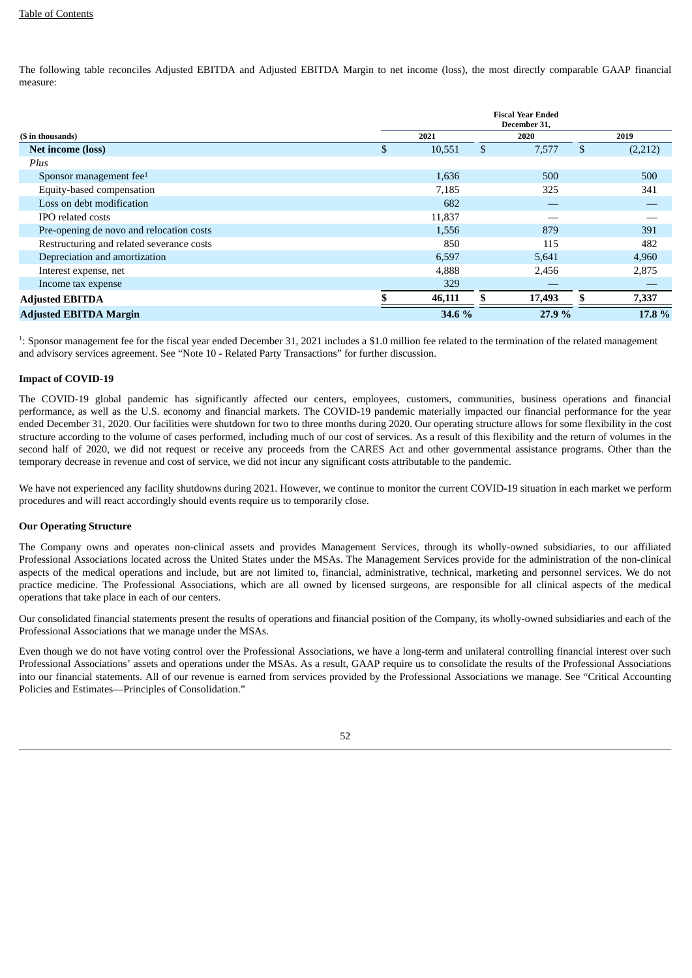The following table reconciles Adjusted EBITDA and Adjusted EBITDA Margin to net income (loss), the most directly comparable GAAP financial measure:

|                                           | <b>Fiscal Year Ended</b><br>December 31, |              |  |        |        |         |  |  |
|-------------------------------------------|------------------------------------------|--------------|--|--------|--------|---------|--|--|
| (\$ in thousands)                         | 2021                                     |              |  |        |        | 2019    |  |  |
| Net income (loss)                         | \$.                                      | 10,551<br>\$ |  | 7,577  | \$     | (2,212) |  |  |
| Plus                                      |                                          |              |  |        |        |         |  |  |
| Sponsor management fee $1$                |                                          | 1,636        |  | 500    |        | 500     |  |  |
| Equity-based compensation                 |                                          | 7,185        |  | 325    |        | 341     |  |  |
| Loss on debt modification                 |                                          | 682          |  |        |        |         |  |  |
| <b>IPO</b> related costs                  |                                          | 11,837       |  |        |        |         |  |  |
| Pre-opening de novo and relocation costs  |                                          | 1,556        |  | 879    |        | 391     |  |  |
| Restructuring and related severance costs |                                          | 850          |  | 115    |        | 482     |  |  |
| Depreciation and amortization             |                                          | 6,597        |  | 5,641  |        | 4,960   |  |  |
| Interest expense, net                     |                                          | 4,888        |  | 2,456  |        | 2,875   |  |  |
| Income tax expense                        |                                          | 329          |  |        |        |         |  |  |
| <b>Adjusted EBITDA</b>                    |                                          | 46,111       |  | 17,493 | \$     | 7,337   |  |  |
| <b>Adjusted EBITDA Margin</b>             | 27.9 %<br>34.6 %                         |              |  |        | 17.8 % |         |  |  |

<sup>1</sup>: Sponsor management fee for the fiscal year ended December 31, 2021 includes a \$1.0 million fee related to the termination of the related management and advisory services agreement. See "Note 10 - Related Party Transactions" for further discussion.

#### **Impact of COVID-19**

The COVID-19 global pandemic has significantly affected our centers, employees, customers, communities, business operations and financial performance, as well as the U.S. economy and financial markets. The COVID-19 pandemic materially impacted our financial performance for the year ended December 31, 2020. Our facilities were shutdown for two to three months during 2020. Our operating structure allows for some flexibility in the cost structure according to the volume of cases performed, including much of our cost of services. As a result of this flexibility and the return of volumes in the second half of 2020, we did not request or receive any proceeds from the CARES Act and other governmental assistance programs. Other than the temporary decrease in revenue and cost of service, we did not incur any significant costs attributable to the pandemic.

We have not experienced any facility shutdowns during 2021. However, we continue to monitor the current COVID-19 situation in each market we perform procedures and will react accordingly should events require us to temporarily close.

## **Our Operating Structure**

The Company owns and operates non-clinical assets and provides Management Services, through its wholly-owned subsidiaries, to our affiliated Professional Associations located across the United States under the MSAs. The Management Services provide for the administration of the non-clinical aspects of the medical operations and include, but are not limited to, financial, administrative, technical, marketing and personnel services. We do not practice medicine. The Professional Associations, which are all owned by licensed surgeons, are responsible for all clinical aspects of the medical operations that take place in each of our centers.

Our consolidated financial statements present the results of operations and financial position of the Company, its wholly-owned subsidiaries and each of the Professional Associations that we manage under the MSAs.

Even though we do not have voting control over the Professional Associations, we have a long-term and unilateral controlling financial interest over such Professional Associations' assets and operations under the MSAs. As a result, GAAP require us to consolidate the results of the Professional Associations into our financial statements. All of our revenue is earned from services provided by the Professional Associations we manage. See "Critical Accounting Policies and Estimates—Principles of Consolidation."

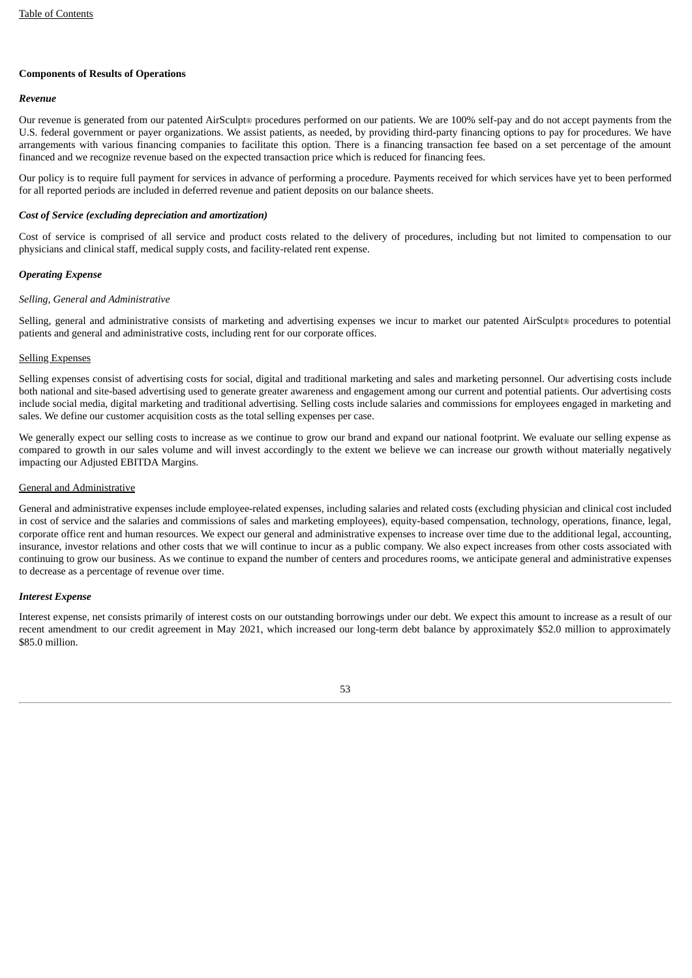## **Components of Results of Operations**

#### *Revenue*

Our revenue is generated from our patented AirSculpt® procedures performed on our patients. We are 100% self-pay and do not accept payments from the U.S. federal government or payer organizations. We assist patients, as needed, by providing third-party financing options to pay for procedures. We have arrangements with various financing companies to facilitate this option. There is a financing transaction fee based on a set percentage of the amount financed and we recognize revenue based on the expected transaction price which is reduced for financing fees.

Our policy is to require full payment for services in advance of performing a procedure. Payments received for which services have yet to been performed for all reported periods are included in deferred revenue and patient deposits on our balance sheets.

#### *Cost of Service (excluding depreciation and amortization)*

Cost of service is comprised of all service and product costs related to the delivery of procedures, including but not limited to compensation to our physicians and clinical staff, medical supply costs, and facility-related rent expense.

## *Operating Expense*

## *Selling, General and Administrative*

Selling, general and administrative consists of marketing and advertising expenses we incur to market our patented AirSculpt® procedures to potential patients and general and administrative costs, including rent for our corporate offices.

#### Selling Expenses

Selling expenses consist of advertising costs for social, digital and traditional marketing and sales and marketing personnel. Our advertising costs include both national and site-based advertising used to generate greater awareness and engagement among our current and potential patients. Our advertising costs include social media, digital marketing and traditional advertising. Selling costs include salaries and commissions for employees engaged in marketing and sales. We define our customer acquisition costs as the total selling expenses per case.

We generally expect our selling costs to increase as we continue to grow our brand and expand our national footprint. We evaluate our selling expense as compared to growth in our sales volume and will invest accordingly to the extent we believe we can increase our growth without materially negatively impacting our Adjusted EBITDA Margins.

## General and Administrative

General and administrative expenses include employee-related expenses, including salaries and related costs (excluding physician and clinical cost included in cost of service and the salaries and commissions of sales and marketing employees), equity-based compensation, technology, operations, finance, legal, corporate office rent and human resources. We expect our general and administrative expenses to increase over time due to the additional legal, accounting, insurance, investor relations and other costs that we will continue to incur as a public company. We also expect increases from other costs associated with continuing to grow our business. As we continue to expand the number of centers and procedures rooms, we anticipate general and administrative expenses to decrease as a percentage of revenue over time.

#### *Interest Expense*

Interest expense, net consists primarily of interest costs on our outstanding borrowings under our debt. We expect this amount to increase as a result of our recent amendment to our credit agreement in May 2021, which increased our long-term debt balance by approximately \$52.0 million to approximately \$85.0 million.

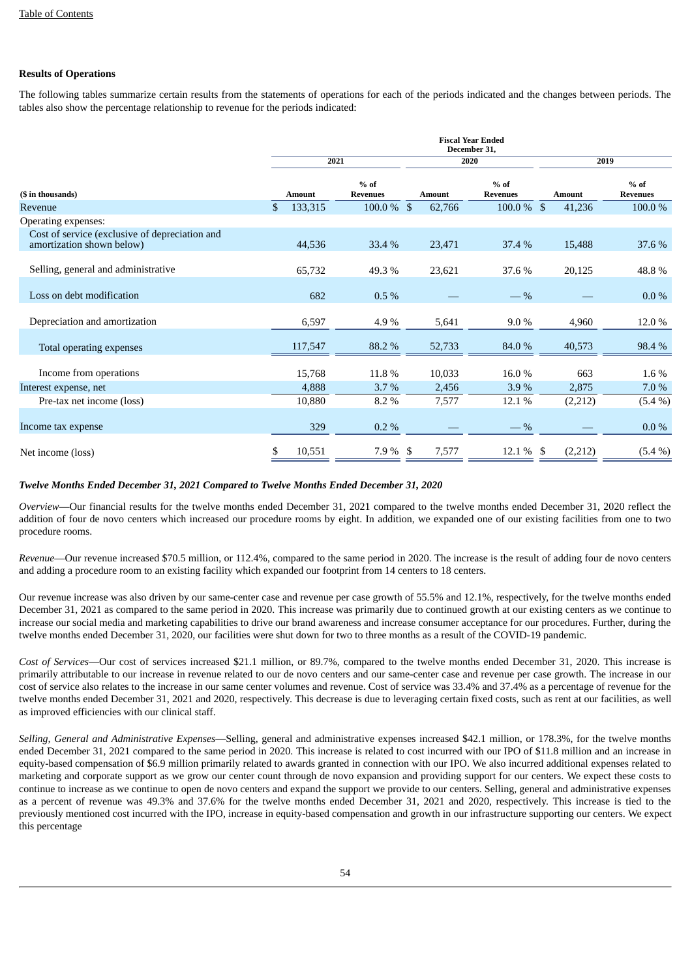## **Results of Operations**

The following tables summarize certain results from the statements of operations for each of the periods indicated and the changes between periods. The tables also show the percentage relationship to revenue for the periods indicated:

|                                                                             |               |                           |               | <b>Fiscal Year Ended</b><br>December 31, |                |                           |  |
|-----------------------------------------------------------------------------|---------------|---------------------------|---------------|------------------------------------------|----------------|---------------------------|--|
|                                                                             |               | 2021                      |               | 2020                                     | 2019           |                           |  |
| (\$ in thousands)                                                           | <b>Amount</b> | $%$ of<br><b>Revenues</b> | <b>Amount</b> | $%$ of<br><b>Revenues</b>                | <b>Amount</b>  | $%$ of<br><b>Revenues</b> |  |
| Revenue                                                                     | \$<br>133,315 | $100.0\%$ \$              | 62,766        | 100.0 % \$                               | 41,236         | 100.0%                    |  |
| Operating expenses:                                                         |               |                           |               |                                          |                |                           |  |
| Cost of service (exclusive of depreciation and<br>amortization shown below) | 44,536        | 33.4 %                    | 23,471        | 37.4 %                                   | 15,488         | 37.6%                     |  |
| Selling, general and administrative                                         | 65,732        | 49.3%                     | 23,621        | 37.6 %                                   | 20,125         | 48.8%                     |  |
| Loss on debt modification                                                   | 682           | $0.5\%$                   |               | $-$ %                                    |                | $0.0\%$                   |  |
| Depreciation and amortization                                               | 6,597         | 4.9%                      | 5,641         | $9.0\%$                                  | 4,960          | 12.0%                     |  |
| Total operating expenses                                                    | 117,547       | 88.2 %                    | 52,733        | 84.0%                                    | 40,573         | 98.4%                     |  |
| Income from operations                                                      | 15,768        | 11.8%                     | 10,033        | 16.0%                                    | 663            | 1.6%                      |  |
| Interest expense, net                                                       | 4,888         | 3.7%                      | 2,456         | 3.9%                                     | 2,875          | 7.0 %                     |  |
| Pre-tax net income (loss)                                                   | 10,880        | 8.2%                      | 7,577         | 12.1 %                                   | (2,212)        | $(5.4\%)$                 |  |
| Income tax expense                                                          | 329           | 0.2%                      |               | $-$ %                                    |                | $0.0\%$                   |  |
| Net income (loss)                                                           | 10,551<br>\$  | 7.9 %                     | 7,577<br>-S   | 12.1 %                                   | (2, 212)<br>-S | $(5.4\%)$                 |  |

## *Twelve Months Ended December 31, 2021 Compared to Twelve Months Ended December 31, 2020*

*Overview*—Our financial results for the twelve months ended December 31, 2021 compared to the twelve months ended December 31, 2020 reflect the addition of four de novo centers which increased our procedure rooms by eight. In addition, we expanded one of our existing facilities from one to two procedure rooms.

*Revenue*—Our revenue increased \$70.5 million, or 112.4%, compared to the same period in 2020. The increase is the result of adding four de novo centers and adding a procedure room to an existing facility which expanded our footprint from 14 centers to 18 centers.

Our revenue increase was also driven by our same-center case and revenue per case growth of 55.5% and 12.1%, respectively, for the twelve months ended December 31, 2021 as compared to the same period in 2020. This increase was primarily due to continued growth at our existing centers as we continue to increase our social media and marketing capabilities to drive our brand awareness and increase consumer acceptance for our procedures. Further, during the twelve months ended December 31, 2020, our facilities were shut down for two to three months as a result of the COVID-19 pandemic.

*Cost of Services*—Our cost of services increased \$21.1 million, or 89.7%, compared to the twelve months ended December 31, 2020. This increase is primarily attributable to our increase in revenue related to our de novo centers and our same-center case and revenue per case growth. The increase in our cost of service also relates to the increase in our same center volumes and revenue. Cost of service was 33.4% and 37.4% as a percentage of revenue for the twelve months ended December 31, 2021 and 2020, respectively. This decrease is due to leveraging certain fixed costs, such as rent at our facilities, as well as improved efficiencies with our clinical staff.

*Selling, General and Administrative Expenses*—Selling, general and administrative expenses increased \$42.1 million, or 178.3%, for the twelve months ended December 31, 2021 compared to the same period in 2020. This increase is related to cost incurred with our IPO of \$11.8 million and an increase in equity-based compensation of \$6.9 million primarily related to awards granted in connection with our IPO. We also incurred additional expenses related to marketing and corporate support as we grow our center count through de novo expansion and providing support for our centers. We expect these costs to continue to increase as we continue to open de novo centers and expand the support we provide to our centers. Selling, general and administrative expenses as a percent of revenue was 49.3% and 37.6% for the twelve months ended December 31, 2021 and 2020, respectively. This increase is tied to the previously mentioned cost incurred with the IPO, increase in equity-based compensation and growth in our infrastructure supporting our centers. We expect this percentage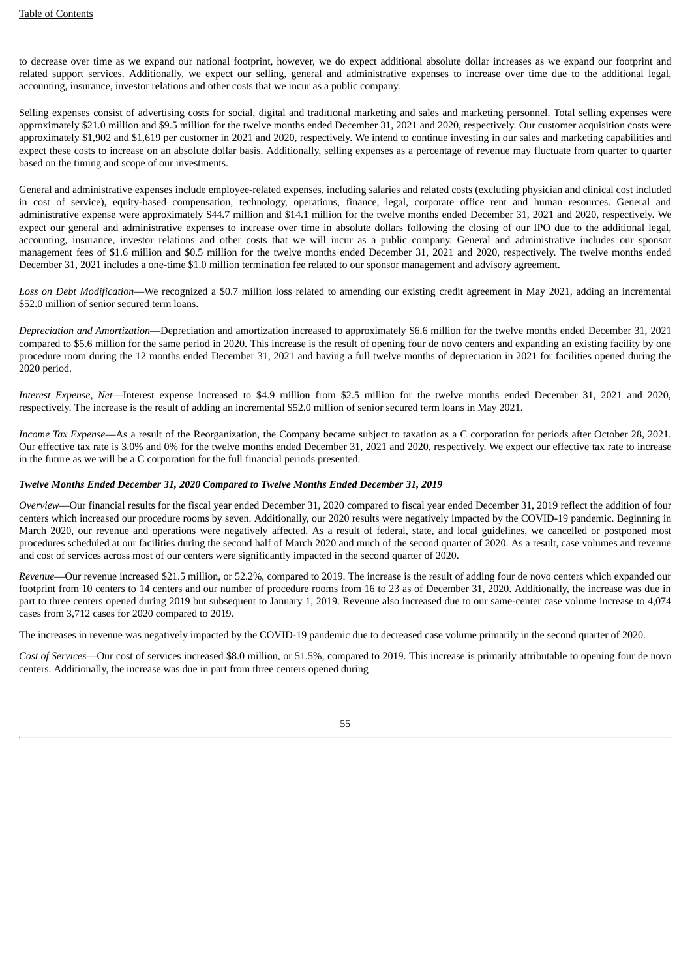to decrease over time as we expand our national footprint, however, we do expect additional absolute dollar increases as we expand our footprint and related support services. Additionally, we expect our selling, general and administrative expenses to increase over time due to the additional legal, accounting, insurance, investor relations and other costs that we incur as a public company.

Selling expenses consist of advertising costs for social, digital and traditional marketing and sales and marketing personnel. Total selling expenses were approximately \$21.0 million and \$9.5 million for the twelve months ended December 31, 2021 and 2020, respectively. Our customer acquisition costs were approximately \$1,902 and \$1,619 per customer in 2021 and 2020, respectively. We intend to continue investing in our sales and marketing capabilities and expect these costs to increase on an absolute dollar basis. Additionally, selling expenses as a percentage of revenue may fluctuate from quarter to quarter based on the timing and scope of our investments.

General and administrative expenses include employee-related expenses, including salaries and related costs (excluding physician and clinical cost included in cost of service), equity-based compensation, technology, operations, finance, legal, corporate office rent and human resources. General and administrative expense were approximately \$44.7 million and \$14.1 million for the twelve months ended December 31, 2021 and 2020, respectively. We expect our general and administrative expenses to increase over time in absolute dollars following the closing of our IPO due to the additional legal, accounting, insurance, investor relations and other costs that we will incur as a public company. General and administrative includes our sponsor management fees of \$1.6 million and \$0.5 million for the twelve months ended December 31, 2021 and 2020, respectively. The twelve months ended December 31, 2021 includes a one-time \$1.0 million termination fee related to our sponsor management and advisory agreement.

*Loss on Debt Modification*—We recognized a \$0.7 million loss related to amending our existing credit agreement in May 2021, adding an incremental \$52.0 million of senior secured term loans.

*Depreciation and Amortization*—Depreciation and amortization increased to approximately \$6.6 million for the twelve months ended December 31, 2021 compared to \$5.6 million for the same period in 2020. This increase is the result of opening four de novo centers and expanding an existing facility by one procedure room during the 12 months ended December 31, 2021 and having a full twelve months of depreciation in 2021 for facilities opened during the 2020 period.

*Interest Expense, Net*—Interest expense increased to \$4.9 million from \$2.5 million for the twelve months ended December 31, 2021 and 2020, respectively. The increase is the result of adding an incremental \$52.0 million of senior secured term loans in May 2021.

*Income Tax Expense*—As a result of the Reorganization, the Company became subject to taxation as a C corporation for periods after October 28, 2021. Our effective tax rate is 3.0% and 0% for the twelve months ended December 31, 2021 and 2020, respectively. We expect our effective tax rate to increase in the future as we will be a C corporation for the full financial periods presented.

## *Twelve Months Ended December 31, 2020 Compared to Twelve Months Ended December 31, 2019*

*Overview*—Our financial results for the fiscal year ended December 31, 2020 compared to fiscal year ended December 31, 2019 reflect the addition of four centers which increased our procedure rooms by seven. Additionally, our 2020 results were negatively impacted by the COVID-19 pandemic. Beginning in March 2020, our revenue and operations were negatively affected. As a result of federal, state, and local guidelines, we cancelled or postponed most procedures scheduled at our facilities during the second half of March 2020 and much of the second quarter of 2020. As a result, case volumes and revenue and cost of services across most of our centers were significantly impacted in the second quarter of 2020.

*Revenue*—Our revenue increased \$21.5 million, or 52.2%, compared to 2019. The increase is the result of adding four de novo centers which expanded our footprint from 10 centers to 14 centers and our number of procedure rooms from 16 to 23 as of December 31, 2020. Additionally, the increase was due in part to three centers opened during 2019 but subsequent to January 1, 2019. Revenue also increased due to our same-center case volume increase to 4,074 cases from 3,712 cases for 2020 compared to 2019.

The increases in revenue was negatively impacted by the COVID-19 pandemic due to decreased case volume primarily in the second quarter of 2020.

*Cost of Services*—Our cost of services increased \$8.0 million, or 51.5%, compared to 2019. This increase is primarily attributable to opening four de novo centers. Additionally, the increase was due in part from three centers opened during

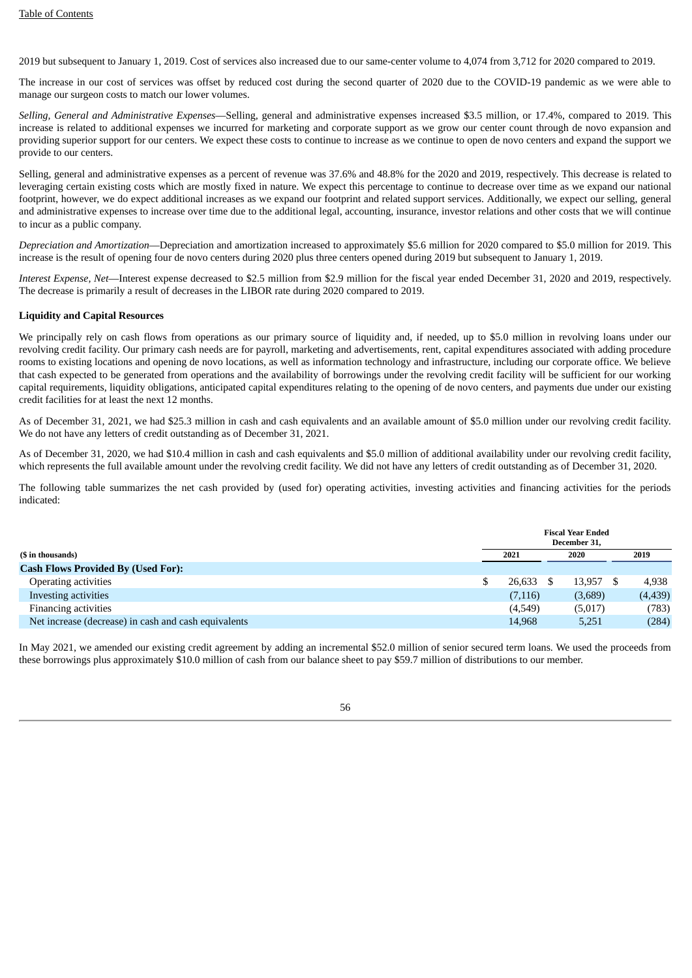2019 but subsequent to January 1, 2019. Cost of services also increased due to our same-center volume to 4,074 from 3,712 for 2020 compared to 2019.

The increase in our cost of services was offset by reduced cost during the second quarter of 2020 due to the COVID-19 pandemic as we were able to manage our surgeon costs to match our lower volumes.

*Selling, General and Administrative Expenses*—Selling, general and administrative expenses increased \$3.5 million, or 17.4%, compared to 2019. This increase is related to additional expenses we incurred for marketing and corporate support as we grow our center count through de novo expansion and providing superior support for our centers. We expect these costs to continue to increase as we continue to open de novo centers and expand the support we provide to our centers.

Selling, general and administrative expenses as a percent of revenue was 37.6% and 48.8% for the 2020 and 2019, respectively. This decrease is related to leveraging certain existing costs which are mostly fixed in nature. We expect this percentage to continue to decrease over time as we expand our national footprint, however, we do expect additional increases as we expand our footprint and related support services. Additionally, we expect our selling, general and administrative expenses to increase over time due to the additional legal, accounting, insurance, investor relations and other costs that we will continue to incur as a public company.

*Depreciation and Amortization*—Depreciation and amortization increased to approximately \$5.6 million for 2020 compared to \$5.0 million for 2019. This increase is the result of opening four de novo centers during 2020 plus three centers opened during 2019 but subsequent to January 1, 2019.

*Interest Expense, Net*—Interest expense decreased to \$2.5 million from \$2.9 million for the fiscal year ended December 31, 2020 and 2019, respectively. The decrease is primarily a result of decreases in the LIBOR rate during 2020 compared to 2019.

## **Liquidity and Capital Resources**

We principally rely on cash flows from operations as our primary source of liquidity and, if needed, up to \$5.0 million in revolving loans under our revolving credit facility. Our primary cash needs are for payroll, marketing and advertisements, rent, capital expenditures associated with adding procedure rooms to existing locations and opening de novo locations, as well as information technology and infrastructure, including our corporate office. We believe that cash expected to be generated from operations and the availability of borrowings under the revolving credit facility will be sufficient for our working capital requirements, liquidity obligations, anticipated capital expenditures relating to the opening of de novo centers, and payments due under our existing credit facilities for at least the next 12 months.

As of December 31, 2021, we had \$25.3 million in cash and cash equivalents and an available amount of \$5.0 million under our revolving credit facility. We do not have any letters of credit outstanding as of December 31, 2021.

As of December 31, 2020, we had \$10.4 million in cash and cash equivalents and \$5.0 million of additional availability under our revolving credit facility, which represents the full available amount under the revolving credit facility. We did not have any letters of credit outstanding as of December 31, 2020.

The following table summarizes the net cash provided by (used for) operating activities, investing activities and financing activities for the periods indicated:

|                                                      | <b>Fiscal Year Ended</b><br>December 31, |          |  |         |  |          |
|------------------------------------------------------|------------------------------------------|----------|--|---------|--|----------|
| (\$ in thousands)                                    |                                          | 2021     |  | 2020    |  | 2019     |
| <b>Cash Flows Provided By (Used For):</b>            |                                          |          |  |         |  |          |
| Operating activities                                 |                                          | 26,633   |  | 13.957  |  | 4,938    |
| Investing activities                                 |                                          | (7, 116) |  | (3,689) |  | (4, 439) |
| <b>Financing activities</b>                          |                                          | (4,549)  |  | (5,017) |  | (783)    |
| Net increase (decrease) in cash and cash equivalents |                                          | 14,968   |  | 5,251   |  | (284)    |
|                                                      |                                          |          |  |         |  |          |

In May 2021, we amended our existing credit agreement by adding an incremental \$52.0 million of senior secured term loans. We used the proceeds from these borrowings plus approximately \$10.0 million of cash from our balance sheet to pay \$59.7 million of distributions to our member.

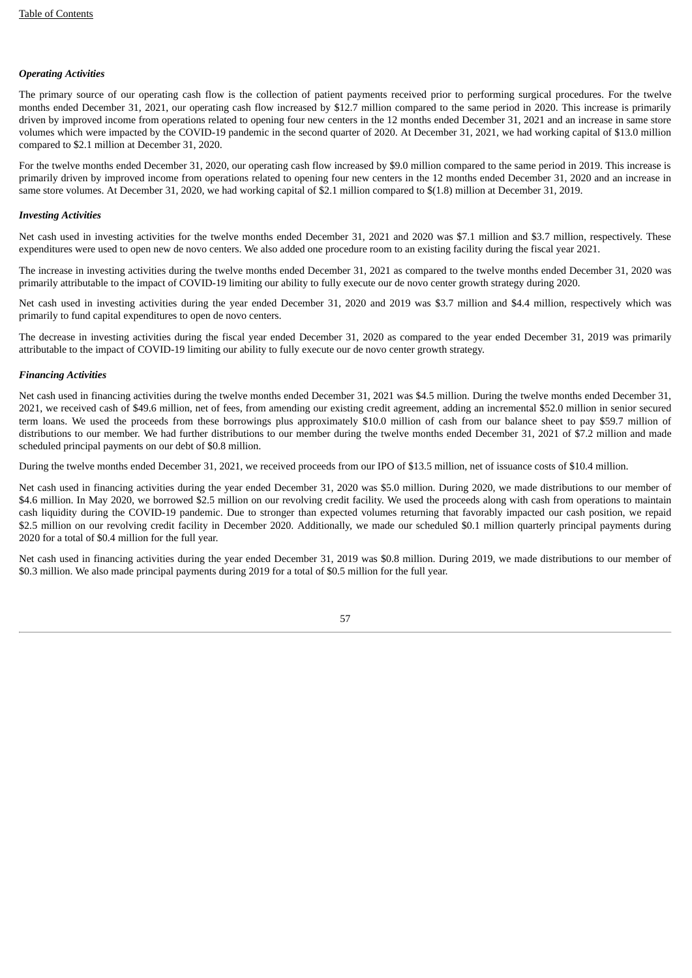## *Operating Activities*

The primary source of our operating cash flow is the collection of patient payments received prior to performing surgical procedures. For the twelve months ended December 31, 2021, our operating cash flow increased by \$12.7 million compared to the same period in 2020. This increase is primarily driven by improved income from operations related to opening four new centers in the 12 months ended December 31, 2021 and an increase in same store volumes which were impacted by the COVID-19 pandemic in the second quarter of 2020. At December 31, 2021, we had working capital of \$13.0 million compared to \$2.1 million at December 31, 2020.

For the twelve months ended December 31, 2020, our operating cash flow increased by \$9.0 million compared to the same period in 2019. This increase is primarily driven by improved income from operations related to opening four new centers in the 12 months ended December 31, 2020 and an increase in same store volumes. At December 31, 2020, we had working capital of \$2.1 million compared to \$(1.8) million at December 31, 2019.

#### *Investing Activities*

Net cash used in investing activities for the twelve months ended December 31, 2021 and 2020 was \$7.1 million and \$3.7 million, respectively. These expenditures were used to open new de novo centers. We also added one procedure room to an existing facility during the fiscal year 2021.

The increase in investing activities during the twelve months ended December 31, 2021 as compared to the twelve months ended December 31, 2020 was primarily attributable to the impact of COVID-19 limiting our ability to fully execute our de novo center growth strategy during 2020.

Net cash used in investing activities during the year ended December 31, 2020 and 2019 was \$3.7 million and \$4.4 million, respectively which was primarily to fund capital expenditures to open de novo centers.

The decrease in investing activities during the fiscal year ended December 31, 2020 as compared to the year ended December 31, 2019 was primarily attributable to the impact of COVID-19 limiting our ability to fully execute our de novo center growth strategy.

#### *Financing Activities*

Net cash used in financing activities during the twelve months ended December 31, 2021 was \$4.5 million. During the twelve months ended December 31, 2021, we received cash of \$49.6 million, net of fees, from amending our existing credit agreement, adding an incremental \$52.0 million in senior secured term loans. We used the proceeds from these borrowings plus approximately \$10.0 million of cash from our balance sheet to pay \$59.7 million of distributions to our member. We had further distributions to our member during the twelve months ended December 31, 2021 of \$7.2 million and made scheduled principal payments on our debt of \$0.8 million.

During the twelve months ended December 31, 2021, we received proceeds from our IPO of \$13.5 million, net of issuance costs of \$10.4 million.

Net cash used in financing activities during the year ended December 31, 2020 was \$5.0 million. During 2020, we made distributions to our member of \$4.6 million. In May 2020, we borrowed \$2.5 million on our revolving credit facility. We used the proceeds along with cash from operations to maintain cash liquidity during the COVID-19 pandemic. Due to stronger than expected volumes returning that favorably impacted our cash position, we repaid \$2.5 million on our revolving credit facility in December 2020. Additionally, we made our scheduled \$0.1 million quarterly principal payments during 2020 for a total of \$0.4 million for the full year.

Net cash used in financing activities during the year ended December 31, 2019 was \$0.8 million. During 2019, we made distributions to our member of \$0.3 million. We also made principal payments during 2019 for a total of \$0.5 million for the full year.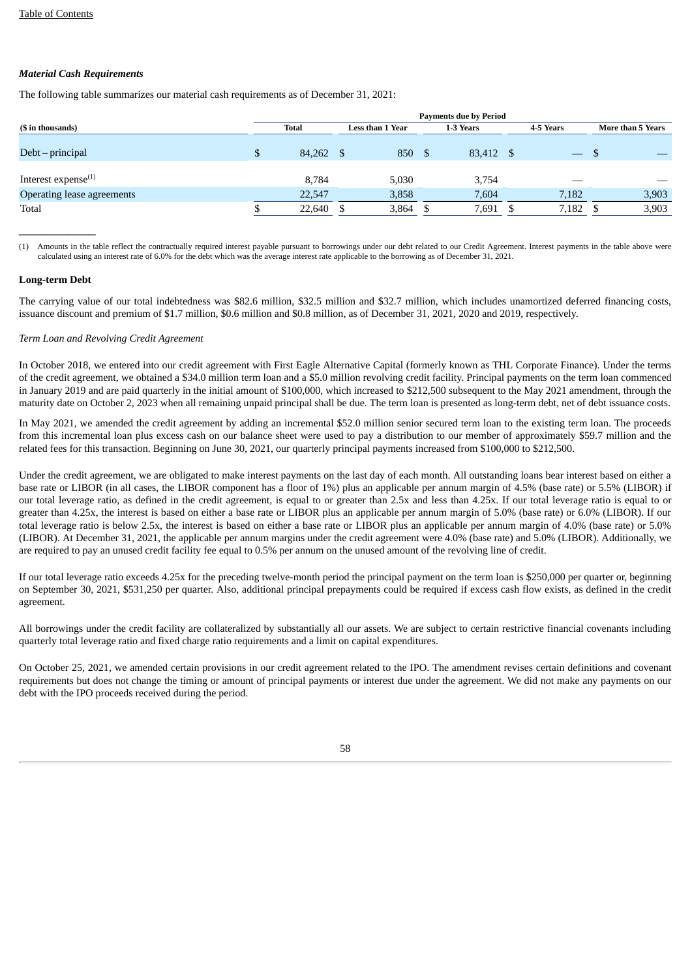## *Material Cash Requirements*

The following table summarizes our material cash requirements as of December 31, 2021:

|                            | <b>Payments due by Period</b> |              |  |                  |      |           |  |           |   |                   |  |
|----------------------------|-------------------------------|--------------|--|------------------|------|-----------|--|-----------|---|-------------------|--|
| (\$ in thousands)          |                               | <b>Total</b> |  | Less than 1 Year |      | 1-3 Years |  | 4-5 Years |   | More than 5 Years |  |
| $Debt-principal$           |                               | 84,262 \$    |  | 850              | - \$ | 83,412    |  |           | ూ |                   |  |
| Interest expense $^{(1)}$  |                               | 8.784        |  | 5,030            |      | 3,754     |  |           |   |                   |  |
| Operating lease agreements |                               | 22,547       |  | 3,858            |      | 7.604     |  | 7,182     |   | 3,903             |  |
| Total                      |                               | 22,640       |  | 3,864            |      | 7,691     |  | 7,182     |   | 3,903             |  |

(1) Amounts in the table reflect the contractually required interest payable pursuant to borrowings under our debt related to our Credit Agreement. Interest payments in the table above were calculated using an interest rate of 6.0% for the debt which was the average interest rate applicable to the borrowing as of December 31, 2021.

#### **Long-term Debt**

 $\overline{\phantom{a}}$ 

The carrying value of our total indebtedness was \$82.6 million, \$32.5 million and \$32.7 million, which includes unamortized deferred financing costs, issuance discount and premium of \$1.7 million, \$0.6 million and \$0.8 million, as of December 31, 2021, 2020 and 2019, respectively.

## *Term Loan and Revolving Credit Agreement*

In October 2018, we entered into our credit agreement with First Eagle Alternative Capital (formerly known as THL Corporate Finance). Under the terms of the credit agreement, we obtained a \$34.0 million term loan and a \$5.0 million revolving credit facility. Principal payments on the term loan commenced in January 2019 and are paid quarterly in the initial amount of \$100,000, which increased to \$212,500 subsequent to the May 2021 amendment, through the maturity date on October 2, 2023 when all remaining unpaid principal shall be due. The term loan is presented as long-term debt, net of debt issuance costs.

In May 2021, we amended the credit agreement by adding an incremental \$52.0 million senior secured term loan to the existing term loan. The proceeds from this incremental loan plus excess cash on our balance sheet were used to pay a distribution to our member of approximately \$59.7 million and the related fees for this transaction. Beginning on June 30, 2021, our quarterly principal payments increased from \$100,000 to \$212,500.

Under the credit agreement, we are obligated to make interest payments on the last day of each month. All outstanding loans bear interest based on either a base rate or LIBOR (in all cases, the LIBOR component has a floor of 1%) plus an applicable per annum margin of 4.5% (base rate) or 5.5% (LIBOR) if our total leverage ratio, as defined in the credit agreement, is equal to or greater than 2.5x and less than 4.25x. If our total leverage ratio is equal to or greater than 4.25x, the interest is based on either a base rate or LIBOR plus an applicable per annum margin of 5.0% (base rate) or 6.0% (LIBOR). If our total leverage ratio is below 2.5x, the interest is based on either a base rate or LIBOR plus an applicable per annum margin of 4.0% (base rate) or 5.0% (LIBOR). At December 31, 2021, the applicable per annum margins under the credit agreement were 4.0% (base rate) and 5.0% (LIBOR). Additionally, we are required to pay an unused credit facility fee equal to 0.5% per annum on the unused amount of the revolving line of credit.

If our total leverage ratio exceeds 4.25x for the preceding twelve-month period the principal payment on the term loan is \$250,000 per quarter or, beginning on September 30, 2021, \$531,250 per quarter. Also, additional principal prepayments could be required if excess cash flow exists, as defined in the credit agreement.

All borrowings under the credit facility are collateralized by substantially all our assets. We are subject to certain restrictive financial covenants including quarterly total leverage ratio and fixed charge ratio requirements and a limit on capital expenditures.

On October 25, 2021, we amended certain provisions in our credit agreement related to the IPO. The amendment revises certain definitions and covenant requirements but does not change the timing or amount of principal payments or interest due under the agreement. We did not make any payments on our debt with the IPO proceeds received during the period.

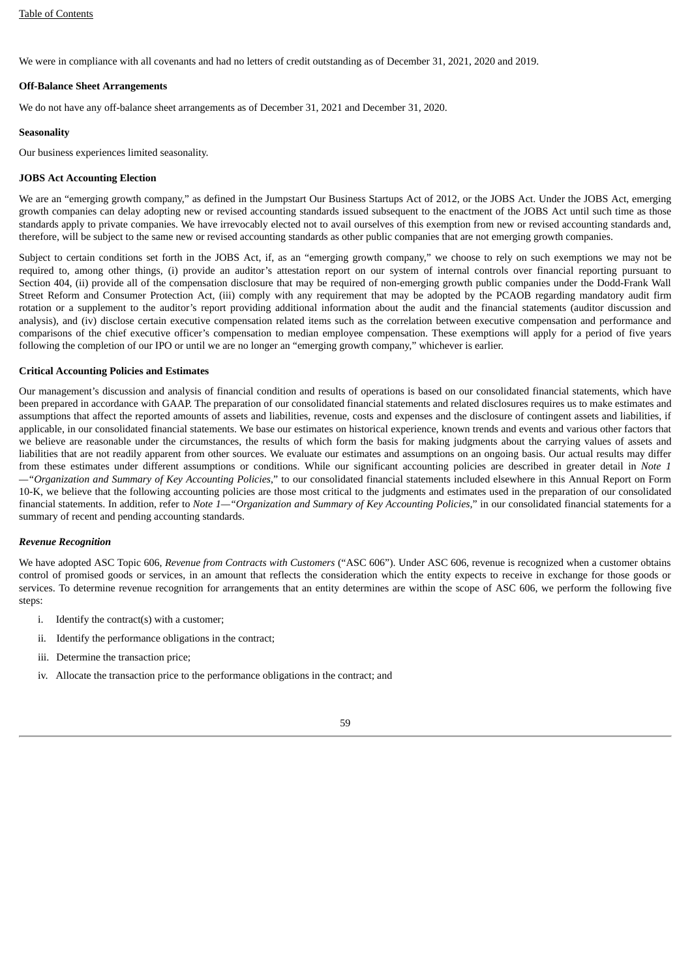We were in compliance with all covenants and had no letters of credit outstanding as of December 31, 2021, 2020 and 2019.

#### **Off-Balance Sheet Arrangements**

We do not have any off-balance sheet arrangements as of December 31, 2021 and December 31, 2020.

#### **Seasonality**

Our business experiences limited seasonality.

#### **JOBS Act Accounting Election**

We are an "emerging growth company," as defined in the Jumpstart Our Business Startups Act of 2012, or the JOBS Act. Under the JOBS Act, emerging growth companies can delay adopting new or revised accounting standards issued subsequent to the enactment of the JOBS Act until such time as those standards apply to private companies. We have irrevocably elected not to avail ourselves of this exemption from new or revised accounting standards and, therefore, will be subject to the same new or revised accounting standards as other public companies that are not emerging growth companies.

Subject to certain conditions set forth in the JOBS Act, if, as an "emerging growth company," we choose to rely on such exemptions we may not be required to, among other things, (i) provide an auditor's attestation report on our system of internal controls over financial reporting pursuant to Section 404, (ii) provide all of the compensation disclosure that may be required of non-emerging growth public companies under the Dodd-Frank Wall Street Reform and Consumer Protection Act, (iii) comply with any requirement that may be adopted by the PCAOB regarding mandatory audit firm rotation or a supplement to the auditor's report providing additional information about the audit and the financial statements (auditor discussion and analysis), and (iv) disclose certain executive compensation related items such as the correlation between executive compensation and performance and comparisons of the chief executive officer's compensation to median employee compensation. These exemptions will apply for a period of five years following the completion of our IPO or until we are no longer an "emerging growth company," whichever is earlier.

#### **Critical Accounting Policies and Estimates**

Our management's discussion and analysis of financial condition and results of operations is based on our consolidated financial statements, which have been prepared in accordance with GAAP. The preparation of our consolidated financial statements and related disclosures requires us to make estimates and assumptions that affect the reported amounts of assets and liabilities, revenue, costs and expenses and the disclosure of contingent assets and liabilities, if applicable, in our consolidated financial statements. We base our estimates on historical experience, known trends and events and various other factors that we believe are reasonable under the circumstances, the results of which form the basis for making judgments about the carrying values of assets and liabilities that are not readily apparent from other sources. We evaluate our estimates and assumptions on an ongoing basis. Our actual results may differ from these estimates under different assumptions or conditions. While our significant accounting policies are described in greater detail in *Note 1 —"Organization and Summary of Key Accounting Policies*," to our consolidated financial statements included elsewhere in this Annual Report on Form 10-K, we believe that the following accounting policies are those most critical to the judgments and estimates used in the preparation of our consolidated financial statements. In addition, refer to *Note 1—"Organization and Summary of Key Accounting Policies,*" in our consolidated financial statements for a summary of recent and pending accounting standards.

#### *Revenue Recognition*

We have adopted ASC Topic 606, *Revenue from Contracts with Customers* ("ASC 606"). Under ASC 606, revenue is recognized when a customer obtains control of promised goods or services, in an amount that reflects the consideration which the entity expects to receive in exchange for those goods or services. To determine revenue recognition for arrangements that an entity determines are within the scope of ASC 606, we perform the following five steps:

- i. Identify the contract(s) with a customer;
- ii. Identify the performance obligations in the contract;
- iii. Determine the transaction price;
- iv. Allocate the transaction price to the performance obligations in the contract; and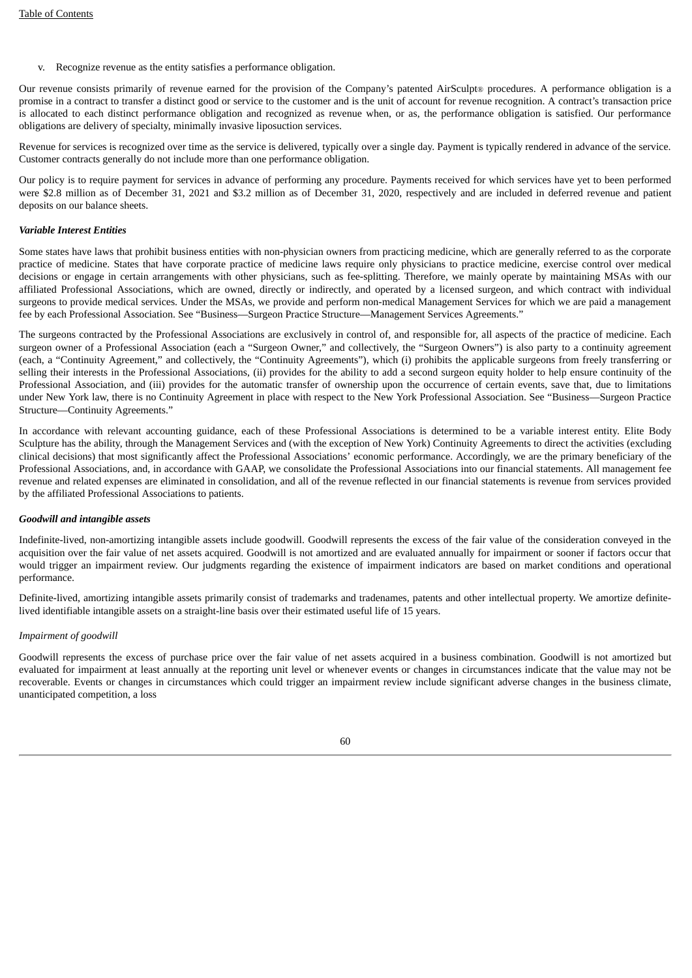v. Recognize revenue as the entity satisfies a performance obligation.

Our revenue consists primarily of revenue earned for the provision of the Company's patented AirSculpt® procedures. A performance obligation is a promise in a contract to transfer a distinct good or service to the customer and is the unit of account for revenue recognition. A contract's transaction price is allocated to each distinct performance obligation and recognized as revenue when, or as, the performance obligation is satisfied. Our performance obligations are delivery of specialty, minimally invasive liposuction services.

Revenue for services is recognized over time as the service is delivered, typically over a single day. Payment is typically rendered in advance of the service. Customer contracts generally do not include more than one performance obligation.

Our policy is to require payment for services in advance of performing any procedure. Payments received for which services have yet to been performed were \$2.8 million as of December 31, 2021 and \$3.2 million as of December 31, 2020, respectively and are included in deferred revenue and patient deposits on our balance sheets.

## *Variable Interest Entities*

Some states have laws that prohibit business entities with non-physician owners from practicing medicine, which are generally referred to as the corporate practice of medicine. States that have corporate practice of medicine laws require only physicians to practice medicine, exercise control over medical decisions or engage in certain arrangements with other physicians, such as fee-splitting. Therefore, we mainly operate by maintaining MSAs with our affiliated Professional Associations, which are owned, directly or indirectly, and operated by a licensed surgeon, and which contract with individual surgeons to provide medical services. Under the MSAs, we provide and perform non-medical Management Services for which we are paid a management fee by each Professional Association. See "Business—Surgeon Practice Structure—Management Services Agreements."

The surgeons contracted by the Professional Associations are exclusively in control of, and responsible for, all aspects of the practice of medicine. Each surgeon owner of a Professional Association (each a "Surgeon Owner," and collectively, the "Surgeon Owners") is also party to a continuity agreement (each, a "Continuity Agreement," and collectively, the "Continuity Agreements"), which (i) prohibits the applicable surgeons from freely transferring or selling their interests in the Professional Associations, (ii) provides for the ability to add a second surgeon equity holder to help ensure continuity of the Professional Association, and (iii) provides for the automatic transfer of ownership upon the occurrence of certain events, save that, due to limitations under New York law, there is no Continuity Agreement in place with respect to the New York Professional Association. See "Business—Surgeon Practice Structure—Continuity Agreements."

In accordance with relevant accounting guidance, each of these Professional Associations is determined to be a variable interest entity. Elite Body Sculpture has the ability, through the Management Services and (with the exception of New York) Continuity Agreements to direct the activities (excluding clinical decisions) that most significantly affect the Professional Associations' economic performance. Accordingly, we are the primary beneficiary of the Professional Associations, and, in accordance with GAAP, we consolidate the Professional Associations into our financial statements. All management fee revenue and related expenses are eliminated in consolidation, and all of the revenue reflected in our financial statements is revenue from services provided by the affiliated Professional Associations to patients.

#### *Goodwill and intangible assets*

Indefinite-lived, non-amortizing intangible assets include goodwill. Goodwill represents the excess of the fair value of the consideration conveyed in the acquisition over the fair value of net assets acquired. Goodwill is not amortized and are evaluated annually for impairment or sooner if factors occur that would trigger an impairment review. Our judgments regarding the existence of impairment indicators are based on market conditions and operational performance.

Definite-lived, amortizing intangible assets primarily consist of trademarks and tradenames, patents and other intellectual property. We amortize definitelived identifiable intangible assets on a straight-line basis over their estimated useful life of 15 years.

#### *Impairment of goodwill*

Goodwill represents the excess of purchase price over the fair value of net assets acquired in a business combination. Goodwill is not amortized but evaluated for impairment at least annually at the reporting unit level or whenever events or changes in circumstances indicate that the value may not be recoverable. Events or changes in circumstances which could trigger an impairment review include significant adverse changes in the business climate, unanticipated competition, a loss

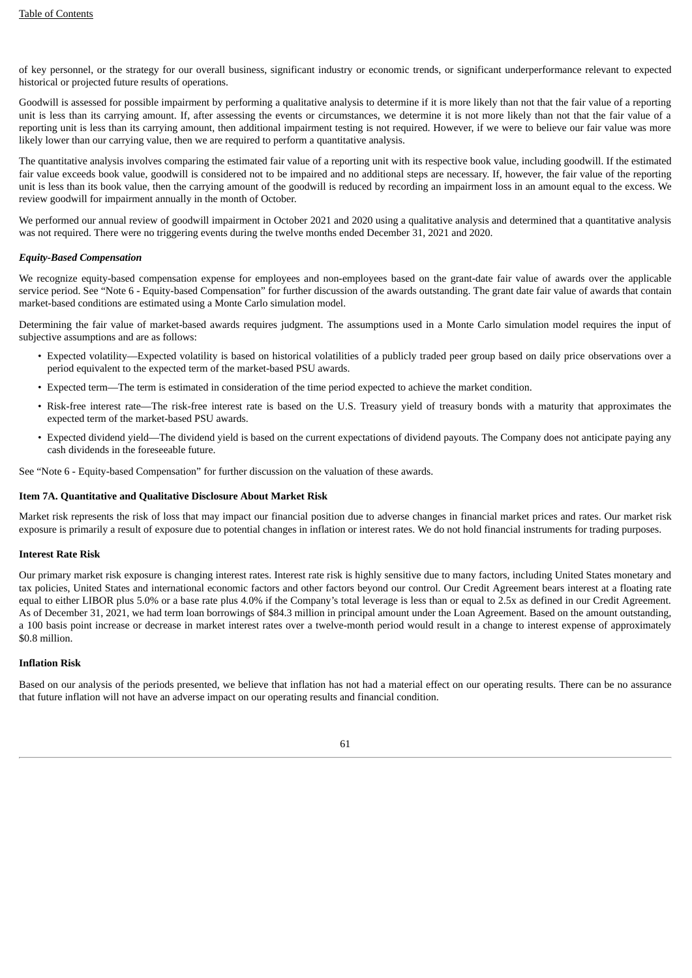of key personnel, or the strategy for our overall business, significant industry or economic trends, or significant underperformance relevant to expected historical or projected future results of operations.

Goodwill is assessed for possible impairment by performing a qualitative analysis to determine if it is more likely than not that the fair value of a reporting unit is less than its carrying amount. If, after assessing the events or circumstances, we determine it is not more likely than not that the fair value of a reporting unit is less than its carrying amount, then additional impairment testing is not required. However, if we were to believe our fair value was more likely lower than our carrying value, then we are required to perform a quantitative analysis.

The quantitative analysis involves comparing the estimated fair value of a reporting unit with its respective book value, including goodwill. If the estimated fair value exceeds book value, goodwill is considered not to be impaired and no additional steps are necessary. If, however, the fair value of the reporting unit is less than its book value, then the carrying amount of the goodwill is reduced by recording an impairment loss in an amount equal to the excess. We review goodwill for impairment annually in the month of October.

We performed our annual review of goodwill impairment in October 2021 and 2020 using a qualitative analysis and determined that a quantitative analysis was not required. There were no triggering events during the twelve months ended December 31, 2021 and 2020.

#### *Equity-Based Compensation*

We recognize equity-based compensation expense for employees and non-employees based on the grant-date fair value of awards over the applicable service period. See "Note 6 - Equity-based Compensation" for further discussion of the awards outstanding. The grant date fair value of awards that contain market-based conditions are estimated using a Monte Carlo simulation model.

Determining the fair value of market-based awards requires judgment. The assumptions used in a Monte Carlo simulation model requires the input of subjective assumptions and are as follows:

- Expected volatility—Expected volatility is based on historical volatilities of a publicly traded peer group based on daily price observations over a period equivalent to the expected term of the market-based PSU awards.
- Expected term—The term is estimated in consideration of the time period expected to achieve the market condition.
- Risk-free interest rate—The risk-free interest rate is based on the U.S. Treasury yield of treasury bonds with a maturity that approximates the expected term of the market-based PSU awards.
- Expected dividend yield—The dividend yield is based on the current expectations of dividend payouts. The Company does not anticipate paying any cash dividends in the foreseeable future.

See "Note 6 - Equity-based Compensation" for further discussion on the valuation of these awards.

#### **Item 7A. Quantitative and Qualitative Disclosure About Market Risk**

Market risk represents the risk of loss that may impact our financial position due to adverse changes in financial market prices and rates. Our market risk exposure is primarily a result of exposure due to potential changes in inflation or interest rates. We do not hold financial instruments for trading purposes.

#### **Interest Rate Risk**

Our primary market risk exposure is changing interest rates. Interest rate risk is highly sensitive due to many factors, including United States monetary and tax policies, United States and international economic factors and other factors beyond our control. Our Credit Agreement bears interest at a floating rate equal to either LIBOR plus 5.0% or a base rate plus 4.0% if the Company's total leverage is less than or equal to 2.5x as defined in our Credit Agreement. As of December 31, 2021, we had term loan borrowings of \$84.3 million in principal amount under the Loan Agreement. Based on the amount outstanding, a 100 basis point increase or decrease in market interest rates over a twelve-month period would result in a change to interest expense of approximately \$0.8 million.

#### **Inflation Risk**

Based on our analysis of the periods presented, we believe that inflation has not had a material effect on our operating results. There can be no assurance that future inflation will not have an adverse impact on our operating results and financial condition.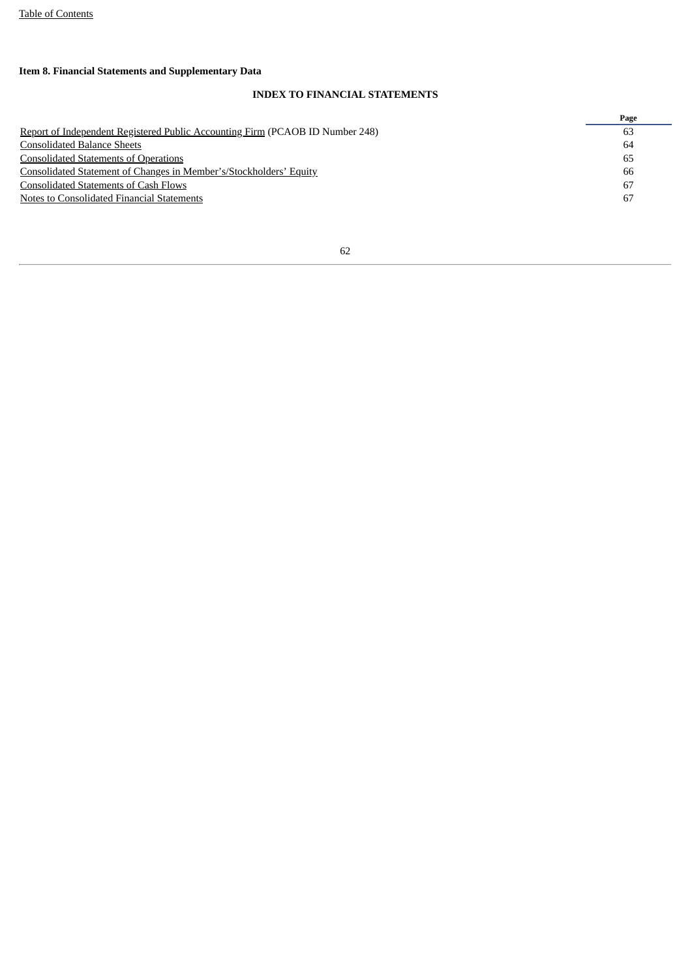# **Item 8. Financial Statements and Supplementary Data**

## **INDEX TO FINANCIAL STATEMENTS**

<span id="page-65-0"></span>

|                                                                               | Page |
|-------------------------------------------------------------------------------|------|
| Report of Independent Registered Public Accounting Firm (PCAOB ID Number 248) | 63   |
| <b>Consolidated Balance Sheets</b>                                            | 64   |
| <b>Consolidated Statements of Operations</b>                                  | 65   |
| Consolidated Statement of Changes in Member's/Stockholders' Equity            | 66   |
| <b>Consolidated Statements of Cash Flows</b>                                  | 67   |
| Notes to Consolidated Financial Statements                                    | 67   |
|                                                                               |      |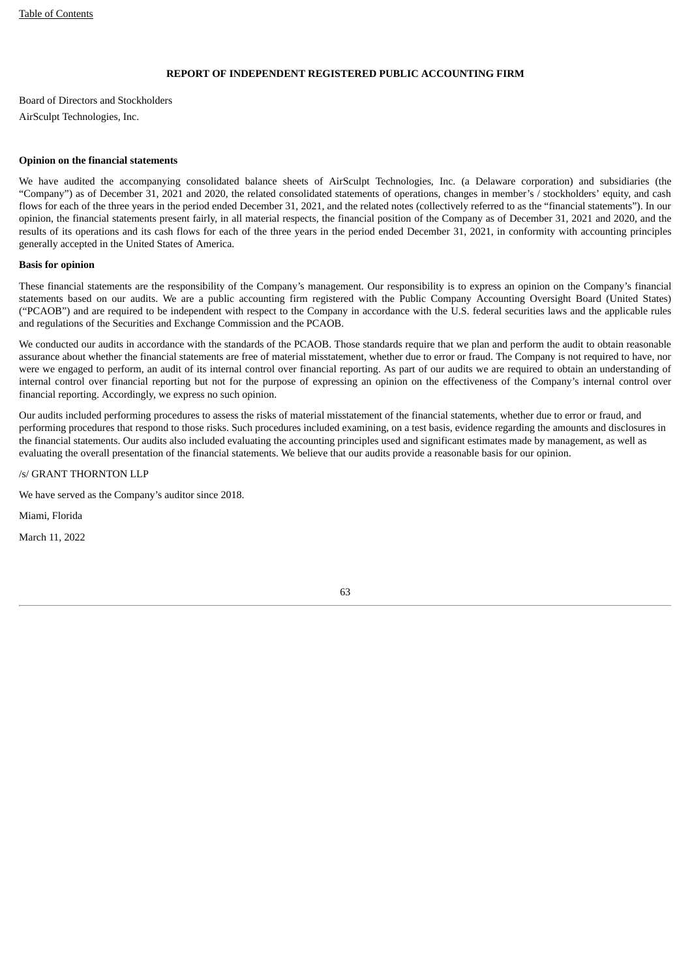## **REPORT OF INDEPENDENT REGISTERED PUBLIC ACCOUNTING FIRM**

Board of Directors and Stockholders AirSculpt Technologies, Inc.

## **Opinion on the financial statements**

We have audited the accompanying consolidated balance sheets of AirSculpt Technologies, Inc. (a Delaware corporation) and subsidiaries (the "Company") as of December 31, 2021 and 2020, the related consolidated statements of operations, changes in member's / stockholders' equity, and cash flows for each of the three years in the period ended December 31, 2021, and the related notes (collectively referred to as the "financial statements"). In our opinion, the financial statements present fairly, in all material respects, the financial position of the Company as of December 31, 2021 and 2020, and the results of its operations and its cash flows for each of the three years in the period ended December 31, 2021, in conformity with accounting principles generally accepted in the United States of America.

#### **Basis for opinion**

These financial statements are the responsibility of the Company's management. Our responsibility is to express an opinion on the Company's financial statements based on our audits. We are a public accounting firm registered with the Public Company Accounting Oversight Board (United States) ("PCAOB") and are required to be independent with respect to the Company in accordance with the U.S. federal securities laws and the applicable rules and regulations of the Securities and Exchange Commission and the PCAOB.

We conducted our audits in accordance with the standards of the PCAOB. Those standards require that we plan and perform the audit to obtain reasonable assurance about whether the financial statements are free of material misstatement, whether due to error or fraud. The Company is not required to have, nor were we engaged to perform, an audit of its internal control over financial reporting. As part of our audits we are required to obtain an understanding of internal control over financial reporting but not for the purpose of expressing an opinion on the effectiveness of the Company's internal control over financial reporting. Accordingly, we express no such opinion.

Our audits included performing procedures to assess the risks of material misstatement of the financial statements, whether due to error or fraud, and performing procedures that respond to those risks. Such procedures included examining, on a test basis, evidence regarding the amounts and disclosures in the financial statements. Our audits also included evaluating the accounting principles used and significant estimates made by management, as well as evaluating the overall presentation of the financial statements. We believe that our audits provide a reasonable basis for our opinion.

## /s/ GRANT THORNTON LLP

We have served as the Company's auditor since 2018.

Miami, Florida

<span id="page-66-0"></span>March 11, 2022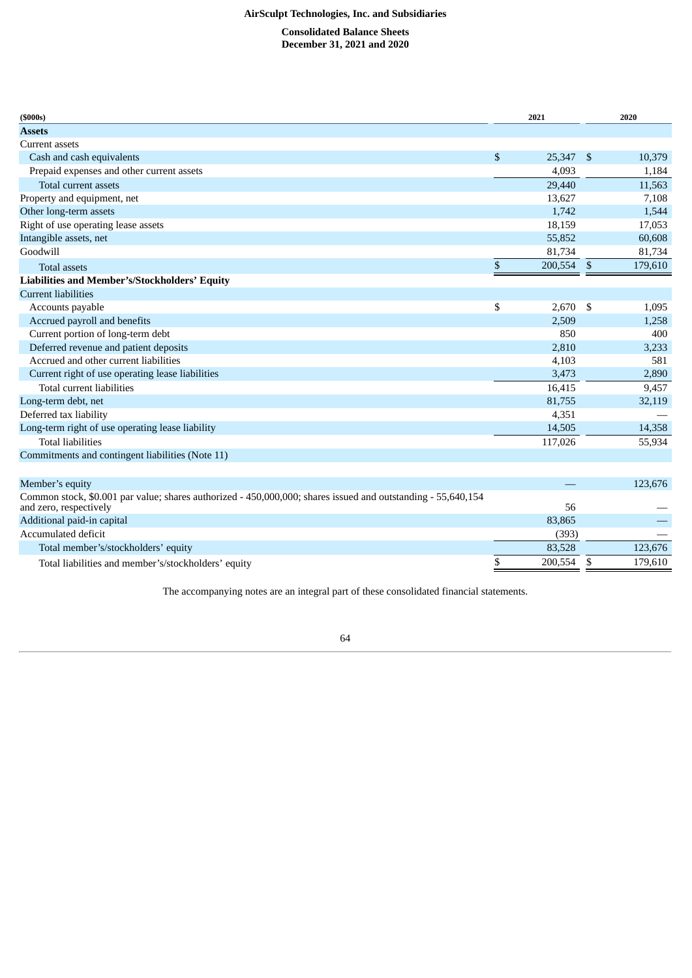#### **Consolidated Balance Sheets December 31, 2021 and 2020**

| (5000s)                                                                                                                                |                | 2021    | 2020          |
|----------------------------------------------------------------------------------------------------------------------------------------|----------------|---------|---------------|
| <b>Assets</b>                                                                                                                          |                |         |               |
| Current assets                                                                                                                         |                |         |               |
| Cash and cash equivalents                                                                                                              | $\mathfrak{s}$ | 25,347  | \$<br>10,379  |
| Prepaid expenses and other current assets                                                                                              |                | 4,093   | 1,184         |
| Total current assets                                                                                                                   |                | 29,440  | 11,563        |
| Property and equipment, net                                                                                                            |                | 13,627  | 7,108         |
| Other long-term assets                                                                                                                 |                | 1,742   | 1,544         |
| Right of use operating lease assets                                                                                                    |                | 18,159  | 17,053        |
| Intangible assets, net                                                                                                                 |                | 55,852  | 60,608        |
| Goodwill                                                                                                                               |                | 81,734  | 81,734        |
| <b>Total assets</b>                                                                                                                    | \$             | 200,554 | \$<br>179,610 |
| <b>Liabilities and Member's/Stockholders' Equity</b>                                                                                   |                |         |               |
| <b>Current liabilities</b>                                                                                                             |                |         |               |
| Accounts payable                                                                                                                       | \$             | 2,670   | \$<br>1,095   |
| Accrued payroll and benefits                                                                                                           |                | 2,509   | 1,258         |
| Current portion of long-term debt                                                                                                      |                | 850     | 400           |
| Deferred revenue and patient deposits                                                                                                  |                | 2,810   | 3,233         |
| Accrued and other current liabilities                                                                                                  |                | 4,103   | 581           |
| Current right of use operating lease liabilities                                                                                       |                | 3,473   | 2,890         |
| Total current liabilities                                                                                                              |                | 16,415  | 9,457         |
| Long-term debt, net                                                                                                                    |                | 81,755  | 32,119        |
| Deferred tax liability                                                                                                                 |                | 4,351   |               |
| Long-term right of use operating lease liability                                                                                       |                | 14,505  | 14,358        |
| <b>Total liabilities</b>                                                                                                               |                | 117,026 | 55,934        |
| Commitments and contingent liabilities (Note 11)                                                                                       |                |         |               |
|                                                                                                                                        |                |         |               |
| Member's equity                                                                                                                        |                |         | 123,676       |
| Common stock, \$0.001 par value; shares authorized - 450,000,000; shares issued and outstanding - 55,640,154<br>and zero, respectively |                | 56      |               |
| Additional paid-in capital                                                                                                             |                | 83,865  |               |
| Accumulated deficit                                                                                                                    |                | (393)   |               |
| Total member's/stockholders' equity                                                                                                    |                | 83,528  | 123,676       |
| Total liabilities and member's/stockholders' equity                                                                                    | \$             | 200,554 | \$<br>179,610 |

<span id="page-67-0"></span>The accompanying notes are an integral part of these consolidated financial statements.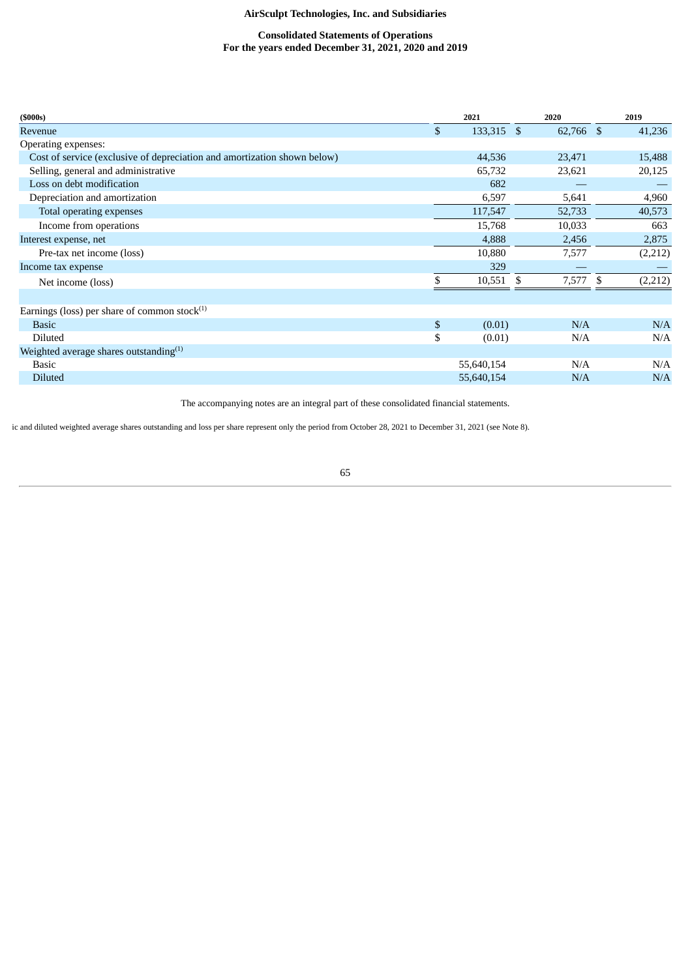## **Consolidated Statements of Operations For the years ended December 31, 2021, 2020 and 2019**

| (5000s)                                                                  | 2021             | 2020       | 2019          |
|--------------------------------------------------------------------------|------------------|------------|---------------|
| Revenue                                                                  | \$<br>133,315 \$ | 62,766 \$  | 41,236        |
| Operating expenses:                                                      |                  |            |               |
| Cost of service (exclusive of depreciation and amortization shown below) | 44,536           | 23,471     | 15,488        |
| Selling, general and administrative                                      | 65,732           | 23,621     | 20,125        |
| Loss on debt modification                                                | 682              |            |               |
| Depreciation and amortization                                            | 6,597            | 5,641      | 4,960         |
| Total operating expenses                                                 | 117,547          | 52,733     | 40,573        |
| Income from operations                                                   | 15,768           | 10,033     | 663           |
| Interest expense, net                                                    | 4,888            | 2,456      | 2,875         |
| Pre-tax net income (loss)                                                | 10,880           | 7,577      | (2,212)       |
| Income tax expense                                                       | 329              |            |               |
| Net income (loss)                                                        | 10,551           | 7,577<br>S | (2,212)<br>-S |
|                                                                          |                  |            |               |
| Earnings (loss) per share of common stock $(1)$                          |                  |            |               |
| <b>Basic</b>                                                             | \$<br>(0.01)     | N/A        | N/A           |
| <b>Diluted</b>                                                           | \$<br>(0.01)     | N/A        | N/A           |
| Weighted average shares outstanding <sup>(1)</sup>                       |                  |            |               |
| Basic                                                                    | 55,640,154       | N/A        | N/A           |
| Diluted                                                                  | 55,640,154       | N/A        | N/A           |

The accompanying notes are an integral part of these consolidated financial statements.

<span id="page-68-0"></span>ic and diluted weighted average shares outstanding and loss per share represent only the period from October 28, 2021 to December 31, 2021 (see Note 8).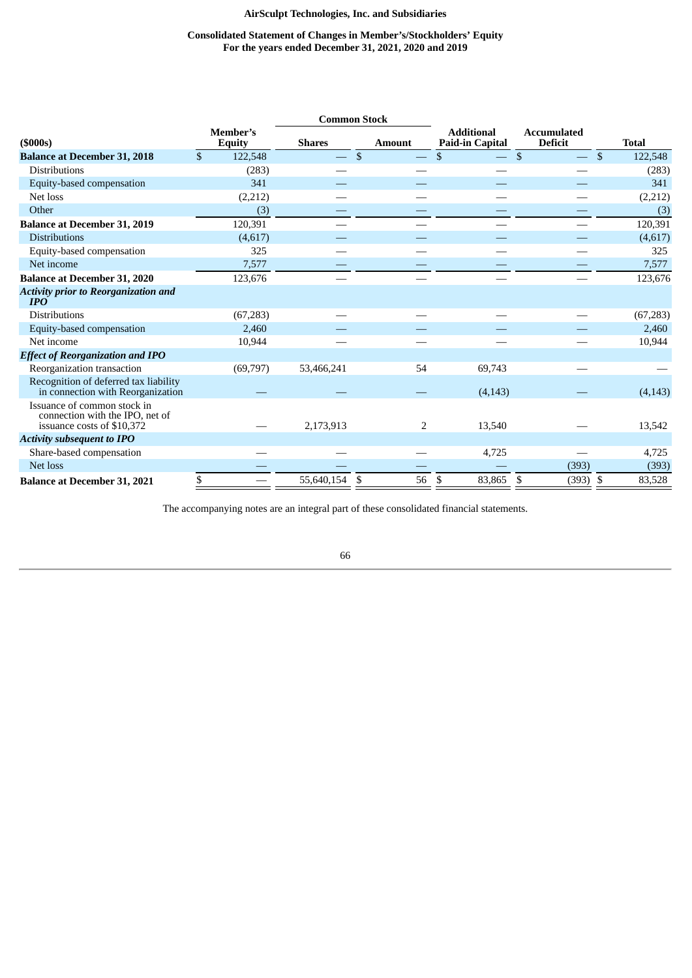# **Consolidated Statement of Changes in Member's/Stockholders' Equity For the years ended December 31, 2021, 2020 and 2019**

|                                                                                              |               |                           |               | <b>Common Stock</b> |                                             |                                      |              |              |
|----------------------------------------------------------------------------------------------|---------------|---------------------------|---------------|---------------------|---------------------------------------------|--------------------------------------|--------------|--------------|
| (5000s)                                                                                      |               | Member's<br><b>Equity</b> | <b>Shares</b> | <b>Amount</b>       | <b>Additional</b><br><b>Paid-in Capital</b> | <b>Accumulated</b><br><b>Deficit</b> |              | <b>Total</b> |
| <b>Balance at December 31, 2018</b>                                                          | $\mathbb{S}$  | 122,548                   |               | \$                  | $\mathbb{S}$                                | $\mathbb{S}$                         | $\mathbb{S}$ | 122,548      |
| <b>Distributions</b>                                                                         |               | (283)                     |               |                     |                                             |                                      |              | (283)        |
| Equity-based compensation                                                                    |               | 341                       |               |                     |                                             |                                      |              | 341          |
| Net loss                                                                                     |               | (2,212)                   |               |                     |                                             |                                      |              | (2,212)      |
| Other                                                                                        |               | (3)                       |               |                     |                                             |                                      |              | (3)          |
| <b>Balance at December 31, 2019</b>                                                          |               | 120,391                   |               |                     |                                             |                                      |              | 120,391      |
| <b>Distributions</b>                                                                         |               | (4,617)                   |               |                     |                                             |                                      |              | (4,617)      |
| Equity-based compensation                                                                    |               | 325                       |               |                     |                                             |                                      |              | 325          |
| Net income                                                                                   |               | 7,577                     |               |                     |                                             |                                      |              | 7,577        |
| <b>Balance at December 31, 2020</b>                                                          |               | 123,676                   |               |                     |                                             |                                      |              | 123,676      |
| <b>Activity prior to Reorganization and</b><br><b>IPO</b>                                    |               |                           |               |                     |                                             |                                      |              |              |
| <b>Distributions</b>                                                                         |               | (67, 283)                 |               |                     |                                             |                                      |              | (67,283)     |
| Equity-based compensation                                                                    |               | 2,460                     |               |                     |                                             |                                      |              | 2,460        |
| Net income                                                                                   |               | 10,944                    |               |                     |                                             |                                      |              | 10,944       |
| <b>Effect of Reorganization and IPO</b>                                                      |               |                           |               |                     |                                             |                                      |              |              |
| Reorganization transaction                                                                   |               | (69, 797)                 | 53,466,241    | 54                  | 69,743                                      |                                      |              |              |
| Recognition of deferred tax liability<br>in connection with Reorganization                   |               |                           |               |                     | (4, 143)                                    |                                      |              | (4, 143)     |
| Issuance of common stock in<br>connection with the IPO, net of<br>issuance costs of \$10,372 |               |                           | 2,173,913     |                     | 2<br>13,540                                 |                                      |              | 13,542       |
| <b>Activity subsequent to IPO</b>                                                            |               |                           |               |                     |                                             |                                      |              |              |
| Share-based compensation                                                                     |               |                           |               |                     | 4,725                                       |                                      |              | 4,725        |
| Net loss                                                                                     |               |                           |               |                     |                                             | (393)                                |              | (393)        |
| <b>Balance at December 31, 2021</b>                                                          | ${\mathbb S}$ |                           | 55,640,154    | \$<br>56            | \$<br>83,865                                | \$<br>$(393)$ \$                     |              | 83,528       |

<span id="page-69-0"></span>The accompanying notes are an integral part of these consolidated financial statements.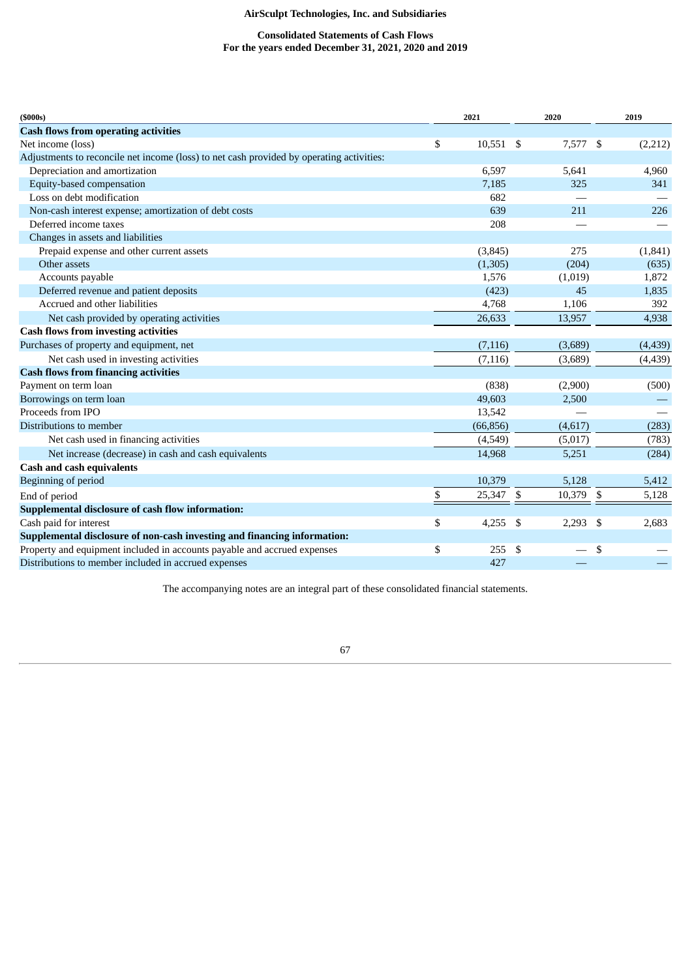## **Consolidated Statements of Cash Flows For the years ended December 31, 2021, 2020 and 2019**

| (5000s)                                                                                  |    | 2021        |        | 2020    |     | 2019     |
|------------------------------------------------------------------------------------------|----|-------------|--------|---------|-----|----------|
| <b>Cash flows from operating activities</b>                                              |    |             |        |         |     |          |
| Net income (loss)                                                                        | \$ | $10,551$ \$ |        | 7,577   | \$  | (2,212)  |
| Adjustments to reconcile net income (loss) to net cash provided by operating activities: |    |             |        |         |     |          |
| Depreciation and amortization                                                            |    | 6,597       |        | 5,641   |     | 4,960    |
| Equity-based compensation                                                                |    | 7,185       |        | 325     |     | 341      |
| Loss on debt modification                                                                |    | 682         |        |         |     |          |
| Non-cash interest expense; amortization of debt costs                                    |    | 639         |        | 211     |     | 226      |
| Deferred income taxes                                                                    |    | 208         |        |         |     |          |
| Changes in assets and liabilities                                                        |    |             |        |         |     |          |
| Prepaid expense and other current assets                                                 |    | (3, 845)    |        | 275     |     | (1,841)  |
| Other assets                                                                             |    | (1,305)     |        | (204)   |     | (635)    |
| Accounts payable                                                                         |    | 1,576       |        | (1,019) |     | 1,872    |
| Deferred revenue and patient deposits                                                    |    | (423)       |        | 45      |     | 1,835    |
| Accrued and other liabilities                                                            |    | 4,768       |        | 1,106   |     | 392      |
| Net cash provided by operating activities                                                |    | 26,633      | 13,957 |         |     | 4,938    |
| <b>Cash flows from investing activities</b>                                              |    |             |        |         |     |          |
| Purchases of property and equipment, net                                                 |    | (7, 116)    |        | (3,689) |     | (4, 439) |
| Net cash used in investing activities                                                    |    | (7, 116)    |        | (3,689) |     | (4, 439) |
| <b>Cash flows from financing activities</b>                                              |    |             |        |         |     |          |
| Payment on term loan                                                                     |    | (838)       |        | (2,900) |     | (500)    |
| Borrowings on term loan                                                                  |    | 49,603      |        | 2,500   |     |          |
| Proceeds from IPO                                                                        |    | 13,542      |        |         |     |          |
| Distributions to member                                                                  |    | (66, 856)   |        | (4,617) |     | (283)    |
| Net cash used in financing activities                                                    |    | (4,549)     |        | (5,017) |     | (783)    |
| Net increase (decrease) in cash and cash equivalents                                     |    | 14,968      |        | 5,251   |     | (284)    |
| <b>Cash and cash equivalents</b>                                                         |    |             |        |         |     |          |
| Beginning of period                                                                      |    | 10,379      |        | 5,128   |     | 5,412    |
| End of period                                                                            | \$ | 25,347      | \$     | 10,379  | \$  | 5,128    |
| Supplemental disclosure of cash flow information:                                        |    |             |        |         |     |          |
| Cash paid for interest                                                                   | \$ | 4,255       | \$     | 2,293   | -\$ | 2,683    |
| Supplemental disclosure of non-cash investing and financing information:                 |    |             |        |         |     |          |
| Property and equipment included in accounts payable and accrued expenses                 | \$ | 255         | \$     |         | \$  |          |
| Distributions to member included in accrued expenses                                     |    | 427         |        |         |     |          |

<span id="page-70-0"></span>The accompanying notes are an integral part of these consolidated financial statements.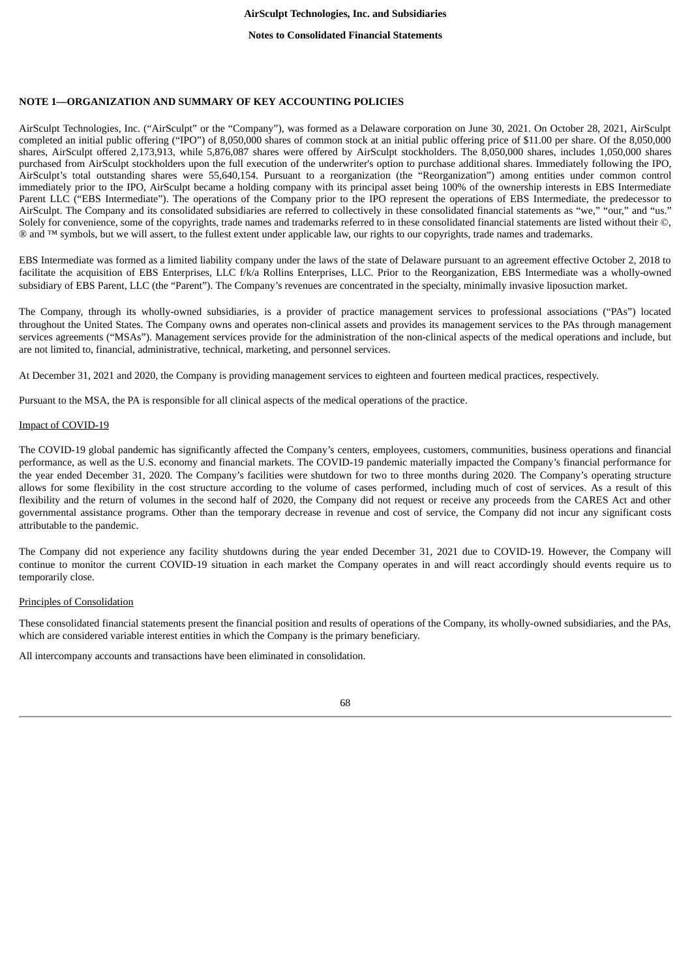## **NOTE 1—ORGANIZATION AND SUMMARY OF KEY ACCOUNTING POLICIES**

AirSculpt Technologies, Inc. ("AirSculpt" or the "Company"), was formed as a Delaware corporation on June 30, 2021. On October 28, 2021, AirSculpt completed an initial public offering ("IPO") of 8,050,000 shares of common stock at an initial public offering price of \$11.00 per share. Of the 8,050,000 shares, AirSculpt offered 2,173,913, while 5,876,087 shares were offered by AirSculpt stockholders. The 8,050,000 shares, includes 1,050,000 shares purchased from AirSculpt stockholders upon the full execution of the underwriter's option to purchase additional shares. Immediately following the IPO, AirSculpt's total outstanding shares were 55,640,154. Pursuant to a reorganization (the "Reorganization") among entities under common control immediately prior to the IPO, AirSculpt became a holding company with its principal asset being 100% of the ownership interests in EBS Intermediate Parent LLC ("EBS Intermediate"). The operations of the Company prior to the IPO represent the operations of EBS Intermediate, the predecessor to AirSculpt. The Company and its consolidated subsidiaries are referred to collectively in these consolidated financial statements as "we," "our," and "us." Solely for convenience, some of the copyrights, trade names and trademarks referred to in these consolidated financial statements are listed without their  $\circ$ , ® and ™ symbols, but we will assert, to the fullest extent under applicable law, our rights to our copyrights, trade names and trademarks.

EBS Intermediate was formed as a limited liability company under the laws of the state of Delaware pursuant to an agreement effective October 2, 2018 to facilitate the acquisition of EBS Enterprises, LLC f/k/a Rollins Enterprises, LLC. Prior to the Reorganization, EBS Intermediate was a wholly-owned subsidiary of EBS Parent, LLC (the "Parent"). The Company's revenues are concentrated in the specialty, minimally invasive liposuction market.

The Company, through its wholly-owned subsidiaries, is a provider of practice management services to professional associations ("PAs") located throughout the United States. The Company owns and operates non-clinical assets and provides its management services to the PAs through management services agreements ("MSAs"). Management services provide for the administration of the non-clinical aspects of the medical operations and include, but are not limited to, financial, administrative, technical, marketing, and personnel services.

At December 31, 2021 and 2020, the Company is providing management services to eighteen and fourteen medical practices, respectively.

Pursuant to the MSA, the PA is responsible for all clinical aspects of the medical operations of the practice.

#### Impact of COVID-19

The COVID-19 global pandemic has significantly affected the Company's centers, employees, customers, communities, business operations and financial performance, as well as the U.S. economy and financial markets. The COVID-19 pandemic materially impacted the Company's financial performance for the year ended December 31, 2020. The Company's facilities were shutdown for two to three months during 2020. The Company's operating structure allows for some flexibility in the cost structure according to the volume of cases performed, including much of cost of services. As a result of this flexibility and the return of volumes in the second half of 2020, the Company did not request or receive any proceeds from the CARES Act and other governmental assistance programs. Other than the temporary decrease in revenue and cost of service, the Company did not incur any significant costs attributable to the pandemic.

The Company did not experience any facility shutdowns during the year ended December 31, 2021 due to COVID-19. However, the Company will continue to monitor the current COVID-19 situation in each market the Company operates in and will react accordingly should events require us to temporarily close.

## Principles of Consolidation

These consolidated financial statements present the financial position and results of operations of the Company, its wholly-owned subsidiaries, and the PAs, which are considered variable interest entities in which the Company is the primary beneficiary.

All intercompany accounts and transactions have been eliminated in consolidation.

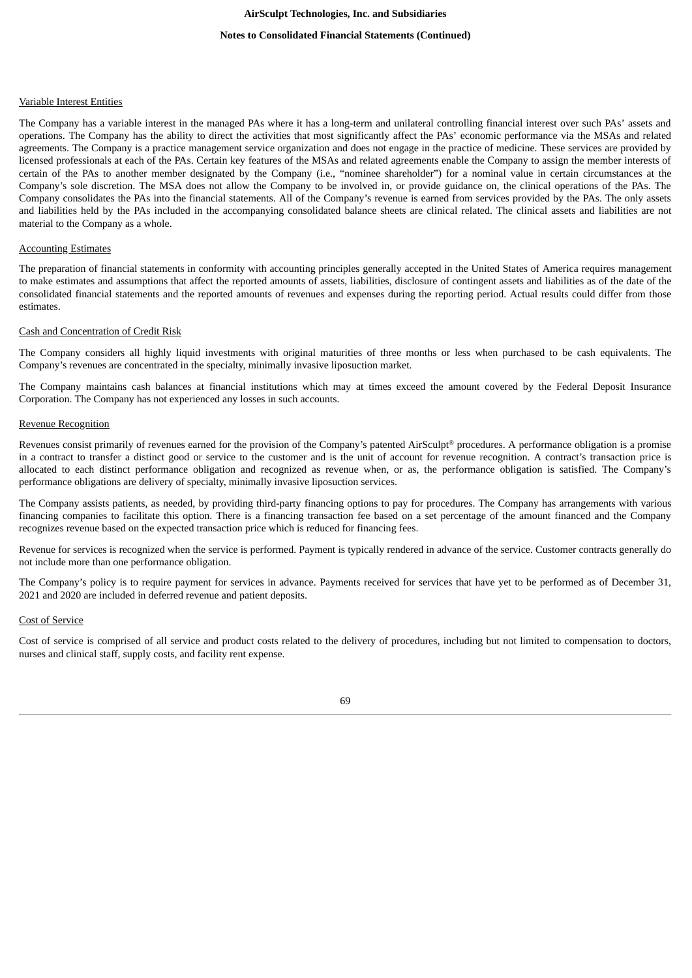#### **Notes to Consolidated Financial Statements (Continued)**

## Variable Interest Entities

The Company has a variable interest in the managed PAs where it has a long-term and unilateral controlling financial interest over such PAs' assets and operations. The Company has the ability to direct the activities that most significantly affect the PAs' economic performance via the MSAs and related agreements. The Company is a practice management service organization and does not engage in the practice of medicine. These services are provided by licensed professionals at each of the PAs. Certain key features of the MSAs and related agreements enable the Company to assign the member interests of certain of the PAs to another member designated by the Company (i.e., "nominee shareholder") for a nominal value in certain circumstances at the Company's sole discretion. The MSA does not allow the Company to be involved in, or provide guidance on, the clinical operations of the PAs. The Company consolidates the PAs into the financial statements. All of the Company's revenue is earned from services provided by the PAs. The only assets and liabilities held by the PAs included in the accompanying consolidated balance sheets are clinical related. The clinical assets and liabilities are not material to the Company as a whole.

# Accounting Estimates

The preparation of financial statements in conformity with accounting principles generally accepted in the United States of America requires management to make estimates and assumptions that affect the reported amounts of assets, liabilities, disclosure of contingent assets and liabilities as of the date of the consolidated financial statements and the reported amounts of revenues and expenses during the reporting period. Actual results could differ from those estimates.

### Cash and Concentration of Credit Risk

The Company considers all highly liquid investments with original maturities of three months or less when purchased to be cash equivalents. The Company's revenues are concentrated in the specialty, minimally invasive liposuction market.

The Company maintains cash balances at financial institutions which may at times exceed the amount covered by the Federal Deposit Insurance Corporation. The Company has not experienced any losses in such accounts.

## Revenue Recognition

Revenues consist primarily of revenues earned for the provision of the Company's patented AirSculpt® procedures. A performance obligation is a promise in a contract to transfer a distinct good or service to the customer and is the unit of account for revenue recognition. A contract's transaction price is allocated to each distinct performance obligation and recognized as revenue when, or as, the performance obligation is satisfied. The Company's performance obligations are delivery of specialty, minimally invasive liposuction services.

The Company assists patients, as needed, by providing third-party financing options to pay for procedures. The Company has arrangements with various financing companies to facilitate this option. There is a financing transaction fee based on a set percentage of the amount financed and the Company recognizes revenue based on the expected transaction price which is reduced for financing fees.

Revenue for services is recognized when the service is performed. Payment is typically rendered in advance of the service. Customer contracts generally do not include more than one performance obligation.

The Company's policy is to require payment for services in advance. Payments received for services that have yet to be performed as of December 31, 2021 and 2020 are included in deferred revenue and patient deposits.

# Cost of Service

Cost of service is comprised of all service and product costs related to the delivery of procedures, including but not limited to compensation to doctors, nurses and clinical staff, supply costs, and facility rent expense.

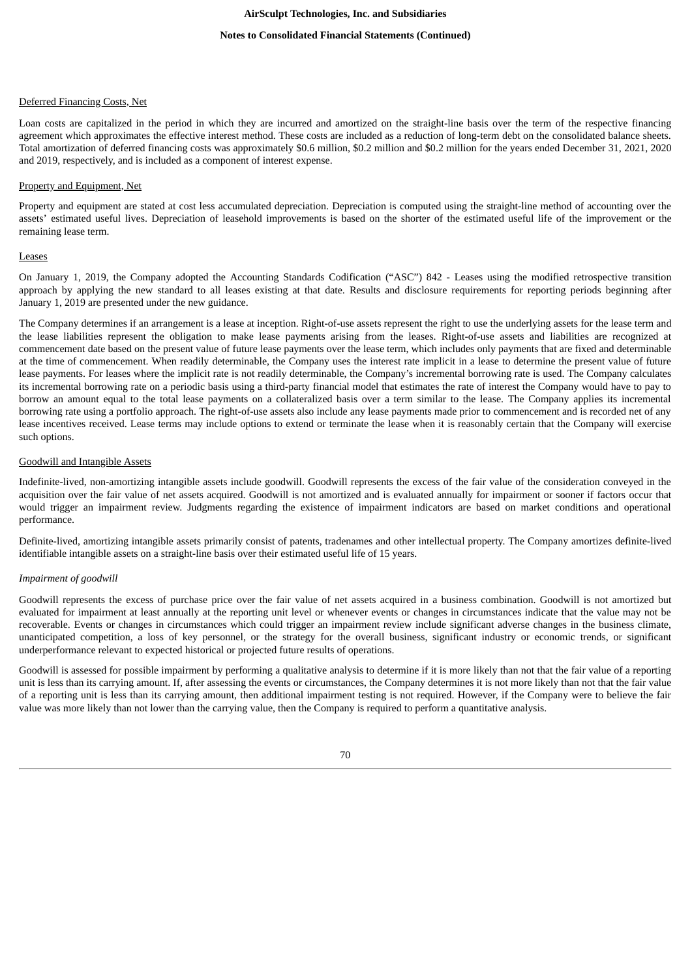#### **Notes to Consolidated Financial Statements (Continued)**

#### Deferred Financing Costs, Net

Loan costs are capitalized in the period in which they are incurred and amortized on the straight-line basis over the term of the respective financing agreement which approximates the effective interest method. These costs are included as a reduction of long-term debt on the consolidated balance sheets. Total amortization of deferred financing costs was approximately \$0.6 million, \$0.2 million and \$0.2 million for the years ended December 31, 2021, 2020 and 2019, respectively, and is included as a component of interest expense.

### Property and Equipment, Net

Property and equipment are stated at cost less accumulated depreciation. Depreciation is computed using the straight-line method of accounting over the assets' estimated useful lives. Depreciation of leasehold improvements is based on the shorter of the estimated useful life of the improvement or the remaining lease term.

#### Leases

On January 1, 2019, the Company adopted the Accounting Standards Codification ("ASC") 842 - Leases using the modified retrospective transition approach by applying the new standard to all leases existing at that date. Results and disclosure requirements for reporting periods beginning after January 1, 2019 are presented under the new guidance.

The Company determines if an arrangement is a lease at inception. Right-of-use assets represent the right to use the underlying assets for the lease term and the lease liabilities represent the obligation to make lease payments arising from the leases. Right-of-use assets and liabilities are recognized at commencement date based on the present value of future lease payments over the lease term, which includes only payments that are fixed and determinable at the time of commencement. When readily determinable, the Company uses the interest rate implicit in a lease to determine the present value of future lease payments. For leases where the implicit rate is not readily determinable, the Company's incremental borrowing rate is used. The Company calculates its incremental borrowing rate on a periodic basis using a third-party financial model that estimates the rate of interest the Company would have to pay to borrow an amount equal to the total lease payments on a collateralized basis over a term similar to the lease. The Company applies its incremental borrowing rate using a portfolio approach. The right-of-use assets also include any lease payments made prior to commencement and is recorded net of any lease incentives received. Lease terms may include options to extend or terminate the lease when it is reasonably certain that the Company will exercise such options.

#### Goodwill and Intangible Assets

Indefinite-lived, non-amortizing intangible assets include goodwill. Goodwill represents the excess of the fair value of the consideration conveyed in the acquisition over the fair value of net assets acquired. Goodwill is not amortized and is evaluated annually for impairment or sooner if factors occur that would trigger an impairment review. Judgments regarding the existence of impairment indicators are based on market conditions and operational performance.

Definite-lived, amortizing intangible assets primarily consist of patents, tradenames and other intellectual property. The Company amortizes definite-lived identifiable intangible assets on a straight-line basis over their estimated useful life of 15 years.

# *Impairment of goodwill*

Goodwill represents the excess of purchase price over the fair value of net assets acquired in a business combination. Goodwill is not amortized but evaluated for impairment at least annually at the reporting unit level or whenever events or changes in circumstances indicate that the value may not be recoverable. Events or changes in circumstances which could trigger an impairment review include significant adverse changes in the business climate, unanticipated competition, a loss of key personnel, or the strategy for the overall business, significant industry or economic trends, or significant underperformance relevant to expected historical or projected future results of operations.

Goodwill is assessed for possible impairment by performing a qualitative analysis to determine if it is more likely than not that the fair value of a reporting unit is less than its carrying amount. If, after assessing the events or circumstances, the Company determines it is not more likely than not that the fair value of a reporting unit is less than its carrying amount, then additional impairment testing is not required. However, if the Company were to believe the fair value was more likely than not lower than the carrying value, then the Company is required to perform a quantitative analysis.

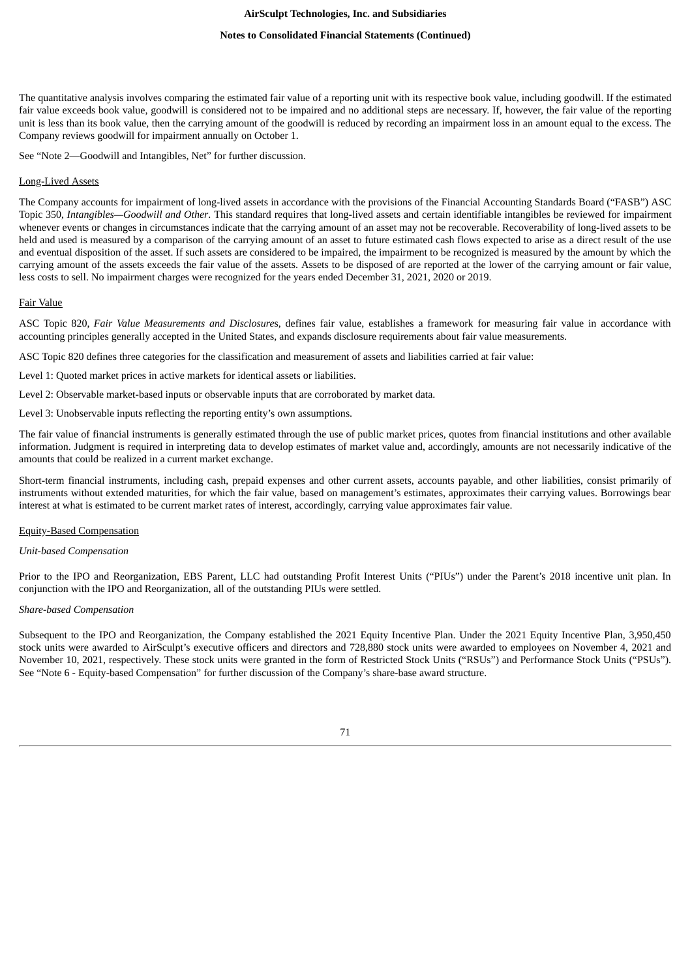## **Notes to Consolidated Financial Statements (Continued)**

The quantitative analysis involves comparing the estimated fair value of a reporting unit with its respective book value, including goodwill. If the estimated fair value exceeds book value, goodwill is considered not to be impaired and no additional steps are necessary. If, however, the fair value of the reporting unit is less than its book value, then the carrying amount of the goodwill is reduced by recording an impairment loss in an amount equal to the excess. The Company reviews goodwill for impairment annually on October 1.

See "Note 2—Goodwill and Intangibles, Net" for further discussion.

# Long-Lived Assets

The Company accounts for impairment of long-lived assets in accordance with the provisions of the Financial Accounting Standards Board ("FASB") ASC Topic 350, *Intangibles—Goodwill and Other*. This standard requires that long-lived assets and certain identifiable intangibles be reviewed for impairment whenever events or changes in circumstances indicate that the carrying amount of an asset may not be recoverable. Recoverability of long-lived assets to be held and used is measured by a comparison of the carrying amount of an asset to future estimated cash flows expected to arise as a direct result of the use and eventual disposition of the asset. If such assets are considered to be impaired, the impairment to be recognized is measured by the amount by which the carrying amount of the assets exceeds the fair value of the assets. Assets to be disposed of are reported at the lower of the carrying amount or fair value, less costs to sell. No impairment charges were recognized for the years ended December 31, 2021, 2020 or 2019.

# Fair Value

ASC Topic 820, *Fair Value Measurements and Disclosure*s, defines fair value, establishes a framework for measuring fair value in accordance with accounting principles generally accepted in the United States, and expands disclosure requirements about fair value measurements.

ASC Topic 820 defines three categories for the classification and measurement of assets and liabilities carried at fair value:

Level 1: Quoted market prices in active markets for identical assets or liabilities.

Level 2: Observable market-based inputs or observable inputs that are corroborated by market data.

Level 3: Unobservable inputs reflecting the reporting entity's own assumptions.

The fair value of financial instruments is generally estimated through the use of public market prices, quotes from financial institutions and other available information. Judgment is required in interpreting data to develop estimates of market value and, accordingly, amounts are not necessarily indicative of the amounts that could be realized in a current market exchange.

Short-term financial instruments, including cash, prepaid expenses and other current assets, accounts payable, and other liabilities, consist primarily of instruments without extended maturities, for which the fair value, based on management's estimates, approximates their carrying values. Borrowings bear interest at what is estimated to be current market rates of interest, accordingly, carrying value approximates fair value.

# Equity-Based Compensation

# *Unit-based Compensation*

Prior to the IPO and Reorganization, EBS Parent, LLC had outstanding Profit Interest Units ("PIUs") under the Parent's 2018 incentive unit plan. In conjunction with the IPO and Reorganization, all of the outstanding PIUs were settled.

## *Share-based Compensation*

Subsequent to the IPO and Reorganization, the Company established the 2021 Equity Incentive Plan. Under the 2021 Equity Incentive Plan, 3,950,450 stock units were awarded to AirSculpt's executive officers and directors and 728,880 stock units were awarded to employees on November 4, 2021 and November 10, 2021, respectively. These stock units were granted in the form of Restricted Stock Units ("RSUs") and Performance Stock Units ("PSUs"). See "Note 6 - Equity-based Compensation" for further discussion of the Company's share-base award structure.

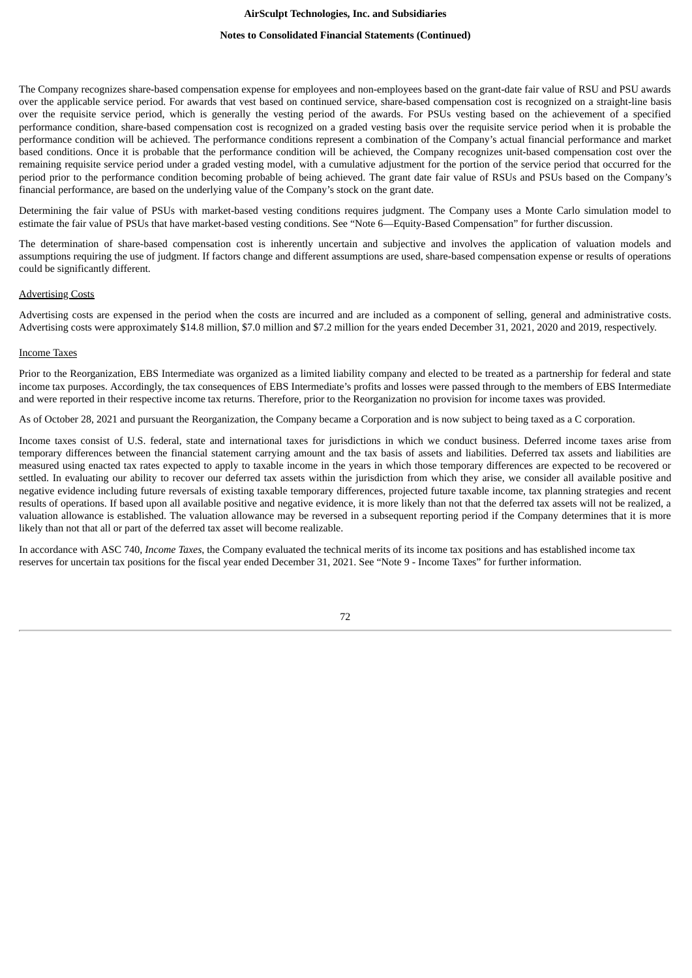#### **Notes to Consolidated Financial Statements (Continued)**

The Company recognizes share-based compensation expense for employees and non-employees based on the grant-date fair value of RSU and PSU awards over the applicable service period. For awards that vest based on continued service, share-based compensation cost is recognized on a straight-line basis over the requisite service period, which is generally the vesting period of the awards. For PSUs vesting based on the achievement of a specified performance condition, share-based compensation cost is recognized on a graded vesting basis over the requisite service period when it is probable the performance condition will be achieved. The performance conditions represent a combination of the Company's actual financial performance and market based conditions. Once it is probable that the performance condition will be achieved, the Company recognizes unit-based compensation cost over the remaining requisite service period under a graded vesting model, with a cumulative adjustment for the portion of the service period that occurred for the period prior to the performance condition becoming probable of being achieved. The grant date fair value of RSUs and PSUs based on the Company's financial performance, are based on the underlying value of the Company's stock on the grant date.

Determining the fair value of PSUs with market-based vesting conditions requires judgment. The Company uses a Monte Carlo simulation model to estimate the fair value of PSUs that have market-based vesting conditions. See "Note 6—Equity-Based Compensation" for further discussion.

The determination of share-based compensation cost is inherently uncertain and subjective and involves the application of valuation models and assumptions requiring the use of judgment. If factors change and different assumptions are used, share-based compensation expense or results of operations could be significantly different.

#### **Advertising Costs**

Advertising costs are expensed in the period when the costs are incurred and are included as a component of selling, general and administrative costs. Advertising costs were approximately \$14.8 million, \$7.0 million and \$7.2 million for the years ended December 31, 2021, 2020 and 2019, respectively.

# Income Taxes

Prior to the Reorganization, EBS Intermediate was organized as a limited liability company and elected to be treated as a partnership for federal and state income tax purposes. Accordingly, the tax consequences of EBS Intermediate's profits and losses were passed through to the members of EBS Intermediate and were reported in their respective income tax returns. Therefore, prior to the Reorganization no provision for income taxes was provided.

As of October 28, 2021 and pursuant the Reorganization, the Company became a Corporation and is now subject to being taxed as a C corporation.

Income taxes consist of U.S. federal, state and international taxes for jurisdictions in which we conduct business. Deferred income taxes arise from temporary differences between the financial statement carrying amount and the tax basis of assets and liabilities. Deferred tax assets and liabilities are measured using enacted tax rates expected to apply to taxable income in the years in which those temporary differences are expected to be recovered or settled. In evaluating our ability to recover our deferred tax assets within the jurisdiction from which they arise, we consider all available positive and negative evidence including future reversals of existing taxable temporary differences, projected future taxable income, tax planning strategies and recent results of operations. If based upon all available positive and negative evidence, it is more likely than not that the deferred tax assets will not be realized, a valuation allowance is established. The valuation allowance may be reversed in a subsequent reporting period if the Company determines that it is more likely than not that all or part of the deferred tax asset will become realizable.

In accordance with ASC 740*, Income Taxes*, the Company evaluated the technical merits of its income tax positions and has established income tax reserves for uncertain tax positions for the fiscal year ended December 31, 2021. See "Note 9 - Income Taxes" for further information.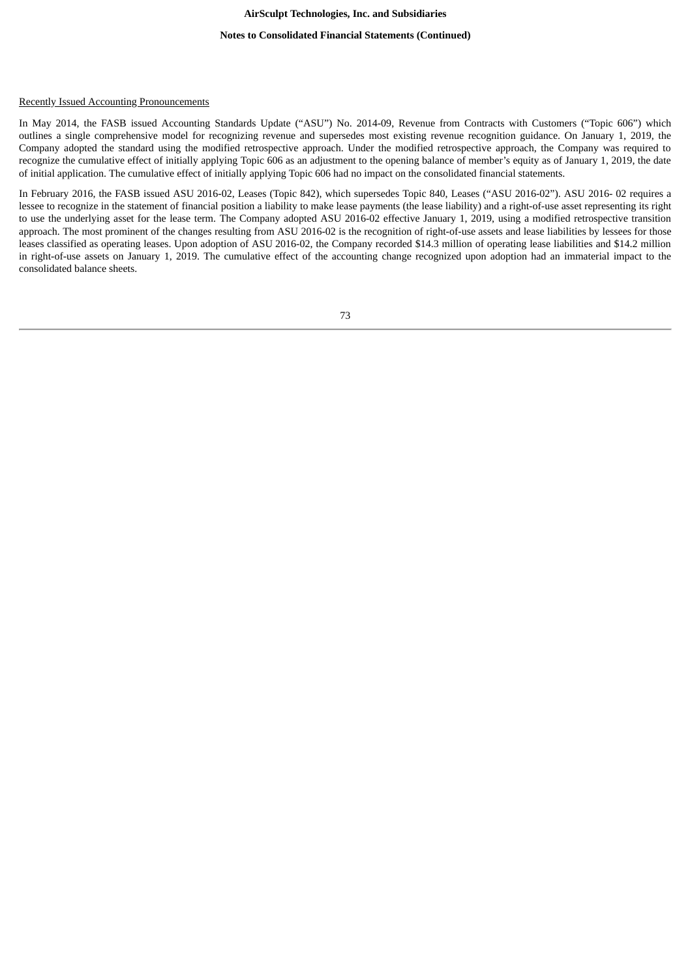## **Notes to Consolidated Financial Statements (Continued)**

### Recently Issued Accounting Pronouncements

In May 2014, the FASB issued Accounting Standards Update ("ASU") No. 2014-09, Revenue from Contracts with Customers ("Topic 606") which outlines a single comprehensive model for recognizing revenue and supersedes most existing revenue recognition guidance. On January 1, 2019, the Company adopted the standard using the modified retrospective approach. Under the modified retrospective approach, the Company was required to recognize the cumulative effect of initially applying Topic 606 as an adjustment to the opening balance of member's equity as of January 1, 2019, the date of initial application. The cumulative effect of initially applying Topic 606 had no impact on the consolidated financial statements.

In February 2016, the FASB issued ASU 2016-02, Leases (Topic 842), which supersedes Topic 840, Leases ("ASU 2016-02"). ASU 2016- 02 requires a lessee to recognize in the statement of financial position a liability to make lease payments (the lease liability) and a right-of-use asset representing its right to use the underlying asset for the lease term. The Company adopted ASU 2016-02 effective January 1, 2019, using a modified retrospective transition approach. The most prominent of the changes resulting from ASU 2016-02 is the recognition of right-of-use assets and lease liabilities by lessees for those leases classified as operating leases. Upon adoption of ASU 2016-02, the Company recorded \$14.3 million of operating lease liabilities and \$14.2 million in right-of-use assets on January 1, 2019. The cumulative effect of the accounting change recognized upon adoption had an immaterial impact to the consolidated balance sheets.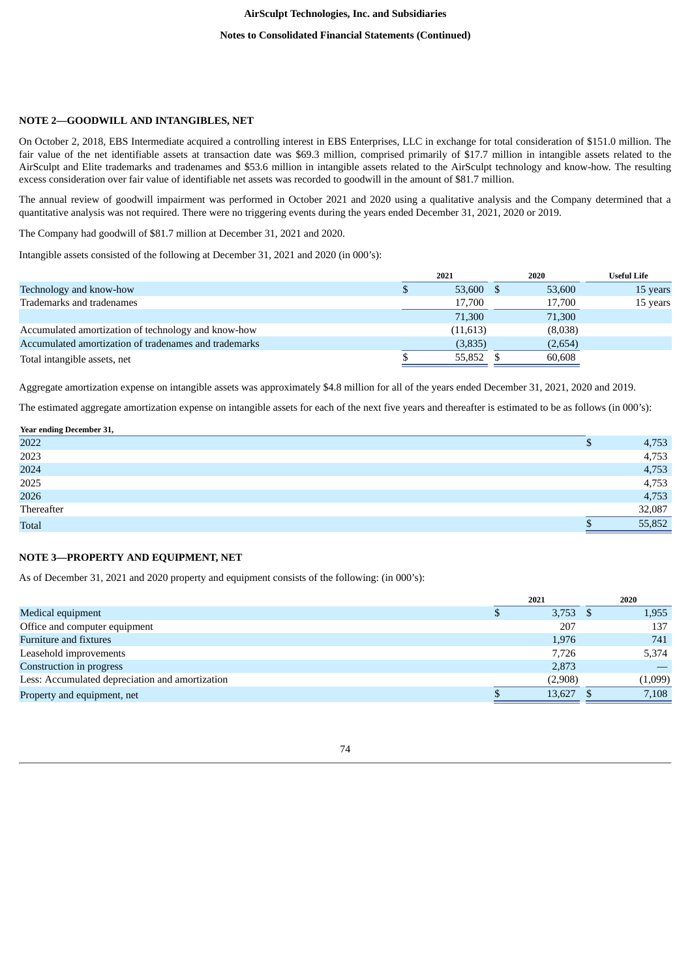#### **Notes to Consolidated Financial Statements (Continued)**

# **NOTE 2—GOODWILL AND INTANGIBLES, NET**

On October 2, 2018, EBS Intermediate acquired a controlling interest in EBS Enterprises, LLC in exchange for total consideration of \$151.0 million. The fair value of the net identifiable assets at transaction date was \$69.3 million, comprised primarily of \$17.7 million in intangible assets related to the AirSculpt and Elite trademarks and tradenames and \$53.6 million in intangible assets related to the AirSculpt technology and know-how. The resulting excess consideration over fair value of identifiable net assets was recorded to goodwill in the amount of \$81.7 million.

The annual review of goodwill impairment was performed in October 2021 and 2020 using a qualitative analysis and the Company determined that a quantitative analysis was not required. There were no triggering events during the years ended December 31, 2021, 2020 or 2019.

The Company had goodwill of \$81.7 million at December 31, 2021 and 2020.

Intangible assets consisted of the following at December 31, 2021 and 2020 (in 000's):

|                                                       | 2021              | 2020    | <b>Useful Life</b> |
|-------------------------------------------------------|-------------------|---------|--------------------|
| Technology and know-how                               | \$<br>$53,600$ \$ | 53,600  | 15 years           |
| Trademarks and tradenames                             | 17.700            | 17,700  | 15 years           |
|                                                       | 71,300            | 71,300  |                    |
| Accumulated amortization of technology and know-how   | (11, 613)         | (8,038) |                    |
| Accumulated amortization of tradenames and trademarks | (3,835)           | (2,654) |                    |
| Total intangible assets, net                          | 55,852            | 60,608  |                    |

Aggregate amortization expense on intangible assets was approximately \$4.8 million for all of the years ended December 31, 2021, 2020 and 2019.

The estimated aggregate amortization expense on intangible assets for each of the next five years and thereafter is estimated to be as follows (in 000's):

| Year ending December 31, |        |
|--------------------------|--------|
| 2022                     | 4,753  |
| 2023                     | 4,753  |
| 2024                     | 4,753  |
| 2025                     | 4,753  |
| 2026                     | 4,753  |
| Thereafter               | 32,087 |
| <b>Total</b>             | 55,852 |

# **NOTE 3—PROPERTY AND EQUIPMENT, NET**

As of December 31, 2021 and 2020 property and equipment consists of the following: (in 000's):

|                                                 | 2021    | 2020    |
|-------------------------------------------------|---------|---------|
| Medical equipment                               | 3,753   | 1,955   |
| Office and computer equipment                   | 207     | 137     |
| Furniture and fixtures                          | 1,976   | 741     |
| Leasehold improvements                          | 7.726   | 5,374   |
| Construction in progress                        | 2,873   |         |
| Less: Accumulated depreciation and amortization | (2,908) | (1,099) |
| Property and equipment, net                     | 13,627  | 7,108   |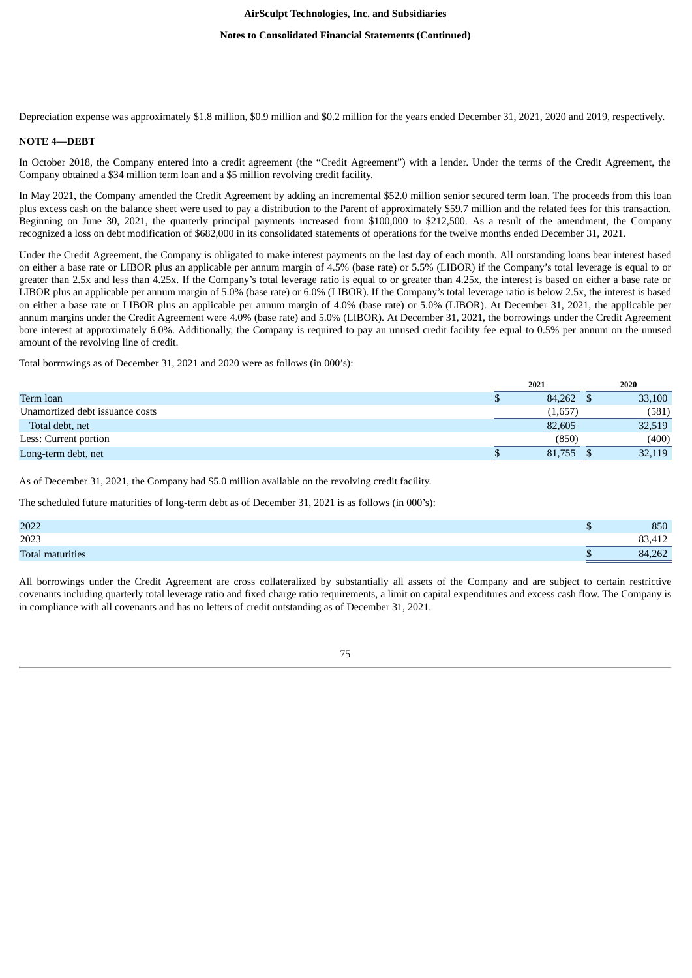#### **Notes to Consolidated Financial Statements (Continued)**

Depreciation expense was approximately \$1.8 million, \$0.9 million and \$0.2 million for the years ended December 31, 2021, 2020 and 2019, respectively.

#### **NOTE 4—DEBT**

In October 2018, the Company entered into a credit agreement (the "Credit Agreement") with a lender. Under the terms of the Credit Agreement, the Company obtained a \$34 million term loan and a \$5 million revolving credit facility.

In May 2021, the Company amended the Credit Agreement by adding an incremental \$52.0 million senior secured term loan. The proceeds from this loan plus excess cash on the balance sheet were used to pay a distribution to the Parent of approximately \$59.7 million and the related fees for this transaction. Beginning on June 30, 2021, the quarterly principal payments increased from \$100,000 to \$212,500. As a result of the amendment, the Company recognized a loss on debt modification of \$682,000 in its consolidated statements of operations for the twelve months ended December 31, 2021.

Under the Credit Agreement, the Company is obligated to make interest payments on the last day of each month. All outstanding loans bear interest based on either a base rate or LIBOR plus an applicable per annum margin of 4.5% (base rate) or 5.5% (LIBOR) if the Company's total leverage is equal to or greater than 2.5x and less than 4.25x. If the Company's total leverage ratio is equal to or greater than 4.25x, the interest is based on either a base rate or LIBOR plus an applicable per annum margin of 5.0% (base rate) or 6.0% (LIBOR). If the Company's total leverage ratio is below 2.5x, the interest is based on either a base rate or LIBOR plus an applicable per annum margin of 4.0% (base rate) or 5.0% (LIBOR). At December 31, 2021, the applicable per annum margins under the Credit Agreement were 4.0% (base rate) and 5.0% (LIBOR). At December 31, 2021, the borrowings under the Credit Agreement bore interest at approximately 6.0%. Additionally, the Company is required to pay an unused credit facility fee equal to 0.5% per annum on the unused amount of the revolving line of credit.

Total borrowings as of December 31, 2021 and 2020 were as follows (in 000's):

|                                 | 2021    | 2020   |
|---------------------------------|---------|--------|
| Term loan                       | 84,262  | 33,100 |
| Unamortized debt issuance costs | (1,657) | (581)  |
| Total debt, net                 | 82,605  | 32,519 |
| Less: Current portion           | (850)   | (400)  |
| Long-term debt, net             | 81,755  | 32,119 |

As of December 31, 2021, the Company had \$5.0 million available on the revolving credit facility.

The scheduled future maturities of long-term debt as of December 31, 2021 is as follows (in 000's):

| 2023     | 440<br>᠇⊥∠ |
|----------|------------|
| $T0$ ta. | ,262       |

All borrowings under the Credit Agreement are cross collateralized by substantially all assets of the Company and are subject to certain restrictive covenants including quarterly total leverage ratio and fixed charge ratio requirements, a limit on capital expenditures and excess cash flow. The Company is in compliance with all covenants and has no letters of credit outstanding as of December 31, 2021.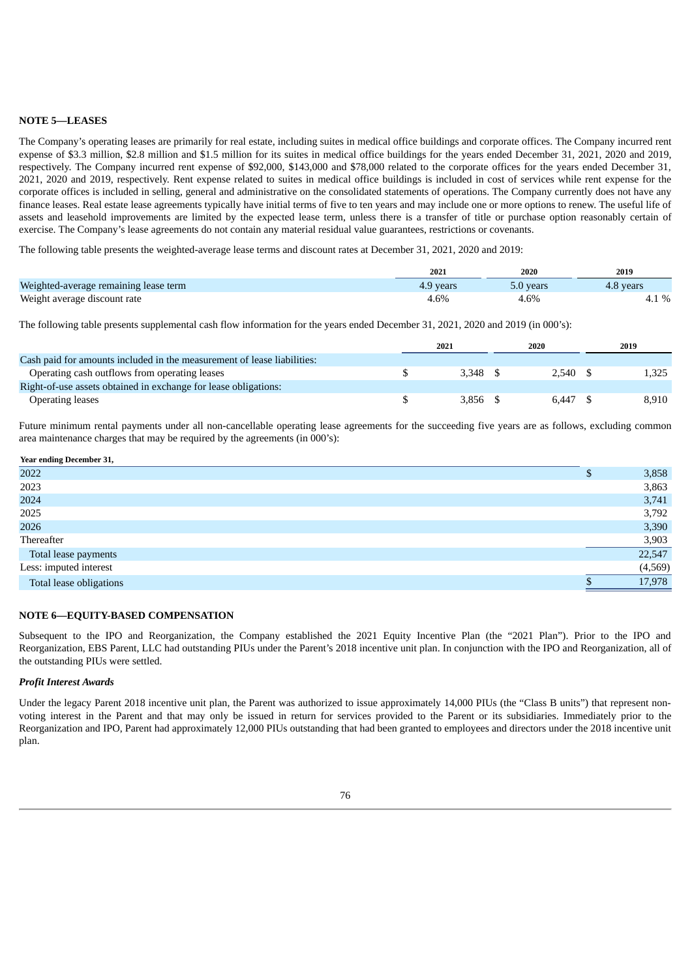# **NOTE 5—LEASES**

The Company's operating leases are primarily for real estate, including suites in medical office buildings and corporate offices. The Company incurred rent expense of \$3.3 million, \$2.8 million and \$1.5 million for its suites in medical office buildings for the years ended December 31, 2021, 2020 and 2019, respectively. The Company incurred rent expense of \$92,000, \$143,000 and \$78,000 related to the corporate offices for the years ended December 31, 2021, 2020 and 2019, respectively. Rent expense related to suites in medical office buildings is included in cost of services while rent expense for the corporate offices is included in selling, general and administrative on the consolidated statements of operations. The Company currently does not have any finance leases. Real estate lease agreements typically have initial terms of five to ten years and may include one or more options to renew. The useful life of assets and leasehold improvements are limited by the expected lease term, unless there is a transfer of title or purchase option reasonably certain of exercise. The Company's lease agreements do not contain any material residual value guarantees, restrictions or covenants.

The following table presents the weighted-average lease terms and discount rates at December 31, 2021, 2020 and 2019:

|                                       | 2021      | 2020      | 2019      |
|---------------------------------------|-----------|-----------|-----------|
| Weighted-average remaining lease term | 4.9 years | 5.0 years | 4.8 years |
| Weight average discount rate          | 4.6%      | 4.6%      | $\%$      |

The following table presents supplemental cash flow information for the years ended December 31, 2021, 2020 and 2019 (in 000's):

|                                                                         | 2021       | 2020  | 2019  |
|-------------------------------------------------------------------------|------------|-------|-------|
| Cash paid for amounts included in the measurement of lease liabilities: |            |       |       |
| Operating cash outflows from operating leases                           | $3.348$ \$ | 2.540 | 1.325 |
| Right-of-use assets obtained in exchange for lease obligations:         |            |       |       |
| <b>Operating leases</b>                                                 | $3.856$ \$ | 6.447 | 8.910 |

Future minimum rental payments under all non-cancellable operating lease agreements for the succeeding five years are as follows, excluding common area maintenance charges that may be required by the agreements (in 000's):

| Year ending December 31, |         |
|--------------------------|---------|
| 2022                     | 3,858   |
| 2023                     | 3,863   |
| 2024                     | 3,741   |
| 2025                     | 3,792   |
| 2026                     | 3,390   |
| Thereafter               | 3,903   |
| Total lease payments     | 22,547  |
| Less: imputed interest   | (4,569) |
| Total lease obligations  | 17,978  |
|                          |         |

# **NOTE 6—EQUITY-BASED COMPENSATION**

Subsequent to the IPO and Reorganization, the Company established the 2021 Equity Incentive Plan (the "2021 Plan"). Prior to the IPO and Reorganization, EBS Parent, LLC had outstanding PIUs under the Parent's 2018 incentive unit plan. In conjunction with the IPO and Reorganization, all of the outstanding PIUs were settled.

## *Profit Interest Awards*

Under the legacy Parent 2018 incentive unit plan, the Parent was authorized to issue approximately 14,000 PIUs (the "Class B units") that represent nonvoting interest in the Parent and that may only be issued in return for services provided to the Parent or its subsidiaries. Immediately prior to the Reorganization and IPO, Parent had approximately 12,000 PIUs outstanding that had been granted to employees and directors under the 2018 incentive unit plan.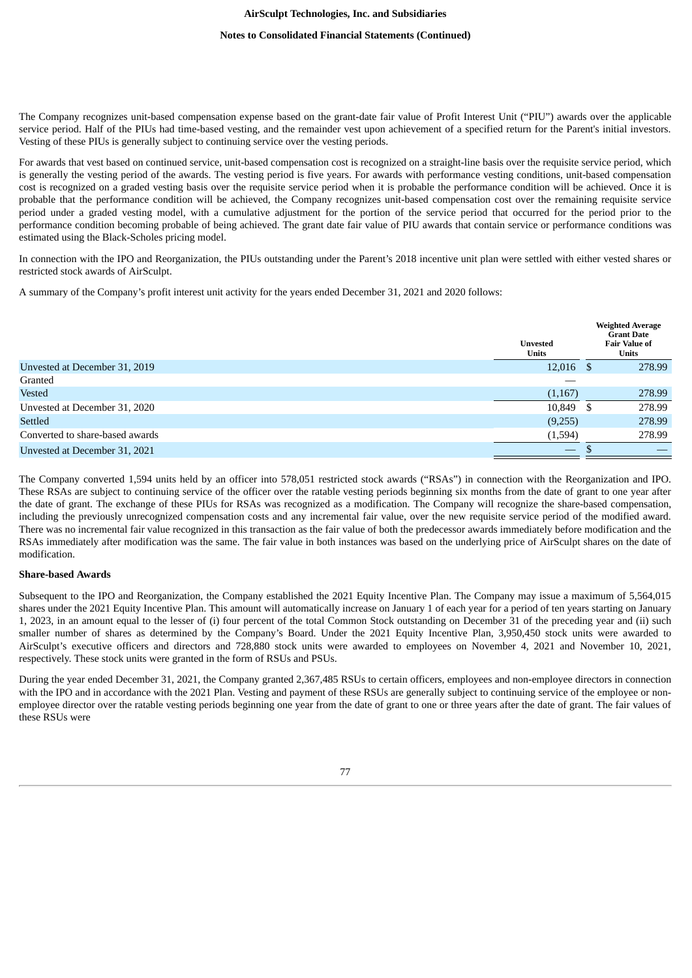#### **Notes to Consolidated Financial Statements (Continued)**

The Company recognizes unit-based compensation expense based on the grant-date fair value of Profit Interest Unit ("PIU") awards over the applicable service period. Half of the PIUs had time-based vesting, and the remainder vest upon achievement of a specified return for the Parent's initial investors. Vesting of these PIUs is generally subject to continuing service over the vesting periods.

For awards that vest based on continued service, unit-based compensation cost is recognized on a straight-line basis over the requisite service period, which is generally the vesting period of the awards. The vesting period is five years. For awards with performance vesting conditions, unit-based compensation cost is recognized on a graded vesting basis over the requisite service period when it is probable the performance condition will be achieved. Once it is probable that the performance condition will be achieved, the Company recognizes unit-based compensation cost over the remaining requisite service period under a graded vesting model, with a cumulative adjustment for the portion of the service period that occurred for the period prior to the performance condition becoming probable of being achieved. The grant date fair value of PIU awards that contain service or performance conditions was estimated using the Black-Scholes pricing model.

In connection with the IPO and Reorganization, the PIUs outstanding under the Parent's 2018 incentive unit plan were settled with either vested shares or restricted stock awards of AirSculpt.

A summary of the Company's profit interest unit activity for the years ended December 31, 2021 and 2020 follows:

|                                 | <b>Unvested</b><br><b>Units</b> |    | <b>Weighted Average</b><br><b>Grant Date</b><br><b>Fair Value of</b><br><b>Units</b> |
|---------------------------------|---------------------------------|----|--------------------------------------------------------------------------------------|
| Unvested at December 31, 2019   | 12,016                          | -S | 278.99                                                                               |
| Granted                         |                                 |    |                                                                                      |
| Vested                          | (1,167)                         |    | 278.99                                                                               |
| Unvested at December 31, 2020   | 10,849                          | S  | 278.99                                                                               |
| Settled                         | (9,255)                         |    | 278.99                                                                               |
| Converted to share-based awards | (1,594)                         |    | 278.99                                                                               |
| Unvested at December 31, 2021   |                                 |    |                                                                                      |

The Company converted 1,594 units held by an officer into 578,051 restricted stock awards ("RSAs") in connection with the Reorganization and IPO. These RSAs are subject to continuing service of the officer over the ratable vesting periods beginning six months from the date of grant to one year after the date of grant. The exchange of these PIUs for RSAs was recognized as a modification. The Company will recognize the share-based compensation, including the previously unrecognized compensation costs and any incremental fair value, over the new requisite service period of the modified award. There was no incremental fair value recognized in this transaction as the fair value of both the predecessor awards immediately before modification and the RSAs immediately after modification was the same. The fair value in both instances was based on the underlying price of AirSculpt shares on the date of modification.

#### **Share-based Awards**

Subsequent to the IPO and Reorganization, the Company established the 2021 Equity Incentive Plan. The Company may issue a maximum of 5,564,015 shares under the 2021 Equity Incentive Plan. This amount will automatically increase on January 1 of each year for a period of ten years starting on January 1, 2023, in an amount equal to the lesser of (i) four percent of the total Common Stock outstanding on December 31 of the preceding year and (ii) such smaller number of shares as determined by the Company's Board. Under the 2021 Equity Incentive Plan, 3,950,450 stock units were awarded to AirSculpt's executive officers and directors and 728,880 stock units were awarded to employees on November 4, 2021 and November 10, 2021, respectively. These stock units were granted in the form of RSUs and PSUs.

During the year ended December 31, 2021, the Company granted 2,367,485 RSUs to certain officers, employees and non-employee directors in connection with the IPO and in accordance with the 2021 Plan. Vesting and payment of these RSUs are generally subject to continuing service of the employee or nonemployee director over the ratable vesting periods beginning one year from the date of grant to one or three years after the date of grant. The fair values of these RSUs were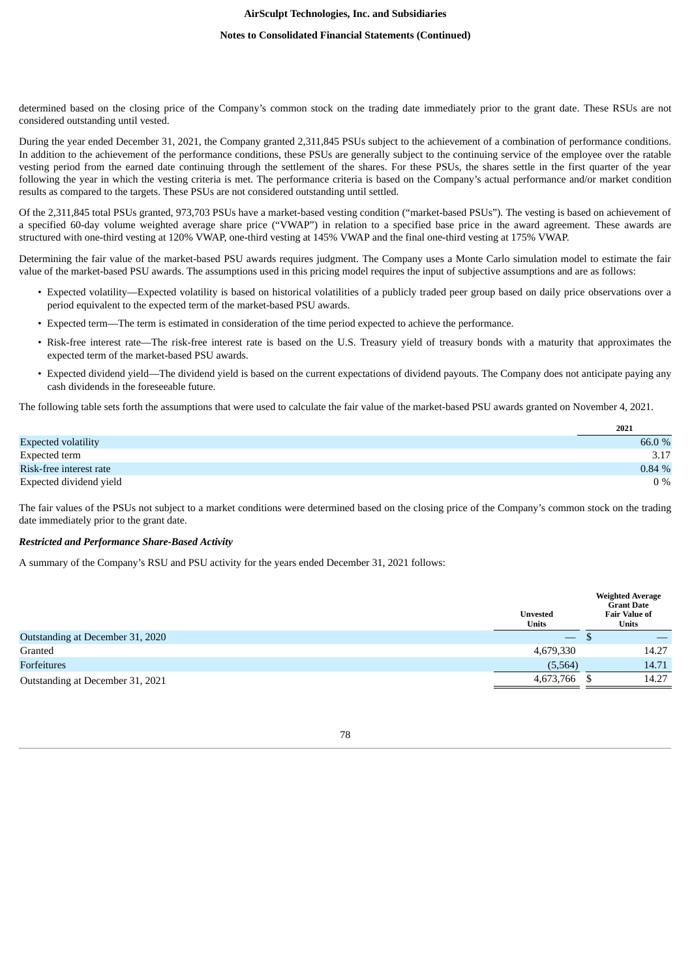### **Notes to Consolidated Financial Statements (Continued)**

determined based on the closing price of the Company's common stock on the trading date immediately prior to the grant date. These RSUs are not considered outstanding until vested.

During the year ended December 31, 2021, the Company granted 2,311,845 PSUs subject to the achievement of a combination of performance conditions. In addition to the achievement of the performance conditions, these PSUs are generally subject to the continuing service of the employee over the ratable vesting period from the earned date continuing through the settlement of the shares. For these PSUs, the shares settle in the first quarter of the year following the year in which the vesting criteria is met. The performance criteria is based on the Company's actual performance and/or market condition results as compared to the targets. These PSUs are not considered outstanding until settled.

Of the 2,311,845 total PSUs granted, 973,703 PSUs have a market-based vesting condition ("market-based PSUs"). The vesting is based on achievement of a specified 60-day volume weighted average share price ("VWAP") in relation to a specified base price in the award agreement. These awards are structured with one-third vesting at 120% VWAP, one-third vesting at 145% VWAP and the final one-third vesting at 175% VWAP.

Determining the fair value of the market-based PSU awards requires judgment. The Company uses a Monte Carlo simulation model to estimate the fair value of the market-based PSU awards. The assumptions used in this pricing model requires the input of subjective assumptions and are as follows:

- Expected volatility—Expected volatility is based on historical volatilities of a publicly traded peer group based on daily price observations over a period equivalent to the expected term of the market-based PSU awards.
- Expected term—The term is estimated in consideration of the time period expected to achieve the performance.
- Risk-free interest rate—The risk-free interest rate is based on the U.S. Treasury yield of treasury bonds with a maturity that approximates the expected term of the market-based PSU awards.
- Expected dividend yield—The dividend yield is based on the current expectations of dividend payouts. The Company does not anticipate paying any cash dividends in the foreseeable future.

The following table sets forth the assumptions that were used to calculate the fair value of the market-based PSU awards granted on November 4, 2021.

|                            | 2021   |
|----------------------------|--------|
| <b>Expected volatility</b> | 66.0 % |
| Expected term              | 3.17   |
| Risk-free interest rate    | 0.84 % |
| Expected dividend yield    | $0\%$  |

The fair values of the PSUs not subject to a market conditions were determined based on the closing price of the Company's common stock on the trading date immediately prior to the grant date.

# *Restricted and Performance Share-Based Activity*

A summary of the Company's RSU and PSU activity for the years ended December 31, 2021 follows:

|                                  | <b>Unvested</b><br><b>Units</b> | <b>Weighted Average</b><br><b>Grant Date</b><br><b>Fair Value of</b><br><b>Units</b> |
|----------------------------------|---------------------------------|--------------------------------------------------------------------------------------|
| Outstanding at December 31, 2020 | $\hspace{0.1mm}-\hspace{0.1mm}$ | ۰U                                                                                   |
| Granted                          | 4,679,330                       | 14.27                                                                                |
| Forfeitures                      | (5,564)                         | 14.71                                                                                |
| Outstanding at December 31, 2021 | 4,673,766                       | 14.27                                                                                |

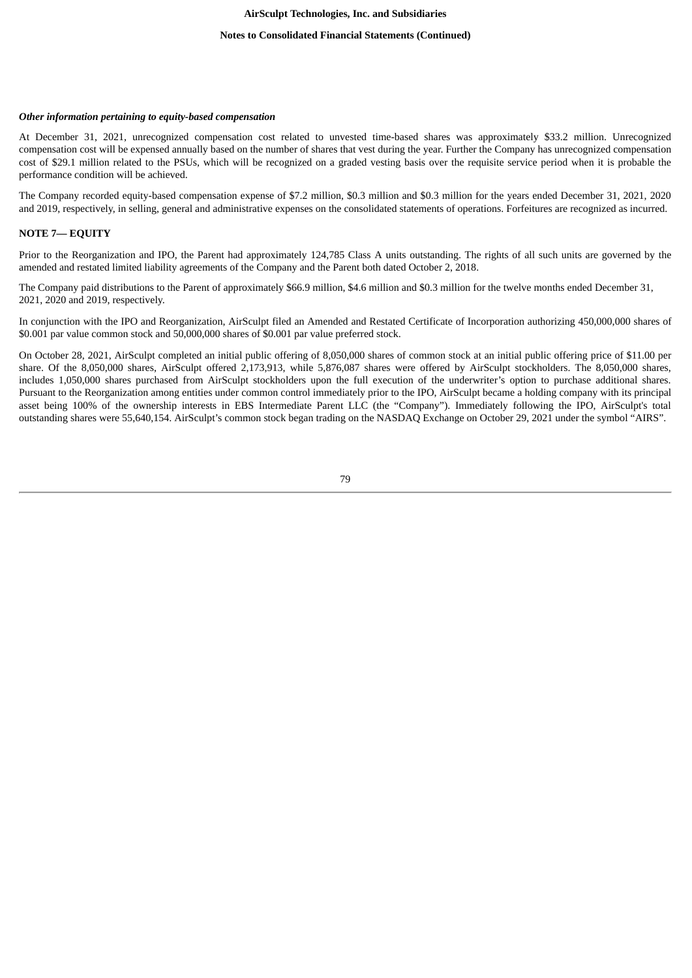#### **Notes to Consolidated Financial Statements (Continued)**

#### *Other information pertaining to equity-based compensation*

At December 31, 2021, unrecognized compensation cost related to unvested time-based shares was approximately \$33.2 million. Unrecognized compensation cost will be expensed annually based on the number of shares that vest during the year. Further the Company has unrecognized compensation cost of \$29.1 million related to the PSUs, which will be recognized on a graded vesting basis over the requisite service period when it is probable the performance condition will be achieved.

The Company recorded equity-based compensation expense of \$7.2 million, \$0.3 million and \$0.3 million for the years ended December 31, 2021, 2020 and 2019, respectively, in selling, general and administrative expenses on the consolidated statements of operations. Forfeitures are recognized as incurred.

## **NOTE 7— EQUITY**

Prior to the Reorganization and IPO, the Parent had approximately 124,785 Class A units outstanding. The rights of all such units are governed by the amended and restated limited liability agreements of the Company and the Parent both dated October 2, 2018.

The Company paid distributions to the Parent of approximately \$66.9 million, \$4.6 million and \$0.3 million for the twelve months ended December 31, 2021, 2020 and 2019, respectively.

In conjunction with the IPO and Reorganization, AirSculpt filed an Amended and Restated Certificate of Incorporation authorizing 450,000,000 shares of \$0.001 par value common stock and 50,000,000 shares of \$0.001 par value preferred stock.

On October 28, 2021, AirSculpt completed an initial public offering of 8,050,000 shares of common stock at an initial public offering price of \$11.00 per share. Of the 8,050,000 shares, AirSculpt offered 2,173,913, while 5,876,087 shares were offered by AirSculpt stockholders. The 8,050,000 shares, includes 1,050,000 shares purchased from AirSculpt stockholders upon the full execution of the underwriter's option to purchase additional shares. Pursuant to the Reorganization among entities under common control immediately prior to the IPO, AirSculpt became a holding company with its principal asset being 100% of the ownership interests in EBS Intermediate Parent LLC (the "Company"). Immediately following the IPO, AirSculpt's total outstanding shares were 55,640,154. AirSculpt's common stock began trading on the NASDAQ Exchange on October 29, 2021 under the symbol "AIRS".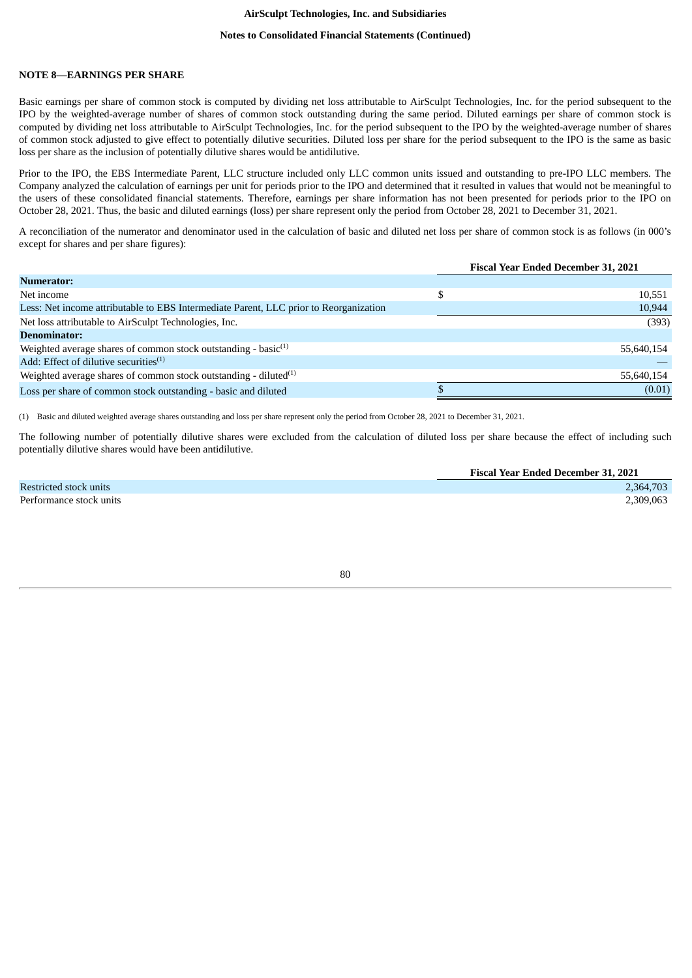### **Notes to Consolidated Financial Statements (Continued)**

## **NOTE 8—EARNINGS PER SHARE**

Basic earnings per share of common stock is computed by dividing net loss attributable to AirSculpt Technologies, Inc. for the period subsequent to the IPO by the weighted-average number of shares of common stock outstanding during the same period. Diluted earnings per share of common stock is computed by dividing net loss attributable to AirSculpt Technologies, Inc. for the period subsequent to the IPO by the weighted-average number of shares of common stock adjusted to give effect to potentially dilutive securities. Diluted loss per share for the period subsequent to the IPO is the same as basic loss per share as the inclusion of potentially dilutive shares would be antidilutive.

Prior to the IPO, the EBS Intermediate Parent, LLC structure included only LLC common units issued and outstanding to pre-IPO LLC members. The Company analyzed the calculation of earnings per unit for periods prior to the IPO and determined that it resulted in values that would not be meaningful to the users of these consolidated financial statements. Therefore, earnings per share information has not been presented for periods prior to the IPO on October 28, 2021. Thus, the basic and diluted earnings (loss) per share represent only the period from October 28, 2021 to December 31, 2021.

A reconciliation of the numerator and denominator used in the calculation of basic and diluted net loss per share of common stock is as follows (in 000's except for shares and per share figures):

|                                                                                       | <b>Fiscal Year Ended December 31, 2021</b> |
|---------------------------------------------------------------------------------------|--------------------------------------------|
| <b>Numerator:</b>                                                                     |                                            |
| Net income                                                                            | 10.551                                     |
| Less: Net income attributable to EBS Intermediate Parent, LLC prior to Reorganization | 10,944                                     |
| Net loss attributable to AirSculpt Technologies, Inc.                                 | (393)                                      |
| <b>Denominator:</b>                                                                   |                                            |
| Weighted average shares of common stock outstanding - basic $(1)$                     | 55,640,154                                 |
| Add: Effect of dilutive securities $(1)$                                              |                                            |
| Weighted average shares of common stock outstanding - diluted $(1)$                   | 55,640,154                                 |
| Loss per share of common stock outstanding - basic and diluted                        | (0.01)                                     |

(1) Basic and diluted weighted average shares outstanding and loss per share represent only the period from October 28, 2021 to December 31, 2021.

The following number of potentially dilutive shares were excluded from the calculation of diluted loss per share because the effect of including such potentially dilutive shares would have been antidilutive.

|                         | <b>Fiscal Year Ended December 31, 2021</b> |
|-------------------------|--------------------------------------------|
| Restricted stock units  | 2.364.703                                  |
| Performance stock units | 2,309,063                                  |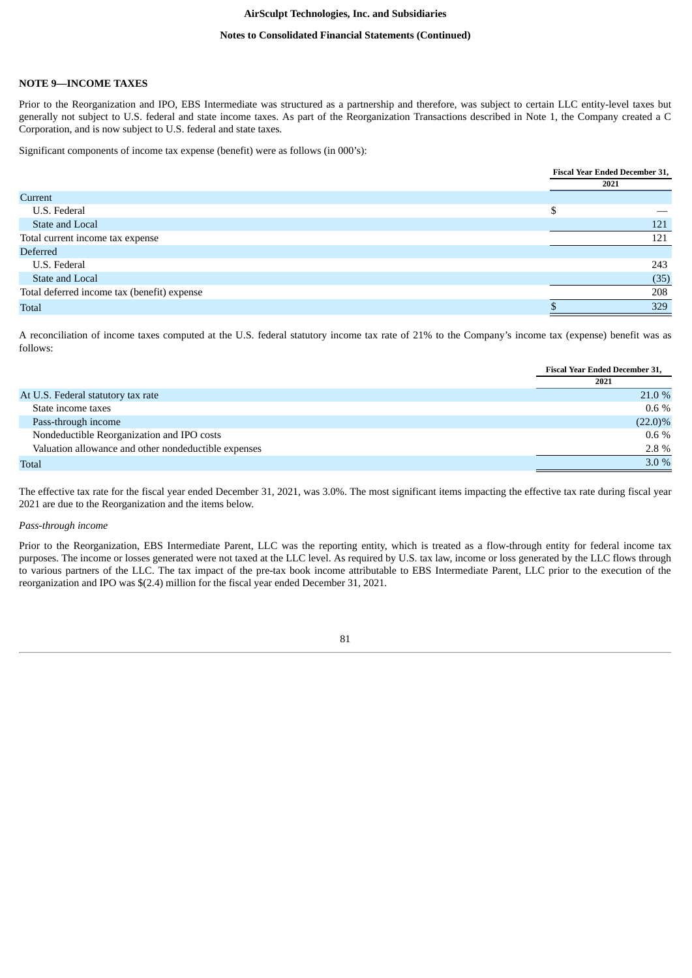#### **Notes to Consolidated Financial Statements (Continued)**

### **NOTE 9—INCOME TAXES**

Prior to the Reorganization and IPO, EBS Intermediate was structured as a partnership and therefore, was subject to certain LLC entity-level taxes but generally not subject to U.S. federal and state income taxes. As part of the Reorganization Transactions described in Note 1, the Company created a C Corporation, and is now subject to U.S. federal and state taxes.

Significant components of income tax expense (benefit) were as follows (in 000's):

|                                             |      | <b>Fiscal Year Ended December 31,</b> |  |
|---------------------------------------------|------|---------------------------------------|--|
|                                             | 2021 |                                       |  |
| Current                                     |      |                                       |  |
| U.S. Federal                                |      |                                       |  |
| State and Local                             |      | 121                                   |  |
| Total current income tax expense            |      | 121                                   |  |
| <b>Deferred</b>                             |      |                                       |  |
| U.S. Federal                                |      | 243                                   |  |
| State and Local                             |      | (35)                                  |  |
| Total deferred income tax (benefit) expense |      | 208                                   |  |
| <b>Total</b>                                |      | 329                                   |  |

A reconciliation of income taxes computed at the U.S. federal statutory income tax rate of 21% to the Company's income tax (expense) benefit was as follows:

| <b>Fiscal Year Ended December 31,</b> |  |
|---------------------------------------|--|
| 2021                                  |  |
| 21.0 %                                |  |
| $0.6\%$                               |  |
| $(22.0)\%$                            |  |
| $0.6\%$                               |  |
| 2.8 %                                 |  |
| 3.0%                                  |  |
|                                       |  |

The effective tax rate for the fiscal year ended December 31, 2021, was 3.0%. The most significant items impacting the effective tax rate during fiscal year 2021 are due to the Reorganization and the items below.

## *Pass-through income*

Prior to the Reorganization, EBS Intermediate Parent, LLC was the reporting entity, which is treated as a flow-through entity for federal income tax purposes. The income or losses generated were not taxed at the LLC level. As required by U.S. tax law, income or loss generated by the LLC flows through to various partners of the LLC. The tax impact of the pre-tax book income attributable to EBS Intermediate Parent, LLC prior to the execution of the reorganization and IPO was \$(2.4) million for the fiscal year ended December 31, 2021.

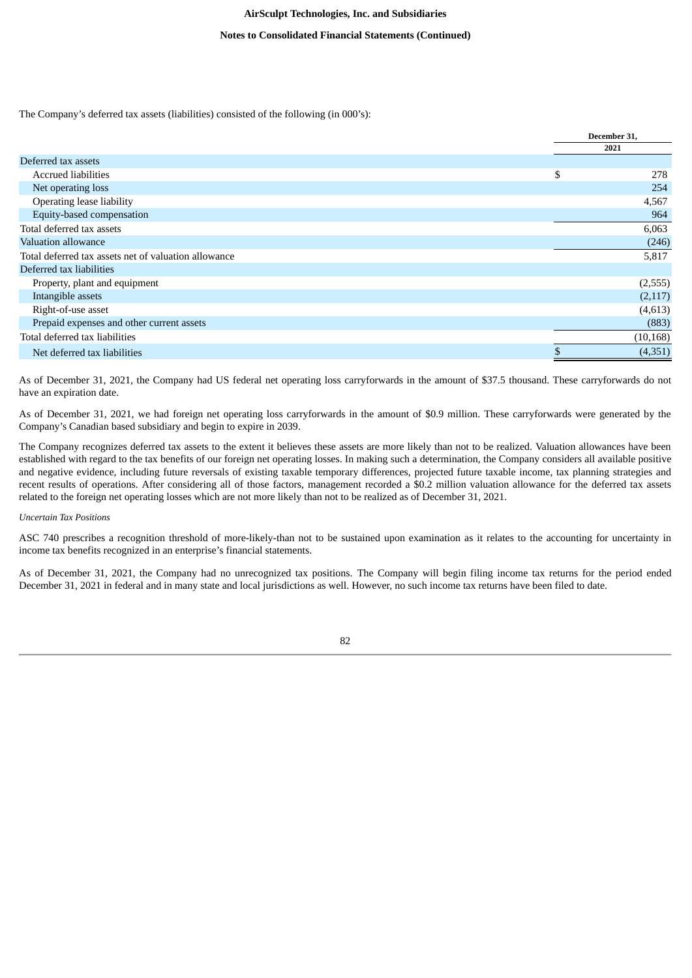## **Notes to Consolidated Financial Statements (Continued)**

The Company's deferred tax assets (liabilities) consisted of the following (in 000's):

|                                                      | December 31,  |  |
|------------------------------------------------------|---------------|--|
|                                                      | 2021          |  |
| Deferred tax assets                                  |               |  |
| Accrued liabilities                                  | \$<br>278     |  |
| Net operating loss                                   | 254           |  |
| Operating lease liability                            | 4,567         |  |
| Equity-based compensation                            | 964           |  |
| Total deferred tax assets                            | 6,063         |  |
| Valuation allowance                                  | (246)         |  |
| Total deferred tax assets net of valuation allowance | 5,817         |  |
| Deferred tax liabilities                             |               |  |
| Property, plant and equipment                        | (2,555)       |  |
| Intangible assets                                    | (2,117)       |  |
| Right-of-use asset                                   | (4,613)       |  |
| Prepaid expenses and other current assets            | (883)         |  |
| Total deferred tax liabilities                       | (10, 168)     |  |
| Net deferred tax liabilities                         | \$<br>(4,351) |  |

As of December 31, 2021, the Company had US federal net operating loss carryforwards in the amount of \$37.5 thousand. These carryforwards do not have an expiration date.

As of December 31, 2021, we had foreign net operating loss carryforwards in the amount of \$0.9 million. These carryforwards were generated by the Company's Canadian based subsidiary and begin to expire in 2039.

The Company recognizes deferred tax assets to the extent it believes these assets are more likely than not to be realized. Valuation allowances have been established with regard to the tax benefits of our foreign net operating losses. In making such a determination, the Company considers all available positive and negative evidence, including future reversals of existing taxable temporary differences, projected future taxable income, tax planning strategies and recent results of operations. After considering all of those factors, management recorded a \$0.2 million valuation allowance for the deferred tax assets related to the foreign net operating losses which are not more likely than not to be realized as of December 31, 2021.

### *Uncertain Tax Positions*

ASC 740 prescribes a recognition threshold of more-likely-than not to be sustained upon examination as it relates to the accounting for uncertainty in income tax benefits recognized in an enterprise's financial statements.

As of December 31, 2021, the Company had no unrecognized tax positions. The Company will begin filing income tax returns for the period ended December 31, 2021 in federal and in many state and local jurisdictions as well. However, no such income tax returns have been filed to date.

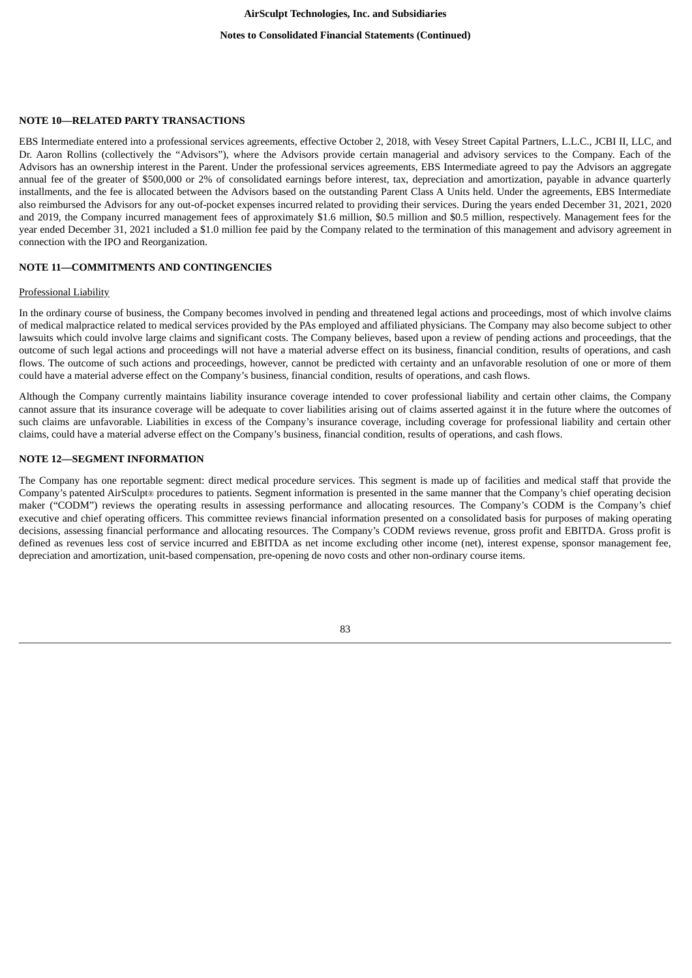## **Notes to Consolidated Financial Statements (Continued)**

# **NOTE 10—RELATED PARTY TRANSACTIONS**

EBS Intermediate entered into a professional services agreements, effective October 2, 2018, with Vesey Street Capital Partners, L.L.C., JCBI II, LLC, and Dr. Aaron Rollins (collectively the "Advisors"), where the Advisors provide certain managerial and advisory services to the Company. Each of the Advisors has an ownership interest in the Parent. Under the professional services agreements, EBS Intermediate agreed to pay the Advisors an aggregate annual fee of the greater of \$500,000 or 2% of consolidated earnings before interest, tax, depreciation and amortization, payable in advance quarterly installments, and the fee is allocated between the Advisors based on the outstanding Parent Class A Units held. Under the agreements, EBS Intermediate also reimbursed the Advisors for any out-of-pocket expenses incurred related to providing their services. During the years ended December 31, 2021, 2020 and 2019, the Company incurred management fees of approximately \$1.6 million, \$0.5 million and \$0.5 million, respectively. Management fees for the year ended December 31, 2021 included a \$1.0 million fee paid by the Company related to the termination of this management and advisory agreement in connection with the IPO and Reorganization.

# **NOTE 11—COMMITMENTS AND CONTINGENCIES**

### Professional Liability

In the ordinary course of business, the Company becomes involved in pending and threatened legal actions and proceedings, most of which involve claims of medical malpractice related to medical services provided by the PAs employed and affiliated physicians. The Company may also become subject to other lawsuits which could involve large claims and significant costs. The Company believes, based upon a review of pending actions and proceedings, that the outcome of such legal actions and proceedings will not have a material adverse effect on its business, financial condition, results of operations, and cash flows. The outcome of such actions and proceedings, however, cannot be predicted with certainty and an unfavorable resolution of one or more of them could have a material adverse effect on the Company's business, financial condition, results of operations, and cash flows.

Although the Company currently maintains liability insurance coverage intended to cover professional liability and certain other claims, the Company cannot assure that its insurance coverage will be adequate to cover liabilities arising out of claims asserted against it in the future where the outcomes of such claims are unfavorable. Liabilities in excess of the Company's insurance coverage, including coverage for professional liability and certain other claims, could have a material adverse effect on the Company's business, financial condition, results of operations, and cash flows.

## **NOTE 12—SEGMENT INFORMATION**

The Company has one reportable segment: direct medical procedure services. This segment is made up of facilities and medical staff that provide the Company's patented AirSculpt® procedures to patients. Segment information is presented in the same manner that the Company's chief operating decision maker ("CODM") reviews the operating results in assessing performance and allocating resources. The Company's CODM is the Company's chief executive and chief operating officers. This committee reviews financial information presented on a consolidated basis for purposes of making operating decisions, assessing financial performance and allocating resources. The Company's CODM reviews revenue, gross profit and EBITDA. Gross profit is defined as revenues less cost of service incurred and EBITDA as net income excluding other income (net), interest expense, sponsor management fee, depreciation and amortization, unit-based compensation, pre-opening de novo costs and other non-ordinary course items.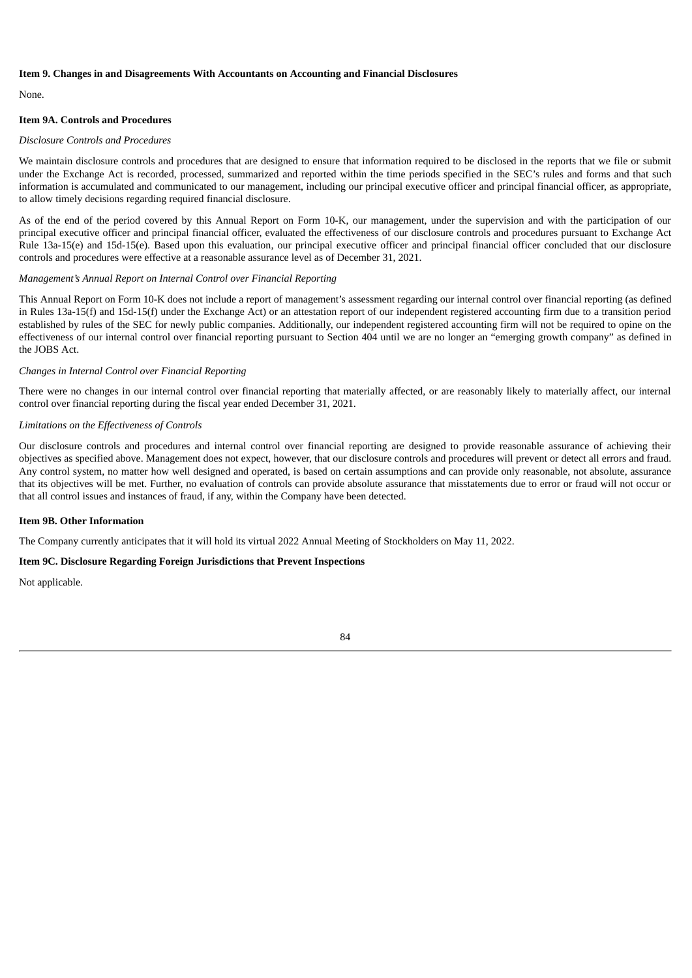# **Item 9. Changes in and Disagreements With Accountants on Accounting and Financial Disclosures**

None.

# **Item 9A. Controls and Procedures**

# *Disclosure Controls and Procedures*

We maintain disclosure controls and procedures that are designed to ensure that information required to be disclosed in the reports that we file or submit under the Exchange Act is recorded, processed, summarized and reported within the time periods specified in the SEC's rules and forms and that such information is accumulated and communicated to our management, including our principal executive officer and principal financial officer, as appropriate, to allow timely decisions regarding required financial disclosure.

As of the end of the period covered by this Annual Report on Form 10-K, our management, under the supervision and with the participation of our principal executive officer and principal financial officer, evaluated the effectiveness of our disclosure controls and procedures pursuant to Exchange Act Rule 13a-15(e) and 15d-15(e). Based upon this evaluation, our principal executive officer and principal financial officer concluded that our disclosure controls and procedures were effective at a reasonable assurance level as of December 31, 2021.

## *Management's Annual Report on Internal Control over Financial Reporting*

This Annual Report on Form 10-K does not include a report of management's assessment regarding our internal control over financial reporting (as defined in Rules 13a-15(f) and 15d-15(f) under the Exchange Act) or an attestation report of our independent registered accounting firm due to a transition period established by rules of the SEC for newly public companies. Additionally, our independent registered accounting firm will not be required to opine on the effectiveness of our internal control over financial reporting pursuant to Section 404 until we are no longer an "emerging growth company" as defined in the JOBS Act.

## *Changes in Internal Control over Financial Reporting*

There were no changes in our internal control over financial reporting that materially affected, or are reasonably likely to materially affect, our internal control over financial reporting during the fiscal year ended December 31, 2021.

# *Limitations on the Effectiveness of Controls*

Our disclosure controls and procedures and internal control over financial reporting are designed to provide reasonable assurance of achieving their objectives as specified above. Management does not expect, however, that our disclosure controls and procedures will prevent or detect all errors and fraud. Any control system, no matter how well designed and operated, is based on certain assumptions and can provide only reasonable, not absolute, assurance that its objectives will be met. Further, no evaluation of controls can provide absolute assurance that misstatements due to error or fraud will not occur or that all control issues and instances of fraud, if any, within the Company have been detected.

## **Item 9B. Other Information**

The Company currently anticipates that it will hold its virtual 2022 Annual Meeting of Stockholders on May 11, 2022.

# **Item 9C. Disclosure Regarding Foreign Jurisdictions that Prevent Inspections**

Not applicable.

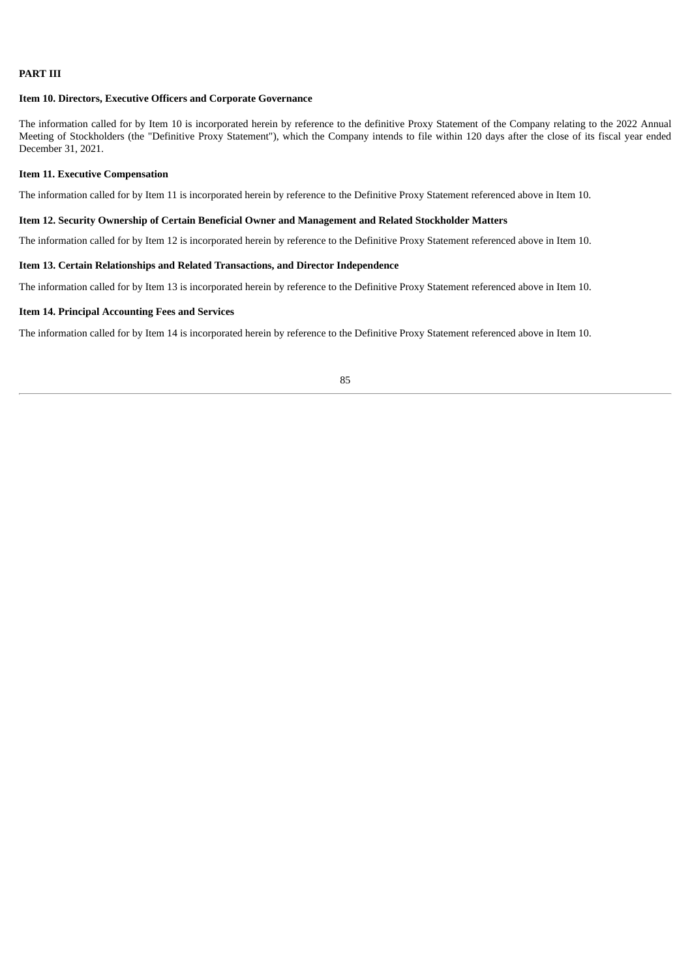# **PART III**

# **Item 10. Directors, Executive Officers and Corporate Governance**

The information called for by Item 10 is incorporated herein by reference to the definitive Proxy Statement of the Company relating to the 2022 Annual Meeting of Stockholders (the "Definitive Proxy Statement"), which the Company intends to file within 120 days after the close of its fiscal year ended December 31, 2021.

# **Item 11. Executive Compensation**

The information called for by Item 11 is incorporated herein by reference to the Definitive Proxy Statement referenced above in Item 10.

## **Item 12. Security Ownership of Certain Beneficial Owner and Management and Related Stockholder Matters**

The information called for by Item 12 is incorporated herein by reference to the Definitive Proxy Statement referenced above in Item 10.

## **Item 13. Certain Relationships and Related Transactions, and Director Independence**

The information called for by Item 13 is incorporated herein by reference to the Definitive Proxy Statement referenced above in Item 10.

## **Item 14. Principal Accounting Fees and Services**

The information called for by Item 14 is incorporated herein by reference to the Definitive Proxy Statement referenced above in Item 10.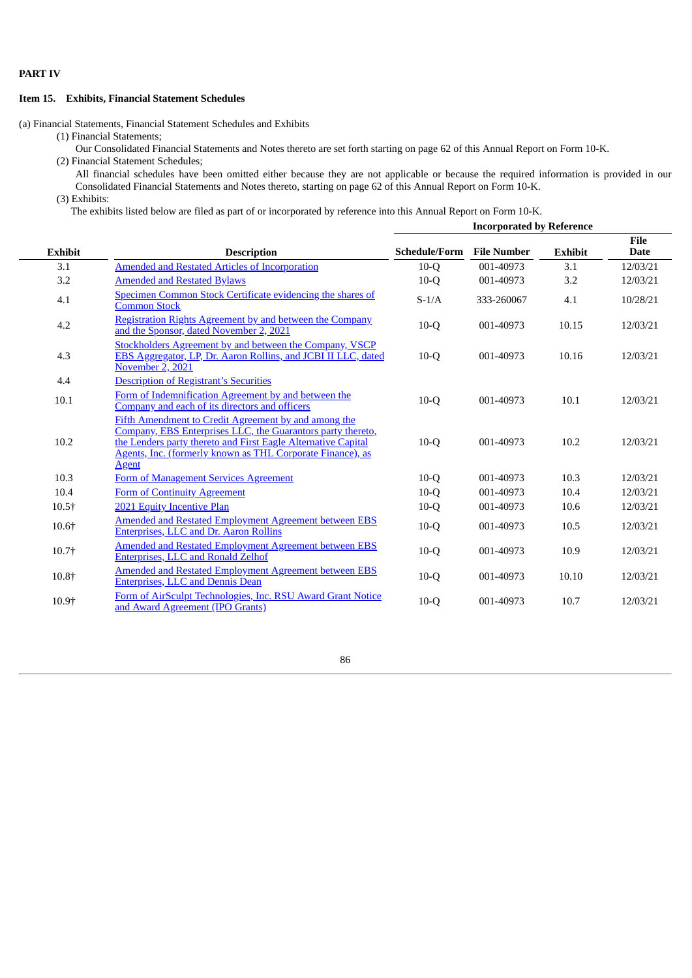# **PART IV**

# **Item 15. Exhibits, Financial Statement Schedules**

(a) Financial Statements, Financial Statement Schedules and Exhibits

- (1) Financial Statements;
	- Our Consolidated Financial Statements and Notes thereto are set forth starting on page [62](#page-64-0) of this Annual Report on Form 10-K.
- (2) Financial Statement Schedules;

All financial schedules have been omitted either because they are not applicable or because the required information is provided in our Consolidated Financial Statements and Notes thereto, starting on page [62](#page-64-0) of this Annual Report on Form 10-K.

**Incorporated by Reference**

(3) Exhibits:

The exhibits listed below are filed as part of or incorporated by reference into this Annual Report on Form 10-K.

| <b>Exhibit</b> | <b>Description</b>                                                                                                                                                                                                                                                 | Schedule/Form | <b>File Number</b> | <b>Exhibit</b> | <b>File</b><br><b>Date</b> |
|----------------|--------------------------------------------------------------------------------------------------------------------------------------------------------------------------------------------------------------------------------------------------------------------|---------------|--------------------|----------------|----------------------------|
| 3.1            | <b>Amended and Restated Articles of Incorporation</b>                                                                                                                                                                                                              | $10-Q$        | 001-40973          | 3.1            | 12/03/21                   |
| 3.2            | <b>Amended and Restated Bylaws</b>                                                                                                                                                                                                                                 | $10-O$        | 001-40973          | 3.2            | 12/03/21                   |
| 4.1            | Specimen Common Stock Certificate evidencing the shares of<br><b>Common Stock</b>                                                                                                                                                                                  | $S-1/A$       | 333-260067         | 4.1            | 10/28/21                   |
| 4.2            | Registration Rights Agreement by and between the Company<br>and the Sponsor, dated November 2, 2021                                                                                                                                                                | $10-Q$        | 001-40973          | 10.15          | 12/03/21                   |
| 4.3            | <b>Stockholders Agreement by and between the Company, VSCP</b><br><b>EBS Aggregator, LP, Dr. Aaron Rollins, and JCBI II LLC, dated</b><br><b>November 2, 2021</b>                                                                                                  | $10-Q$        | 001-40973          | 10.16          | 12/03/21                   |
| 4.4            | <b>Description of Registrant's Securities</b>                                                                                                                                                                                                                      |               |                    |                |                            |
| 10.1           | Form of Indemnification Agreement by and between the<br>Company and each of its directors and officers                                                                                                                                                             | $10-Q$        | 001-40973          | 10.1           | 12/03/21                   |
| 10.2           | Fifth Amendment to Credit Agreement by and among the<br>Company, EBS Enterprises LLC, the Guarantors party thereto,<br>the Lenders party thereto and First Eagle Alternative Capital<br>Agents, Inc. (formerly known as THL Corporate Finance), as<br><b>Agent</b> | $10-Q$        | 001-40973          | 10.2           | 12/03/21                   |
| 10.3           | Form of Management Services Agreement                                                                                                                                                                                                                              | $10-Q$        | 001-40973          | 10.3           | 12/03/21                   |
| 10.4           | <b>Form of Continuity Agreement</b>                                                                                                                                                                                                                                | $10-Q$        | 001-40973          | 10.4           | 12/03/21                   |
| $10.5\dagger$  | 2021 Equity Incentive Plan                                                                                                                                                                                                                                         | $10-Q$        | 001-40973          | 10.6           | 12/03/21                   |
| 10.6†          | <b>Amended and Restated Employment Agreement between EBS</b><br><b>Enterprises, LLC and Dr. Aaron Rollins</b>                                                                                                                                                      | $10-Q$        | 001-40973          | 10.5           | 12/03/21                   |
| 10.7†          | <b>Amended and Restated Employment Agreement between EBS</b><br><b>Enterprises, LLC and Ronald Zelhof</b>                                                                                                                                                          | $10-Q$        | 001-40973          | 10.9           | 12/03/21                   |
| 10.8+          | <b>Amended and Restated Employment Agreement between EBS</b><br><b>Enterprises, LLC and Dennis Dean</b>                                                                                                                                                            | $10-Q$        | 001-40973          | 10.10          | 12/03/21                   |
| 10.9†          | Form of AirSculpt Technologies, Inc. RSU Award Grant Notice<br>and Award Agreement (IPO Grants)                                                                                                                                                                    | $10-Q$        | 001-40973          | 10.7           | 12/03/21                   |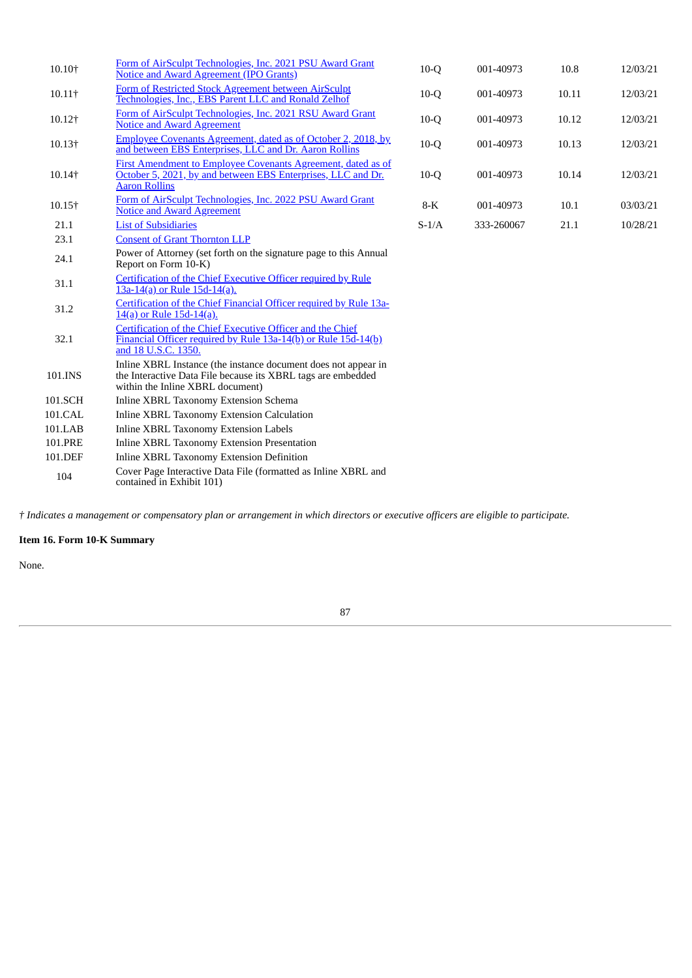| 10.10+         | Form of AirSculpt Technologies, Inc. 2021 PSU Award Grant<br><b>Notice and Award Agreement (IPO Grants)</b>                                                        | $10-Q$  | 001-40973  | 10.8  | 12/03/21 |
|----------------|--------------------------------------------------------------------------------------------------------------------------------------------------------------------|---------|------------|-------|----------|
| $10.11\dagger$ | Form of Restricted Stock Agreement between AirSculpt<br>Technologies, Inc., EBS Parent LLC and Ronald Zelhof                                                       | $10-Q$  | 001-40973  | 10.11 | 12/03/21 |
| 10.12+         | Form of AirSculpt Technologies, Inc. 2021 RSU Award Grant<br><b>Notice and Award Agreement</b>                                                                     | $10-Q$  | 001-40973  | 10.12 | 12/03/21 |
| 10.13+         | <b>Employee Covenants Agreement, dated as of October 2, 2018, by</b><br>and between EBS Enterprises, LLC and Dr. Aaron Rollins                                     | $10-Q$  | 001-40973  | 10.13 | 12/03/21 |
| 10.14+         | First Amendment to Employee Covenants Agreement, dated as of<br>October 5, 2021, by and between EBS Enterprises, LLC and Dr.<br><b>Aaron Rollins</b>               | $10-Q$  | 001-40973  | 10.14 | 12/03/21 |
| 10.15†         | Form of AirSculpt Technologies, Inc. 2022 PSU Award Grant<br><b>Notice and Award Agreement</b>                                                                     | $8-K$   | 001-40973  | 10.1  | 03/03/21 |
| 21.1           | <b>List of Subsidiaries</b>                                                                                                                                        | $S-1/A$ | 333-260067 | 21.1  | 10/28/21 |
| 23.1           | <b>Consent of Grant Thornton LLP</b>                                                                                                                               |         |            |       |          |
| 24.1           | Power of Attorney (set forth on the signature page to this Annual<br>Report on Form 10-K)                                                                          |         |            |       |          |
| 31.1           | Certification of the Chief Executive Officer required by Rule<br>13a-14(a) or Rule 15d-14(a).                                                                      |         |            |       |          |
| 31.2           | Certification of the Chief Financial Officer required by Rule 13a-<br>14(a) or Rule 15d-14(a).                                                                     |         |            |       |          |
| 32.1           | Certification of the Chief Executive Officer and the Chief<br>Financial Officer required by Rule 13a-14(b) or Rule 15d-14(b)<br>and 18 U.S.C. 1350.                |         |            |       |          |
| 101.INS        | Inline XBRL Instance (the instance document does not appear in<br>the Interactive Data File because its XBRL tags are embedded<br>within the Inline XBRL document) |         |            |       |          |
| 101.SCH        | Inline XBRL Taxonomy Extension Schema                                                                                                                              |         |            |       |          |
| 101.CAL        | Inline XBRL Taxonomy Extension Calculation                                                                                                                         |         |            |       |          |
| 101.LAB        | <b>Inline XBRL Taxonomy Extension Labels</b>                                                                                                                       |         |            |       |          |
| 101.PRE        | <b>Inline XBRL Taxonomy Extension Presentation</b>                                                                                                                 |         |            |       |          |
| 101.DEF        | Inline XBRL Taxonomy Extension Definition                                                                                                                          |         |            |       |          |
| 104            | Cover Page Interactive Data File (formatted as Inline XBRL and<br>contained in Exhibit 101)                                                                        |         |            |       |          |
|                |                                                                                                                                                                    |         |            |       |          |

† Indicates a management or compensatory plan or arrangement in which directors or executive officers are eligible to participate.

# **Item 16. Form 10-K Summary**

None.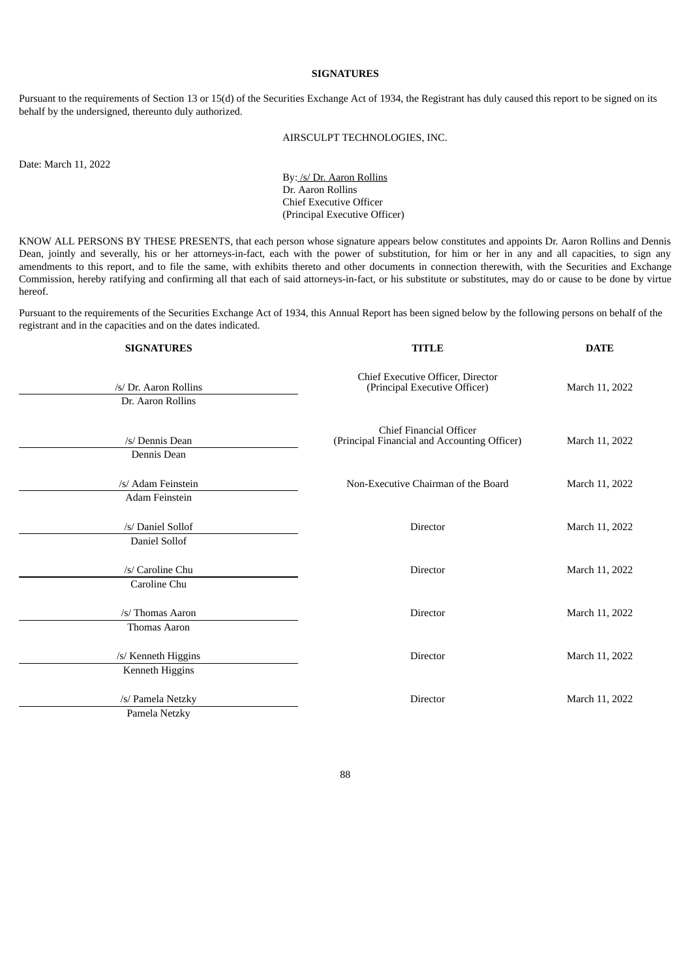## **SIGNATURES**

Pursuant to the requirements of Section 13 or 15(d) of the Securities Exchange Act of 1934, the Registrant has duly caused this report to be signed on its behalf by the undersigned, thereunto duly authorized.

# AIRSCULPT TECHNOLOGIES, INC.

Date: March 11, 2022

By: /s/ Dr. Aaron Rollins Dr. Aaron Rollins Chief Executive Officer (Principal Executive Officer)

KNOW ALL PERSONS BY THESE PRESENTS, that each person whose signature appears below constitutes and appoints Dr. Aaron Rollins and Dennis Dean, jointly and severally, his or her attorneys-in-fact, each with the power of substitution, for him or her in any and all capacities, to sign any amendments to this report, and to file the same, with exhibits thereto and other documents in connection therewith, with the Securities and Exchange Commission, hereby ratifying and confirming all that each of said attorneys-in-fact, or his substitute or substitutes, may do or cause to be done by virtue hereof.

Pursuant to the requirements of the Securities Exchange Act of 1934, this Annual Report has been signed below by the following persons on behalf of the registrant and in the capacities and on the dates indicated.

|                                                                                | <b>DATE</b>    |  |
|--------------------------------------------------------------------------------|----------------|--|
| Chief Executive Officer, Director<br>(Principal Executive Officer)             | March 11, 2022 |  |
| <b>Chief Financial Officer</b><br>(Principal Financial and Accounting Officer) | March 11, 2022 |  |
| Non-Executive Chairman of the Board                                            | March 11, 2022 |  |
| <b>Director</b>                                                                | March 11, 2022 |  |
| <b>Director</b>                                                                | March 11, 2022 |  |
| <b>Director</b>                                                                | March 11, 2022 |  |
| <b>Director</b>                                                                | March 11, 2022 |  |
| <b>Director</b>                                                                | March 11, 2022 |  |
|                                                                                | <b>TITLE</b>   |  |

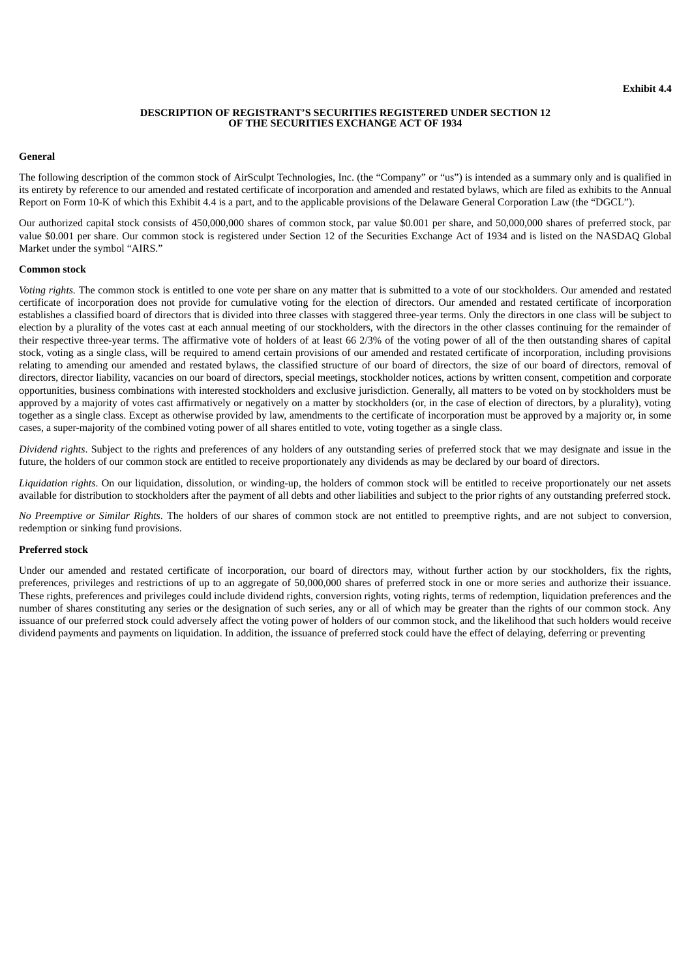# **DESCRIPTION OF REGISTRANT'S SECURITIES REGISTERED UNDER SECTION 12 OF THE SECURITIES EXCHANGE ACT OF 1934**

#### <span id="page-92-0"></span>**General**

The following description of the common stock of AirSculpt Technologies, Inc. (the "Company" or "us") is intended as a summary only and is qualified in its entirety by reference to our amended and restated certificate of incorporation and amended and restated bylaws, which are filed as exhibits to the Annual Report on Form 10-K of which this Exhibit 4.4 is a part, and to the applicable provisions of the Delaware General Corporation Law (the "DGCL").

Our authorized capital stock consists of 450,000,000 shares of common stock, par value \$0.001 per share, and 50,000,000 shares of preferred stock, par value \$0.001 per share. Our common stock is registered under Section 12 of the Securities Exchange Act of 1934 and is listed on the NASDAQ Global Market under the symbol "AIRS."

#### **Common stock**

*Voting rights.* The common stock is entitled to one vote per share on any matter that is submitted to a vote of our stockholders. Our amended and restated certificate of incorporation does not provide for cumulative voting for the election of directors. Our amended and restated certificate of incorporation establishes a classified board of directors that is divided into three classes with staggered three-year terms. Only the directors in one class will be subject to election by a plurality of the votes cast at each annual meeting of our stockholders, with the directors in the other classes continuing for the remainder of their respective three-year terms. The affirmative vote of holders of at least 66 2/3% of the voting power of all of the then outstanding shares of capital stock, voting as a single class, will be required to amend certain provisions of our amended and restated certificate of incorporation, including provisions relating to amending our amended and restated bylaws, the classified structure of our board of directors, the size of our board of directors, removal of directors, director liability, vacancies on our board of directors, special meetings, stockholder notices, actions by written consent, competition and corporate opportunities, business combinations with interested stockholders and exclusive jurisdiction. Generally, all matters to be voted on by stockholders must be approved by a majority of votes cast affirmatively or negatively on a matter by stockholders (or, in the case of election of directors, by a plurality), voting together as a single class. Except as otherwise provided by law, amendments to the certificate of incorporation must be approved by a majority or, in some cases, a super-majority of the combined voting power of all shares entitled to vote, voting together as a single class.

*Dividend rights*. Subject to the rights and preferences of any holders of any outstanding series of preferred stock that we may designate and issue in the future, the holders of our common stock are entitled to receive proportionately any dividends as may be declared by our board of directors.

*Liquidation rights*. On our liquidation, dissolution, or winding-up, the holders of common stock will be entitled to receive proportionately our net assets available for distribution to stockholders after the payment of all debts and other liabilities and subject to the prior rights of any outstanding preferred stock.

*No Preemptive or Similar Rights*. The holders of our shares of common stock are not entitled to preemptive rights, and are not subject to conversion, redemption or sinking fund provisions.

#### **Preferred stock**

Under our amended and restated certificate of incorporation, our board of directors may, without further action by our stockholders, fix the rights, preferences, privileges and restrictions of up to an aggregate of 50,000,000 shares of preferred stock in one or more series and authorize their issuance. These rights, preferences and privileges could include dividend rights, conversion rights, voting rights, terms of redemption, liquidation preferences and the number of shares constituting any series or the designation of such series, any or all of which may be greater than the rights of our common stock. Any issuance of our preferred stock could adversely affect the voting power of holders of our common stock, and the likelihood that such holders would receive dividend payments and payments on liquidation. In addition, the issuance of preferred stock could have the effect of delaying, deferring or preventing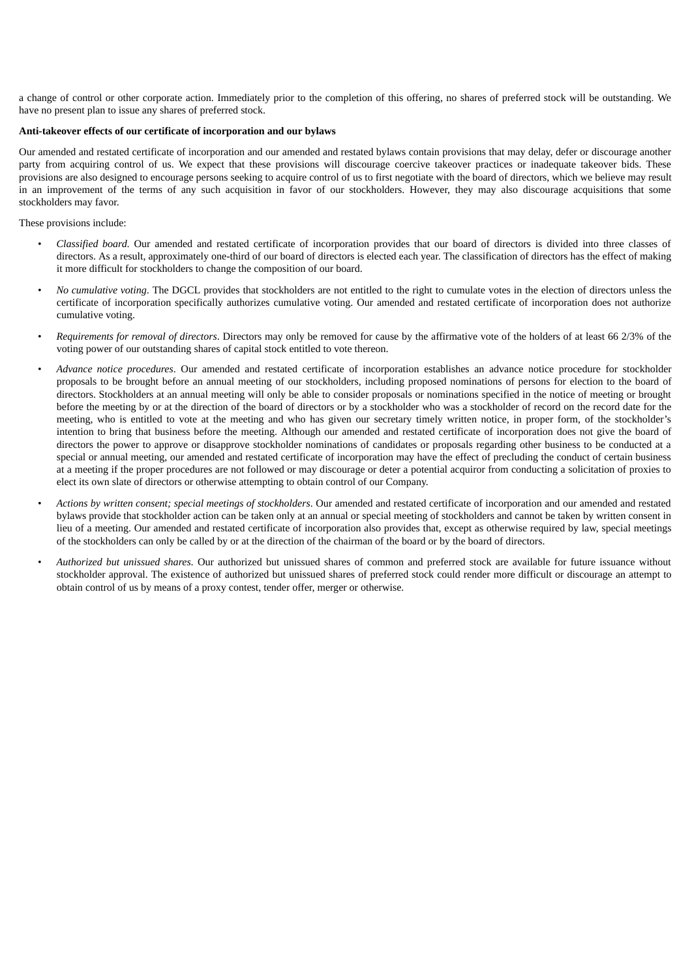a change of control or other corporate action. Immediately prior to the completion of this offering, no shares of preferred stock will be outstanding. We have no present plan to issue any shares of preferred stock.

# **Anti-takeover effects of our certificate of incorporation and our bylaws**

Our amended and restated certificate of incorporation and our amended and restated bylaws contain provisions that may delay, defer or discourage another party from acquiring control of us. We expect that these provisions will discourage coercive takeover practices or inadequate takeover bids. These provisions are also designed to encourage persons seeking to acquire control of us to first negotiate with the board of directors, which we believe may result in an improvement of the terms of any such acquisition in favor of our stockholders. However, they may also discourage acquisitions that some stockholders may favor.

These provisions include:

- *Classified board*. Our amended and restated certificate of incorporation provides that our board of directors is divided into three classes of directors. As a result, approximately one-third of our board of directors is elected each year. The classification of directors has the effect of making it more difficult for stockholders to change the composition of our board.
- *No cumulative voting*. The DGCL provides that stockholders are not entitled to the right to cumulate votes in the election of directors unless the certificate of incorporation specifically authorizes cumulative voting. Our amended and restated certificate of incorporation does not authorize cumulative voting.
- *Requirements for removal of directors*. Directors may only be removed for cause by the affirmative vote of the holders of at least 66 2/3% of the voting power of our outstanding shares of capital stock entitled to vote thereon.
- *Advance notice procedures*. Our amended and restated certificate of incorporation establishes an advance notice procedure for stockholder proposals to be brought before an annual meeting of our stockholders, including proposed nominations of persons for election to the board of directors. Stockholders at an annual meeting will only be able to consider proposals or nominations specified in the notice of meeting or brought before the meeting by or at the direction of the board of directors or by a stockholder who was a stockholder of record on the record date for the meeting, who is entitled to vote at the meeting and who has given our secretary timely written notice, in proper form, of the stockholder's intention to bring that business before the meeting. Although our amended and restated certificate of incorporation does not give the board of directors the power to approve or disapprove stockholder nominations of candidates or proposals regarding other business to be conducted at a special or annual meeting, our amended and restated certificate of incorporation may have the effect of precluding the conduct of certain business at a meeting if the proper procedures are not followed or may discourage or deter a potential acquiror from conducting a solicitation of proxies to elect its own slate of directors or otherwise attempting to obtain control of our Company.
- *Actions by written consent; special meetings of stockholders*. Our amended and restated certificate of incorporation and our amended and restated bylaws provide that stockholder action can be taken only at an annual or special meeting of stockholders and cannot be taken by written consent in lieu of a meeting. Our amended and restated certificate of incorporation also provides that, except as otherwise required by law, special meetings of the stockholders can only be called by or at the direction of the chairman of the board or by the board of directors.
- *Authorized but unissued shares*. Our authorized but unissued shares of common and preferred stock are available for future issuance without stockholder approval. The existence of authorized but unissued shares of preferred stock could render more difficult or discourage an attempt to obtain control of us by means of a proxy contest, tender offer, merger or otherwise.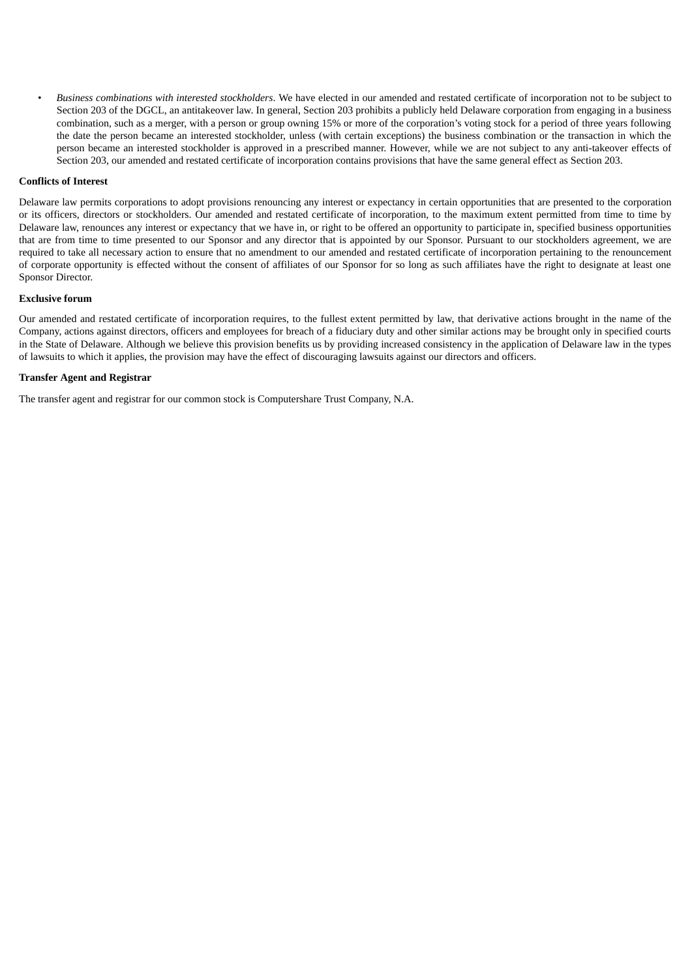• *Business combinations with interested stockholders*. We have elected in our amended and restated certificate of incorporation not to be subject to Section 203 of the DGCL, an antitakeover law. In general, Section 203 prohibits a publicly held Delaware corporation from engaging in a business combination, such as a merger, with a person or group owning 15% or more of the corporation's voting stock for a period of three years following the date the person became an interested stockholder, unless (with certain exceptions) the business combination or the transaction in which the person became an interested stockholder is approved in a prescribed manner. However, while we are not subject to any anti-takeover effects of Section 203, our amended and restated certificate of incorporation contains provisions that have the same general effect as Section 203.

## **Conflicts of Interest**

Delaware law permits corporations to adopt provisions renouncing any interest or expectancy in certain opportunities that are presented to the corporation or its officers, directors or stockholders. Our amended and restated certificate of incorporation, to the maximum extent permitted from time to time by Delaware law, renounces any interest or expectancy that we have in, or right to be offered an opportunity to participate in, specified business opportunities that are from time to time presented to our Sponsor and any director that is appointed by our Sponsor. Pursuant to our stockholders agreement, we are required to take all necessary action to ensure that no amendment to our amended and restated certificate of incorporation pertaining to the renouncement of corporate opportunity is effected without the consent of affiliates of our Sponsor for so long as such affiliates have the right to designate at least one Sponsor Director.

### **Exclusive forum**

Our amended and restated certificate of incorporation requires, to the fullest extent permitted by law, that derivative actions brought in the name of the Company, actions against directors, officers and employees for breach of a fiduciary duty and other similar actions may be brought only in specified courts in the State of Delaware. Although we believe this provision benefits us by providing increased consistency in the application of Delaware law in the types of lawsuits to which it applies, the provision may have the effect of discouraging lawsuits against our directors and officers.

# **Transfer Agent and Registrar**

The transfer agent and registrar for our common stock is Computershare Trust Company, N.A.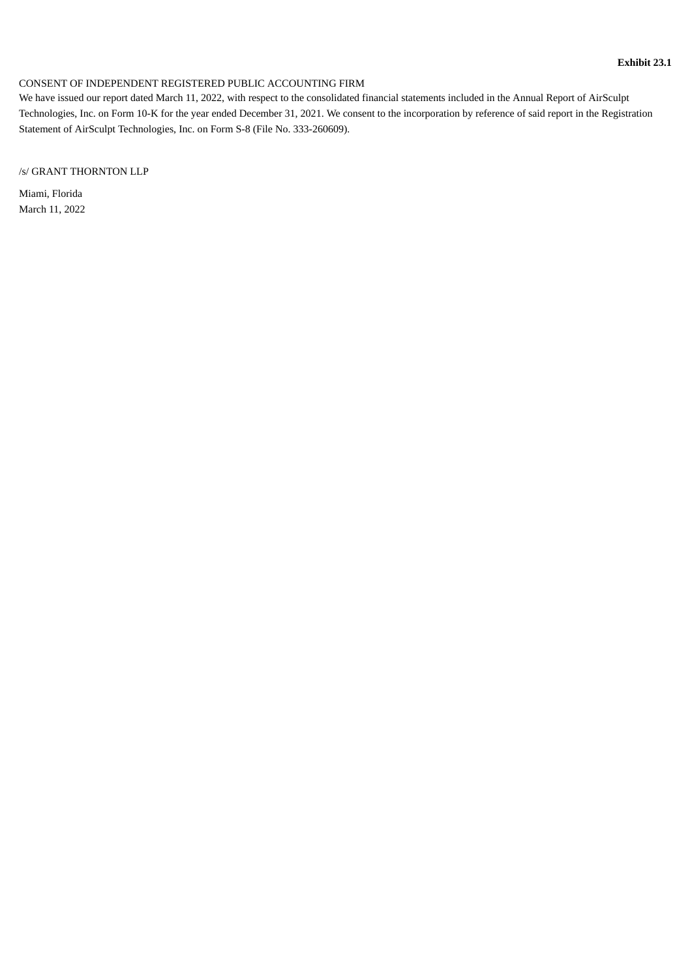# <span id="page-95-0"></span>CONSENT OF INDEPENDENT REGISTERED PUBLIC ACCOUNTING FIRM

We have issued our report dated March 11, 2022, with respect to the consolidated financial statements included in the Annual Report of AirSculpt Technologies, Inc. on Form 10-K for the year ended December 31, 2021. We consent to the incorporation by reference of said report in the Registration Statement of AirSculpt Technologies, Inc. on Form S-8 (File No. 333-260609).

/s/ GRANT THORNTON LLP

Miami, Florida March 11, 2022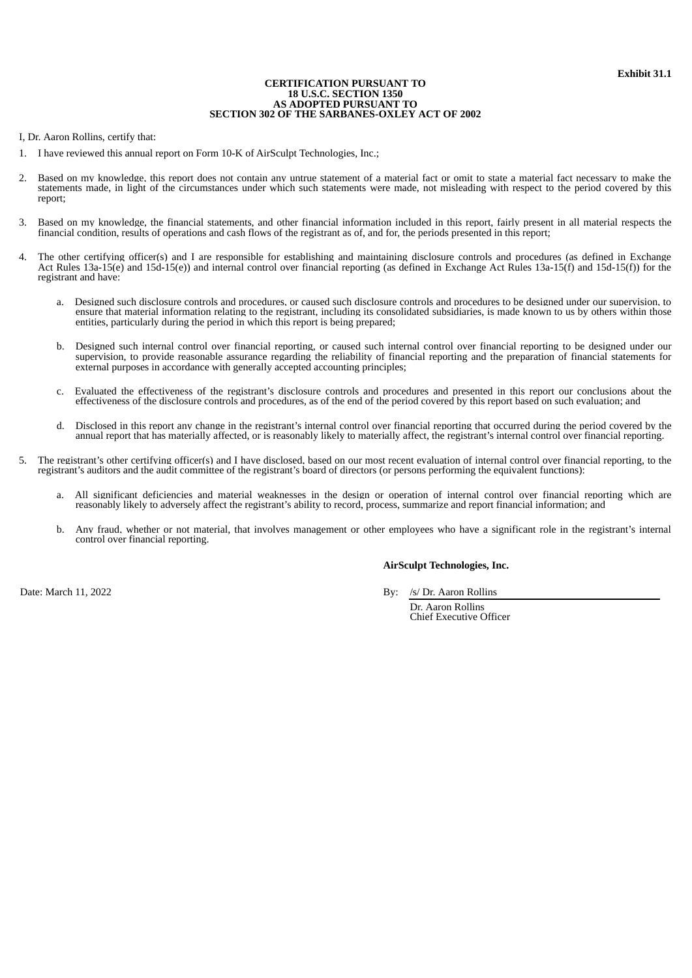#### **CERTIFICATION PURSUANT TO 18 U.S.C. SECTION 1350 AS ADOPTED PURSUANT TO SECTION 302 OF THE SARBANES-OXLEY ACT OF 2002**

<span id="page-96-0"></span>I, Dr. Aaron Rollins, certify that:

- 1. I have reviewed this annual report on Form 10-K of AirSculpt Technologies, Inc.;
- 2. Based on my knowledge, this report does not contain any untrue statement of a material fact or omit to state a material fact necessary to make the statements made, in light of the circumstances under which such statements were made, not misleading with respect to the period covered by this report;
- 3. Based on my knowledge, the financial statements, and other financial information included in this report, fairly present in all material respects the financial condition, results of operations and cash flows of the registrant as of, and for, the periods presented in this report;
- 4. The other certifying officer(s) and I are responsible for establishing and maintaining disclosure controls and procedures (as defined in Exchange Act Rules 13a-15(e) and 15d-15(e)) and internal control over financial reporting (as defined in Exchange Act Rules 13a-15(f) and 15d-15(f)) for the registrant and have:
	- a. Designed such disclosure controls and procedures, or caused such disclosure controls and procedures to be designed under our supervision, to ensure that material information relating to the registrant, including its consolidated subsidiaries, is made known to us by others within those entities, particularly during the period in which this report is being prepared;
	- b. Designed such internal control over financial reporting, or caused such internal control over financial reporting to be designed under our supervision, to provide reasonable assurance regarding the reliability of financial reporting and the preparation of financial statements for external purposes in accordance with generally accepted accounting principles;
	- c. Evaluated the effectiveness of the registrant's disclosure controls and procedures and presented in this report our conclusions about the effectiveness of the disclosure controls and procedures, as of the end of the period covered by this report based on such evaluation; and
	- d. Disclosed in this report any change in the registrant's internal control over financial reporting that occurred during the period covered by the annual report that has materially affected, or is reasonably likely to materially affect, the registrant's internal control over financial reporting.
- 5. The registrant's other certifying officer(s) and I have disclosed, based on our most recent evaluation of internal control over financial reporting, to the registrant's auditors and the audit committee of the registrant's board of directors (or persons performing the equivalent functions):
	- a. All significant deficiencies and material weaknesses in the design or operation of internal control over financial reporting which are reasonably likely to adversely affect the registrant's ability to record, process, summarize and report financial information; and
	- b. Any fraud, whether or not material, that involves management or other employees who have a significant role in the registrant's internal control over financial reporting.

# **AirSculpt Technologies, Inc.**

Date: March 11, 2022 By: /s/ Dr. Aaron Rollins

Dr. Aaron Rollins Chief Executive Officer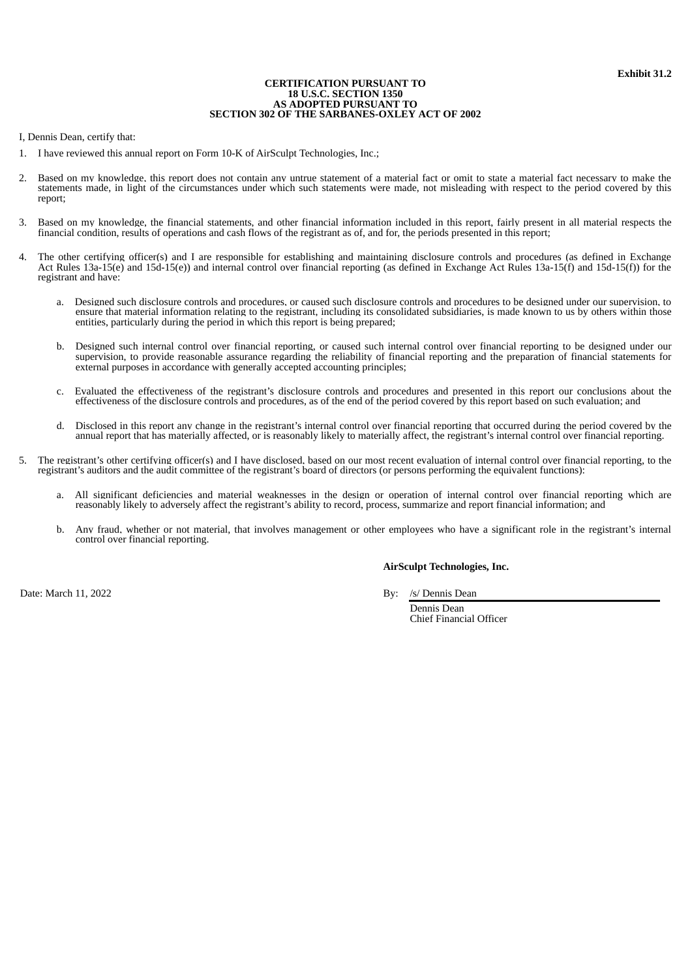#### **CERTIFICATION PURSUANT TO 18 U.S.C. SECTION 1350 AS ADOPTED PURSUANT TO SECTION 302 OF THE SARBANES-OXLEY ACT OF 2002**

<span id="page-97-0"></span>I, Dennis Dean, certify that:

- 1. I have reviewed this annual report on Form 10-K of AirSculpt Technologies, Inc.;
- 2. Based on my knowledge, this report does not contain any untrue statement of a material fact or omit to state a material fact necessary to make the statements made, in light of the circumstances under which such statements were made, not misleading with respect to the period covered by this report;
- 3. Based on my knowledge, the financial statements, and other financial information included in this report, fairly present in all material respects the financial condition, results of operations and cash flows of the registrant as of, and for, the periods presented in this report;
- 4. The other certifying officer(s) and I are responsible for establishing and maintaining disclosure controls and procedures (as defined in Exchange Act Rules 13a-15(e) and 15d-15(e)) and internal control over financial reporting (as defined in Exchange Act Rules 13a-15(f) and 15d-15(f)) for the registrant and have:
	- a. Designed such disclosure controls and procedures, or caused such disclosure controls and procedures to be designed under our supervision, to ensure that material information relating to the registrant, including its consolidated subsidiaries, is made known to us by others within those entities, particularly during the period in which this report is being prepared;
	- b. Designed such internal control over financial reporting, or caused such internal control over financial reporting to be designed under our supervision, to provide reasonable assurance regarding the reliability of financial reporting and the preparation of financial statements for external purposes in accordance with generally accepted accounting principles;
	- c. Evaluated the effectiveness of the registrant's disclosure controls and procedures and presented in this report our conclusions about the effectiveness of the disclosure controls and procedures, as of the end of the period covered by this report based on such evaluation; and
	- d. Disclosed in this report any change in the registrant's internal control over financial reporting that occurred during the period covered by the annual report that has materially affected, or is reasonably likely to materially affect, the registrant's internal control over financial reporting.
- 5. The registrant's other certifying officer(s) and I have disclosed, based on our most recent evaluation of internal control over financial reporting, to the registrant's auditors and the audit committee of the registrant's board of directors (or persons performing the equivalent functions):
	- a. All significant deficiencies and material weaknesses in the design or operation of internal control over financial reporting which are reasonably likely to adversely affect the registrant's ability to record, process, summarize and report financial information; and
	- b. Any fraud, whether or not material, that involves management or other employees who have a significant role in the registrant's internal control over financial reporting.

# **AirSculpt Technologies, Inc.**

Date: March 11, 2022 **By:** /s/ Dennis Dean

Dennis Dean Chief Financial Officer